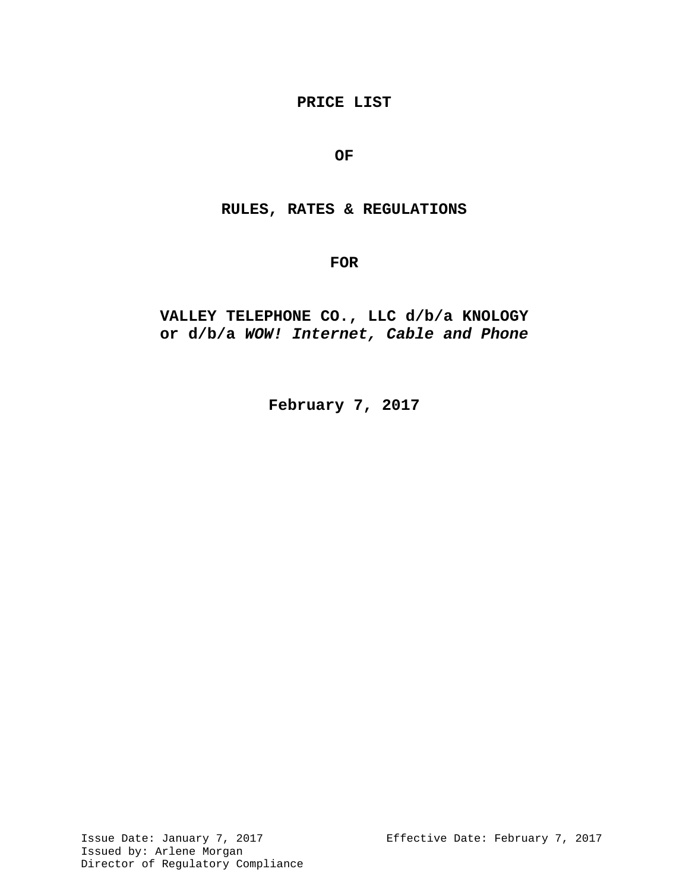## **PRICE LIST**

## **OF**

## **RULES, RATES & REGULATIONS**

**FOR**

# **VALLEY TELEPHONE CO., LLC d/b/a KNOLOGY or d/b/a** *WOW! Internet, Cable and Phone*

**February 7, 2017**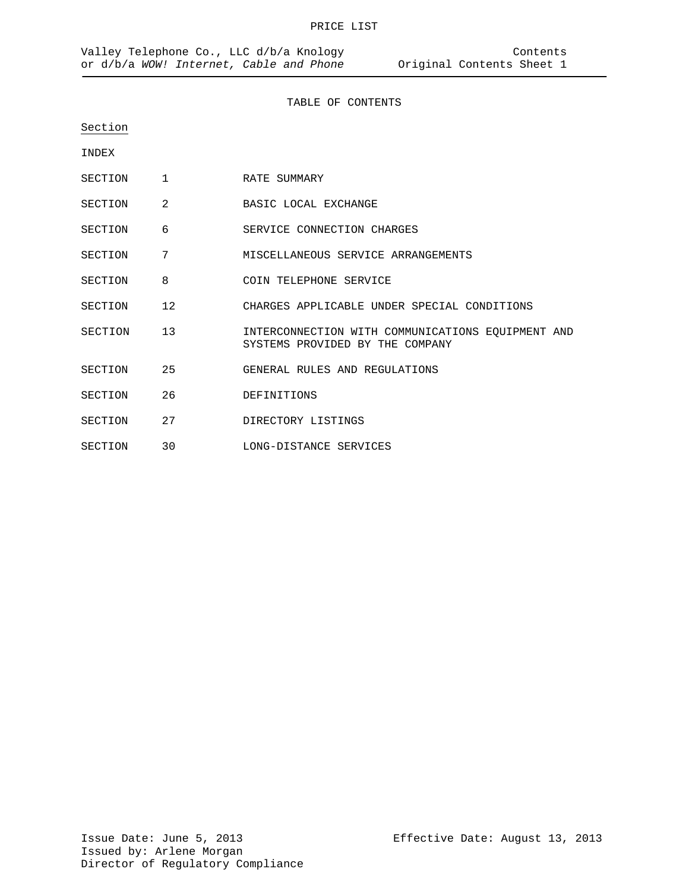#### TABLE OF CONTENTS

Section

INDEX

- SECTION 1 RATE SUMMARY
- SECTION 2 BASIC LOCAL EXCHANGE
- SECTION 6 SERVICE CONNECTION CHARGES
- SECTION 7 MISCELLANEOUS SERVICE ARRANGEMENTS
- SECTION 8 COIN TELEPHONE SERVICE
- SECTION 12 CHARGES APPLICABLE UNDER SPECIAL CONDITIONS
- SECTION 13 INTERCONNECTION WITH COMMUNICATIONS EQUIPMENT AND SYSTEMS PROVIDED BY THE COMPANY
- SECTION 25 GENERAL RULES AND REGULATIONS
- SECTION 26 DEFINITIONS
- SECTION 27 DIRECTORY LISTINGS
- SECTION 30 LONG-DISTANCE SERVICES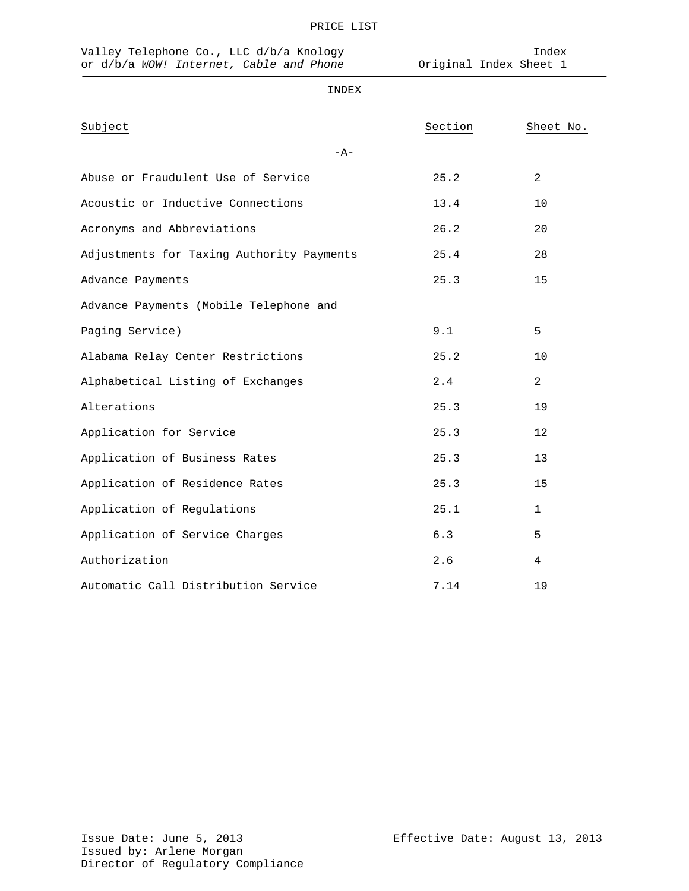| Valley Telephone Co., LLC d/b/a Knology<br>or d/b/a WOW! Internet, Cable and Phone | Original Index Sheet 1 | Index          |
|------------------------------------------------------------------------------------|------------------------|----------------|
| INDEX                                                                              |                        |                |
| Subject                                                                            | Section                | Sheet No.      |
| $-A-$                                                                              |                        |                |
| Abuse or Fraudulent Use of Service                                                 | 25.2                   | $\overline{2}$ |
| Acoustic or Inductive Connections                                                  | 13.4                   | 10             |
| Acronyms and Abbreviations                                                         | 26.2                   | 20             |
| Adjustments for Taxing Authority Payments                                          | 25.4                   | 28             |
| Advance Payments                                                                   | 25.3                   | 15             |
| Advance Payments (Mobile Telephone and                                             |                        |                |
| Paging Service)                                                                    | 9.1                    | 5              |
| Alabama Relay Center Restrictions                                                  | 25.2                   | 10             |
| Alphabetical Listing of Exchanges                                                  | 2.4                    | $\overline{2}$ |
| Alterations                                                                        | 25.3                   | 19             |
| Application for Service                                                            | 25.3                   | 12             |
| Application of Business Rates                                                      | 25.3                   | 13             |
| Application of Residence Rates                                                     | 25.3                   | 15             |
| Application of Regulations                                                         | 25.1                   | $\mathbf{1}$   |
| Application of Service Charges                                                     | 6.3                    | 5              |
| Authorization                                                                      | 2.6                    | 4              |
| Automatic Call Distribution Service                                                | 7.14                   | 19             |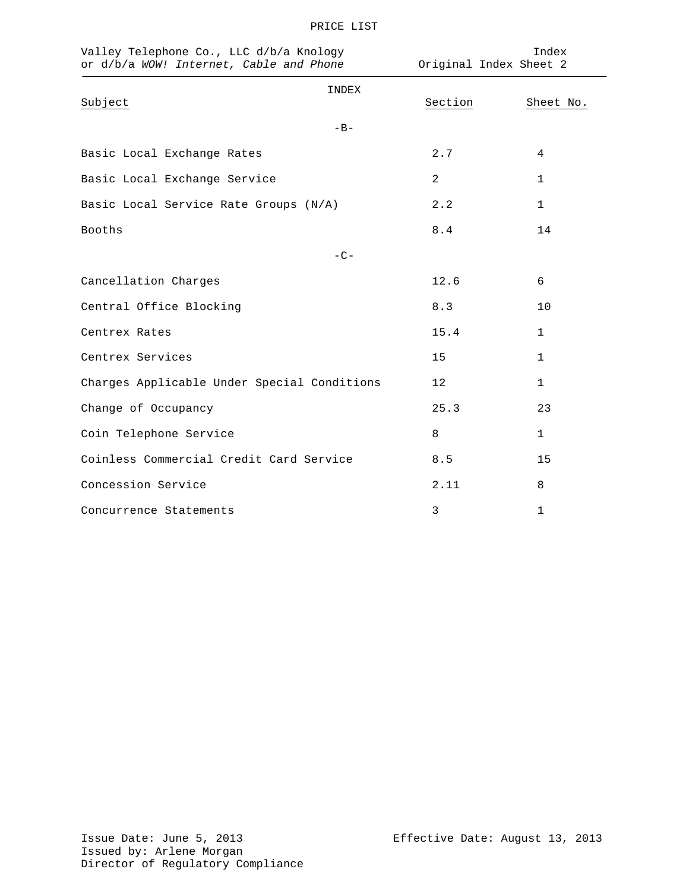| Valley Telephone Co., LLC d/b/a Knology<br>or d/b/a WOW! Internet, Cable and Phone | Original Index Sheet 2 | Index        |
|------------------------------------------------------------------------------------|------------------------|--------------|
| INDEX<br>Subject                                                                   | Section                | Sheet No.    |
| $-B-$                                                                              |                        |              |
| Basic Local Exchange Rates                                                         | 2.7                    | 4            |
| Basic Local Exchange Service                                                       | 2                      | 1            |
| Basic Local Service Rate Groups (N/A)                                              | 2.2                    | 1            |
| Booths                                                                             | 8.4                    | 14           |
| $-C-$                                                                              |                        |              |
| Cancellation Charges                                                               | 12.6                   | 6            |
| Central Office Blocking                                                            | 8.3                    | 10           |
| Centrex Rates                                                                      | 15.4                   | 1            |
| Centrex Services                                                                   | 15                     | $\mathbf{1}$ |
| Charges Applicable Under Special Conditions                                        | 12                     | 1            |
| Change of Occupancy                                                                | 25.3                   | 23           |
| Coin Telephone Service                                                             | 8                      | $\mathbf{1}$ |
| Coinless Commercial Credit Card Service                                            | 8.5                    | 15           |
| Concession Service                                                                 | 2.11                   | 8            |
| Concurrence Statements                                                             | 3                      | 1            |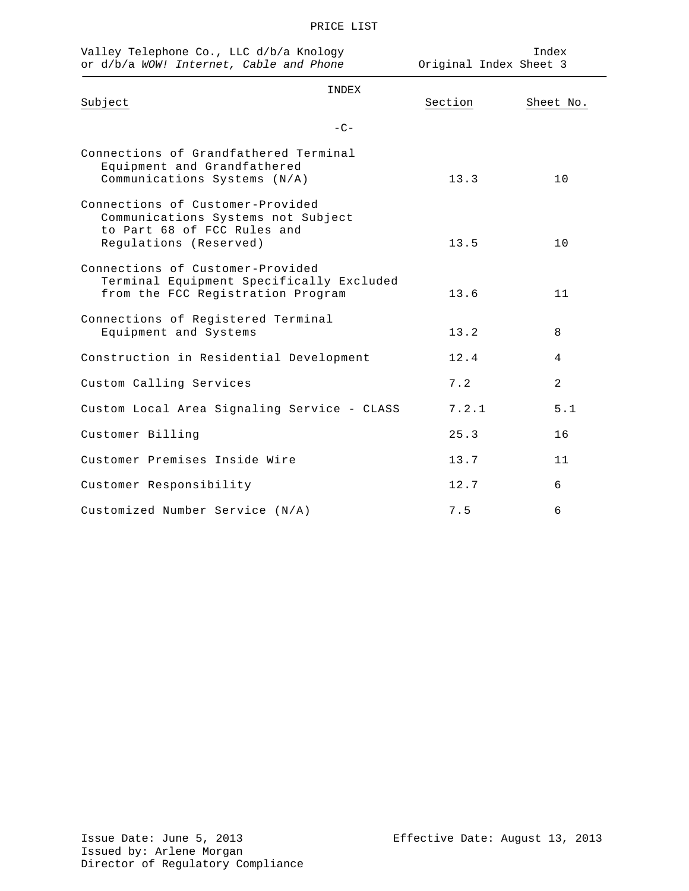| n |
|---|
|   |

| Valley Telephone Co., LLC d/b/a Knology<br>or d/b/a WOW! Internet, Cable and Phone                                              |         | Index<br>Original Index Sheet 3 |  |
|---------------------------------------------------------------------------------------------------------------------------------|---------|---------------------------------|--|
| INDEX<br>Subject                                                                                                                | Section | Sheet No.                       |  |
| $-C-$                                                                                                                           |         |                                 |  |
| Connections of Grandfathered Terminal<br>Equipment and Grandfathered<br>Communications Systems (N/A)                            | 13.3    | 10                              |  |
| Connections of Customer-Provided<br>Communications Systems not Subject<br>to Part 68 of FCC Rules and<br>Regulations (Reserved) | 13.5    | 10                              |  |
| Connections of Customer-Provided<br>Terminal Equipment Specifically Excluded<br>from the FCC Registration Program               | 13.6    | 11                              |  |
| Connections of Registered Terminal<br>Equipment and Systems                                                                     | 13.2    | 8                               |  |
| Construction in Residential Development                                                                                         | 12.4    | 4                               |  |
| Custom Calling Services                                                                                                         | 7.2     | 2                               |  |
| Custom Local Area Signaling Service - CLASS                                                                                     | 7.2.1   | 5.1                             |  |
| Customer Billing                                                                                                                | 25.3    | 16                              |  |
| Customer Premises Inside Wire                                                                                                   | 13.7    | 11                              |  |
| Customer Responsibility                                                                                                         | 12.7    | 6                               |  |
| Customized Number Service (N/A)                                                                                                 | 7.5     | 6                               |  |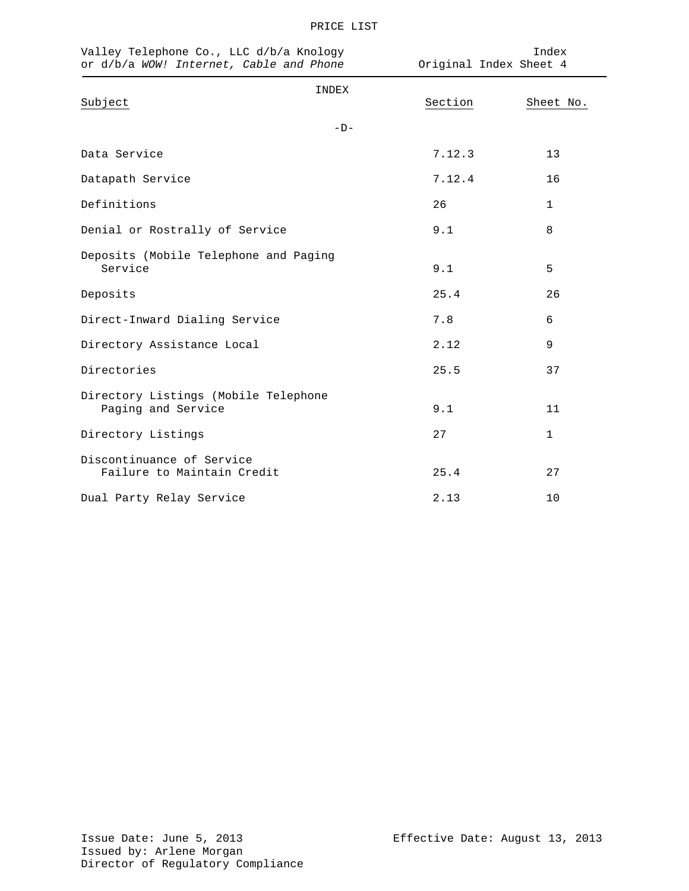| Valley Telephone Co., LLC d/b/a Knology<br>or d/b/a WOW! Internet, Cable and Phone |       | Index<br>Original Index Sheet 4 |              |
|------------------------------------------------------------------------------------|-------|---------------------------------|--------------|
| Subject                                                                            | INDEX | Section                         | Sheet No.    |
|                                                                                    | $-D-$ |                                 |              |
| Data Service                                                                       |       | 7.12.3                          | 13           |
| Datapath Service                                                                   |       | 7.12.4                          | 16           |
| Definitions                                                                        |       | 26                              | $\mathbf{1}$ |
| Denial or Rostrally of Service                                                     |       | 9.1                             | 8            |
| Deposits (Mobile Telephone and Paging<br>Service                                   |       | 9.1                             | 5            |
| Deposits                                                                           |       | 25.4                            | 26           |
| Direct-Inward Dialing Service                                                      |       | 7.8                             | 6            |
| Directory Assistance Local                                                         |       | 2.12                            | 9            |
| Directories                                                                        |       | 25.5                            | 37           |
| Directory Listings (Mobile Telephone<br>Paging and Service                         |       | 9.1                             | 11           |
| Directory Listings                                                                 |       | 27                              | $\mathbf{1}$ |
| Discontinuance of Service<br>Failure to Maintain Credit                            |       | 25.4                            | 27           |
| Dual Party Relay Service                                                           |       | 2.13                            | 10           |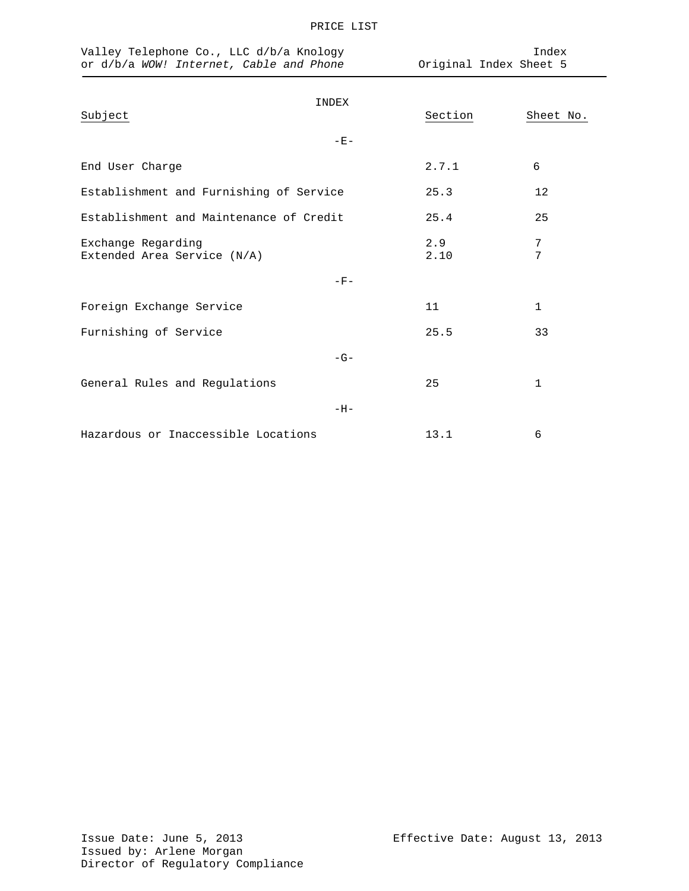| Valley Telephone Co., LLC d/b/a Knology<br>or d/b/a WOW! Internet, Cable and Phone | Original Index Sheet 5 | Index        |
|------------------------------------------------------------------------------------|------------------------|--------------|
| INDEX<br>Subject                                                                   | Section                | Sheet No.    |
| $-E-$                                                                              |                        |              |
| End User Charge                                                                    | 2.7.1                  | 6            |
| Establishment and Furnishing of Service                                            | 25.3                   | 12           |
| Establishment and Maintenance of Credit                                            | 25.4                   | 25           |
| Exchange Regarding<br>Extended Area Service (N/A)                                  | 2.9<br>2.10            | 7<br>7       |
| $-F-$                                                                              |                        |              |
| Foreign Exchange Service                                                           | 11                     | $\mathbf 1$  |
| Furnishing of Service                                                              | 25.5                   | 33           |
| $-G-$                                                                              |                        |              |
| General Rules and Regulations                                                      | 25                     | $\mathbf{1}$ |
| $-H-$                                                                              |                        |              |
| Hazardous or Inaccessible Locations                                                | 13.1                   | 6            |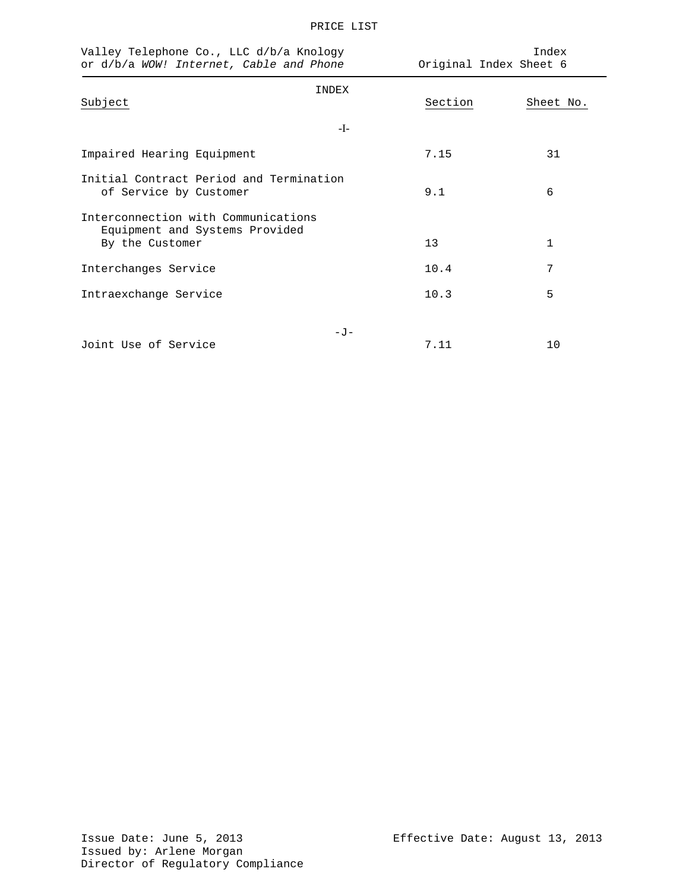| ᠇ |
|---|
|   |

| Valley Telephone Co., LLC d/b/a Knology<br>or d/b/a WOW! Internet, Cable and Phone       |       | Index<br>Original Index Sheet 6 |              |
|------------------------------------------------------------------------------------------|-------|---------------------------------|--------------|
| Subject                                                                                  | INDEX | Section                         | Sheet No.    |
|                                                                                          | -I-   |                                 |              |
| Impaired Hearing Equipment                                                               |       | 7.15                            | 31           |
| Initial Contract Period and Termination<br>of Service by Customer                        |       | 9.1                             | 6            |
| Interconnection with Communications<br>Equipment and Systems Provided<br>By the Customer |       | 13                              | $\mathbf{1}$ |
| Interchanges Service                                                                     |       | 10.4                            | 7            |
| Intraexchange Service                                                                    |       | 10.3                            | 5            |
| Joint Use of Service                                                                     | $-J$  | 7.11                            | 10           |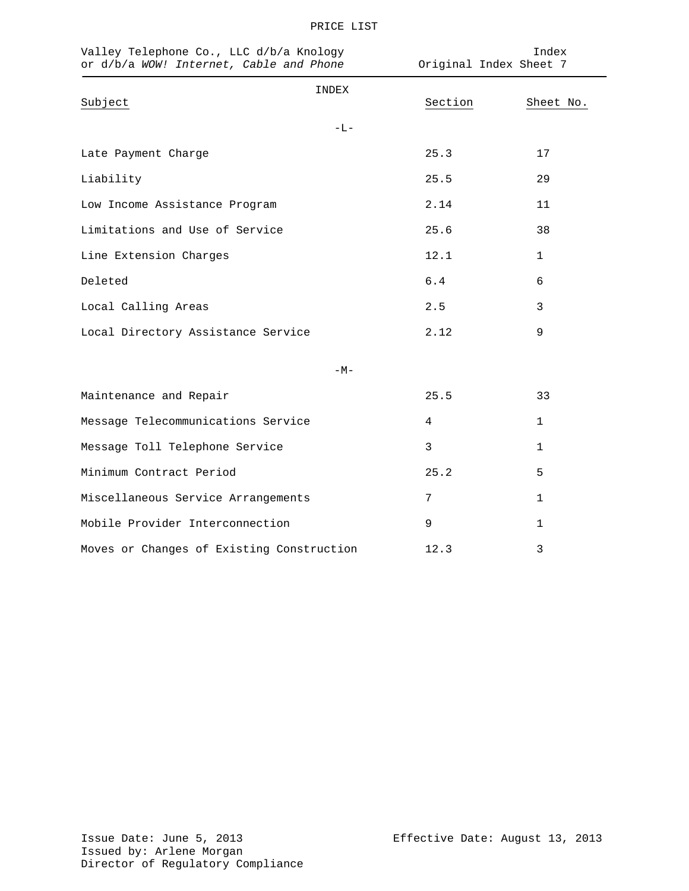| Valley Telephone Co., LLC d/b/a Knology<br>or d/b/a WOW! Internet, Cable and Phone | Original Index Sheet 7 | Index        |
|------------------------------------------------------------------------------------|------------------------|--------------|
| INDEX<br>Subject                                                                   | Section                | Sheet No.    |
| $-L-$                                                                              |                        |              |
| Late Payment Charge                                                                | 25.3                   | 17           |
| Liability                                                                          | 25.5                   | 29           |
| Low Income Assistance Program                                                      | 2.14                   | 11           |
| Limitations and Use of Service                                                     | 25.6                   | 38           |
| Line Extension Charges                                                             | 12.1                   | 1            |
| Deleted                                                                            | 6.4                    | 6            |
| Local Calling Areas                                                                | 2.5                    | 3            |
| Local Directory Assistance Service                                                 | 2.12                   | 9            |
| $-M-$                                                                              |                        |              |
| Maintenance and Repair                                                             | 25.5                   | 33           |
| Message Telecommunications Service                                                 | 4                      | 1            |
| Message Toll Telephone Service                                                     | 3                      | 1            |
| Minimum Contract Period                                                            | 25.2                   | 5            |
| Miscellaneous Service Arrangements                                                 | 7                      | 1            |
| Mobile Provider Interconnection                                                    | 9                      | $\mathbf{1}$ |
| Moves or Changes of Existing Construction                                          | 12.3                   | 3            |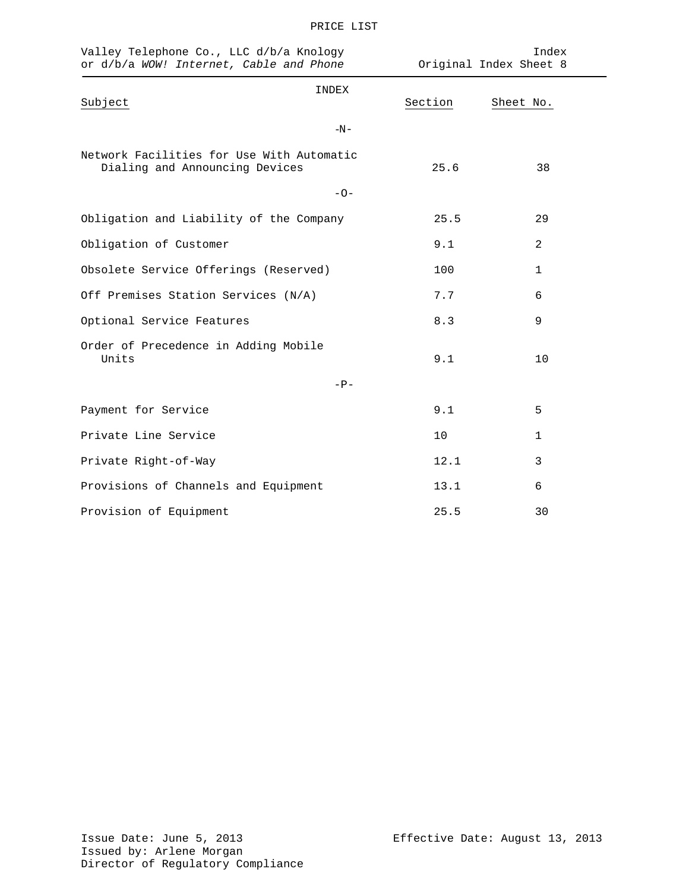| Valley Telephone Co., LLC d/b/a Knology<br>or d/b/a WOW! Internet, Cable and Phone |       | Index<br>Original Index Sheet 8 |           |  |
|------------------------------------------------------------------------------------|-------|---------------------------------|-----------|--|
| Subject                                                                            | INDEX | Section                         | Sheet No. |  |
|                                                                                    | $-N-$ |                                 |           |  |
| Network Facilities for Use With Automatic<br>Dialing and Announcing Devices        |       | 25.6                            | 38        |  |
|                                                                                    | $-0-$ |                                 |           |  |
| Obligation and Liability of the Company                                            |       | 25.5                            | 29        |  |
| Obligation of Customer                                                             |       | 9.1                             | 2         |  |
| Obsolete Service Offerings (Reserved)                                              |       | 100                             | 1         |  |
| Off Premises Station Services (N/A)                                                |       | 7.7                             | 6         |  |
| Optional Service Features                                                          |       | 8.3                             | 9         |  |
| Order of Precedence in Adding Mobile<br>Units                                      |       | 9.1                             | 10        |  |
|                                                                                    | $-P-$ |                                 |           |  |
| Payment for Service                                                                |       | 9.1                             | 5         |  |
| Private Line Service                                                               |       | 10                              | 1         |  |
| Private Right-of-Way                                                               |       | 12.1                            | 3         |  |
| Provisions of Channels and Equipment                                               |       | 13.1                            | 6         |  |
| Provision of Equipment                                                             |       | 25.5                            | 30        |  |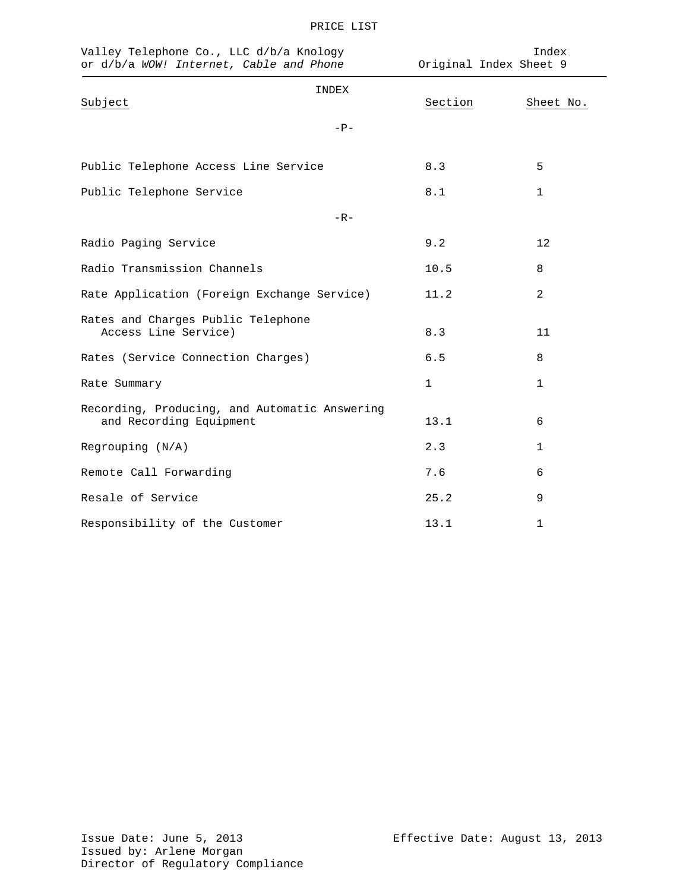| Valley Telephone Co., LLC d/b/a Knology<br>or d/b/a WOW! Internet, Cable and Phone | Original Index Sheet 9 | Index        |
|------------------------------------------------------------------------------------|------------------------|--------------|
| INDEX<br>Subject                                                                   | Section                | Sheet No.    |
| $-P-$                                                                              |                        |              |
| Public Telephone Access Line Service                                               | 8.3                    | 5            |
| Public Telephone Service                                                           | 8.1                    | $\mathbf{1}$ |
| $-R -$                                                                             |                        |              |
| Radio Paging Service                                                               | 9.2                    | 12           |
| Radio Transmission Channels                                                        | 10.5                   | 8            |
| Rate Application (Foreign Exchange Service)                                        | 11.2                   | 2            |
| Rates and Charges Public Telephone<br>Access Line Service)                         | 8.3                    | 11           |
| Rates (Service Connection Charges)                                                 | $6.5$                  | 8            |
| Rate Summary                                                                       | $\mathbf{1}$           | $\mathbf{1}$ |
| Recording, Producing, and Automatic Answering<br>and Recording Equipment           | 13.1                   | 6            |
| Regrouping $(N/A)$                                                                 | 2.3                    | $\mathbf{1}$ |
| Remote Call Forwarding                                                             | 7.6                    | 6            |
| Resale of Service                                                                  | 25.2                   | 9            |
| Responsibility of the Customer                                                     | 13.1                   | 1            |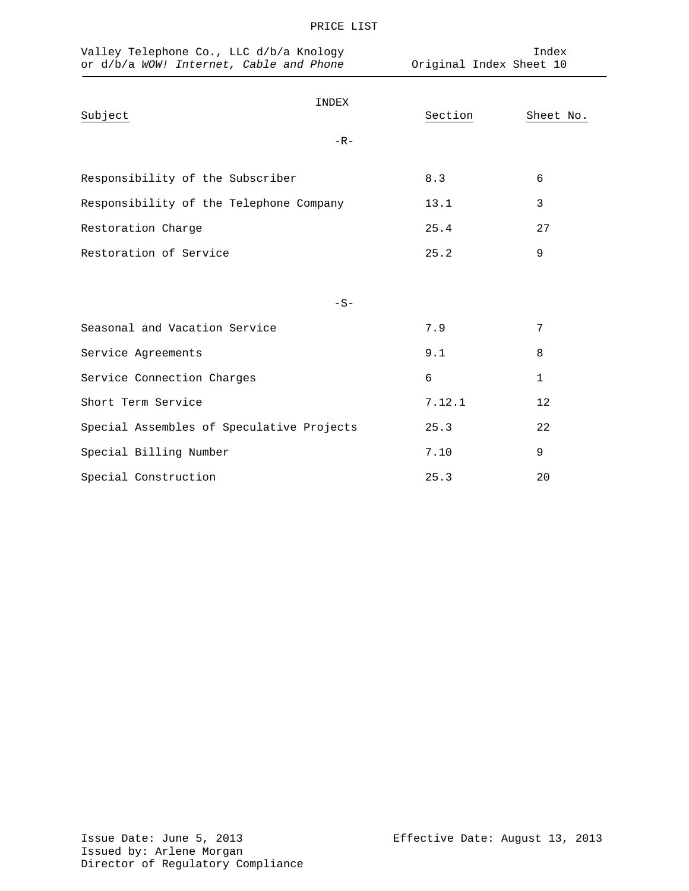| Valley Telephone Co., LLC d/b/a Knology<br>or d/b/a WOW! Internet, Cable and Phone |         | Index<br>Original Index Sheet 10 |  |
|------------------------------------------------------------------------------------|---------|----------------------------------|--|
| INDEX<br>Subject                                                                   | Section | Sheet No.                        |  |
| $-R-$                                                                              |         |                                  |  |
| Responsibility of the Subscriber                                                   | 8.3     | 6                                |  |
| Responsibility of the Telephone Company                                            | 13.1    | 3                                |  |
| Restoration Charge                                                                 | 25.4    | 27                               |  |
| Restoration of Service                                                             | 25.2    | 9                                |  |
|                                                                                    |         |                                  |  |
| $-S-$                                                                              |         |                                  |  |
| Seasonal and Vacation Service                                                      | 7.9     | 7                                |  |
| Service Agreements                                                                 | 9.1     | 8                                |  |
| Service Connection Charges                                                         | 6       | $\mathbf{1}$                     |  |
| Short Term Service                                                                 | 7.12.1  | 12                               |  |
| Special Assembles of Speculative Projects                                          | 25.3    | 22                               |  |
| Special Billing Number                                                             | 7.10    | 9                                |  |
| Special Construction                                                               | 25.3    | 20                               |  |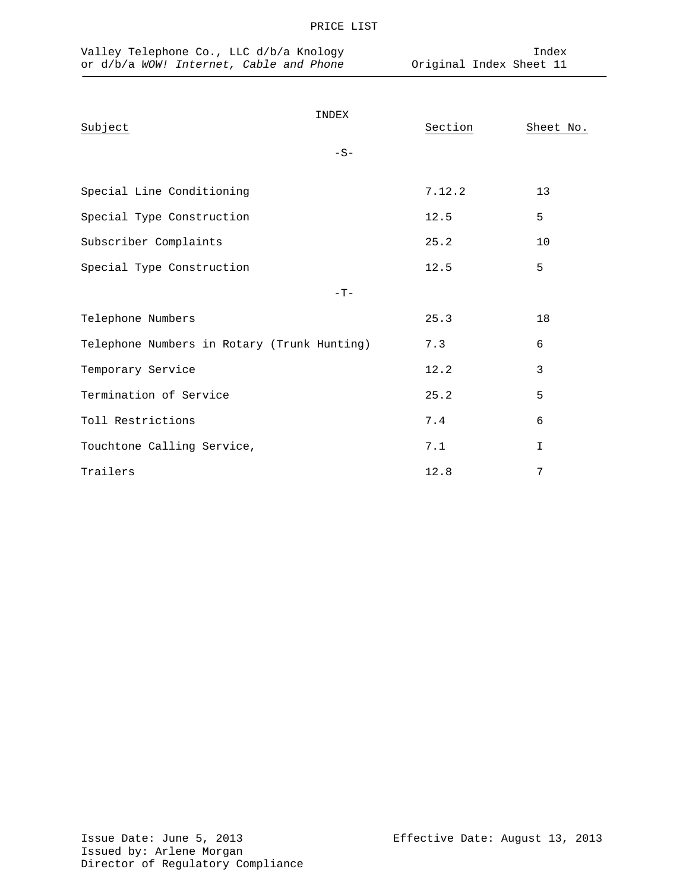| Valley Telephone Co., LLC d/b/a Knology<br>or d/b/a WOW! Internet, Cable and Phone |                | Index<br>Original Index Sheet 11 |              |  |
|------------------------------------------------------------------------------------|----------------|----------------------------------|--------------|--|
| Subject                                                                            | INDEX<br>$-S-$ | Section                          | Sheet No.    |  |
| Special Line Conditioning                                                          |                | 7.12.2                           | 13           |  |
| Special Type Construction                                                          |                | 12.5                             | 5            |  |
| Subscriber Complaints                                                              |                | 25.2                             | 10           |  |
| Special Type Construction                                                          |                | 12.5                             | 5            |  |
|                                                                                    | $-T-$          |                                  |              |  |
| Telephone Numbers                                                                  |                | 25.3                             | 18           |  |
| Telephone Numbers in Rotary (Trunk Hunting)                                        |                | 7.3                              | 6            |  |
| Temporary Service                                                                  |                | 12.2                             | 3            |  |
| Termination of Service                                                             |                | 25.2                             | 5            |  |
| Toll Restrictions                                                                  |                | 7.4                              | 6            |  |
| Touchtone Calling Service,                                                         |                | 7.1                              | $\mathbf{I}$ |  |
| Trailers                                                                           |                | 12.8                             | 7            |  |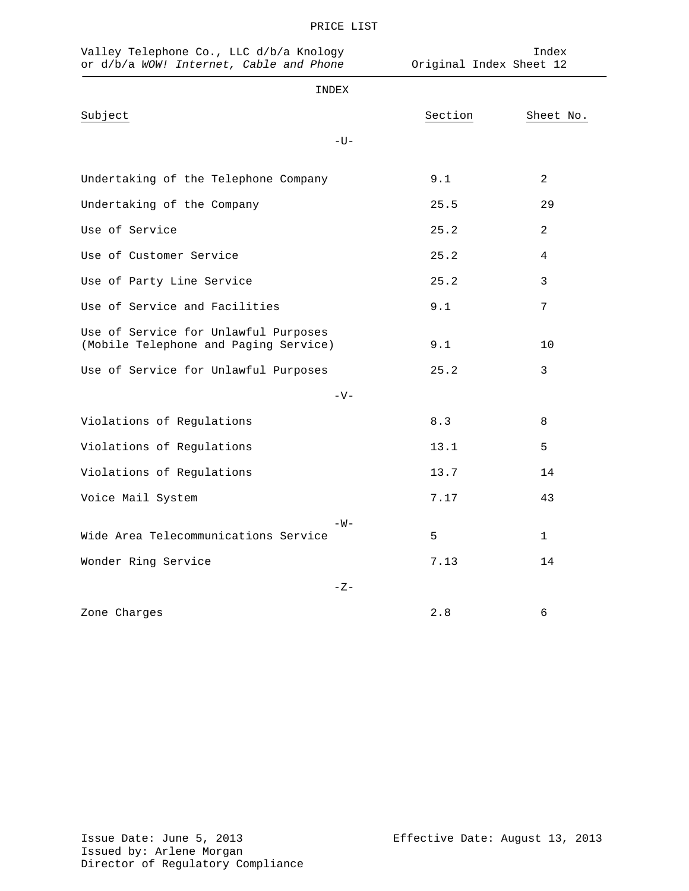| Valley Telephone Co., LLC d/b/a Knology<br>or d/b/a WOW! Internet, Cable and Phone |         | Index<br>Original Index Sheet 12 |  |  |
|------------------------------------------------------------------------------------|---------|----------------------------------|--|--|
| INDEX                                                                              |         |                                  |  |  |
| Subject                                                                            | Section | Sheet No.                        |  |  |
| $-U-$                                                                              |         |                                  |  |  |
| Undertaking of the Telephone Company                                               | 9.1     | $\overline{2}$                   |  |  |
| Undertaking of the Company                                                         | 25.5    | 29                               |  |  |
| Use of Service                                                                     | 25.2    | $\overline{2}$                   |  |  |
| Use of Customer Service                                                            | 25.2    | $\overline{4}$                   |  |  |
| Use of Party Line Service                                                          | 25.2    | 3                                |  |  |
| Use of Service and Facilities                                                      | 9.1     | 7                                |  |  |
| Use of Service for Unlawful Purposes<br>(Mobile Telephone and Paging Service)      | 9.1     | 10                               |  |  |
| Use of Service for Unlawful Purposes                                               | 25.2    | 3                                |  |  |
| $-V-$                                                                              |         |                                  |  |  |
| Violations of Regulations                                                          | 8.3     | 8                                |  |  |
| Violations of Regulations                                                          | 13.1    | 5                                |  |  |
| Violations of Regulations                                                          | 13.7    | 14                               |  |  |
| Voice Mail System                                                                  | 7.17    | 43                               |  |  |
| $-W -$                                                                             |         |                                  |  |  |
| Wide Area Telecommunications Service                                               | 5       | $\mathbf{1}$                     |  |  |
| Wonder Ring Service                                                                | 7.13    | 14                               |  |  |
| $-Z-$                                                                              |         |                                  |  |  |
| Zone Charges                                                                       | 2.8     | 6                                |  |  |

PRICE LIST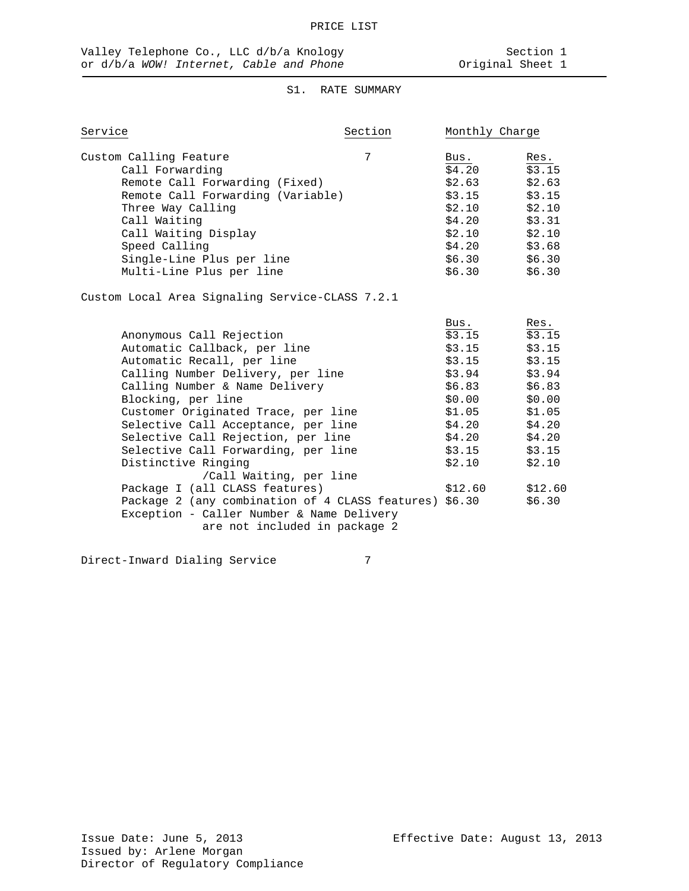## S1. RATE SUMMARY

| Service                             | Section | Monthly Charge  |                 |
|-------------------------------------|---------|-----------------|-----------------|
| Custom Calling Feature              | 7       | Bus.            | Res.            |
| Call Forwarding                     |         | \$4.20          | \$3.15          |
| Remote Call Forwarding (Fixed)      |         | \$2.63          | \$2.63          |
| Remote Call Forwarding (Variable)   |         | \$3.15          | \$3.15          |
| Three Way Calling                   |         | \$2.10          | \$2.10          |
| Call Waiting                        |         | \$4.20          | \$3.31          |
| Call Waiting Display                |         | \$2.10          | \$2.10          |
| Speed Calling                       |         | \$4.20          | \$3.68          |
| Single-Line Plus per line           |         | \$6.30          | \$6.30          |
| Multi-Line Plus per line            |         | \$6.30          | \$6.30          |
|                                     |         | Bus.            | Res.            |
| Anonymous Call Rejection            |         | \$3.15          | \$3.15          |
| Automatic Callback, per line        |         |                 | $$3.15$ $$3.15$ |
| Automatic Recall, per line          |         |                 | $$3.15$ $$3.15$ |
| Calling Number Delivery, per line   |         | $$3.94$ $$3.94$ |                 |
| Calling Number & Name Delivery      |         | \$6.83          | \$6.83          |
| Blocking, per line                  |         | \$0.00          | \$0.00          |
| Customer Originated Trace, per line |         | \$1.05          | \$1.05          |
| Selective Call Acceptance, per line |         | \$4.20          | \$4.20          |
| Selective Call Rejection, per line  |         | \$4.20          | \$4.20          |
| Selective Call Forwarding, per line |         | \$3.15          | \$3.15          |
| Distinctive Ringing                 |         | \$2.10          | \$2.10          |

Package I (all CLASS features) \$12.60 \$12.60<br>Package 2 (any combination of 4 CLASS features) \$6.30 \$6.30

/Call Waiting, per line

Exception - Caller Number & Name Delivery

Direct-Inward Dialing Service 7

Package 2 (any combination of 4 CLASS features) \$6.30

are not included in package 2

Issued by: Arlene Morgan Director of Regulatory Compliance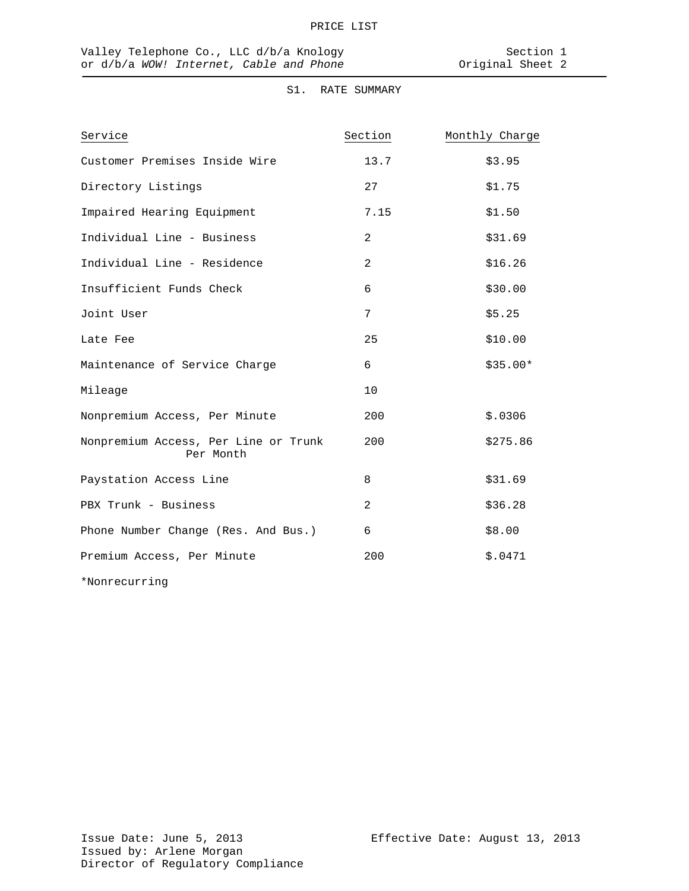## S1. RATE SUMMARY

| Service                                           | Section | Monthly Charge |
|---------------------------------------------------|---------|----------------|
| Customer Premises Inside Wire                     | 13.7    | \$3.95         |
| Directory Listings                                | 27      | \$1.75         |
| Impaired Hearing Equipment                        | 7.15    | \$1.50         |
| Individual Line - Business                        | 2       | \$31.69        |
| Individual Line - Residence                       | 2       | \$16.26        |
| Insufficient Funds Check                          | 6       | \$30.00        |
| Joint User                                        | 7       | \$5.25         |
| Late Fee                                          | 25      | \$10.00        |
| Maintenance of Service Charge                     | 6       | $$35.00*$      |
| Mileage                                           | 10      |                |
| Nonpremium Access, Per Minute                     | 200     | \$.0306        |
| Nonpremium Access, Per Line or Trunk<br>Per Month | 200     | \$275.86       |
| Paystation Access Line                            | 8       | \$31.69        |
| PBX Trunk - Business                              | 2       | \$36.28        |
| Phone Number Change (Res. And Bus.)               | 6       | \$8.00         |
| Premium Access, Per Minute                        | 200     | \$.0471        |
| *Nonrecurring                                     |         |                |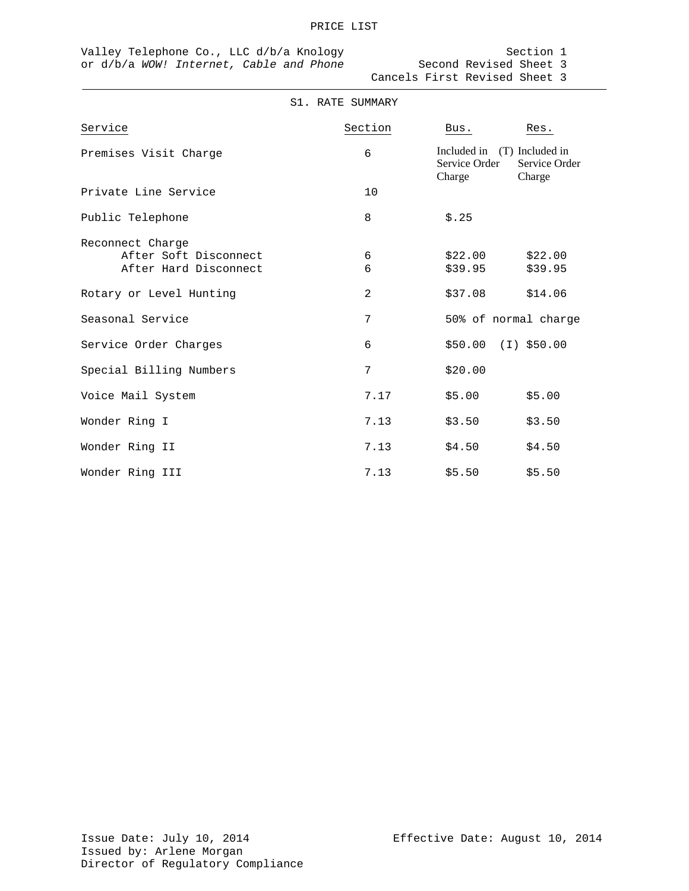#### PRICE LIST

Valley Telephone Co., LLC d/b/a Knology Section 1 or d/b/a *WOW! Internet, Cable and Phone* Second Revised Sheet 3

|                                                                    | S1. RATE SUMMARY |                         |                                                        |
|--------------------------------------------------------------------|------------------|-------------------------|--------------------------------------------------------|
| Service                                                            | Section          | Bus.                    | Res.                                                   |
| Premises Visit Charge                                              | 6                | Service Order<br>Charge | Included in (T) Included in<br>Service Order<br>Charge |
| Private Line Service                                               | 10               |                         |                                                        |
| Public Telephone                                                   | 8                | \$.25                   |                                                        |
| Reconnect Charge<br>After Soft Disconnect<br>After Hard Disconnect | 6<br>6           | \$22.00<br>\$39.95      | \$22.00<br>\$39.95                                     |
| Rotary or Level Hunting                                            | 2                | \$37.08                 | \$14.06                                                |
| Seasonal Service                                                   | 7                |                         | 50% of normal charge                                   |
| Service Order Charges                                              | 6                |                         | $$50.00$ (I) $$50.00$                                  |
| Special Billing Numbers                                            | 7                | \$20.00                 |                                                        |
| Voice Mail System                                                  | 7.17             | \$5.00                  | \$5.00                                                 |
| Wonder Ring I                                                      | 7.13             | \$3.50                  | \$3.50                                                 |
| Wonder Ring II                                                     | 7.13             | \$4.50                  | \$4.50                                                 |
| Wonder Ring III                                                    | 7.13             | \$5.50                  | \$5.50                                                 |

Cancels First Revised Sheet 3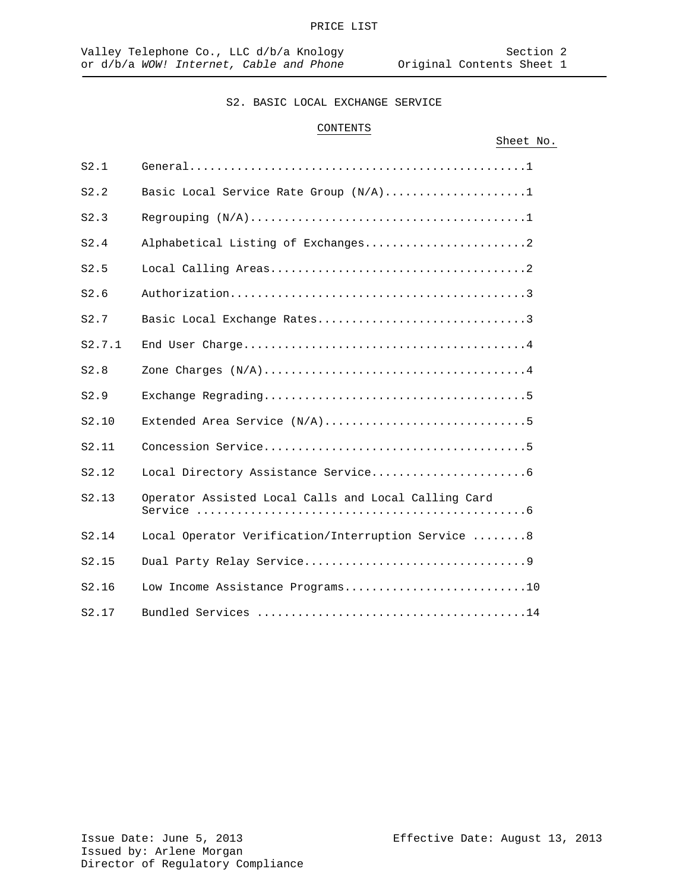#### PRICE LIST

## S2. BASIC LOCAL EXCHANGE SERVICE

## CONTENTS

|        |                                                      | Sheet No. |  |
|--------|------------------------------------------------------|-----------|--|
| S2.1   |                                                      |           |  |
| S2.2   | Basic Local Service Rate Group (N/A)1                |           |  |
| S2.3   |                                                      |           |  |
| S2.4   |                                                      |           |  |
| S2.5   |                                                      |           |  |
| S2.6   |                                                      |           |  |
| S2.7   | Basic Local Exchange Rates3                          |           |  |
| S2.7.1 |                                                      |           |  |
| S2.8   |                                                      |           |  |
| S2.9   |                                                      |           |  |
| S2.10  |                                                      |           |  |
| S2.11  |                                                      |           |  |
| S2.12  |                                                      |           |  |
| S2.13  | Operator Assisted Local Calls and Local Calling Card |           |  |
| S2.14  | Local Operator Verification/Interruption Service 8   |           |  |
| S2.15  |                                                      |           |  |
| S2.16  | Low Income Assistance Programs10                     |           |  |
| S2.17  |                                                      |           |  |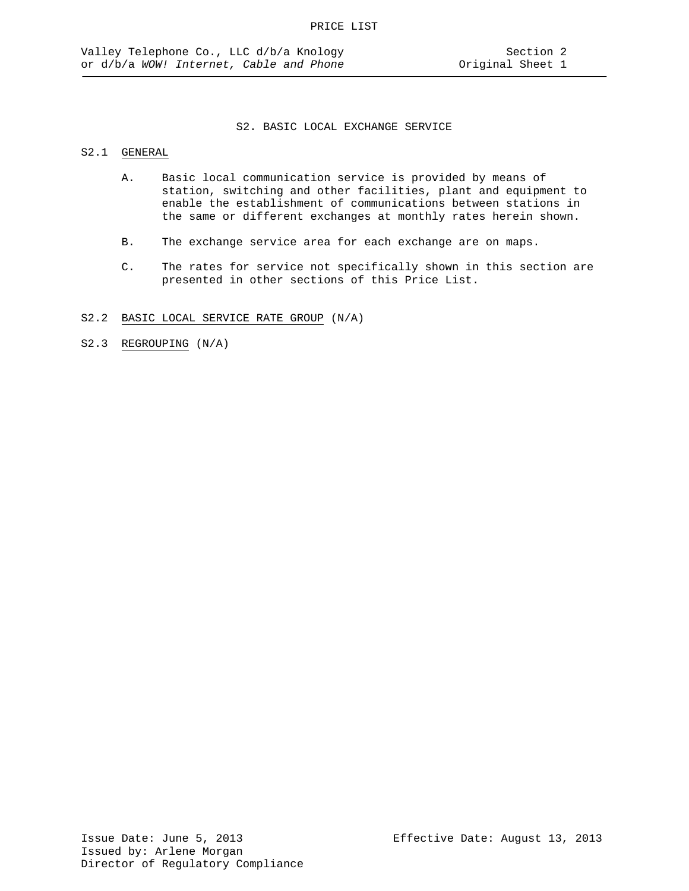## S2.1 GENERAL

- A. Basic local communication service is provided by means of station, switching and other facilities, plant and equipment to enable the establishment of communications between stations in the same or different exchanges at monthly rates herein shown.
- B. The exchange service area for each exchange are on maps.
- C. The rates for service not specifically shown in this section are presented in other sections of this Price List.
- S2.2 BASIC LOCAL SERVICE RATE GROUP (N/A)
- S2.3 REGROUPING (N/A)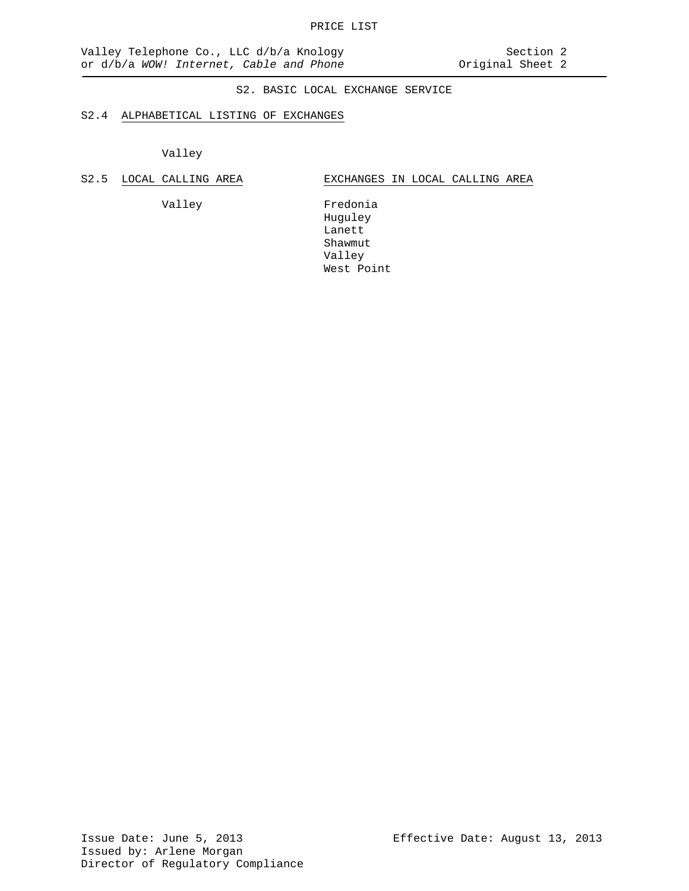#### S2.4 ALPHABETICAL LISTING OF EXCHANGES

Valley

S2.5 LOCAL CALLING AREA **EXCHANGES** IN LOCAL CALLING AREA

Valley Fredonia Huguley Lanett Shawmut Valley West Point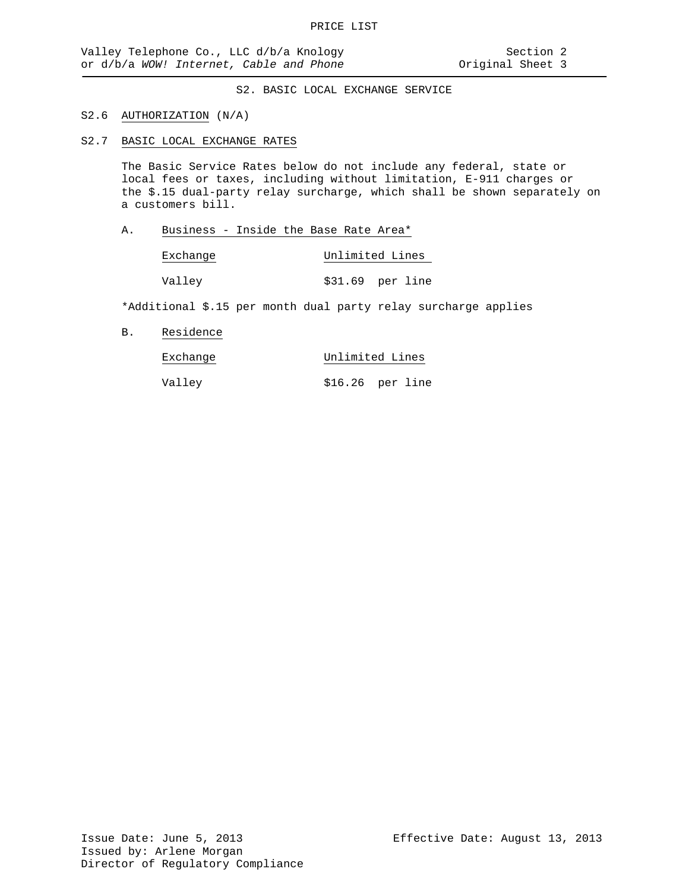#### S2.6 AUTHORIZATION (N/A)

S2.7 BASIC LOCAL EXCHANGE RATES

The Basic Service Rates below do not include any federal, state or local fees or taxes, including without limitation, E-911 charges or the \$.15 dual-party relay surcharge, which shall be shown separately on a customers bill.

A. Business - Inside the Base Rate Area\*

| Exchange | Unlimited Lines |                  |  |
|----------|-----------------|------------------|--|
| Valley   |                 | \$31.69 per line |  |

\*Additional \$.15 per month dual party relay surcharge applies

B. Residence

| Exchange |                   | Unlimited Lines |  |  |
|----------|-------------------|-----------------|--|--|
| Valley   | $$16.26$ per line |                 |  |  |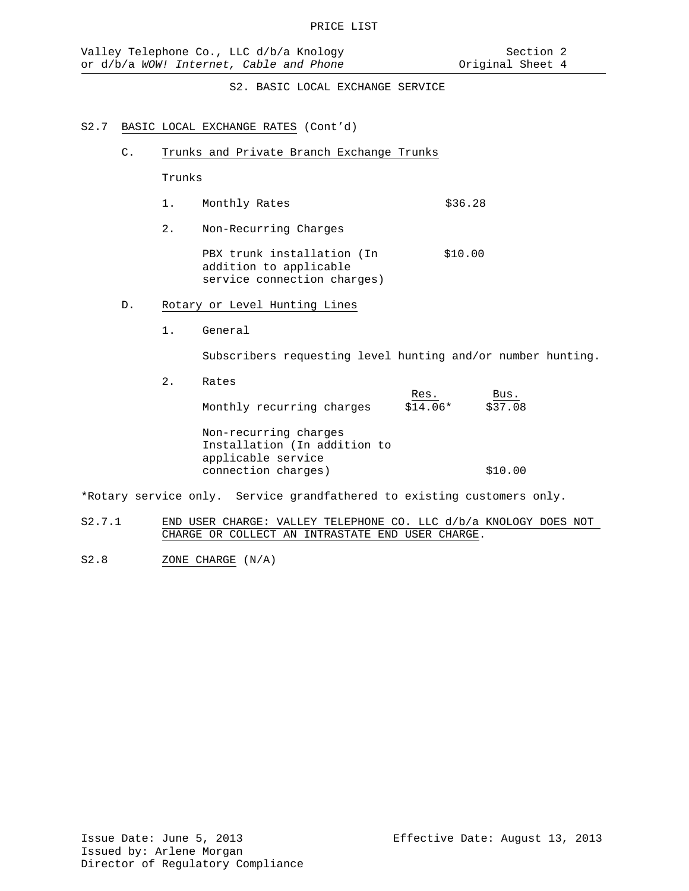#### S2.7 BASIC LOCAL EXCHANGE RATES (Cont'd)

C. Trunks and Private Branch Exchange Trunks

Trunks

- 1. Monthly Rates \$36.28
- 2. Non-Recurring Charges

PBX trunk installation (In \$10.00 addition to applicable service connection charges)

- D. Rotary or Level Hunting Lines
	- 1. General

Subscribers requesting level hunting and/or number hunting.

2. Rates

Res. Bus. Monthly recurring charges \$14.06\* \$37.08

Non-recurring charges Installation (In addition to applicable service connection charges)  $$10.00$ 

\*Rotary service only. Service grandfathered to existing customers only.

- S2.7.1 END USER CHARGE: VALLEY TELEPHONE CO. LLC d/b/a KNOLOGY DOES NOT CHARGE OR COLLECT AN INTRASTATE END USER CHARGE.
- S2.8 ZONE CHARGE (N/A)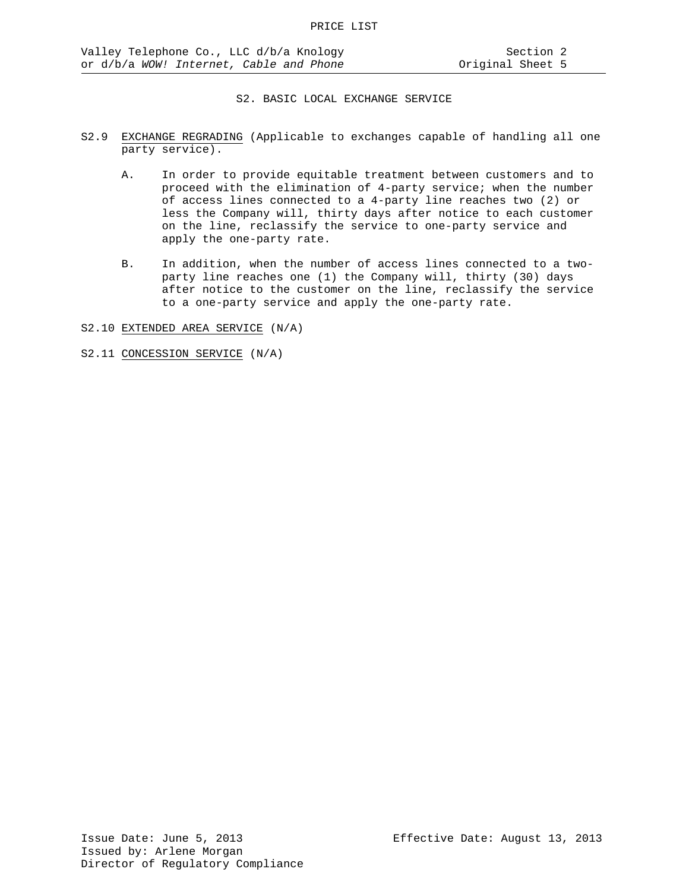- S2.9 EXCHANGE REGRADING (Applicable to exchanges capable of handling all one party service).
	- A. In order to provide equitable treatment between customers and to proceed with the elimination of 4-party service; when the number of access lines connected to a 4-party line reaches two (2) or less the Company will, thirty days after notice to each customer on the line, reclassify the service to one-party service and apply the one-party rate.
	- B. In addition, when the number of access lines connected to a twoparty line reaches one (1) the Company will, thirty (30) days after notice to the customer on the line, reclassify the service to a one-party service and apply the one-party rate.

S2.10 EXTENDED AREA SERVICE (N/A)

S2.11 CONCESSION SERVICE (N/A)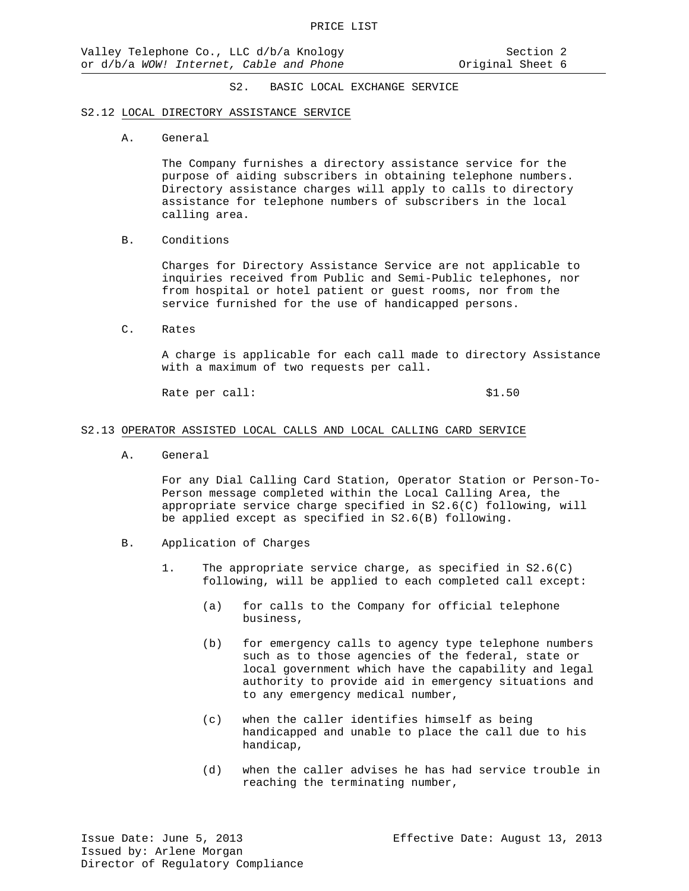#### S2.12 LOCAL DIRECTORY ASSISTANCE SERVICE

A. General

The Company furnishes a directory assistance service for the purpose of aiding subscribers in obtaining telephone numbers. Directory assistance charges will apply to calls to directory assistance for telephone numbers of subscribers in the local calling area.

B. Conditions

Charges for Directory Assistance Service are not applicable to inquiries received from Public and Semi-Public telephones, nor from hospital or hotel patient or guest rooms, nor from the service furnished for the use of handicapped persons.

C. Rates

A charge is applicable for each call made to directory Assistance with a maximum of two requests per call.

Rate per call:  $$1.50$ 

#### S2.13 OPERATOR ASSISTED LOCAL CALLS AND LOCAL CALLING CARD SERVICE

A. General

For any Dial Calling Card Station, Operator Station or Person-To-Person message completed within the Local Calling Area, the appropriate service charge specified in S2.6(C) following, will be applied except as specified in S2.6(B) following.

- B. Application of Charges
	- 1. The appropriate service charge, as specified in S2.6(C) following, will be applied to each completed call except:
		- (a) for calls to the Company for official telephone business,
		- (b) for emergency calls to agency type telephone numbers such as to those agencies of the federal, state or local government which have the capability and legal authority to provide aid in emergency situations and to any emergency medical number,
		- (c) when the caller identifies himself as being handicapped and unable to place the call due to his handicap,
		- (d) when the caller advises he has had service trouble in reaching the terminating number,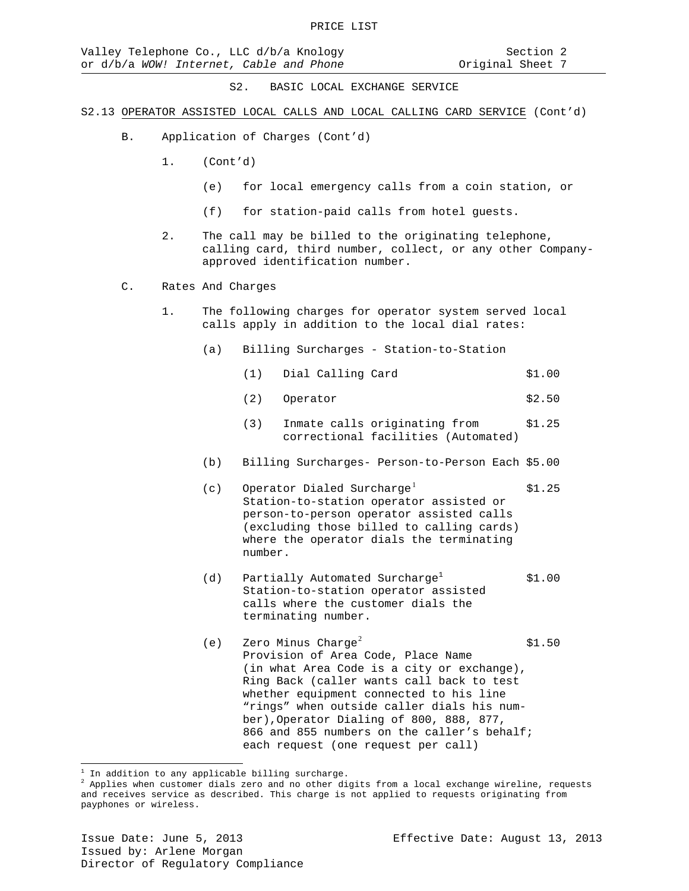- S2.13 OPERATOR ASSISTED LOCAL CALLS AND LOCAL CALLING CARD SERVICE (Cont'd)
	- B. Application of Charges (Cont'd)
		- 1. (Cont'd)
			- (e) for local emergency calls from a coin station, or
			- (f) for station-paid calls from hotel guests.
		- 2. The call may be billed to the originating telephone, calling card, third number, collect, or any other Companyapproved identification number.
	- C. Rates And Charges
		- 1. The following charges for operator system served local calls apply in addition to the local dial rates:
			- (a) Billing Surcharges Station-to-Station
				- (1) Dial Calling Card \$1.00
				- (2) Operator \$2.50
				- (3) Inmate calls originating from \$1.25 correctional facilities (Automated)
			- (b) Billing Surcharges- Person-to-Person Each \$5.00
			- (c) Operator Dialed Surcharge<sup>[1](#page-24-0)</sup>  $$1.25$ Station-to-station operator assisted or person-to-person operator assisted calls (excluding those billed to calling cards) where the operator dials the terminating number.
			- (d) Partially Automated Surcharge<sup>1</sup>  $$1.00$ Station-to-station operator assisted calls where the customer dials the terminating number.
			- (e) Zero Minus Charge<sup>[2](#page-24-1)</sup>  $$1.50$ Provision of Area Code, Place Name (in what Area Code is a city or exchange), Ring Back (caller wants call back to test whether equipment connected to his line "rings" when outside caller dials his number),Operator Dialing of 800, 888, 877, 866 and 855 numbers on the caller's behalf; each request (one request per call)

 $\overline{a}$ 

<span id="page-24-1"></span><span id="page-24-0"></span> $^1$  In addition to any applicable billing surcharge.<br><sup>2</sup> Applies when customer dials zero and no other digits from a local exchange wireline, requests and receives service as described. This charge is not applied to requests originating from payphones or wireless.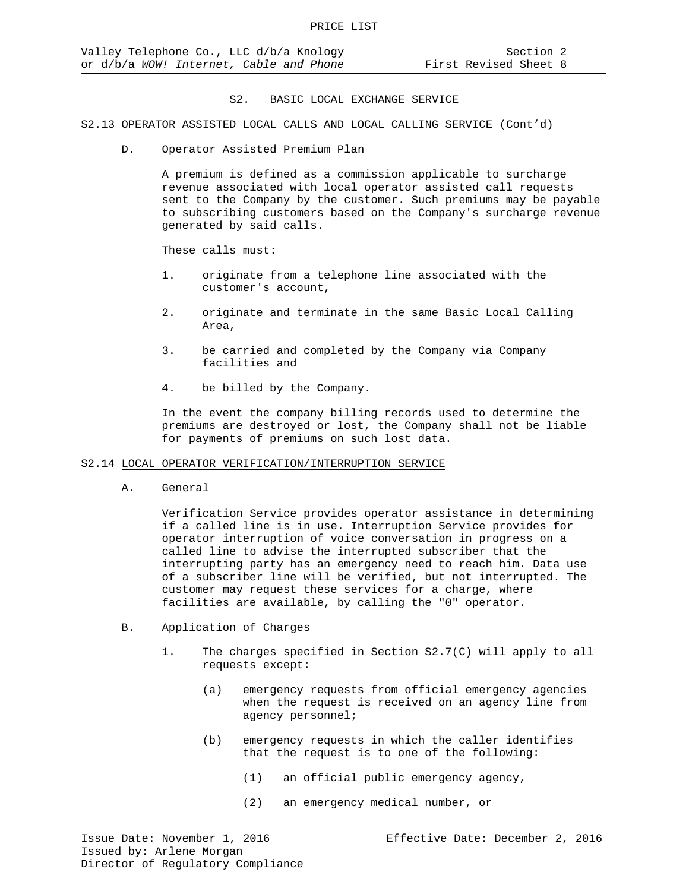#### S2.13 OPERATOR ASSISTED LOCAL CALLS AND LOCAL CALLING SERVICE (Cont'd)

D. Operator Assisted Premium Plan

A premium is defined as a commission applicable to surcharge revenue associated with local operator assisted call requests sent to the Company by the customer. Such premiums may be payable to subscribing customers based on the Company's surcharge revenue generated by said calls.

These calls must:

- 1. originate from a telephone line associated with the customer's account,
- 2. originate and terminate in the same Basic Local Calling Area,
- 3. be carried and completed by the Company via Company facilities and
- 4. be billed by the Company.

In the event the company billing records used to determine the premiums are destroyed or lost, the Company shall not be liable for payments of premiums on such lost data.

#### S2.14 LOCAL OPERATOR VERIFICATION/INTERRUPTION SERVICE

A. General

Verification Service provides operator assistance in determining if a called line is in use. Interruption Service provides for operator interruption of voice conversation in progress on a called line to advise the interrupted subscriber that the interrupting party has an emergency need to reach him. Data use of a subscriber line will be verified, but not interrupted. The customer may request these services for a charge, where facilities are available, by calling the "0" operator.

- B. Application of Charges
	- 1. The charges specified in Section S2.7(C) will apply to all requests except:
		- (a) emergency requests from official emergency agencies when the request is received on an agency line from agency personnel;
		- (b) emergency requests in which the caller identifies that the request is to one of the following:
			- (1) an official public emergency agency,
			- (2) an emergency medical number, or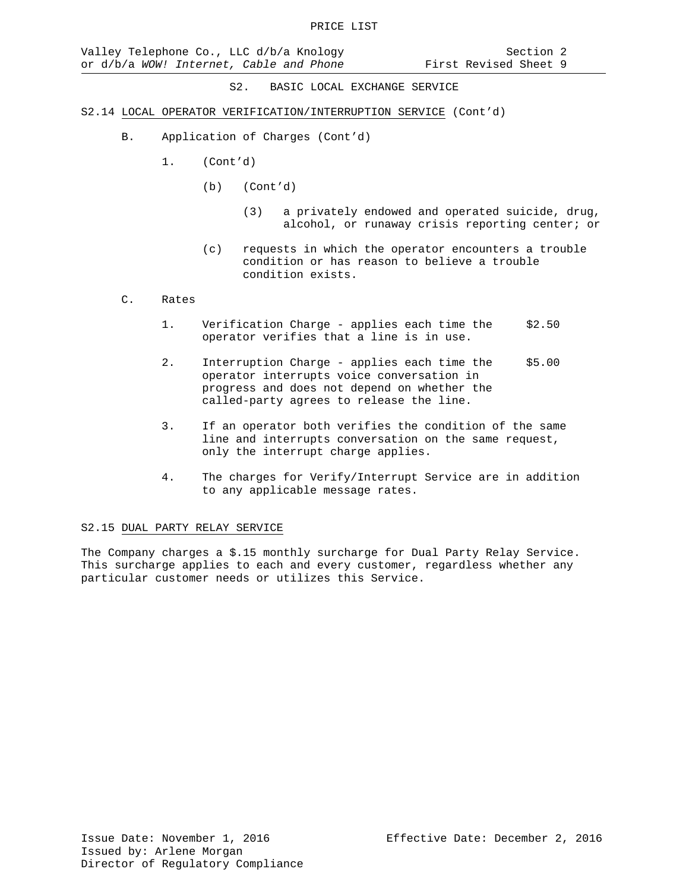- S2.14 LOCAL OPERATOR VERIFICATION/INTERRUPTION SERVICE (Cont'd)
	- B. Application of Charges (Cont'd)
		- 1. (Cont'd)
			- (b) (Cont'd)
				- (3) a privately endowed and operated suicide, drug, alcohol, or runaway crisis reporting center; or
			- (c) requests in which the operator encounters a trouble condition or has reason to believe a trouble condition exists.

#### C. Rates

- 1. Verification Charge applies each time the \$2.50 operator verifies that a line is in use.
- 2. Interruption Charge applies each time the \$5.00 operator interrupts voice conversation in progress and does not depend on whether the called-party agrees to release the line.
- 3. If an operator both verifies the condition of the same line and interrupts conversation on the same request, only the interrupt charge applies.
- 4. The charges for Verify/Interrupt Service are in addition to any applicable message rates.

#### S2.15 DUAL PARTY RELAY SERVICE

The Company charges a \$.15 monthly surcharge for Dual Party Relay Service. This surcharge applies to each and every customer, regardless whether any particular customer needs or utilizes this Service.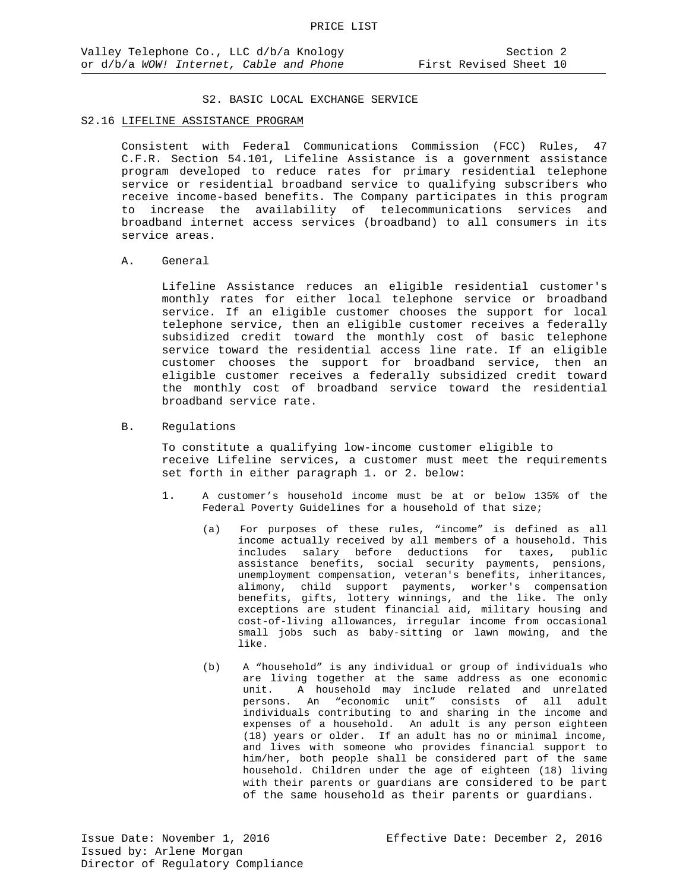### S2.16 LIFELINE ASSISTANCE PROGRAM

Consistent with Federal Communications Commission (FCC) Rules, 47 C.F.R. Section 54.101, Lifeline Assistance is a government assistance program developed to reduce rates for primary residential telephone service or residential broadband service to qualifying subscribers who receive income-based benefits. The Company participates in this program to increase the availability of telecommunications services and broadband internet access services (broadband) to all consumers in its service areas.

#### A. General

Lifeline Assistance reduces an eligible residential customer's monthly rates for either local telephone service or broadband service. If an eligible customer chooses the support for local telephone service, then an eligible customer receives a federally subsidized credit toward the monthly cost of basic telephone service toward the residential access line rate. If an eligible customer chooses the support for broadband service, then an eligible customer receives a federally subsidized credit toward the monthly cost of broadband service toward the residential broadband service rate.

#### B. Regulations

To constitute a qualifying low-income customer eligible to receive Lifeline services, a customer must meet the requirements set forth in either paragraph 1. or 2. below:

- 1. A customer's household income must be at or below 135% of the Federal Poverty Guidelines for a household of that size;
	- (a) For purposes of these rules, "income" is defined as all income actually received by all members of a household. This includes salary before deductions for taxes, public assistance benefits, social security payments, pensions, unemployment compensation, veteran's benefits, inheritances, alimony, child support payments, worker's compensation benefits, gifts, lottery winnings, and the like. The only exceptions are student financial aid, military housing and cost-of-living allowances, irregular income from occasional small jobs such as baby-sitting or lawn mowing, and the like.
	- (b) A "household" is any individual or group of individuals who are living together at the same address as one economic unit. A household may include related and unrelated persons. An "economic unit" consists of all adult individuals contributing to and sharing in the income and expenses of a household. An adult is any person eighteen (18) years or older. If an adult has no or minimal income, and lives with someone who provides financial support to him/her, both people shall be considered part of the same household. Children under the age of eighteen (18) living with their parents or guardians are considered to be part of the same household as their parents or guardians.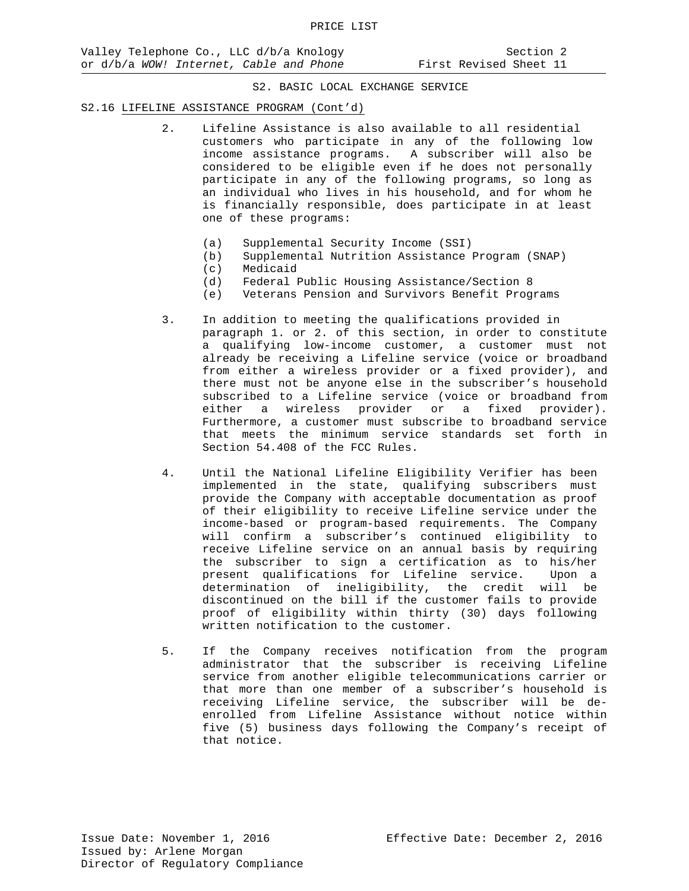#### S2.16 LIFELINE ASSISTANCE PROGRAM (Cont'd)

- 2. Lifeline Assistance is also available to all residential customers who participate in any of the following low income assistance programs. A subscriber will also be considered to be eligible even if he does not personally participate in any of the following programs, so long as an individual who lives in his household, and for whom he is financially responsible, does participate in at least one of these programs:
	- (a) Supplemental Security Income (SSI)<br>(b) Supplemental Nutrition Assistance
	- Supplemental Nutrition Assistance Program (SNAP)
	- (c) Medicaid
	- (d) Federal Public Housing Assistance/Section 8
	- (e) Veterans Pension and Survivors Benefit Programs
- 3. In addition to meeting the qualifications provided in paragraph 1. or 2. of this section, in order to constitute a qualifying low-income customer, a customer must not already be receiving a Lifeline service (voice or broadband from either a wireless provider or a fixed provider), and there must not be anyone else in the subscriber's household subscribed to a Lifeline service (voice or broadband from either a wireless provider or a fixed provider). Furthermore, a customer must subscribe to broadband service that meets the minimum service standards set forth in Section 54.408 of the FCC Rules.
- 4. Until the National Lifeline Eligibility Verifier has been implemented in the state, qualifying subscribers must provide the Company with acceptable documentation as proof of their eligibility to receive Lifeline service under the income-based or program-based requirements. The Company will confirm a subscriber's continued eligibility to receive Lifeline service on an annual basis by requiring the subscriber to sign a certification as to his/her present qualifications for Lifeline service. Upon a determination of ineligibility, the credit will be discontinued on the bill if the customer fails to provide proof of eligibility within thirty (30) days following written notification to the customer.
- 5. If the Company receives notification from the program administrator that the subscriber is receiving Lifeline service from another eligible telecommunications carrier or that more than one member of a subscriber's household is receiving Lifeline service, the subscriber will be deenrolled from Lifeline Assistance without notice within five (5) business days following the Company's receipt of that notice.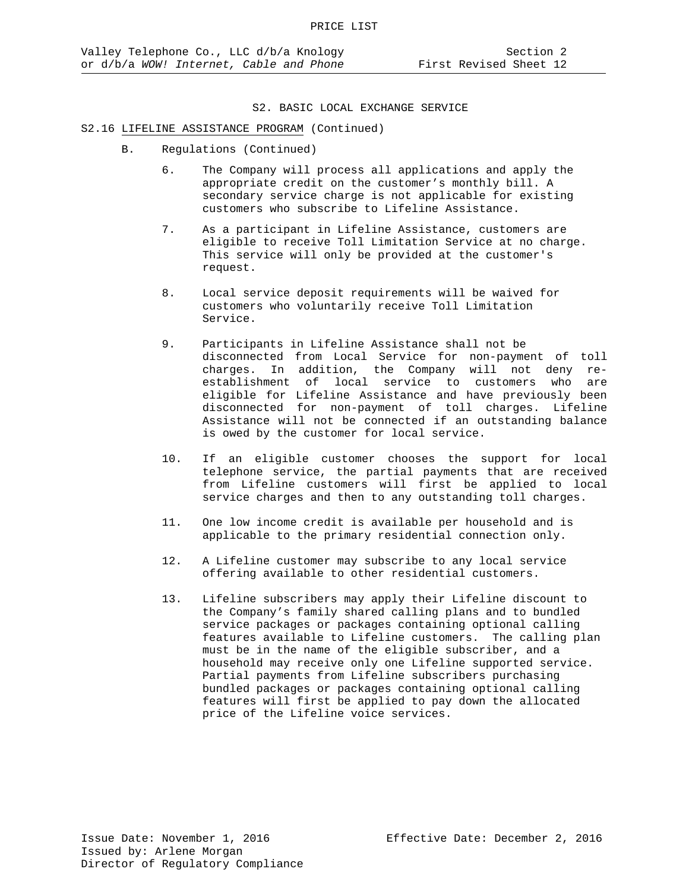#### S2.16 LIFELINE ASSISTANCE PROGRAM (Continued)

- B. Regulations (Continued)
	- 6. The Company will process all applications and apply the appropriate credit on the customer's monthly bill. A secondary service charge is not applicable for existing customers who subscribe to Lifeline Assistance.
	- 7. As a participant in Lifeline Assistance, customers are eligible to receive Toll Limitation Service at no charge. This service will only be provided at the customer's request.
	- 8. Local service deposit requirements will be waived for customers who voluntarily receive Toll Limitation Service.
	- 9. Participants in Lifeline Assistance shall not be disconnected from Local Service for non-payment of toll charges. In addition, the Company will not deny reestablishment of local service to customers who are eligible for Lifeline Assistance and have previously been disconnected for non-payment of toll charges. Lifeline Assistance will not be connected if an outstanding balance is owed by the customer for local service.
	- 10. If an eligible customer chooses the support for local telephone service, the partial payments that are received from Lifeline customers will first be applied to local service charges and then to any outstanding toll charges.
	- 11. One low income credit is available per household and is applicable to the primary residential connection only.
	- 12. A Lifeline customer may subscribe to any local service offering available to other residential customers.
	- 13. Lifeline subscribers may apply their Lifeline discount to the Company's family shared calling plans and to bundled service packages or packages containing optional calling features available to Lifeline customers. The calling plan must be in the name of the eligible subscriber, and a household may receive only one Lifeline supported service. Partial payments from Lifeline subscribers purchasing bundled packages or packages containing optional calling features will first be applied to pay down the allocated price of the Lifeline voice services.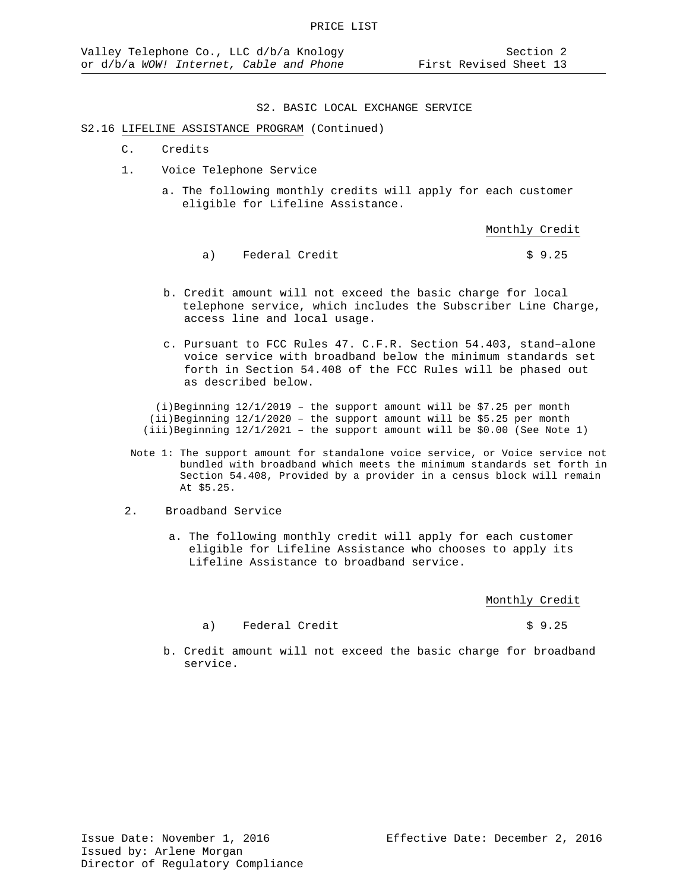#### S2.16 LIFELINE ASSISTANCE PROGRAM (Continued)

- C. Credits
- 1. Voice Telephone Service
	- a. The following monthly credits will apply for each customer eligible for Lifeline Assistance.

Monthly Credit

- a) Federal Credit  $\qquad \qquad$  \$ 9.25
- b. Credit amount will not exceed the basic charge for local telephone service, which includes the Subscriber Line Charge, access line and local usage.
- c. Pursuant to FCC Rules 47. C.F.R. Section 54.403, stand–alone voice service with broadband below the minimum standards set forth in Section 54.408 of the FCC Rules will be phased out as described below.

(i)Beginning  $12/1/2019$  - the support amount will be \$7.25 per month  $(i)$ Beginning  $12/1/2020$  - the support amount will be \$5.25 per month (iii)Beginning 12/1/2021 – the support amount will be \$0.00 (See Note 1)

 Note 1: The support amount for standalone voice service, or Voice service not bundled with broadband which meets the minimum standards set forth in Section 54.408, Provided by a provider in a census block will remain At \$5.25.

#### 2. Broadband Service

 a. The following monthly credit will apply for each customer eligible for Lifeline Assistance who chooses to apply its Lifeline Assistance to broadband service.

Monthly Credit

a) Federal Credit  $\qquad \qquad$  \$ 9.25

 b. Credit amount will not exceed the basic charge for broadband service.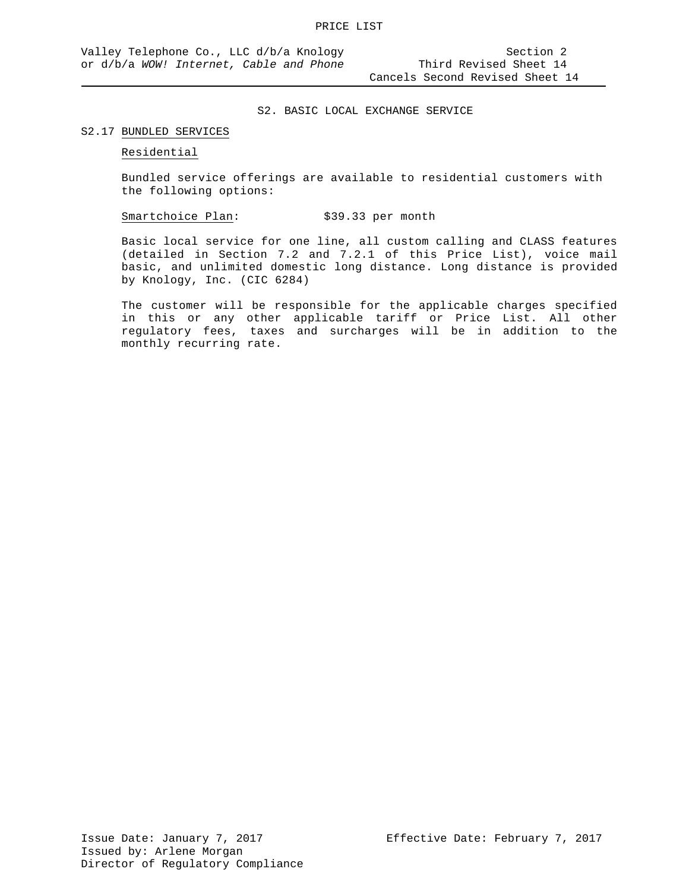#### S2.17 BUNDLED SERVICES

#### Residential

Bundled service offerings are available to residential customers with the following options:

Smartchoice Plan: \$39.33 per month

Basic local service for one line, all custom calling and CLASS features (detailed in Section 7.2 and 7.2.1 of this Price List), voice mail basic, and unlimited domestic long distance. Long distance is provided by Knology, Inc. (CIC 6284)

The customer will be responsible for the applicable charges specified in this or any other applicable tariff or Price List. All other regulatory fees, taxes and surcharges will be in addition to the monthly recurring rate.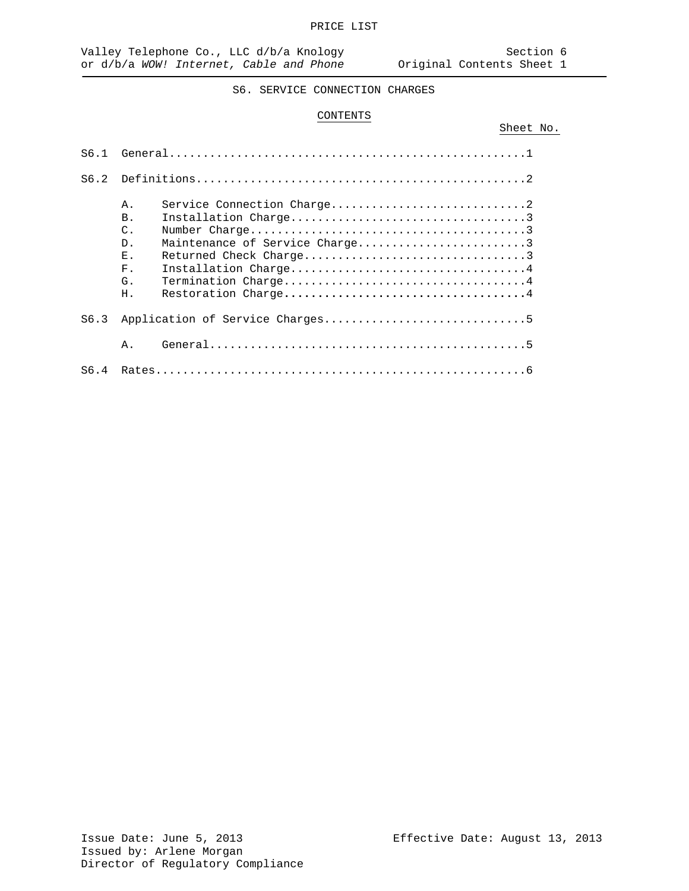Sheet No.

## S6. SERVICE CONNECTION CHARGES

### CONTENTS

| S6.1 |                                                                                                                                                                                                   |  |
|------|---------------------------------------------------------------------------------------------------------------------------------------------------------------------------------------------------|--|
| S6.2 |                                                                                                                                                                                                   |  |
|      | Service Connection Charge2<br>Α.<br>Installation Charge3<br><b>B</b> .<br>$C$ .<br>Maintenance of Service Charge3<br>D.<br>Ε.<br>Installation Charge4<br>$F$ .<br>Termination Charge4<br>G.<br>Η. |  |
| S6.3 |                                                                                                                                                                                                   |  |
|      | Α.                                                                                                                                                                                                |  |
| S6.4 |                                                                                                                                                                                                   |  |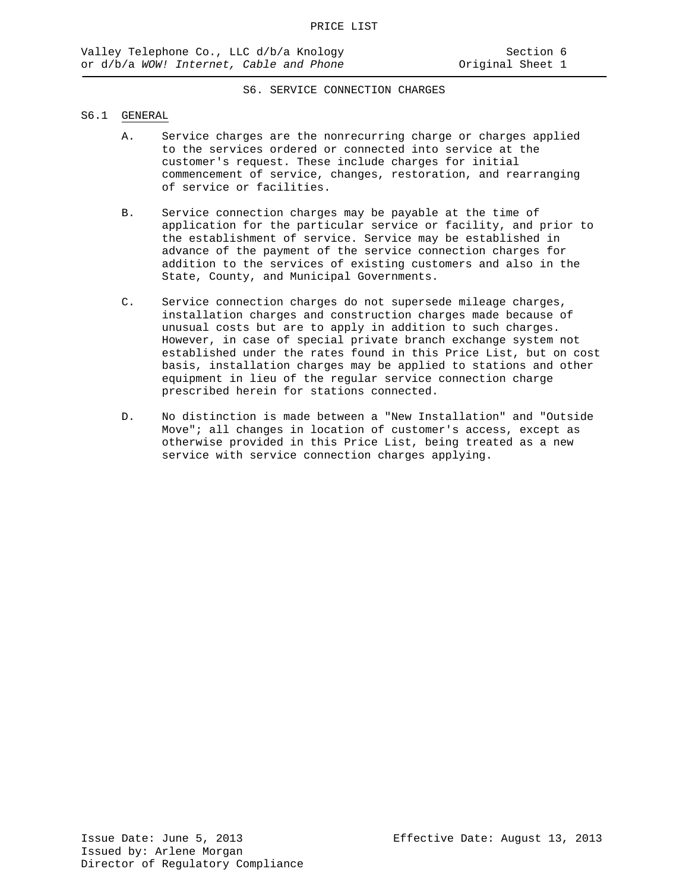### S6. SERVICE CONNECTION CHARGES

#### S6.1 GENERAL

- A. Service charges are the nonrecurring charge or charges applied to the services ordered or connected into service at the customer's request. These include charges for initial commencement of service, changes, restoration, and rearranging of service or facilities.
- B. Service connection charges may be payable at the time of application for the particular service or facility, and prior to the establishment of service. Service may be established in advance of the payment of the service connection charges for addition to the services of existing customers and also in the State, County, and Municipal Governments.
- C. Service connection charges do not supersede mileage charges, installation charges and construction charges made because of unusual costs but are to apply in addition to such charges. However, in case of special private branch exchange system not established under the rates found in this Price List, but on cost basis, installation charges may be applied to stations and other equipment in lieu of the regular service connection charge prescribed herein for stations connected.
- D. No distinction is made between a "New Installation" and "Outside Move"; all changes in location of customer's access, except as otherwise provided in this Price List, being treated as a new service with service connection charges applying.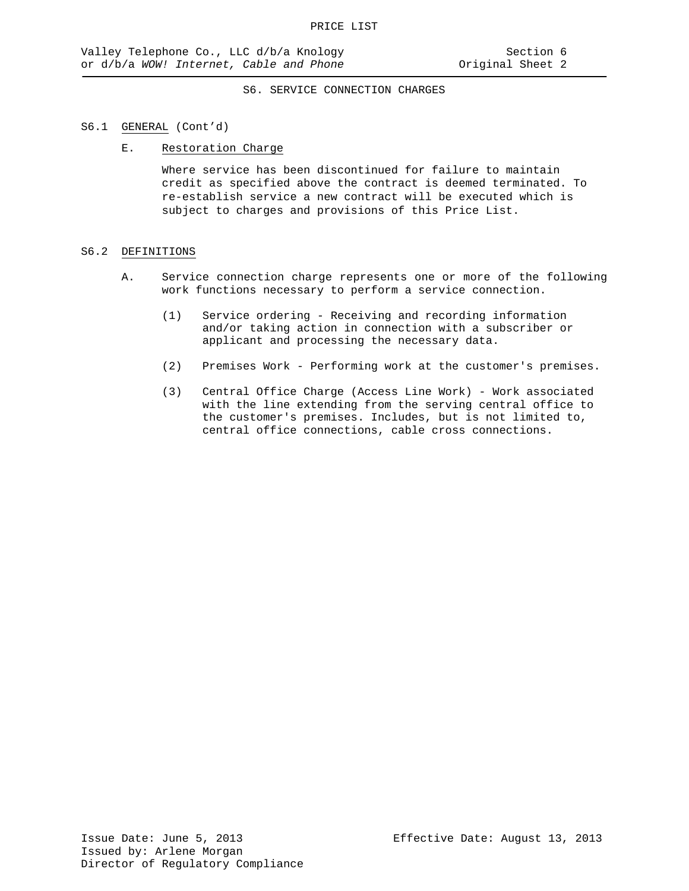### S6. SERVICE CONNECTION CHARGES

#### S6.1 GENERAL (Cont'd)

#### E. Restoration Charge

Where service has been discontinued for failure to maintain credit as specified above the contract is deemed terminated. To re-establish service a new contract will be executed which is subject to charges and provisions of this Price List.

#### S6.2 DEFINITIONS

- A. Service connection charge represents one or more of the following work functions necessary to perform a service connection.
	- (1) Service ordering Receiving and recording information and/or taking action in connection with a subscriber or applicant and processing the necessary data.
	- (2) Premises Work Performing work at the customer's premises.
	- (3) Central Office Charge (Access Line Work) Work associated with the line extending from the serving central office to the customer's premises. Includes, but is not limited to, central office connections, cable cross connections.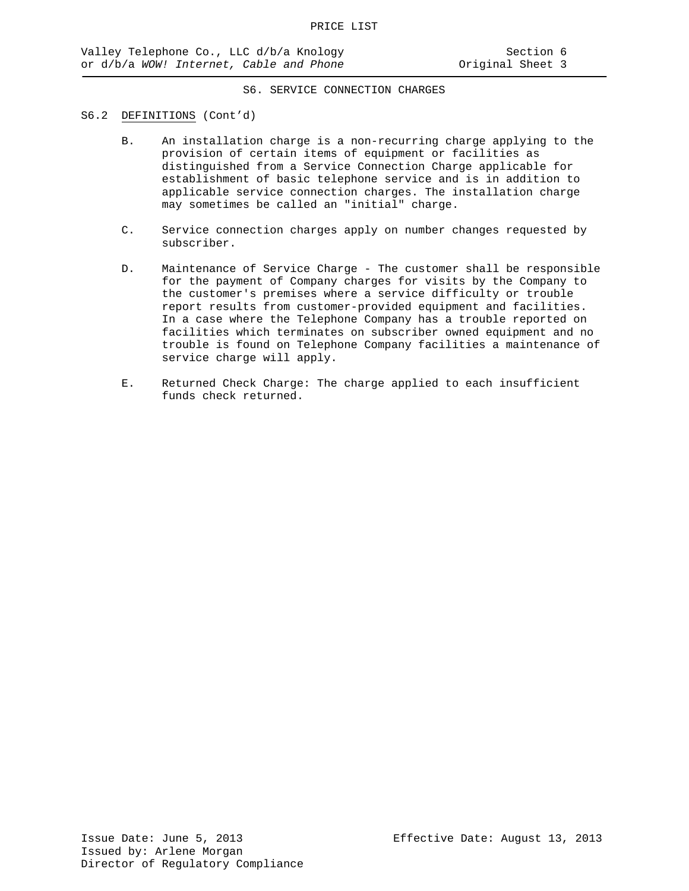### S6. SERVICE CONNECTION CHARGES

#### S6.2 DEFINITIONS (Cont'd)

- B. An installation charge is a non-recurring charge applying to the provision of certain items of equipment or facilities as distinguished from a Service Connection Charge applicable for establishment of basic telephone service and is in addition to applicable service connection charges. The installation charge may sometimes be called an "initial" charge.
- C. Service connection charges apply on number changes requested by subscriber.
- D. Maintenance of Service Charge The customer shall be responsible for the payment of Company charges for visits by the Company to the customer's premises where a service difficulty or trouble report results from customer-provided equipment and facilities. In a case where the Telephone Company has a trouble reported on facilities which terminates on subscriber owned equipment and no trouble is found on Telephone Company facilities a maintenance of service charge will apply.
- E. Returned Check Charge: The charge applied to each insufficient funds check returned.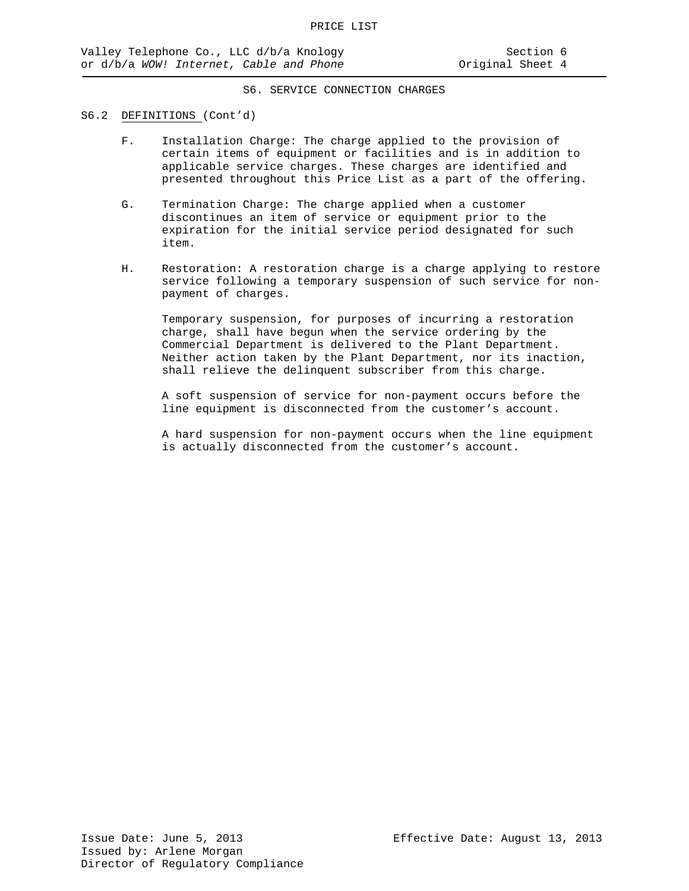## S6. SERVICE CONNECTION CHARGES

#### S6.2 DEFINITIONS (Cont'd)

- F. Installation Charge: The charge applied to the provision of certain items of equipment or facilities and is in addition to applicable service charges. These charges are identified and presented throughout this Price List as a part of the offering.
- G. Termination Charge: The charge applied when a customer discontinues an item of service or equipment prior to the expiration for the initial service period designated for such item.
- H. Restoration: A restoration charge is a charge applying to restore service following a temporary suspension of such service for nonpayment of charges.

Temporary suspension, for purposes of incurring a restoration charge, shall have begun when the service ordering by the Commercial Department is delivered to the Plant Department. Neither action taken by the Plant Department, nor its inaction, shall relieve the delinquent subscriber from this charge.

A soft suspension of service for non-payment occurs before the line equipment is disconnected from the customer's account.

A hard suspension for non-payment occurs when the line equipment is actually disconnected from the customer's account.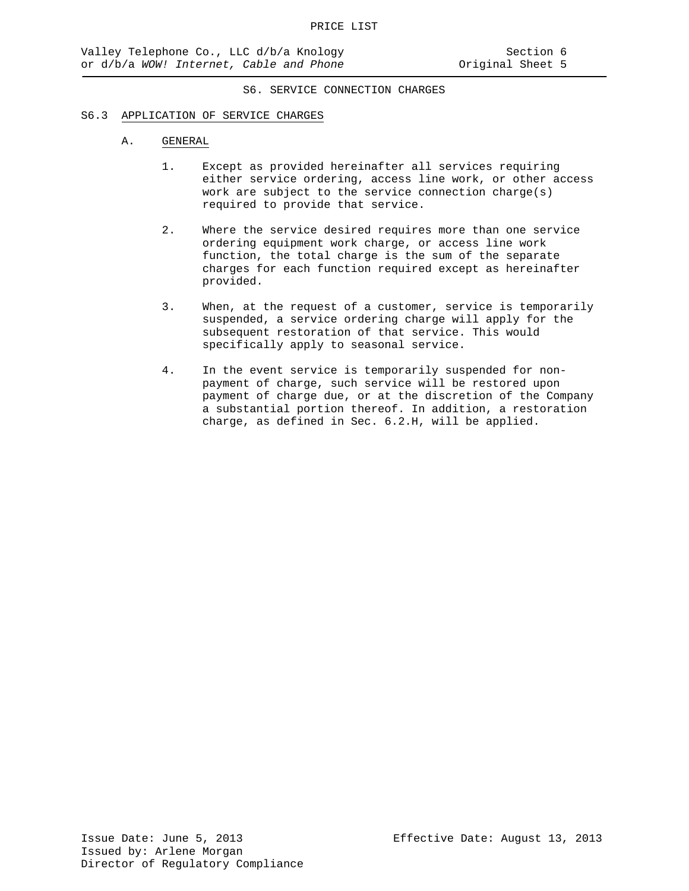## S6. SERVICE CONNECTION CHARGES

#### S6.3 APPLICATION OF SERVICE CHARGES

#### A. GENERAL

- 1. Except as provided hereinafter all services requiring either service ordering, access line work, or other access work are subject to the service connection charge(s) required to provide that service.
- 2. Where the service desired requires more than one service ordering equipment work charge, or access line work function, the total charge is the sum of the separate charges for each function required except as hereinafter provided.
- 3. When, at the request of a customer, service is temporarily suspended, a service ordering charge will apply for the subsequent restoration of that service. This would specifically apply to seasonal service.
- 4. In the event service is temporarily suspended for nonpayment of charge, such service will be restored upon payment of charge due, or at the discretion of the Company a substantial portion thereof. In addition, a restoration charge, as defined in Sec. 6.2.H, will be applied.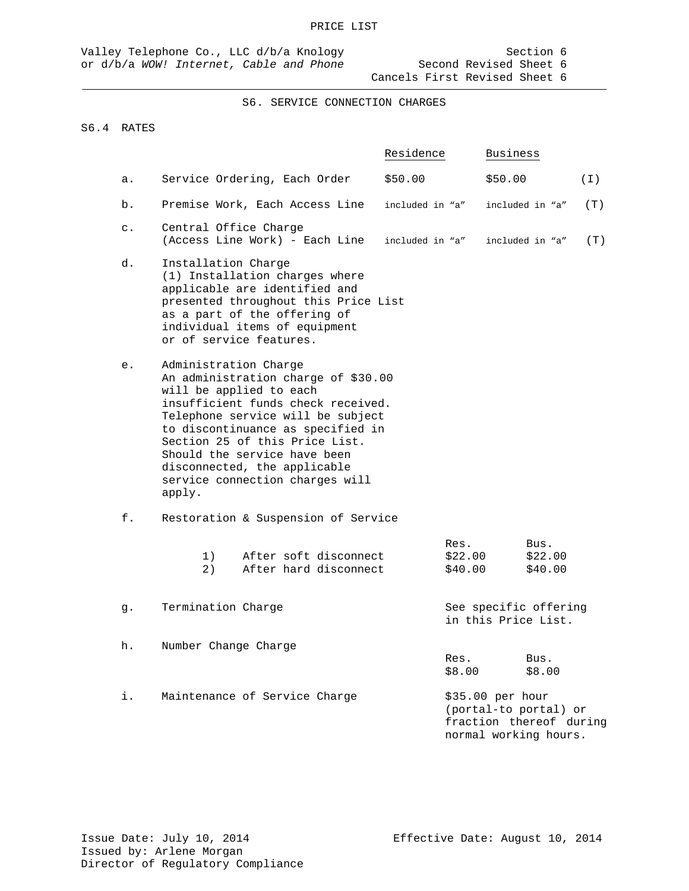S6. SERVICE CONNECTION CHARGES

## S6.4 RATES

|                |                                                                                                                                                                                                                                                                                                                                                        | Residence                  | Business                                                                                      |       |
|----------------|--------------------------------------------------------------------------------------------------------------------------------------------------------------------------------------------------------------------------------------------------------------------------------------------------------------------------------------------------------|----------------------------|-----------------------------------------------------------------------------------------------|-------|
| а.             | Service Ordering, Each Order                                                                                                                                                                                                                                                                                                                           | \$50.00                    | \$50.00                                                                                       | ( I ) |
| b.             | Premise Work, Each Access Line                                                                                                                                                                                                                                                                                                                         | included in "a"            | included in "a"                                                                               | (T)   |
| $\mathsf{C}$ . | Central Office Charge<br>(Access Line Work) - Each Line                                                                                                                                                                                                                                                                                                | included in "a"            | included in "a"                                                                               | (T)   |
| d.             | Installation Charge<br>(1) Installation charges where<br>applicable are identified and<br>presented throughout this Price List<br>as a part of the offering of<br>individual items of equipment<br>or of service features.                                                                                                                             |                            |                                                                                               |       |
| е.             | Administration Charge<br>An administration charge of \$30.00<br>will be applied to each<br>insufficient funds check received.<br>Telephone service will be subject<br>to discontinuance as specified in<br>Section 25 of this Price List.<br>Should the service have been<br>disconnected, the applicable<br>service connection charges will<br>apply. |                            |                                                                                               |       |
| f.             | Restoration & Suspension of Service                                                                                                                                                                                                                                                                                                                    |                            |                                                                                               |       |
|                | 1)<br>After soft disconnect<br>2)<br>After hard disconnect                                                                                                                                                                                                                                                                                             | Res.<br>\$22.00<br>\$40.00 | Bus.<br>\$22.00<br>\$40.00                                                                    |       |
| g.             | Termination Charge                                                                                                                                                                                                                                                                                                                                     |                            | See specific offering<br>in this Price List.                                                  |       |
| h.             | Number Change Charge                                                                                                                                                                                                                                                                                                                                   | Res.<br>\$8.00             | Bus.<br>\$8.00                                                                                |       |
| i.             | Maintenance of Service Charge                                                                                                                                                                                                                                                                                                                          |                            | \$35.00 per hour<br>(portal-to portal) or<br>fraction thereof during<br>normal working hours. |       |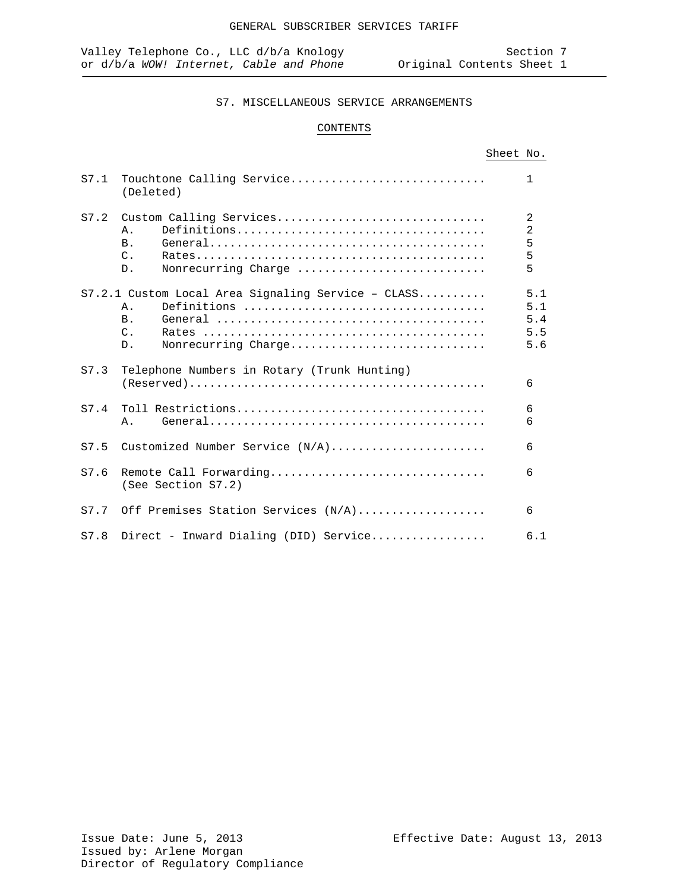## CONTENTS

| S7.1 | Touchtone Calling Service<br>(Deleted)                                                                                              | $\mathbf{1}$                    |
|------|-------------------------------------------------------------------------------------------------------------------------------------|---------------------------------|
|      | S7.2 Custom Calling Services<br>$\Delta$ .<br>B <sub>1</sub><br>$C_{\cdot}$<br>Nonrecurring Charge<br>$D$ .                         | 2<br>2<br>5<br>5<br>5           |
|      | $S7.2.1$ Custom Local Area Signaling Service - CLASS<br>$\Delta$ .<br><b>B</b> .<br>$\mathcal{C}$ .<br>Nonrecurring Charge<br>$D$ . | 5.1<br>5.1<br>5.4<br>5.5<br>5.6 |
| S7.3 | Telephone Numbers in Rotary (Trunk Hunting)                                                                                         | 6                               |
| S7.4 | Α.                                                                                                                                  | 6<br>6                          |
| S7.5 | Customized Number Service $(N/A)$                                                                                                   | 6                               |
| S7.6 | Remote Call Forwarding<br>(See Section S7.2)                                                                                        | 6                               |
|      | S7.7 Off Premises Station Services (N/A)                                                                                            | 6                               |
|      | S7.8 Direct - Inward Dialing (DID) Service                                                                                          | 6.1                             |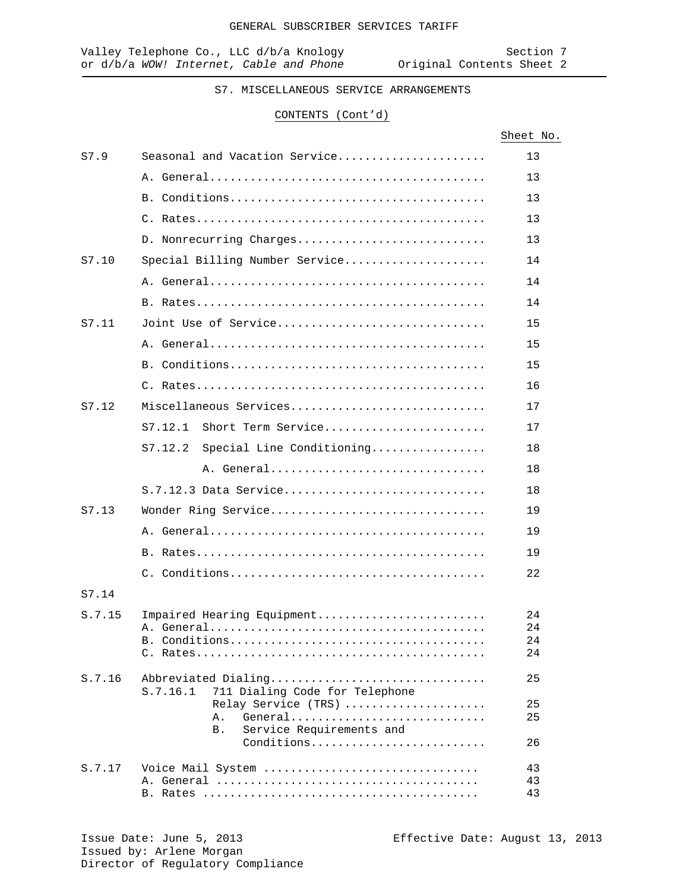## CONTENTS (Cont'd)

|        |                                                                   | Sheet No. |
|--------|-------------------------------------------------------------------|-----------|
| S7.9   | Seasonal and Vacation Service                                     | 13        |
|        |                                                                   | 13        |
|        |                                                                   | 13        |
|        |                                                                   | 13        |
|        | D. Nonrecurring Charges                                           | 13        |
| S7.10  | Special Billing Number Service                                    | 14        |
|        |                                                                   | 14        |
|        |                                                                   | 14        |
| S7.11  | Joint Use of Service                                              | 15        |
|        |                                                                   | 15        |
|        |                                                                   | 15        |
|        |                                                                   | 16        |
| S7.12  | Miscellaneous Services                                            | 17        |
|        | $S7.12.1$ Short Term Service                                      | 17        |
|        | S7.12.2 Special Line Conditioning                                 | 18        |
|        | A. General                                                        | 18        |
|        | $S.7.12.3$ Data Service                                           | 18        |
| S7.13  | Wonder Ring Service                                               | 19        |
|        |                                                                   | 19        |
|        |                                                                   | 19        |
|        |                                                                   | 22        |
| S7.14  |                                                                   |           |
| S.7.15 | Impaired Hearing Equipment                                        | 24        |
|        |                                                                   | 24        |
|        |                                                                   | 24<br>24  |
|        |                                                                   |           |
| S.7.16 | Abbreviated Dialing<br>711 Dialing Code for Telephone<br>S.7.16.1 | 25        |
|        | Relay Service (TRS)                                               | 25        |
|        | General<br>Α.<br>Service Requirements and<br><b>B</b> .           | 25        |
|        | Conditions                                                        | 26        |
| S.7.17 | Voice Mail System                                                 | 43        |
|        |                                                                   | 43        |
|        |                                                                   | 43        |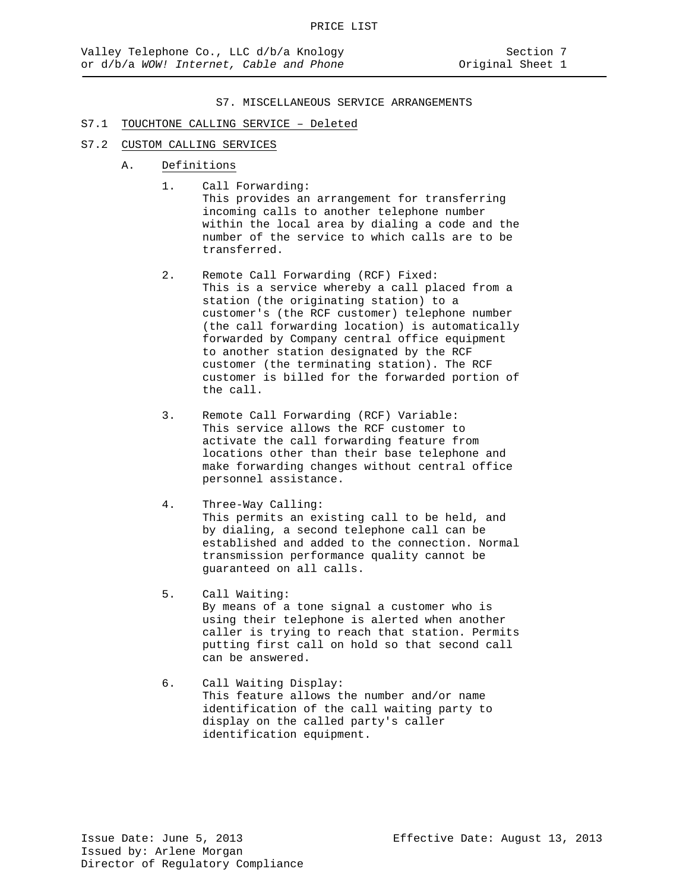#### S7.1 TOUCHTONE CALLING SERVICE – Deleted

#### S7.2 CUSTOM CALLING SERVICES

- A. Definitions
	- 1. Call Forwarding: This provides an arrangement for transferring incoming calls to another telephone number within the local area by dialing a code and the number of the service to which calls are to be transferred.
	- 2. Remote Call Forwarding (RCF) Fixed: This is a service whereby a call placed from a station (the originating station) to a customer's (the RCF customer) telephone number (the call forwarding location) is automatically forwarded by Company central office equipment to another station designated by the RCF customer (the terminating station). The RCF customer is billed for the forwarded portion of the call.
	- 3. Remote Call Forwarding (RCF) Variable: This service allows the RCF customer to activate the call forwarding feature from locations other than their base telephone and make forwarding changes without central office personnel assistance.
	- 4. Three-Way Calling: This permits an existing call to be held, and by dialing, a second telephone call can be established and added to the connection. Normal transmission performance quality cannot be guaranteed on all calls.
	- 5. Call Waiting: By means of a tone signal a customer who is using their telephone is alerted when another caller is trying to reach that station. Permits putting first call on hold so that second call can be answered.
	- 6. Call Waiting Display: This feature allows the number and/or name identification of the call waiting party to display on the called party's caller identification equipment.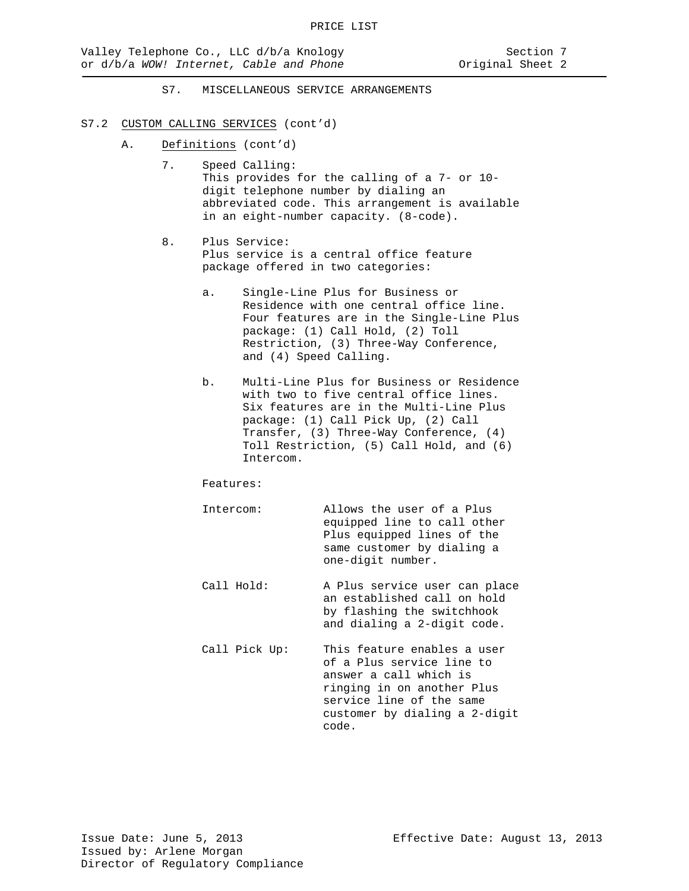#### S7.2 CUSTOM CALLING SERVICES (cont'd)

- A. Definitions (cont'd)
	- 7. Speed Calling: This provides for the calling of a 7- or 10 digit telephone number by dialing an abbreviated code. This arrangement is available in an eight-number capacity. (8-code).
	- 8. Plus Service: Plus service is a central office feature package offered in two categories:
		- a. Single-Line Plus for Business or Residence with one central office line. Four features are in the Single-Line Plus package: (1) Call Hold, (2) Toll Restriction, (3) Three-Way Conference, and (4) Speed Calling.
		- b. Multi-Line Plus for Business or Residence with two to five central office lines. Six features are in the Multi-Line Plus package: (1) Call Pick Up, (2) Call Transfer, (3) Three-Way Conference, (4) Toll Restriction, (5) Call Hold, and (6) Intercom.

Features:

| Intercom: | Allows the user of a Plus   |
|-----------|-----------------------------|
|           | equipped line to call other |
|           | Plus equipped lines of the  |
|           | same customer by dialing a  |
|           | one-digit number.           |
|           |                             |

- Call Hold: A Plus service user can place an established call on hold by flashing the switchhook and dialing a 2-digit code.
- Call Pick Up: This feature enables a user of a Plus service line to answer a call which is ringing in on another Plus service line of the same customer by dialing a 2-digit code.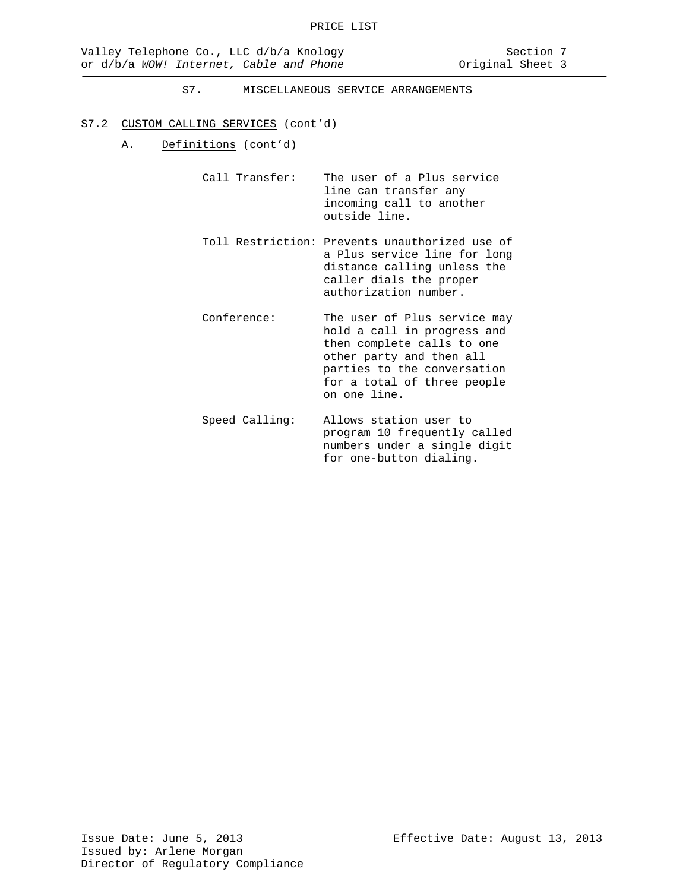## S7.2 CUSTOM CALLING SERVICES (cont'd)

A. Definitions (cont'd)

Call Transfer: The user of a Plus service line can transfer any incoming call to another outside line.

- Toll Restriction: Prevents unauthorized use of a Plus service line for long distance calling unless the caller dials the proper authorization number.
- Conference: The user of Plus service may hold a call in progress and then complete calls to one other party and then all parties to the conversation for a total of three people on one line.
- Speed Calling: Allows station user to program 10 frequently called numbers under a single digit for one-button dialing.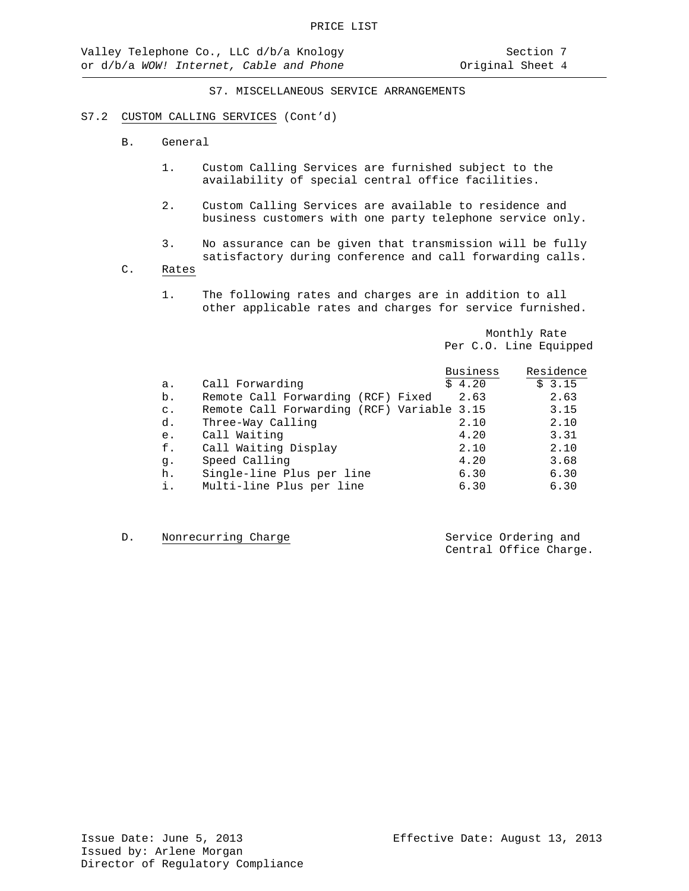## S7.2 CUSTOM CALLING SERVICES (Cont'd)

- B. General
	- 1. Custom Calling Services are furnished subject to the availability of special central office facilities.
	- 2. Custom Calling Services are available to residence and business customers with one party telephone service only.
	- 3. No assurance can be given that transmission will be fully satisfactory during conference and call forwarding calls.
- C. Rates
	- 1. The following rates and charges are in addition to all other applicable rates and charges for service furnished.

Monthly Rate Per C.O. Line Equipped

|                |                                            | <b>Business</b> | Residence |
|----------------|--------------------------------------------|-----------------|-----------|
| a.             | Call Forwarding                            | \$4.20          | \$3.15    |
| b.             | Remote Call Forwarding (RCF) Fixed         | 2.63            | 2.63      |
| $\mathsf{C}$ . | Remote Call Forwarding (RCF) Variable 3.15 |                 | 3.15      |
| d.             | Three-Way Calling                          | 2.10            | 2.10      |
| e.             | Call Waiting                               | 4.20            | 3.31      |
| f.             | Call Waiting Display                       | 2.10            | 2.10      |
| g.             | Speed Calling                              | 4.20            | 3.68      |
| h.             | Single-line Plus per line                  | 6.30            | 6.30      |
| i.             | Multi-line Plus per line                   | 6.30            | 6.30      |
|                |                                            |                 |           |

D. Nonrecurring Charge Service Ordering and

Central Office Charge.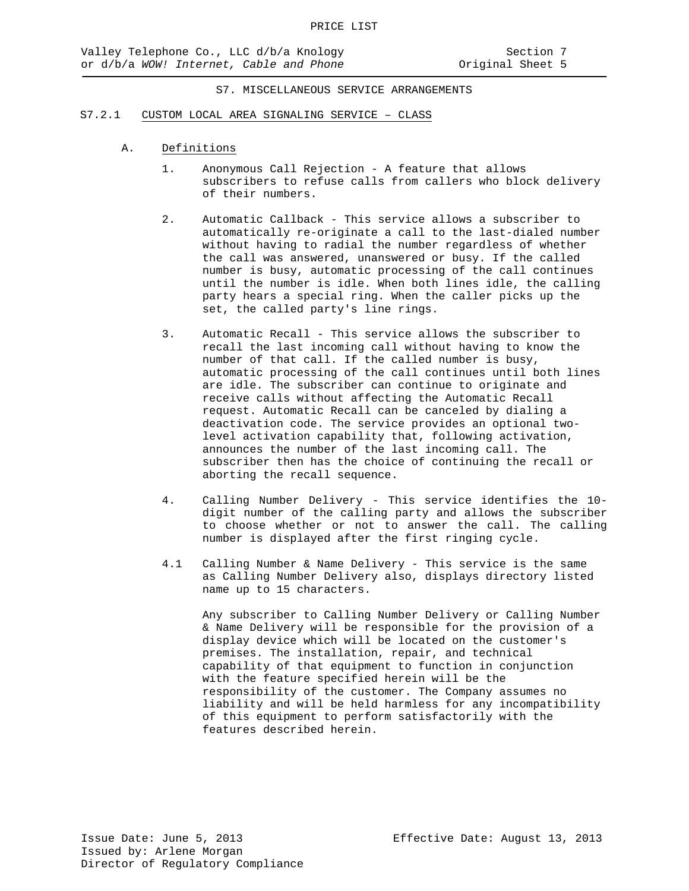#### S7.2.1 CUSTOM LOCAL AREA SIGNALING SERVICE – CLASS

- A. Definitions
	- 1. Anonymous Call Rejection A feature that allows subscribers to refuse calls from callers who block delivery of their numbers.
	- 2. Automatic Callback This service allows a subscriber to automatically re-originate a call to the last-dialed number without having to radial the number regardless of whether the call was answered, unanswered or busy. If the called number is busy, automatic processing of the call continues until the number is idle. When both lines idle, the calling party hears a special ring. When the caller picks up the set, the called party's line rings.
	- 3. Automatic Recall This service allows the subscriber to recall the last incoming call without having to know the number of that call. If the called number is busy, automatic processing of the call continues until both lines are idle. The subscriber can continue to originate and receive calls without affecting the Automatic Recall request. Automatic Recall can be canceled by dialing a deactivation code. The service provides an optional twolevel activation capability that, following activation, announces the number of the last incoming call. The subscriber then has the choice of continuing the recall or aborting the recall sequence.
	- 4. Calling Number Delivery This service identifies the 10 digit number of the calling party and allows the subscriber to choose whether or not to answer the call. The calling number is displayed after the first ringing cycle.
	- 4.1 Calling Number & Name Delivery This service is the same as Calling Number Delivery also, displays directory listed name up to 15 characters.

Any subscriber to Calling Number Delivery or Calling Number & Name Delivery will be responsible for the provision of a display device which will be located on the customer's premises. The installation, repair, and technical capability of that equipment to function in conjunction with the feature specified herein will be the responsibility of the customer. The Company assumes no liability and will be held harmless for any incompatibility of this equipment to perform satisfactorily with the features described herein.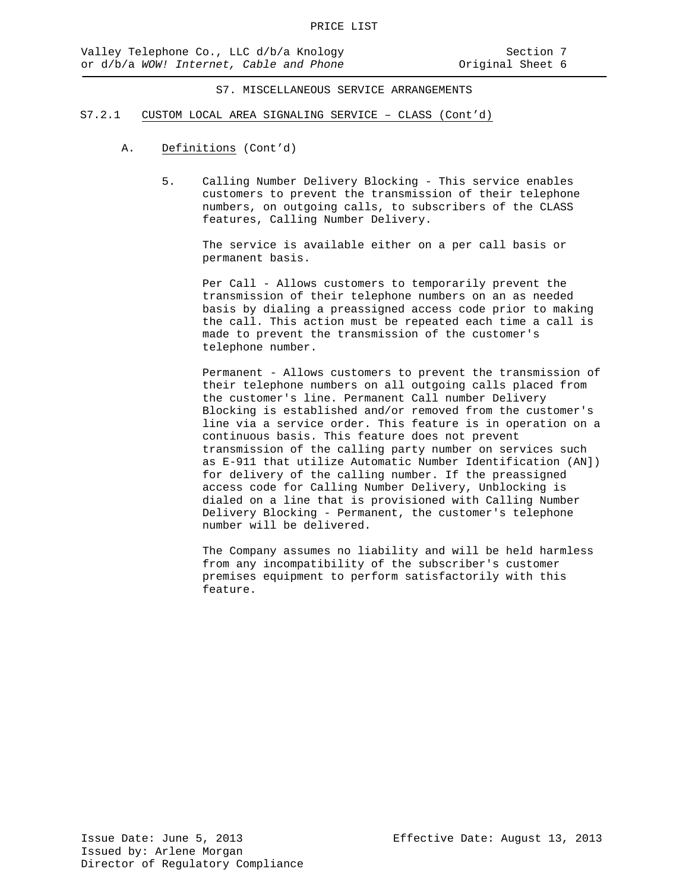- S7.2.1 CUSTOM LOCAL AREA SIGNALING SERVICE CLASS (Cont'd)
	- A. Definitions (Cont'd)
		- 5. Calling Number Delivery Blocking This service enables customers to prevent the transmission of their telephone numbers, on outgoing calls, to subscribers of the CLASS features, Calling Number Delivery.

The service is available either on a per call basis or permanent basis.

Per Call - Allows customers to temporarily prevent the transmission of their telephone numbers on an as needed basis by dialing a preassigned access code prior to making the call. This action must be repeated each time a call is made to prevent the transmission of the customer's telephone number.

Permanent - Allows customers to prevent the transmission of their telephone numbers on all outgoing calls placed from the customer's line. Permanent Call number Delivery Blocking is established and/or removed from the customer's line via a service order. This feature is in operation on a continuous basis. This feature does not prevent transmission of the calling party number on services such as E-911 that utilize Automatic Number Identification (AN]) for delivery of the calling number. If the preassigned access code for Calling Number Delivery, Unblocking is dialed on a line that is provisioned with Calling Number Delivery Blocking - Permanent, the customer's telephone number will be delivered.

The Company assumes no liability and will be held harmless from any incompatibility of the subscriber's customer premises equipment to perform satisfactorily with this feature.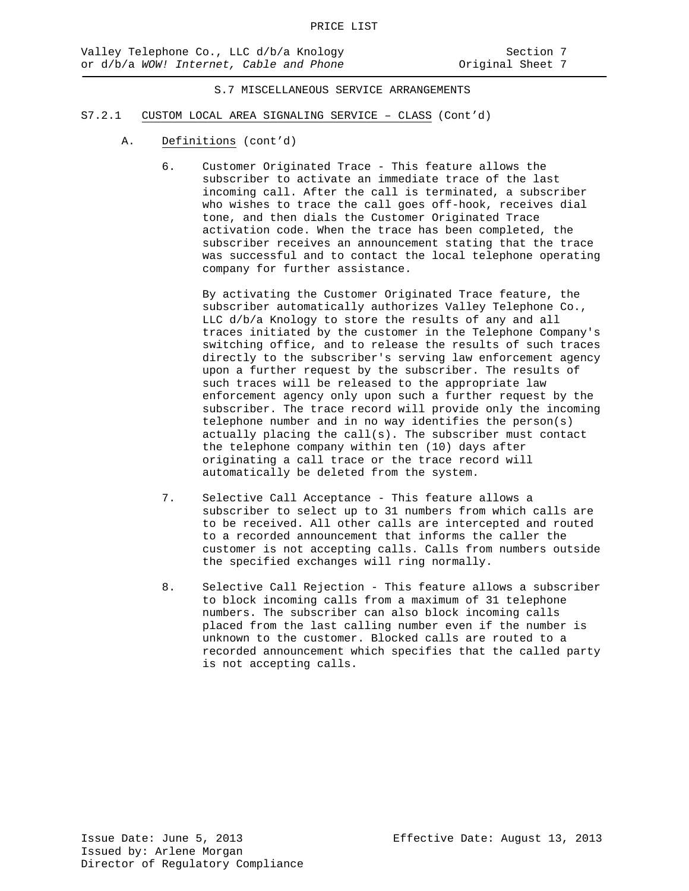- S7.2.1 CUSTOM LOCAL AREA SIGNALING SERVICE CLASS (Cont'd)
	- A. Definitions (cont'd)
		- 6. Customer Originated Trace This feature allows the subscriber to activate an immediate trace of the last incoming call. After the call is terminated, a subscriber who wishes to trace the call goes off-hook, receives dial tone, and then dials the Customer Originated Trace activation code. When the trace has been completed, the subscriber receives an announcement stating that the trace was successful and to contact the local telephone operating company for further assistance.

By activating the Customer Originated Trace feature, the subscriber automatically authorizes Valley Telephone Co., LLC d/b/a Knology to store the results of any and all traces initiated by the customer in the Telephone Company's switching office, and to release the results of such traces directly to the subscriber's serving law enforcement agency upon a further request by the subscriber. The results of such traces will be released to the appropriate law enforcement agency only upon such a further request by the subscriber. The trace record will provide only the incoming telephone number and in no way identifies the person(s) actually placing the call(s). The subscriber must contact the telephone company within ten (10) days after originating a call trace or the trace record will automatically be deleted from the system.

- 7. Selective Call Acceptance This feature allows a subscriber to select up to 31 numbers from which calls are to be received. All other calls are intercepted and routed to a recorded announcement that informs the caller the customer is not accepting calls. Calls from numbers outside the specified exchanges will ring normally.
- 8. Selective Call Rejection This feature allows a subscriber to block incoming calls from a maximum of 31 telephone numbers. The subscriber can also block incoming calls placed from the last calling number even if the number is unknown to the customer. Blocked calls are routed to a recorded announcement which specifies that the called party is not accepting calls.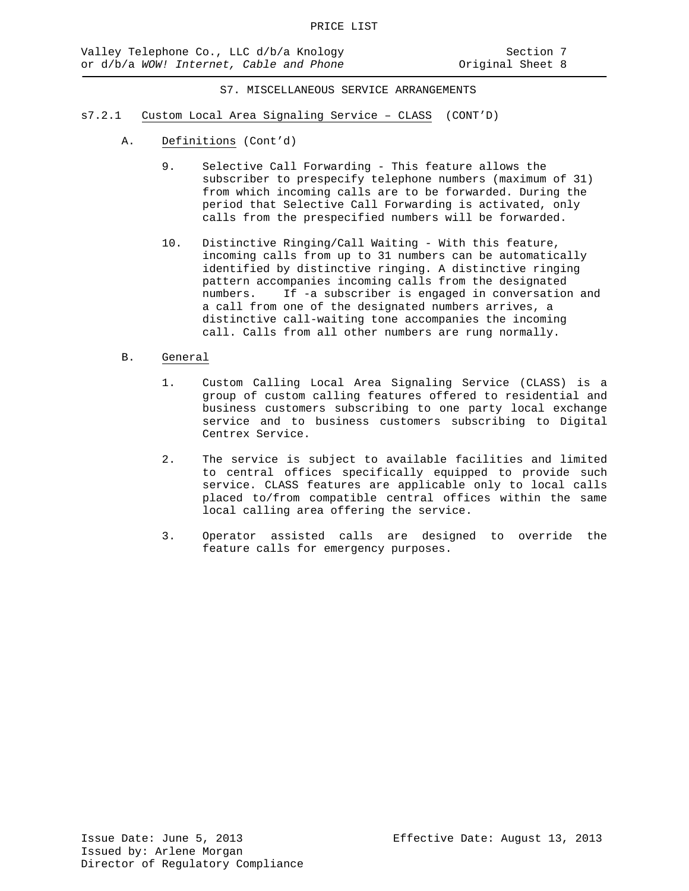- s7.2.1 Custom Local Area Signaling Service CLASS (CONT'D)
	- A. Definitions (Cont'd)
		- 9. Selective Call Forwarding This feature allows the subscriber to prespecify telephone numbers (maximum of 31) from which incoming calls are to be forwarded. During the period that Selective Call Forwarding is activated, only calls from the prespecified numbers will be forwarded.
		- 10. Distinctive Ringing/Call Waiting With this feature, incoming calls from up to 31 numbers can be automatically identified by distinctive ringing. A distinctive ringing pattern accompanies incoming calls from the designated numbers. If -a subscriber is engaged in conversation and a call from one of the designated numbers arrives, a distinctive call-waiting tone accompanies the incoming call. Calls from all other numbers are rung normally.
	- B. General
		- 1. Custom Calling Local Area Signaling Service (CLASS) is a group of custom calling features offered to residential and business customers subscribing to one party local exchange service and to business customers subscribing to Digital Centrex Service.
		- 2. The service is subject to available facilities and limited to central offices specifically equipped to provide such service. CLASS features are applicable only to local calls placed to/from compatible central offices within the same local calling area offering the service.
		- 3. Operator assisted calls are designed to override the feature calls for emergency purposes.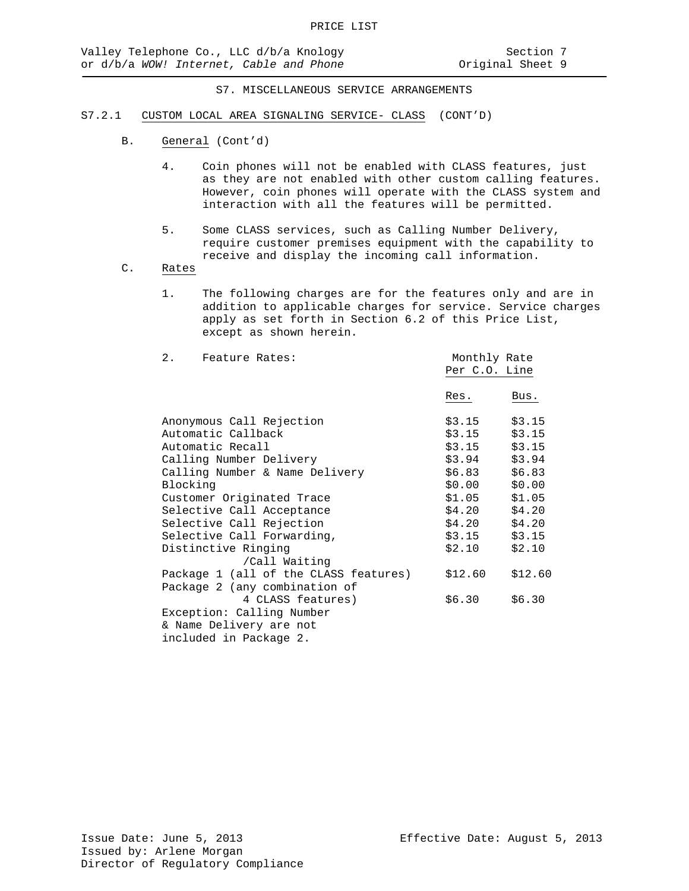#### S7.2.1 CUSTOM LOCAL AREA SIGNALING SERVICE- CLASS (CONT'D)

- B. General (Cont'd)
	- 4. Coin phones will not be enabled with CLASS features, just as they are not enabled with other custom calling features. However, coin phones will operate with the CLASS system and interaction with all the features will be permitted.
	- 5. Some CLASS services, such as Calling Number Delivery, require customer premises equipment with the capability to receive and display the incoming call information.
- C. Rates
	- 1. The following charges are for the features only and are in addition to applicable charges for service. Service charges apply as set forth in Section 6.2 of this Price List, except as shown herein.

| 2. Feature Rates:                     | Monthly Rate    |         |
|---------------------------------------|-----------------|---------|
|                                       | Per C.O. Line   |         |
|                                       | Res.            | Bus.    |
| Anonymous Call Rejection              | \$3.15          | \$3.15  |
| Automatic Callback                    | \$3.15          | \$3.15  |
| Automatic Recall                      | \$3.15          | \$3.15  |
| Calling Number Delivery               | \$3.94          | \$3.94  |
| Calling Number & Name Delivery        | $$6.83$ $$6.83$ |         |
| Blocking                              | \$0.00          | \$0.00  |
| Customer Originated Trace             | \$1.05          | \$1.05  |
| Selective Call Acceptance             | \$4.20          | \$4.20  |
| Selective Call Rejection              | \$4.20          | \$4.20  |
| Selective Call Forwarding,            | \$3.15          | \$3.15  |
| Distinctive Ringing                   | \$2.10          | \$2.10  |
| /Call Waiting                         |                 |         |
| Package 1 (all of the CLASS features) | \$12.60         | \$12.60 |
| Package 2 (any combination of         |                 |         |
| 4 CLASS features)                     | \$6.30          | \$6.30  |
| Exception: Calling Number             |                 |         |
| & Name Delivery are not               |                 |         |
| included in Package 2.                |                 |         |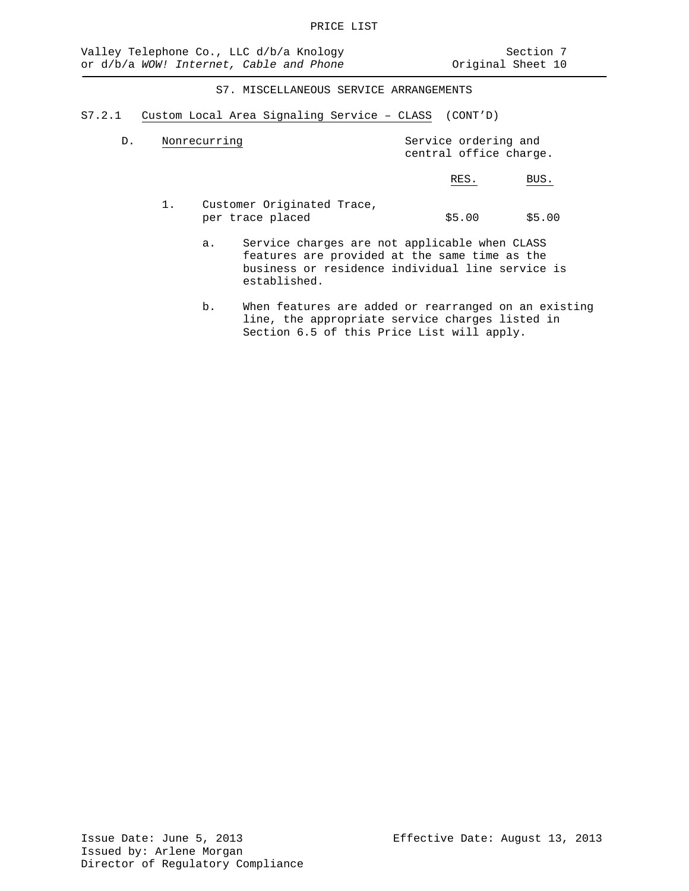S7.2.1 Custom Local Area Signaling Service – CLASS (CONT'D)

| D. | Nonrecurring | Service ordering and<br>central office charge. |            |
|----|--------------|------------------------------------------------|------------|
|    |              | RES                                            | <b>BUS</b> |

- 1. Customer Originated Trace,<br>per trace placed  $$5.00$   $$5.00$ 
	- a. Service charges are not applicable when CLASS features are provided at the same time as the business or residence individual line service is established.
	- b. When features are added or rearranged on an existing line, the appropriate service charges listed in Section 6.5 of this Price List will apply.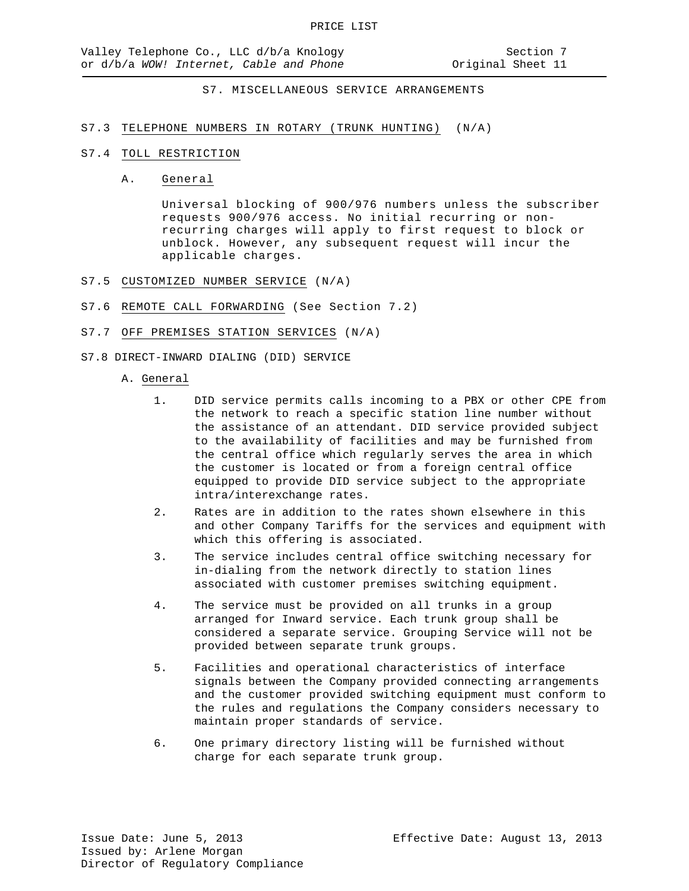## S7.3 TELEPHONE NUMBERS IN ROTARY (TRUNK HUNTING) (N/A)

#### S7.4 TOLL RESTRICTION

#### A. General

Universal blocking of 900/976 numbers unless the subscriber requests 900/976 access. No initial recurring or nonrecurring charges will apply to first request to block or unblock. However, any subsequent request will incur the applicable charges.

- S7.5 CUSTOMIZED NUMBER SERVICE (N/A)
- S7.6 REMOTE CALL FORWARDING (See Section 7.2)

## S7.7 OFF PREMISES STATION SERVICES (N/A)

- S7.8 DIRECT-INWARD DIALING (DID) SERVICE
	- A. General
		- 1. DID service permits calls incoming to a PBX or other CPE from the network to reach a specific station line number without the assistance of an attendant. DID service provided subject to the availability of facilities and may be furnished from the central office which regularly serves the area in which the customer is located or from a foreign central office equipped to provide DID service subject to the appropriate intra/interexchange rates.
		- 2. Rates are in addition to the rates shown elsewhere in this and other Company Tariffs for the services and equipment with which this offering is associated.
		- 3. The service includes central office switching necessary for in-dialing from the network directly to station lines associated with customer premises switching equipment.
		- 4. The service must be provided on all trunks in a group arranged for Inward service. Each trunk group shall be considered a separate service. Grouping Service will not be provided between separate trunk groups.
		- 5. Facilities and operational characteristics of interface signals between the Company provided connecting arrangements and the customer provided switching equipment must conform to the rules and regulations the Company considers necessary to maintain proper standards of service.
		- 6. One primary directory listing will be furnished without charge for each separate trunk group.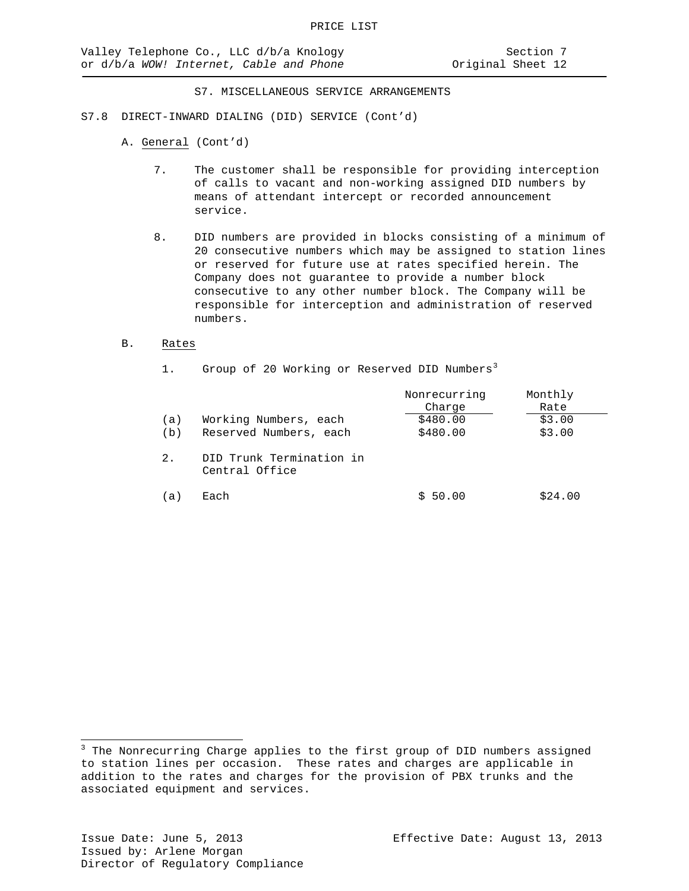- S7.8 DIRECT-INWARD DIALING (DID) SERVICE (Cont'd)
	- A. General (Cont'd)
		- 7. The customer shall be responsible for providing interception of calls to vacant and non-working assigned DID numbers by means of attendant intercept or recorded announcement service.
		- 8. DID numbers are provided in blocks consisting of a minimum of 20 consecutive numbers which may be assigned to station lines or reserved for future use at rates specified herein. The Company does not guarantee to provide a number block consecutive to any other number block. The Company will be responsible for interception and administration of reserved numbers.
	- B. Rates

| Group of 20 Working or Reserved DID Numbers <sup>3</sup> |                                            |                        |                 |
|----------------------------------------------------------|--------------------------------------------|------------------------|-----------------|
|                                                          |                                            | Nonrecurring<br>Charge | Monthly<br>Rate |
| (a)                                                      | Working Numbers, each                      | \$480.00               | \$3.00          |
| (b)                                                      | Reserved Numbers, each                     | \$480.00               | \$3.00          |
| 2.                                                       | DID Trunk Termination in<br>Central Office |                        |                 |
| a l                                                      | Each                                       | 50.00                  | \$24.00         |

 $\overline{a}$ 

<span id="page-52-0"></span> $3$  The Nonrecurring Charge applies to the first group of DID numbers assigned to station lines per occasion. These rates and charges are applicable in addition to the rates and charges for the provision of PBX trunks and the associated equipment and services.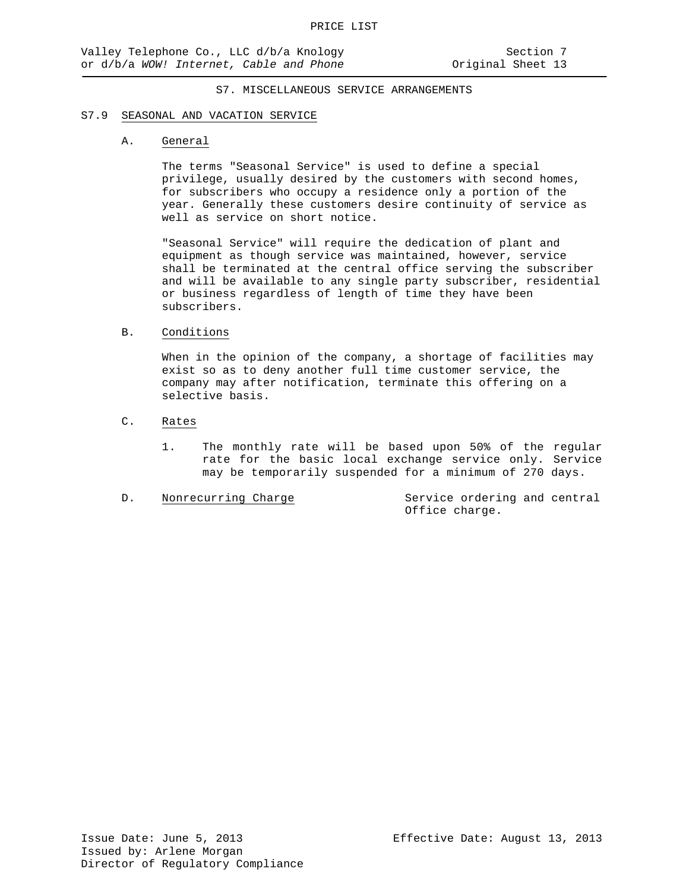#### S7.9 SEASONAL AND VACATION SERVICE

#### A. General

The terms "Seasonal Service" is used to define a special privilege, usually desired by the customers with second homes, for subscribers who occupy a residence only a portion of the year. Generally these customers desire continuity of service as well as service on short notice.

"Seasonal Service" will require the dedication of plant and equipment as though service was maintained, however, service shall be terminated at the central office serving the subscriber and will be available to any single party subscriber, residential or business regardless of length of time they have been subscribers.

#### B. Conditions

When in the opinion of the company, a shortage of facilities may exist so as to deny another full time customer service, the company may after notification, terminate this offering on a selective basis.

## C. Rates

1. The monthly rate will be based upon 50% of the regular rate for the basic local exchange service only. Service may be temporarily suspended for a minimum of 270 days.

D. Nonrecurring Charge Service ordering and central Office charge.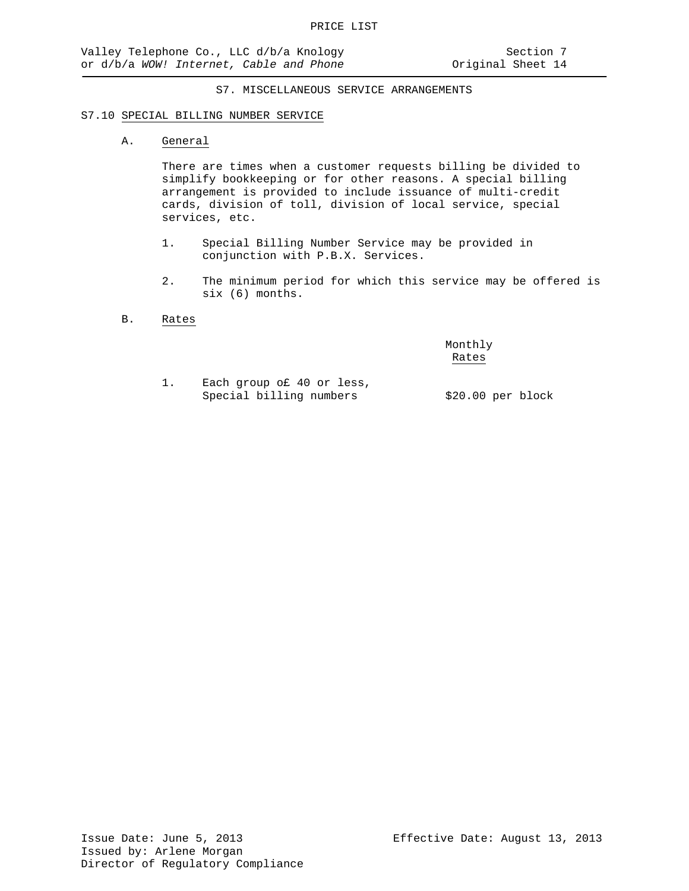#### S7.10 SPECIAL BILLING NUMBER SERVICE

## A. General

There are times when a customer requests billing be divided to simplify bookkeeping or for other reasons. A special billing arrangement is provided to include issuance of multi-credit cards, division of toll, division of local service, special services, etc.

- 1. Special Billing Number Service may be provided in conjunction with P.B.X. Services.
- 2. The minimum period for which this service may be offered is six (6) months.
- B. Rates

Monthly Rates

1. Each group o£ 40 or less, Special billing numbers \$20.00 per block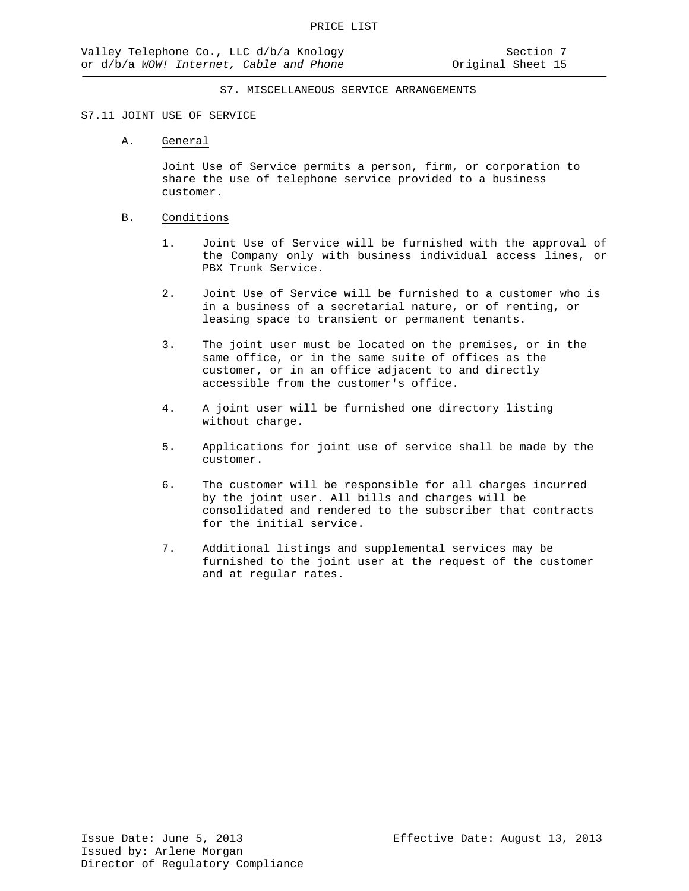#### S7.11 JOINT USE OF SERVICE

## A. General

Joint Use of Service permits a person, firm, or corporation to share the use of telephone service provided to a business customer.

## B. Conditions

- 1. Joint Use of Service will be furnished with the approval of the Company only with business individual access lines, or PBX Trunk Service.
- 2. Joint Use of Service will be furnished to a customer who is in a business of a secretarial nature, or of renting, or leasing space to transient or permanent tenants.
- 3. The joint user must be located on the premises, or in the same office, or in the same suite of offices as the customer, or in an office adjacent to and directly accessible from the customer's office.
- 4. A joint user will be furnished one directory listing without charge.
- 5. Applications for joint use of service shall be made by the customer.
- 6. The customer will be responsible for all charges incurred by the joint user. All bills and charges will be consolidated and rendered to the subscriber that contracts for the initial service.
- 7. Additional listings and supplemental services may be furnished to the joint user at the request of the customer and at regular rates.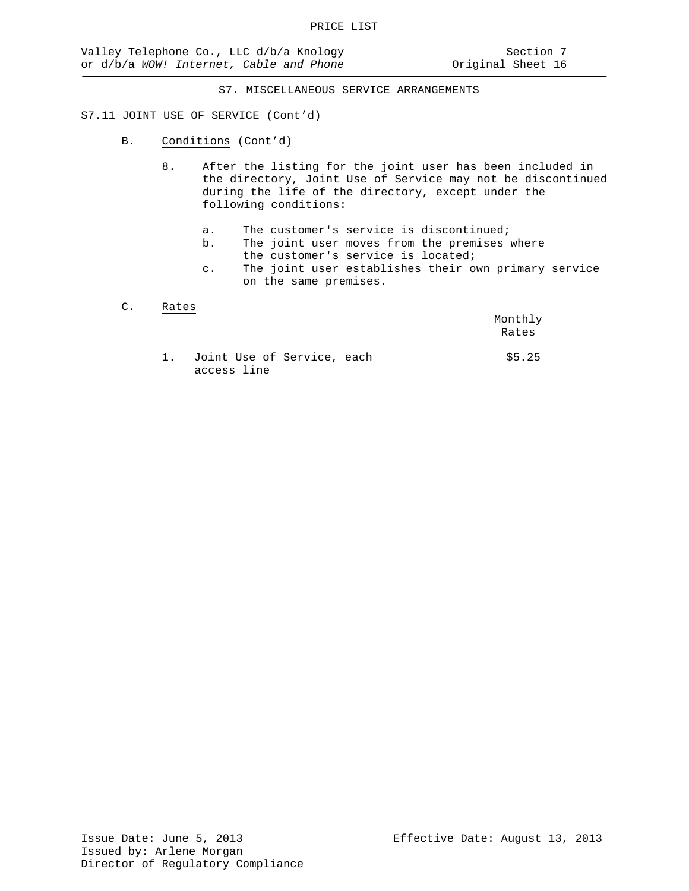#### S7.11 JOINT USE OF SERVICE (Cont'd)

- B. Conditions (Cont'd)
	- 8. After the listing for the joint user has been included in the directory, Joint Use of Service may not be discontinued during the life of the directory, except under the following conditions:
		- a. The customer's service is discontinued;<br>b. The joint user moves from the premises
		- The joint user moves from the premises where the customer's service is located;
		- c. The joint user establishes their own primary service on the same premises.

## C. Rates

|      |                                           | Monthly<br>Rates |
|------|-------------------------------------------|------------------|
| 1. . | Joint Use of Service, each<br>access line | \$5.25           |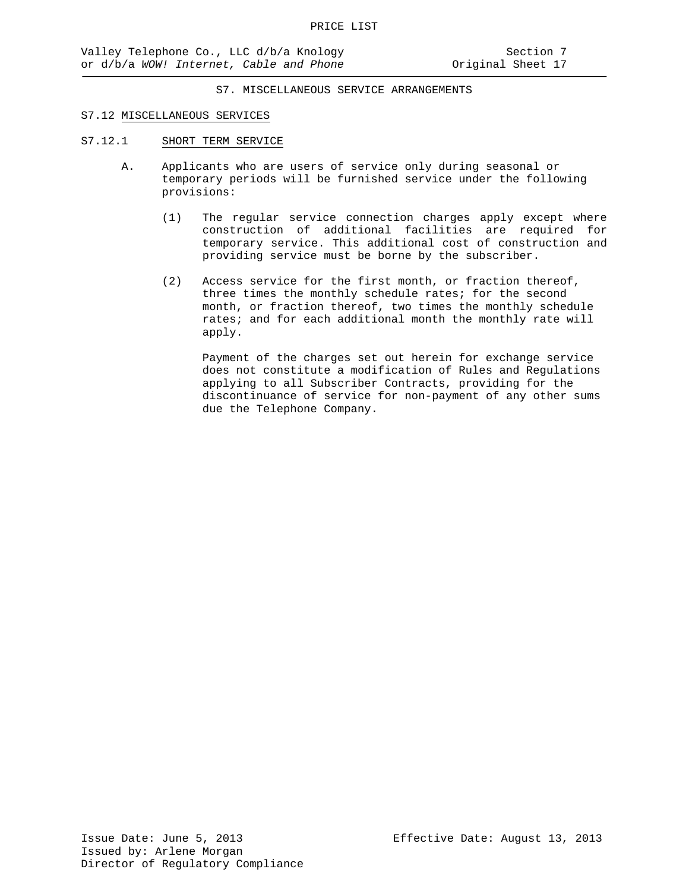#### S7.12 MISCELLANEOUS SERVICES

- S7.12.1 SHORT TERM SERVICE
	- A. Applicants who are users of service only during seasonal or temporary periods will be furnished service under the following provisions:
		- (1) The regular service connection charges apply except where construction of additional facilities are required for temporary service. This additional cost of construction and providing service must be borne by the subscriber.
		- (2) Access service for the first month, or fraction thereof, three times the monthly schedule rates; for the second month, or fraction thereof, two times the monthly schedule rates; and for each additional month the monthly rate will apply.

Payment of the charges set out herein for exchange service does not constitute a modification of Rules and Regulations applying to all Subscriber Contracts, providing for the discontinuance of service for non-payment of any other sums due the Telephone Company.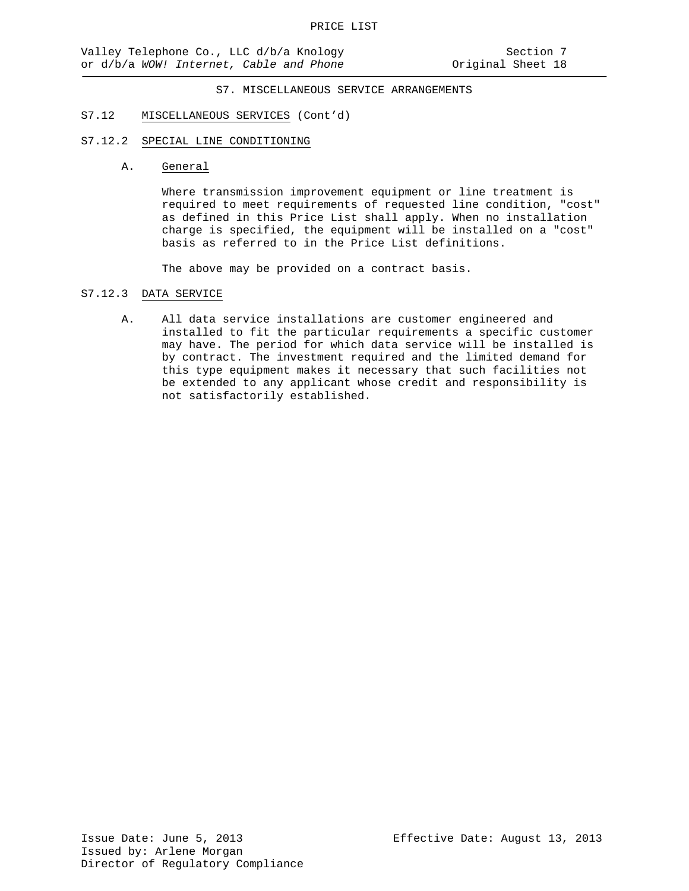#### S7.12 MISCELLANEOUS SERVICES (Cont'd)

## S7.12.2 SPECIAL LINE CONDITIONING

A. General

Where transmission improvement equipment or line treatment is required to meet requirements of requested line condition, "cost" as defined in this Price List shall apply. When no installation charge is specified, the equipment will be installed on a "cost" basis as referred to in the Price List definitions.

The above may be provided on a contract basis.

#### S7.12.3 DATA SERVICE

A. All data service installations are customer engineered and installed to fit the particular requirements a specific customer may have. The period for which data service will be installed is by contract. The investment required and the limited demand for this type equipment makes it necessary that such facilities not be extended to any applicant whose credit and responsibility is not satisfactorily established.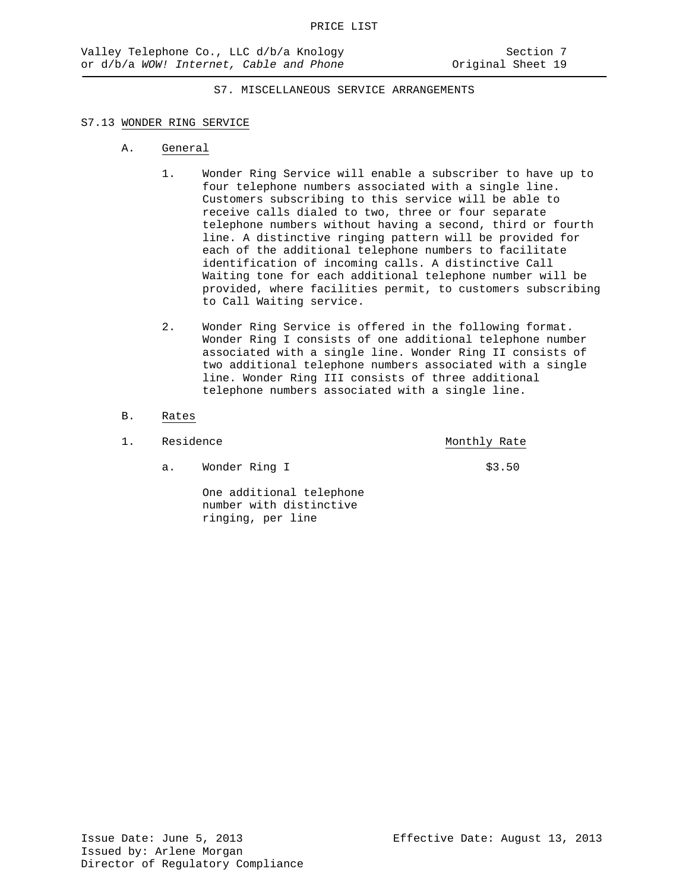## S7.13 WONDER RING SERVICE

- A. General
	- 1. Wonder Ring Service will enable a subscriber to have up to four telephone numbers associated with a single line. Customers subscribing to this service will be able to receive calls dialed to two, three or four separate telephone numbers without having a second, third or fourth line. A distinctive ringing pattern will be provided for each of the additional telephone numbers to facilitate identification of incoming calls. A distinctive Call Waiting tone for each additional telephone number will be provided, where facilities permit, to customers subscribing to Call Waiting service.
	- 2. Wonder Ring Service is offered in the following format. Wonder Ring I consists of one additional telephone number associated with a single line. Wonder Ring II consists of two additional telephone numbers associated with a single line. Wonder Ring III consists of three additional telephone numbers associated with a single line.
- B. Rates

| Residence |               | Monthly Rate |
|-----------|---------------|--------------|
|           | Wonder Ring I | \$3.50       |

One additional telephone number with distinctive ringing, per line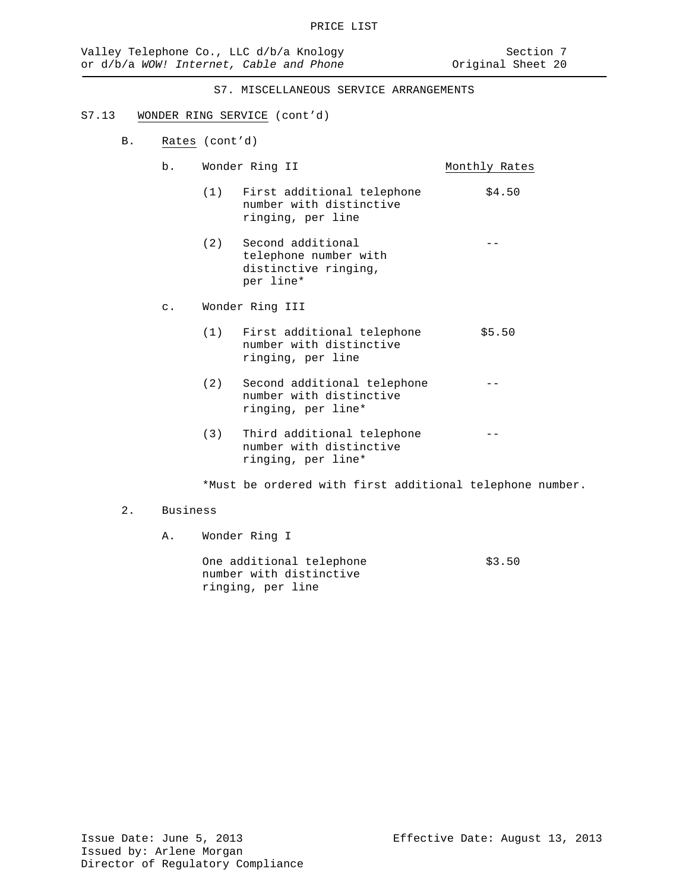#### S7.13 WONDER RING SERVICE (cont'd)

- B. Rates (cont'd)
	- b. Wonder Ring II Monthly Rates
		- (1) First additional telephone  $$4.50$ number with distinctive ringing, per line
		- (2) Second additional telephone number with distinctive ringing, per line\*
	- c. Wonder Ring III
		- (1) First additional telephone  $$5.50$ number with distinctive ringing, per line
		- (2) Second additional telephone number with distinctive ringing, per line\*
		- (3) Third additional telephone number with distinctive ringing, per line\*

\*Must be ordered with first additional telephone number.

## 2. Business

A. Wonder Ring I

One additional telephone  $$3.50$ number with distinctive ringing, per line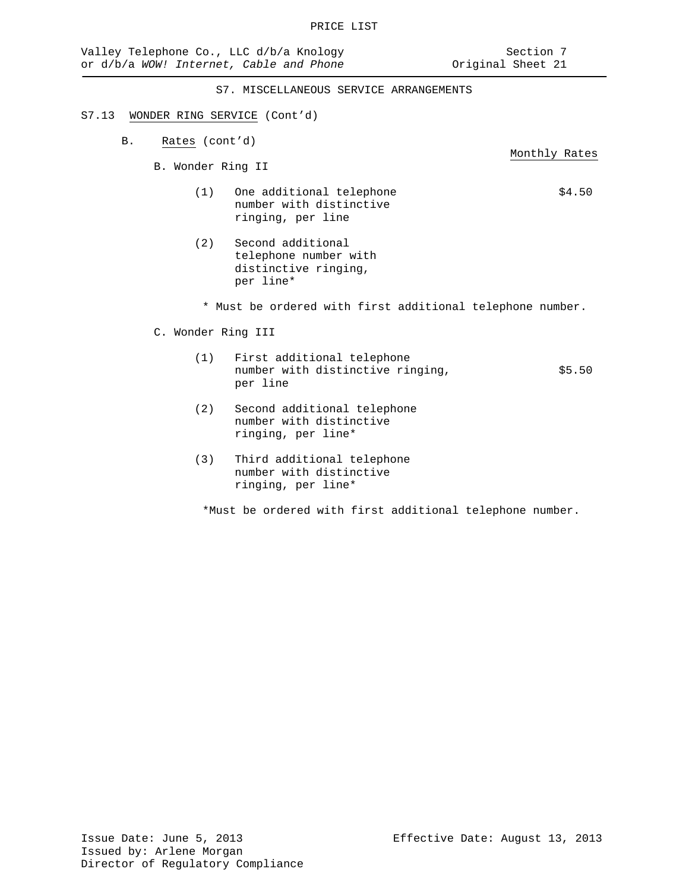Monthly Rates

S7. MISCELLANEOUS SERVICE ARRANGEMENTS

#### S7.13 WONDER RING SERVICE (Cont'd)

- B. Rates (cont'd)
	- B. Wonder Ring II
		- (1) One additional telephone  $$4.50$ number with distinctive ringing, per line
		- (2) Second additional telephone number with distinctive ringing, per line\*
			- \* Must be ordered with first additional telephone number.
	- C. Wonder Ring III
		- (1) First additional telephone number with distinctive ringing,  $$5.50$ per line
		- (2) Second additional telephone number with distinctive ringing, per line\*
		- (3) Third additional telephone number with distinctive ringing, per line\*

\*Must be ordered with first additional telephone number.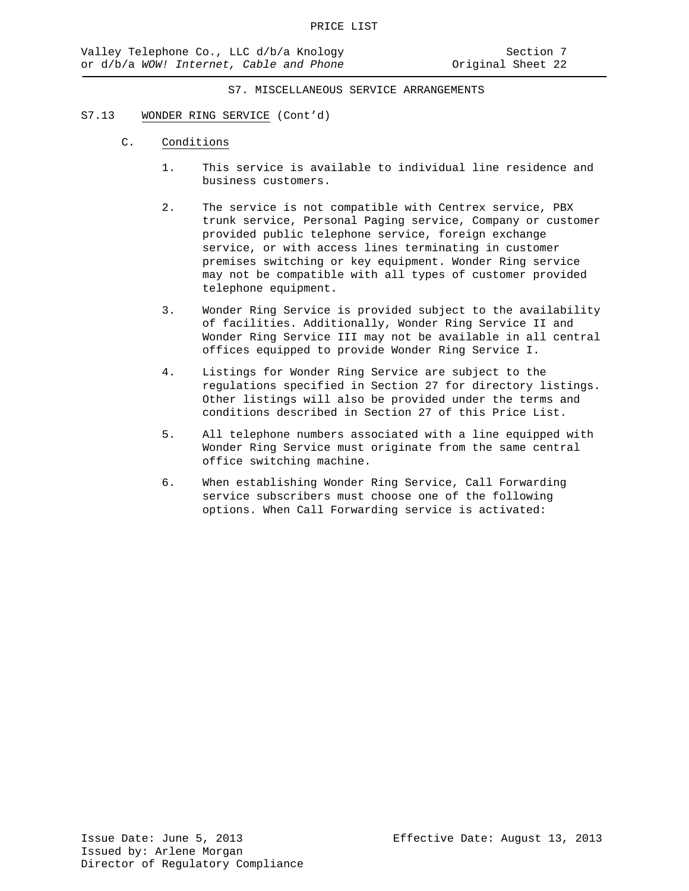#### S7.13 WONDER RING SERVICE (Cont'd)

- C. Conditions
	- 1. This service is available to individual line residence and business customers.
	- 2. The service is not compatible with Centrex service, PBX trunk service, Personal Paging service, Company or customer provided public telephone service, foreign exchange service, or with access lines terminating in customer premises switching or key equipment. Wonder Ring service may not be compatible with all types of customer provided telephone equipment.
	- 3. Wonder Ring Service is provided subject to the availability of facilities. Additionally, Wonder Ring Service II and Wonder Ring Service III may not be available in all central offices equipped to provide Wonder Ring Service I.
	- 4. Listings for Wonder Ring Service are subject to the regulations specified in Section 27 for directory listings. Other listings will also be provided under the terms and conditions described in Section 27 of this Price List.
	- 5. All telephone numbers associated with a line equipped with Wonder Ring Service must originate from the same central office switching machine.
	- 6. When establishing Wonder Ring Service, Call Forwarding service subscribers must choose one of the following options. When Call Forwarding service is activated: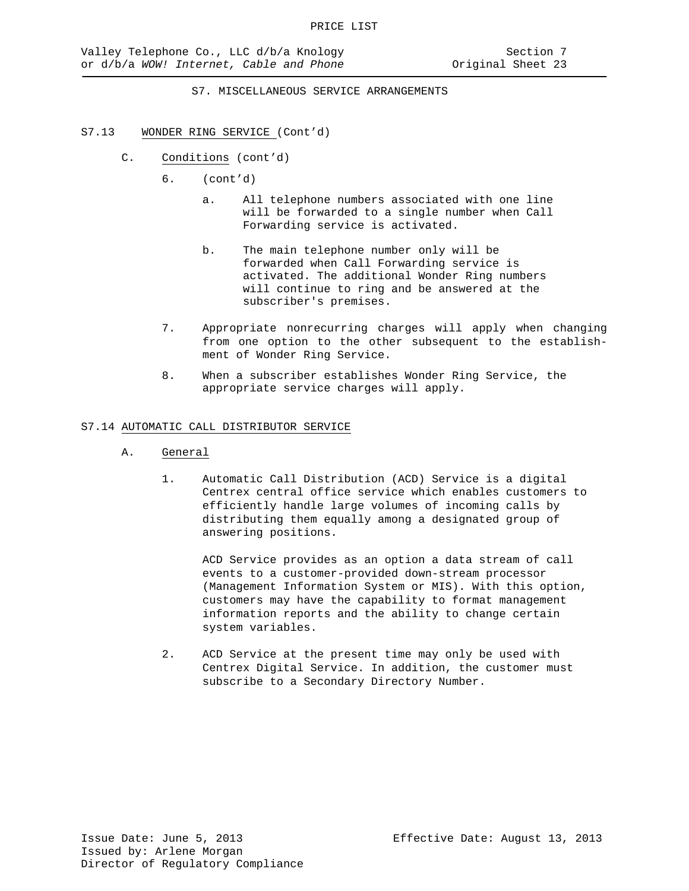## S7.13 WONDER RING SERVICE (Cont'd)

- C. Conditions (cont'd)
	- 6. (cont'd)
		- a. All telephone numbers associated with one line will be forwarded to a single number when Call Forwarding service is activated.
		- b. The main telephone number only will be forwarded when Call Forwarding service is activated. The additional Wonder Ring numbers will continue to ring and be answered at the subscriber's premises.
	- 7. Appropriate nonrecurring charges will apply when changing from one option to the other subsequent to the establishment of Wonder Ring Service.
	- 8. When a subscriber establishes Wonder Ring Service, the appropriate service charges will apply.

## S7.14 AUTOMATIC CALL DISTRIBUTOR SERVICE

- A. General
	- 1. Automatic Call Distribution (ACD) Service is a digital Centrex central office service which enables customers to efficiently handle large volumes of incoming calls by distributing them equally among a designated group of answering positions.

ACD Service provides as an option a data stream of call events to a customer-provided down-stream processor (Management Information System or MIS). With this option, customers may have the capability to format management information reports and the ability to change certain system variables.

2. ACD Service at the present time may only be used with Centrex Digital Service. In addition, the customer must subscribe to a Secondary Directory Number.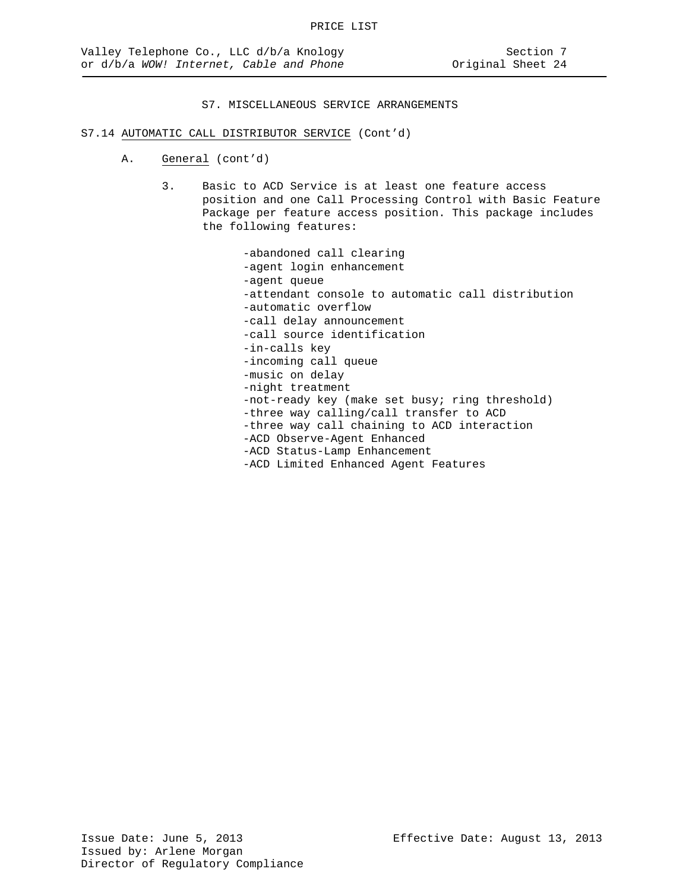#### S7.14 AUTOMATIC CALL DISTRIBUTOR SERVICE (Cont'd)

- A. General (cont'd)
	- 3. Basic to ACD Service is at least one feature access position and one Call Processing Control with Basic Feature Package per feature access position. This package includes the following features:

-abandoned call clearing -agent login enhancement -agent queue -attendant console to automatic call distribution -automatic overflow -call delay announcement -call source identification -in-calls key -incoming call queue -music on delay -night treatment -not-ready key (make set busy; ring threshold) -three way calling/call transfer to ACD -three way call chaining to ACD interaction -ACD Observe-Agent Enhanced -ACD Status-Lamp Enhancement -ACD Limited Enhanced Agent Features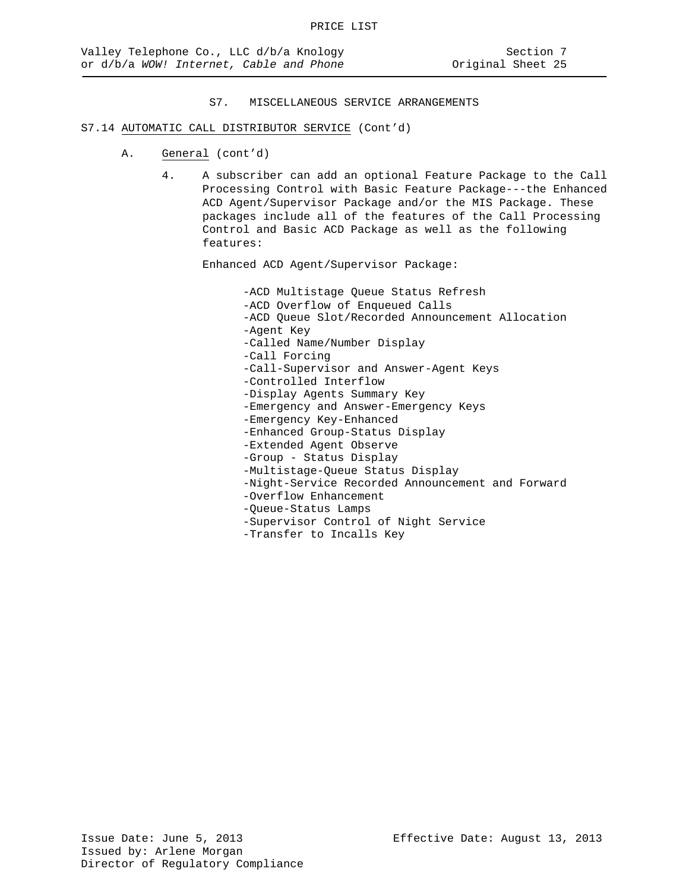## S7.14 AUTOMATIC CALL DISTRIBUTOR SERVICE (Cont'd)

- A. General (cont'd)
	- 4. A subscriber can add an optional Feature Package to the Call Processing Control with Basic Feature Package---the Enhanced ACD Agent/Supervisor Package and/or the MIS Package. These packages include all of the features of the Call Processing Control and Basic ACD Package as well as the following features:

Enhanced ACD Agent/Supervisor Package:

-ACD Multistage Queue Status Refresh -ACD Overflow of Enqueued Calls -ACD Queue Slot/Recorded Announcement Allocation -Agent Key -Called Name/Number Display -Call Forcing -Call-Supervisor and Answer-Agent Keys -Controlled Interflow -Display Agents Summary Key -Emergency and Answer-Emergency Keys -Emergency Key-Enhanced -Enhanced Group-Status Display -Extended Agent Observe -Group - Status Display -Multistage-Queue Status Display -Night-Service Recorded Announcement and Forward -Overflow Enhancement -Queue-Status Lamps -Supervisor Control of Night Service

-Transfer to Incalls Key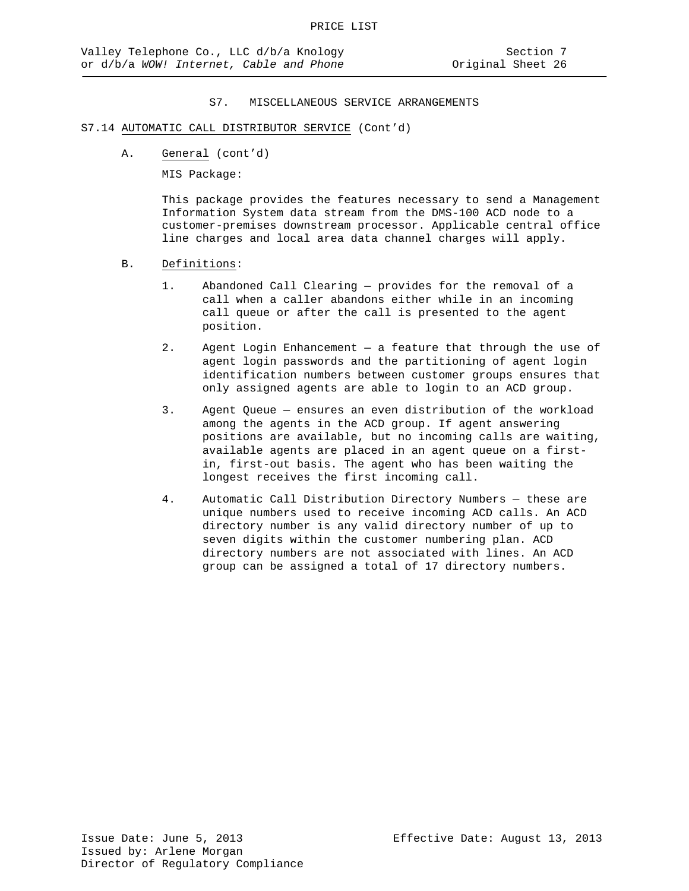## S7.14 AUTOMATIC CALL DISTRIBUTOR SERVICE (Cont'd)

A. General (cont'd)

MIS Package:

This package provides the features necessary to send a Management Information System data stream from the DMS-100 ACD node to a customer-premises downstream processor. Applicable central office line charges and local area data channel charges will apply.

- B. Definitions:
	- 1. Abandoned Call Clearing provides for the removal of a call when a caller abandons either while in an incoming call queue or after the call is presented to the agent position.
	- 2. Agent Login Enhancement a feature that through the use of agent login passwords and the partitioning of agent login identification numbers between customer groups ensures that only assigned agents are able to login to an ACD group.
	- 3. Agent Queue ensures an even distribution of the workload among the agents in the ACD group. If agent answering positions are available, but no incoming calls are waiting, available agents are placed in an agent queue on a firstin, first-out basis. The agent who has been waiting the longest receives the first incoming call.
	- 4. Automatic Call Distribution Directory Numbers these are unique numbers used to receive incoming ACD calls. An ACD directory number is any valid directory number of up to seven digits within the customer numbering plan. ACD directory numbers are not associated with lines. An ACD group can be assigned a total of 17 directory numbers.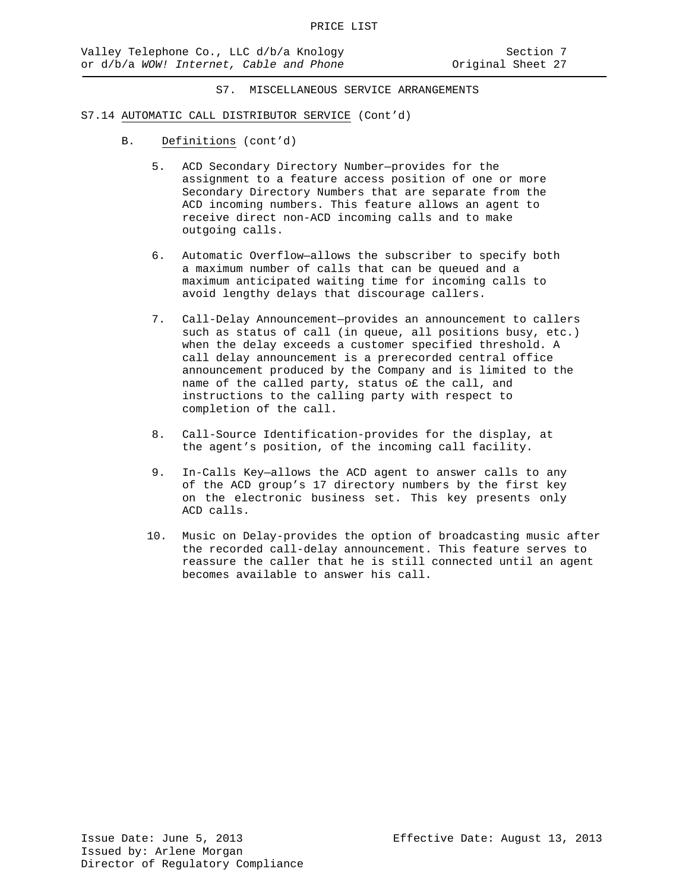- B. Definitions (cont'd)
	- 5. ACD Secondary Directory Number—provides for the assignment to a feature access position of one or more Secondary Directory Numbers that are separate from the ACD incoming numbers. This feature allows an agent to receive direct non-ACD incoming calls and to make outgoing calls.
	- 6. Automatic Overflow—allows the subscriber to specify both a maximum number of calls that can be queued and a maximum anticipated waiting time for incoming calls to avoid lengthy delays that discourage callers.
	- 7. Call-Delay Announcement—provides an announcement to callers such as status of call (in queue, all positions busy, etc.) when the delay exceeds a customer specified threshold. A call delay announcement is a prerecorded central office announcement produced by the Company and is limited to the name of the called party, status o£ the call, and instructions to the calling party with respect to completion of the call.
	- 8. Call-Source Identification-provides for the display, at the agent's position, of the incoming call facility.
	- 9. In-Calls Key—allows the ACD agent to answer calls to any of the ACD group's 17 directory numbers by the first key on the electronic business set. This key presents only ACD calls.
	- 10. Music on Delay-provides the option of broadcasting music after the recorded call-delay announcement. This feature serves to reassure the caller that he is still connected until an agent becomes available to answer his call.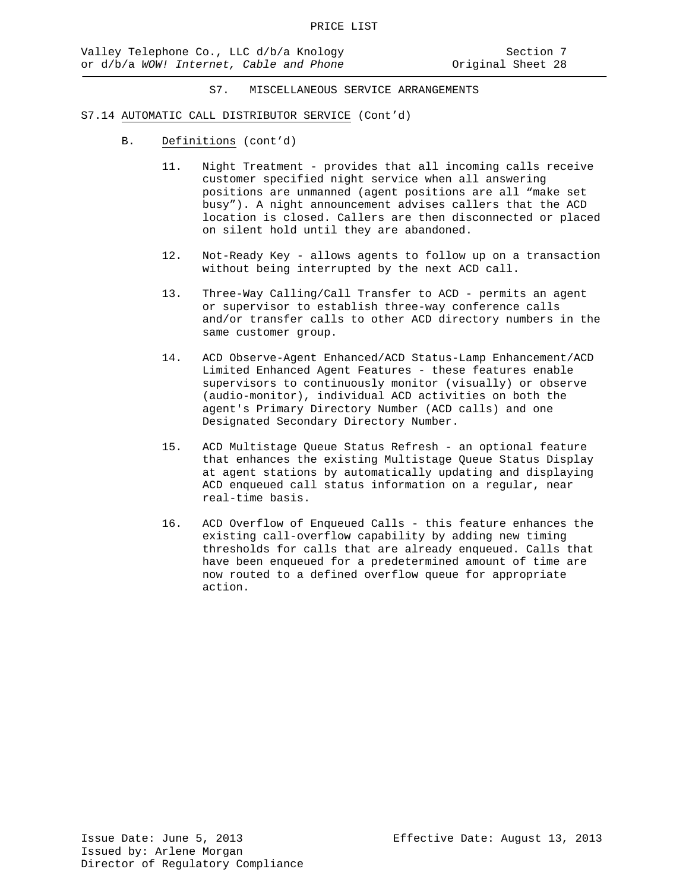- B. Definitions (cont'd)
	- 11. Night Treatment provides that all incoming calls receive customer specified night service when all answering positions are unmanned (agent positions are all "make set busy"). A night announcement advises callers that the ACD location is closed. Callers are then disconnected or placed on silent hold until they are abandoned.
	- 12. Not-Ready Key allows agents to follow up on a transaction without being interrupted by the next ACD call.
	- 13. Three-Way Calling/Call Transfer to ACD permits an agent or supervisor to establish three-way conference calls and/or transfer calls to other ACD directory numbers in the same customer group.
	- 14. ACD Observe-Agent Enhanced/ACD Status-Lamp Enhancement/ACD Limited Enhanced Agent Features - these features enable supervisors to continuously monitor (visually) or observe (audio-monitor), individual ACD activities on both the agent's Primary Directory Number (ACD calls) and one Designated Secondary Directory Number.
	- 15. ACD Multistage Queue Status Refresh an optional feature that enhances the existing Multistage Queue Status Display at agent stations by automatically updating and displaying ACD enqueued call status information on a regular, near real-time basis.
	- 16. ACD Overflow of Enqueued Calls this feature enhances the existing call-overflow capability by adding new timing thresholds for calls that are already enqueued. Calls that have been enqueued for a predetermined amount of time are now routed to a defined overflow queue for appropriate action.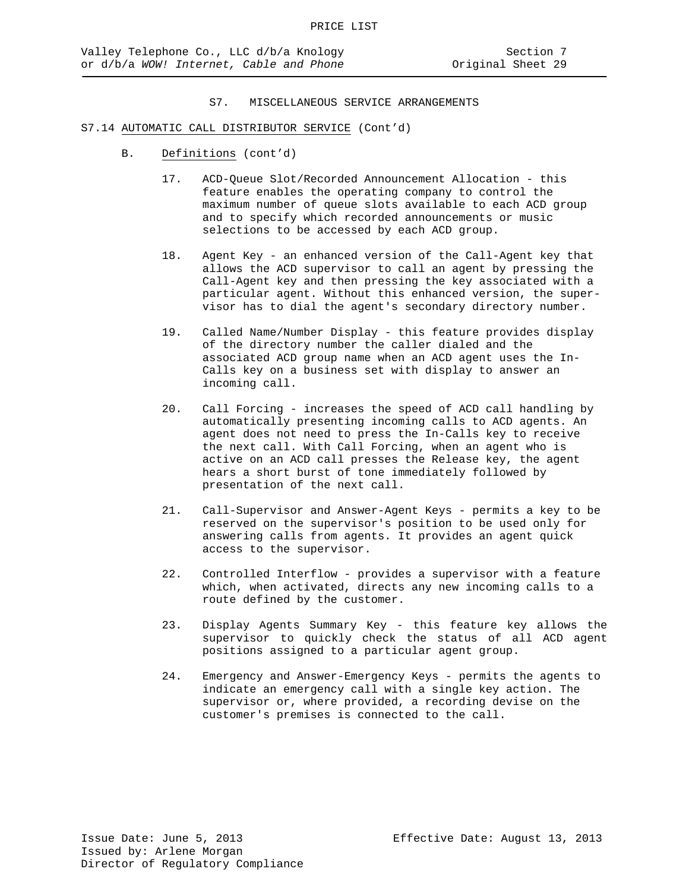- B. Definitions (cont'd)
	- 17. ACD-Queue Slot/Recorded Announcement Allocation this feature enables the operating company to control the maximum number of queue slots available to each ACD group and to specify which recorded announcements or music selections to be accessed by each ACD group.
	- 18. Agent Key an enhanced version of the Call-Agent key that allows the ACD supervisor to call an agent by pressing the Call-Agent key and then pressing the key associated with a particular agent. Without this enhanced version, the supervisor has to dial the agent's secondary directory number.
	- 19. Called Name/Number Display this feature provides display of the directory number the caller dialed and the associated ACD group name when an ACD agent uses the In-Calls key on a business set with display to answer an incoming call.
	- 20. Call Forcing increases the speed of ACD call handling by automatically presenting incoming calls to ACD agents. An agent does not need to press the In-Calls key to receive the next call. With Call Forcing, when an agent who is active on an ACD call presses the Release key, the agent hears a short burst of tone immediately followed by presentation of the next call.
	- 21. Call-Supervisor and Answer-Agent Keys permits a key to be reserved on the supervisor's position to be used only for answering calls from agents. It provides an agent quick access to the supervisor.
	- 22. Controlled Interflow provides a supervisor with a feature which, when activated, directs any new incoming calls to a route defined by the customer.
	- 23. Display Agents Summary Key this feature key allows the supervisor to quickly check the status of all ACD agent positions assigned to a particular agent group.
	- 24. Emergency and Answer-Emergency Keys permits the agents to indicate an emergency call with a single key action. The supervisor or, where provided, a recording devise on the customer's premises is connected to the call.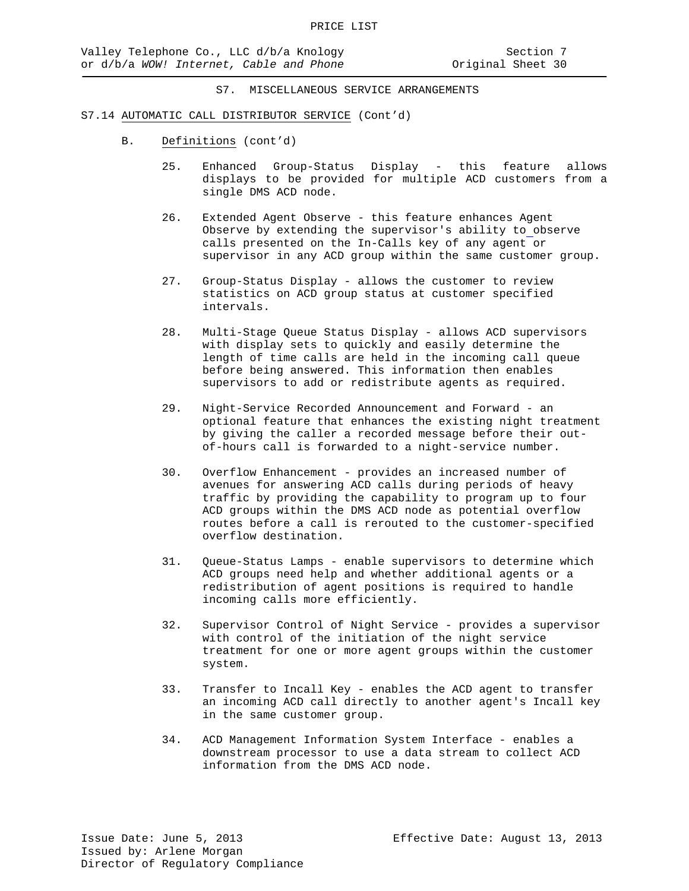- B. Definitions (cont'd)
	- 25. Enhanced Group-Status Display this feature allows displays to be provided for multiple ACD customers from a single DMS ACD node.
	- 26. Extended Agent Observe this feature enhances Agent Observe by extending the supervisor's ability to observe calls presented on the In-Calls key of any agent or supervisor in any ACD group within the same customer group.
	- 27. Group-Status Display allows the customer to review statistics on ACD group status at customer specified intervals.
	- 28. Multi-Stage Queue Status Display allows ACD supervisors with display sets to quickly and easily determine the length of time calls are held in the incoming call queue before being answered. This information then enables supervisors to add or redistribute agents as required.
	- 29. Night-Service Recorded Announcement and Forward an optional feature that enhances the existing night treatment by giving the caller a recorded message before their outof-hours call is forwarded to a night-service number.
	- 30. Overflow Enhancement provides an increased number of avenues for answering ACD calls during periods of heavy traffic by providing the capability to program up to four ACD groups within the DMS ACD node as potential overflow routes before a call is rerouted to the customer-specified overflow destination.
	- 31. Queue-Status Lamps enable supervisors to determine which ACD groups need help and whether additional agents or a redistribution of agent positions is required to handle incoming calls more efficiently.
	- 32. Supervisor Control of Night Service provides a supervisor with control of the initiation of the night service treatment for one or more agent groups within the customer system.
	- 33. Transfer to Incall Key enables the ACD agent to transfer an incoming ACD call directly to another agent's Incall key in the same customer group.
	- 34. ACD Management Information System Interface enables a downstream processor to use a data stream to collect ACD information from the DMS ACD node.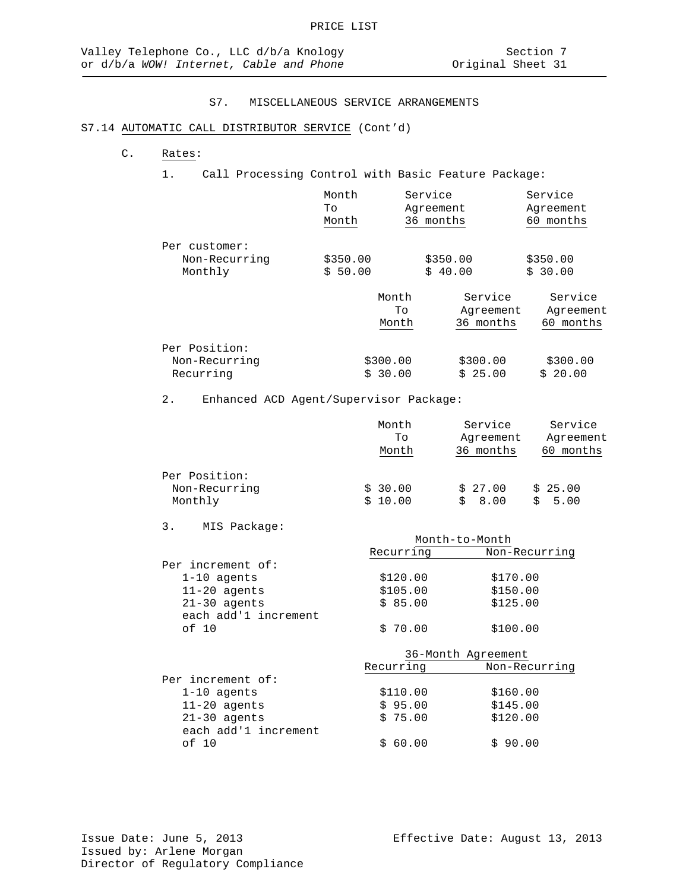## S7.14 AUTOMATIC CALL DISTRIBUTOR SERVICE (Cont'd)

## C. Rates:

1. Call Processing Control with Basic Feature Package:

|                                           | Month               | Service             | Service             |
|-------------------------------------------|---------------------|---------------------|---------------------|
|                                           | Tο                  | Agreement           | Agreement           |
|                                           | Month               | 36 months           | months              |
| Per customer:<br>Non-Recurring<br>Monthly | \$350.00<br>\$50.00 | \$350.00<br>\$40.00 | \$350.00<br>\$30.00 |

|               | Month    | Service   | Service   |
|---------------|----------|-----------|-----------|
|               | Tο       | Agreement | Agreement |
|               | Month    | 36 months | months    |
| Per Position: |          |           |           |
| Non-Recurring | \$300.00 | \$300.00  | \$300.00  |
| Recurring     | \$30.00  | \$25.00   | \$20.00   |

# 2. Enhanced ACD Agent/Supervisor Package:

|                                           | Month<br>Tο<br>Month | Service<br>Agreement<br>36 months | Service<br>Agreement<br>months<br>60. |
|-------------------------------------------|----------------------|-----------------------------------|---------------------------------------|
| Per Position:<br>Non-Recurring<br>Monthly | \$30.00<br>\$10.00   | \$27.00<br>8.00                   | \$25.00<br>5.00                       |

## 3. MIS Package:

each add'1 increment<br>of 10

|                      | Month-to-Month     |               |
|----------------------|--------------------|---------------|
|                      | Recurring          | Non-Recurring |
| Per increment of:    |                    |               |
| $1-10$ agents        | \$120.00           | \$170.00      |
| $11 - 20$ agents     | \$105.00           | \$150.00      |
| $21-30$ agents       | \$85.00            | \$125.00      |
| each add'1 increment |                    |               |
| of 10                | \$70.00            | \$100.00      |
|                      | 36-Month Agreement |               |
|                      | Recurring          | Non-Recurring |
| Per increment of:    |                    |               |
| $1-10$ agents        | \$110.00           | \$160.00      |
| $11 - 20$ agents     | \$95.00            | \$145.00      |
| $21-30$ agents       | \$75.00            | \$120.00      |

 $$60.00$  \$ 90.00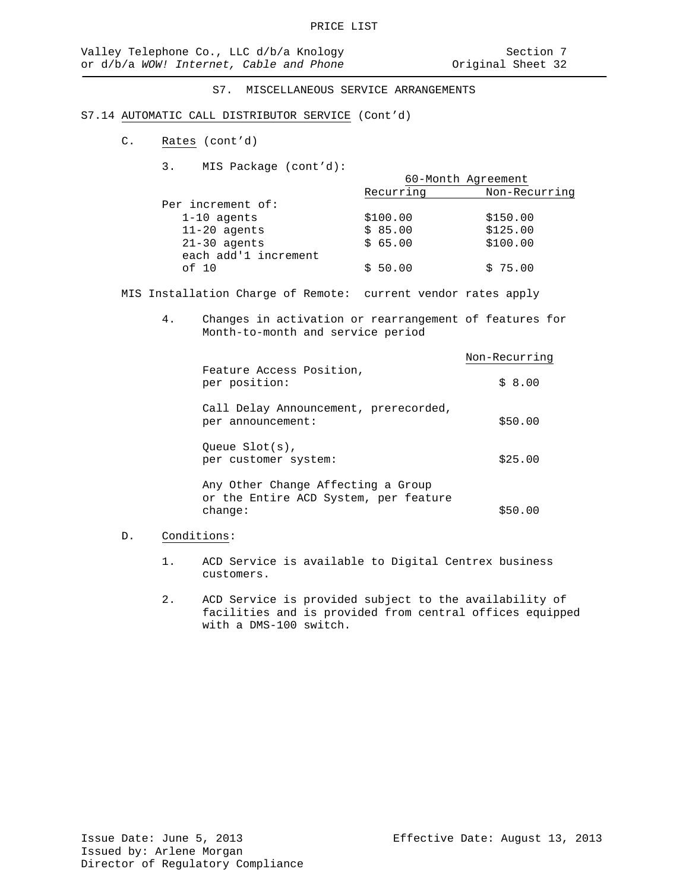#### S7.14 AUTOMATIC CALL DISTRIBUTOR SERVICE (Cont'd)

- C. Rates (cont'd)
	- 3. MIS Package (cont'd):

|                      | 60-Month Agreement |               |
|----------------------|--------------------|---------------|
|                      | Recurring          | Non-Recurring |
| Per increment of:    |                    |               |
| $1-10$ agents        | \$100.00           | \$150.00      |
| $11-20$ agents       | \$85.00            | \$125.00      |
| $21-30$ agents       | \$65.00            | \$100.00      |
| each add'1 increment |                    |               |
| of 10                | \$50.00            | \$75.00       |
|                      |                    |               |

MIS Installation Charge of Remote: current vendor rates apply

4. Changes in activation or rearrangement of features for Month-to-month and service period

|                                                                                        | Non-Recurring |
|----------------------------------------------------------------------------------------|---------------|
| Feature Access Position,<br>per position:                                              | \$8.00        |
| Call Delay Announcement, prerecorded,<br>per announcement:                             | \$50.00       |
| Oueue $Slot(s)$ ,<br>per customer system:                                              | \$25.00       |
| Any Other Change Affecting a Group<br>or the Entire ACD System, per feature<br>change: | \$50.00       |

#### D. Conditions:

- 1. ACD Service is available to Digital Centrex business customers.
- 2. ACD Service is provided subject to the availability of facilities and is provided from central offices equipped with a DMS-100 switch.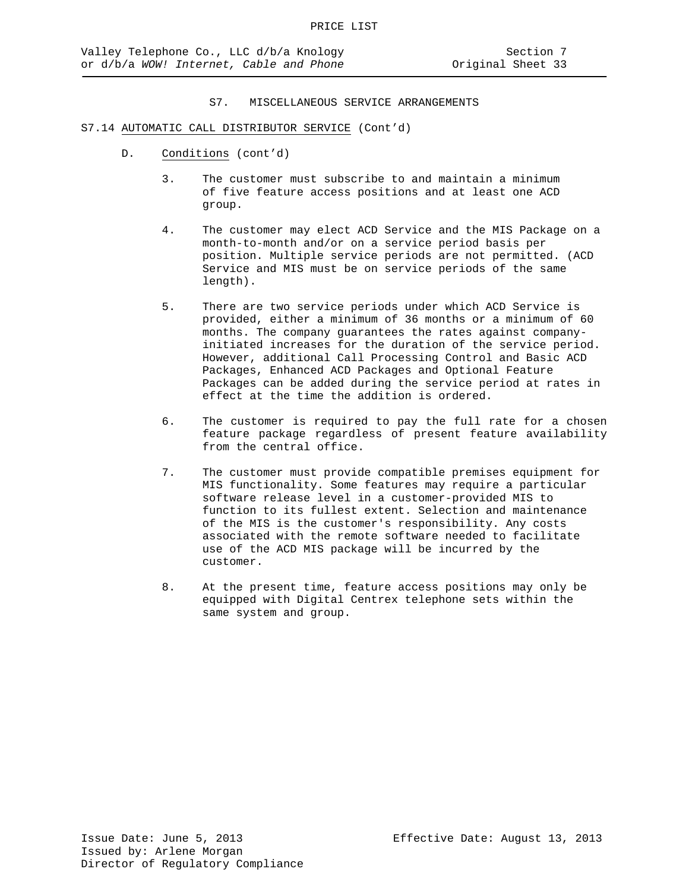# S7.14 AUTOMATIC CALL DISTRIBUTOR SERVICE (Cont'd)

- D. Conditions (cont'd)
	- 3. The customer must subscribe to and maintain a minimum of five feature access positions and at least one ACD group.
	- 4. The customer may elect ACD Service and the MIS Package on a month-to-month and/or on a service period basis per position. Multiple service periods are not permitted. (ACD Service and MIS must be on service periods of the same length).
	- 5. There are two service periods under which ACD Service is provided, either a minimum of 36 months or a minimum of 60 months. The company guarantees the rates against companyinitiated increases for the duration of the service period. However, additional Call Processing Control and Basic ACD Packages, Enhanced ACD Packages and Optional Feature Packages can be added during the service period at rates in effect at the time the addition is ordered.
	- 6. The customer is required to pay the full rate for a chosen feature package regardless of present feature availability from the central office.
	- 7. The customer must provide compatible premises equipment for MIS functionality. Some features may require a particular software release level in a customer-provided MIS to function to its fullest extent. Selection and maintenance of the MIS is the customer's responsibility. Any costs associated with the remote software needed to facilitate use of the ACD MIS package will be incurred by the customer.
	- 8. At the present time, feature access positions may only be equipped with Digital Centrex telephone sets within the same system and group.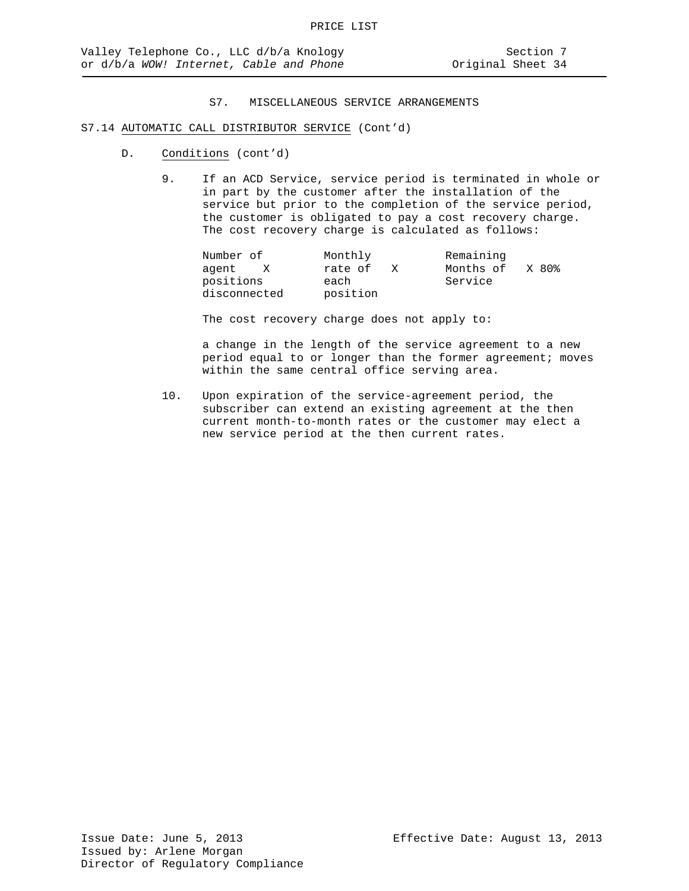# S7.14 AUTOMATIC CALL DISTRIBUTOR SERVICE (Cont'd)

- D. Conditions (cont'd)
	- 9. If an ACD Service, service period is terminated in whole or in part by the customer after the installation of the service but prior to the completion of the service period, the customer is obligated to pay a cost recovery charge. The cost recovery charge is calculated as follows:

| Number of    | Monthly      | Remaining          |
|--------------|--------------|--------------------|
| aqent<br>X   | rate of<br>X | Months of<br>X 80% |
| positions    | each         | Service            |
| disconnected | position     |                    |

The cost recovery charge does not apply to:

a change in the length of the service agreement to a new period equal to or longer than the former agreement; moves within the same central office serving area.

10. Upon expiration of the service-agreement period, the subscriber can extend an existing agreement at the then current month-to-month rates or the customer may elect a new service period at the then current rates.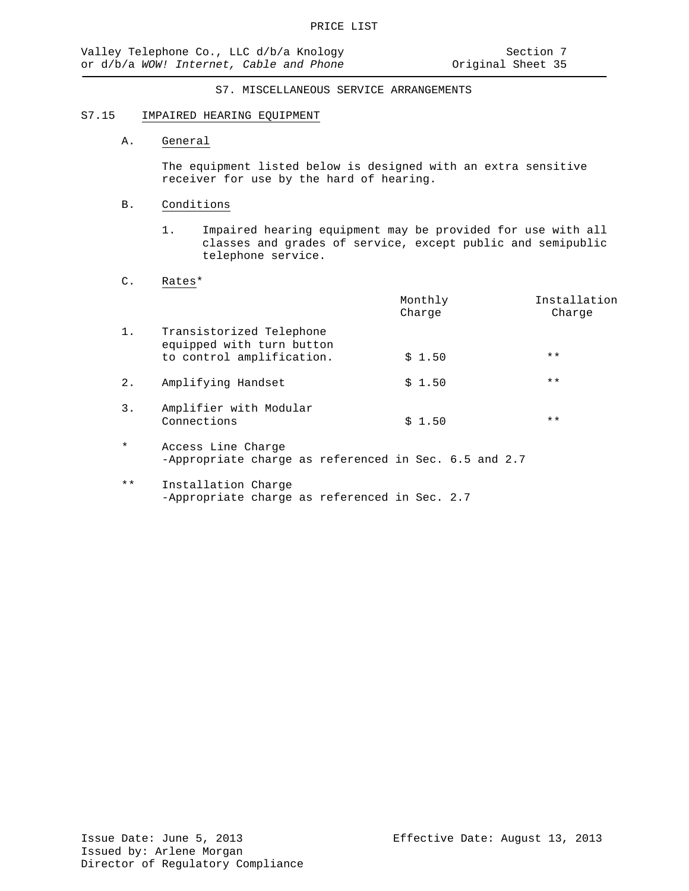#### S7.15 IMPAIRED HEARING EQUIPMENT

# A. General

The equipment listed below is designed with an extra sensitive receiver for use by the hard of hearing.

#### B. Conditions

1. Impaired hearing equipment may be provided for use with all classes and grades of service, except public and semipublic telephone service.

# C. Rates\*

|         |                                                                                    | Monthly<br>Charge | Installation<br>Charge |
|---------|------------------------------------------------------------------------------------|-------------------|------------------------|
| 1.      | Transistorized Telephone<br>equipped with turn button<br>to control amplification. | \$1.50            | $***$                  |
| $2$ .   | Amplifying Handset                                                                 | \$1.50            | $***$                  |
| 3.      | Amplifier with Modular<br>Connections                                              | \$1.50            | $***$                  |
| $\star$ | Access Line Charge<br>-Appropriate charge as referenced in Sec. 6.5 and 2.7        |                   |                        |
|         |                                                                                    |                   |                        |

\*\* Installation Charge -Appropriate charge as referenced in Sec. 2.7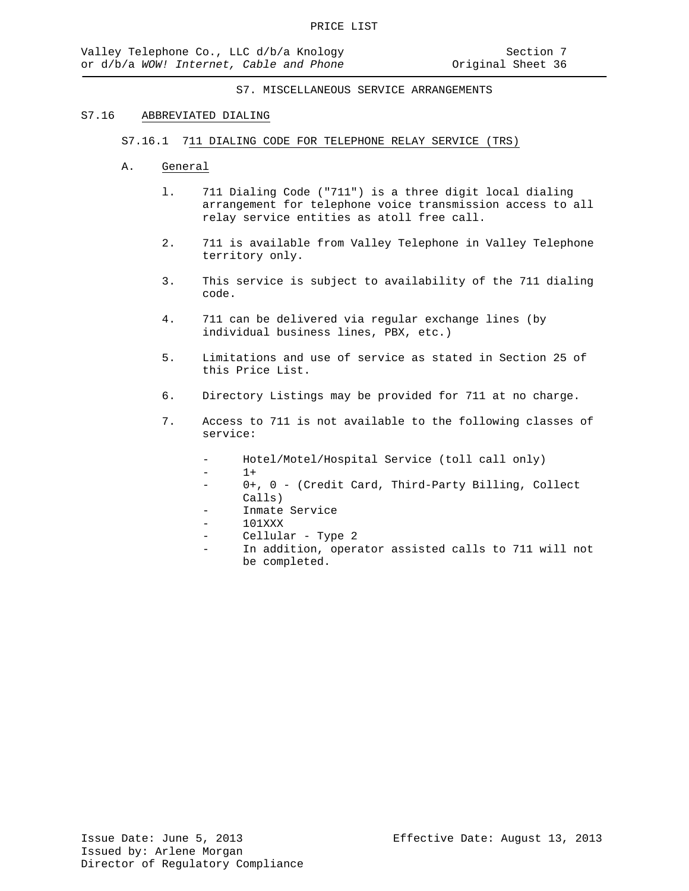#### S7.16 ABBREVIATED DIALING

S7.16.1 711 DIALING CODE FOR TELEPHONE RELAY SERVICE (TRS)

- A. General
	- l. 711 Dialing Code ("711") is a three digit local dialing arrangement for telephone voice transmission access to all relay service entities as atoll free call.
	- 2. 711 is available from Valley Telephone in Valley Telephone territory only.
	- 3. This service is subject to availability of the 711 dialing code.
	- 4. 711 can be delivered via regular exchange lines (by individual business lines, PBX, etc.)
	- 5. Limitations and use of service as stated in Section 25 of this Price List.
	- 6. Directory Listings may be provided for 711 at no charge.
	- 7. Access to 711 is not available to the following classes of service:
		- Hotel/Motel/Hospital Service (toll call only)
		- $1+$
		- 0+, 0 (Credit Card, Third-Party Billing, Collect Calls)
		- Inmate Service
		- 101XXX
		- Cellular Type 2
		- In addition, operator assisted calls to 711 will not be completed.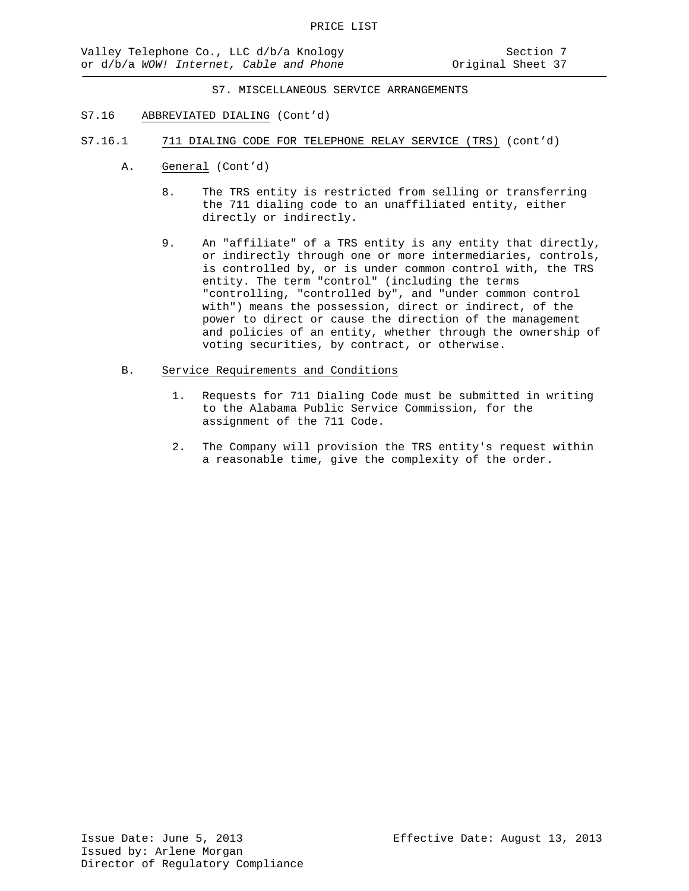- S7.16 ABBREVIATED DIALING (Cont'd)
- S7.16.1 711 DIALING CODE FOR TELEPHONE RELAY SERVICE (TRS) (cont'd)
	- A. General (Cont'd)
		- 8. The TRS entity is restricted from selling or transferring the 711 dialing code to an unaffiliated entity, either directly or indirectly.
		- 9. An "affiliate" of a TRS entity is any entity that directly, or indirectly through one or more intermediaries, controls, is controlled by, or is under common control with, the TRS entity. The term "control" (including the terms "controlling, "controlled by", and "under common control with") means the possession, direct or indirect, of the power to direct or cause the direction of the management and policies of an entity, whether through the ownership of voting securities, by contract, or otherwise.
	- B. Service Requirements and Conditions
		- 1. Requests for 711 Dialing Code must be submitted in writing to the Alabama Public Service Commission, for the assignment of the 711 Code.
		- 2. The Company will provision the TRS entity's request within a reasonable time, give the complexity of the order.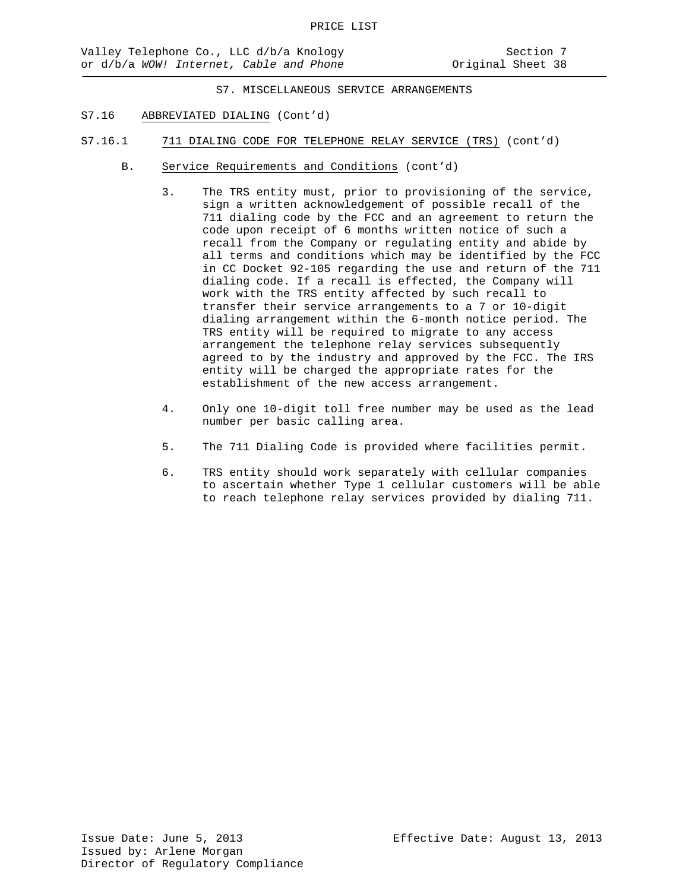- S7.16 ABBREVIATED DIALING (Cont'd)
- S7.16.1 711 DIALING CODE FOR TELEPHONE RELAY SERVICE (TRS) (cont'd)
	- B. Service Requirements and Conditions (cont'd)
		- 3. The TRS entity must, prior to provisioning of the service, sign a written acknowledgement of possible recall of the 711 dialing code by the FCC and an agreement to return the code upon receipt of 6 months written notice of such a recall from the Company or regulating entity and abide by all terms and conditions which may be identified by the FCC in CC Docket 92-105 regarding the use and return of the 711 dialing code. If a recall is effected, the Company will work with the TRS entity affected by such recall to transfer their service arrangements to a 7 or 10-digit dialing arrangement within the 6-month notice period. The TRS entity will be required to migrate to any access arrangement the telephone relay services subsequently agreed to by the industry and approved by the FCC. The IRS entity will be charged the appropriate rates for the establishment of the new access arrangement.
		- 4. Only one 10-digit toll free number may be used as the lead number per basic calling area.
		- 5. The 711 Dialing Code is provided where facilities permit.
		- 6. TRS entity should work separately with cellular companies to ascertain whether Type 1 cellular customers will be able to reach telephone relay services provided by dialing 711.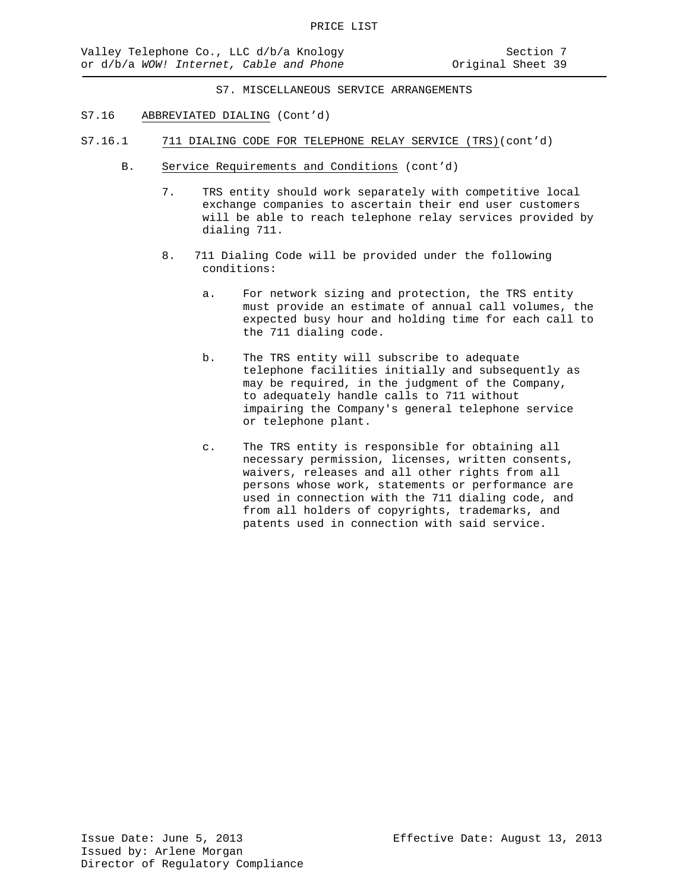- S7.16 ABBREVIATED DIALING (Cont'd)
- S7.16.1 711 DIALING CODE FOR TELEPHONE RELAY SERVICE (TRS)(cont'd)
	- B. Service Requirements and Conditions (cont'd)
		- 7. TRS entity should work separately with competitive local exchange companies to ascertain their end user customers will be able to reach telephone relay services provided by dialing 711.
		- 8. 711 Dialing Code will be provided under the following conditions:
			- a. For network sizing and protection, the TRS entity must provide an estimate of annual call volumes, the expected busy hour and holding time for each call to the 711 dialing code.
			- b. The TRS entity will subscribe to adequate telephone facilities initially and subsequently as may be required, in the judgment of the Company, to adequately handle calls to 711 without impairing the Company's general telephone service or telephone plant.
			- c. The TRS entity is responsible for obtaining all necessary permission, licenses, written consents, waivers, releases and all other rights from all persons whose work, statements or performance are used in connection with the 711 dialing code, and from all holders of copyrights, trademarks, and patents used in connection with said service.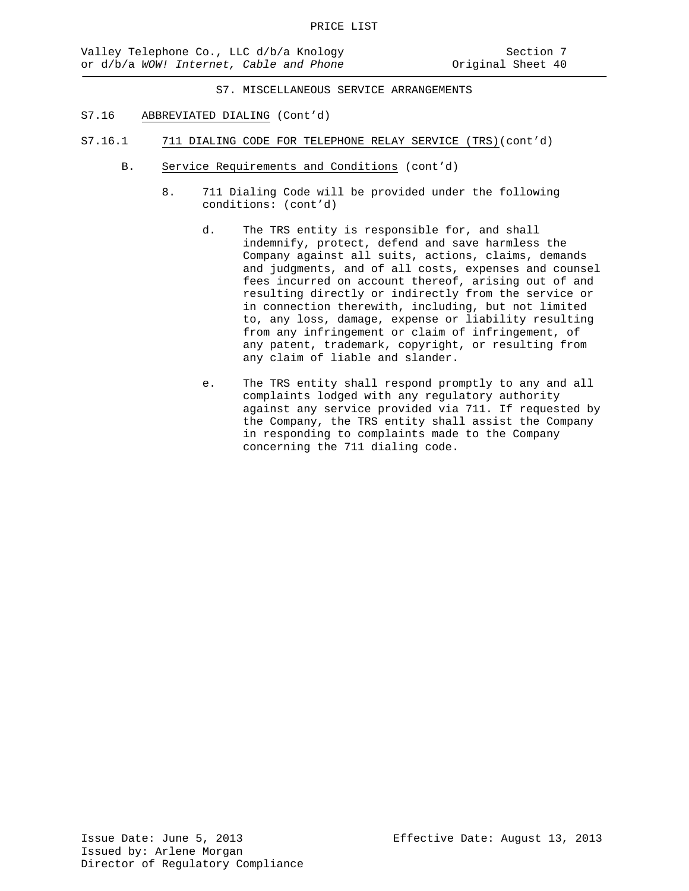- S7.16 ABBREVIATED DIALING (Cont'd)
- S7.16.1 711 DIALING CODE FOR TELEPHONE RELAY SERVICE (TRS)(cont'd)
	- B. Service Requirements and Conditions (cont'd)
		- 8. 711 Dialing Code will be provided under the following conditions: (cont'd)
			- d. The TRS entity is responsible for, and shall indemnify, protect, defend and save harmless the Company against all suits, actions, claims, demands and judgments, and of all costs, expenses and counsel fees incurred on account thereof, arising out of and resulting directly or indirectly from the service or in connection therewith, including, but not limited to, any loss, damage, expense or liability resulting from any infringement or claim of infringement, of any patent, trademark, copyright, or resulting from any claim of liable and slander.
			- e. The TRS entity shall respond promptly to any and all complaints lodged with any regulatory authority against any service provided via 711. If requested by the Company, the TRS entity shall assist the Company in responding to complaints made to the Company concerning the 711 dialing code.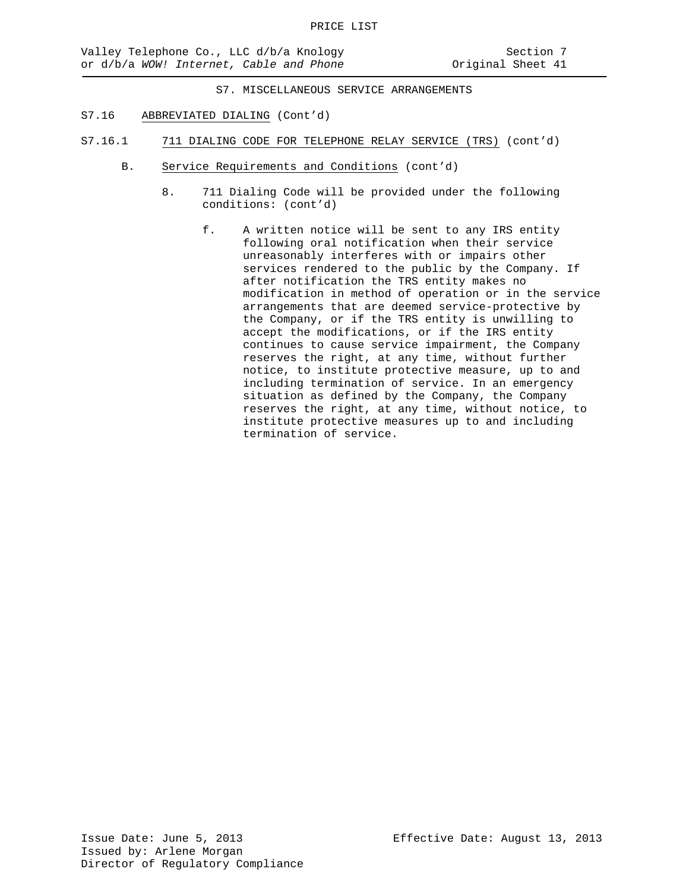- S7.16 ABBREVIATED DIALING (Cont'd)
- S7.16.1 711 DIALING CODE FOR TELEPHONE RELAY SERVICE (TRS) (cont'd)
	- B. Service Requirements and Conditions (cont'd)
		- 8. 711 Dialing Code will be provided under the following conditions: (cont'd)
			- f. A written notice will be sent to any IRS entity following oral notification when their service unreasonably interferes with or impairs other services rendered to the public by the Company. If after notification the TRS entity makes no modification in method of operation or in the service arrangements that are deemed service-protective by the Company, or if the TRS entity is unwilling to accept the modifications, or if the IRS entity continues to cause service impairment, the Company reserves the right, at any time, without further notice, to institute protective measure, up to and including termination of service. In an emergency situation as defined by the Company, the Company reserves the right, at any time, without notice, to institute protective measures up to and including termination of service.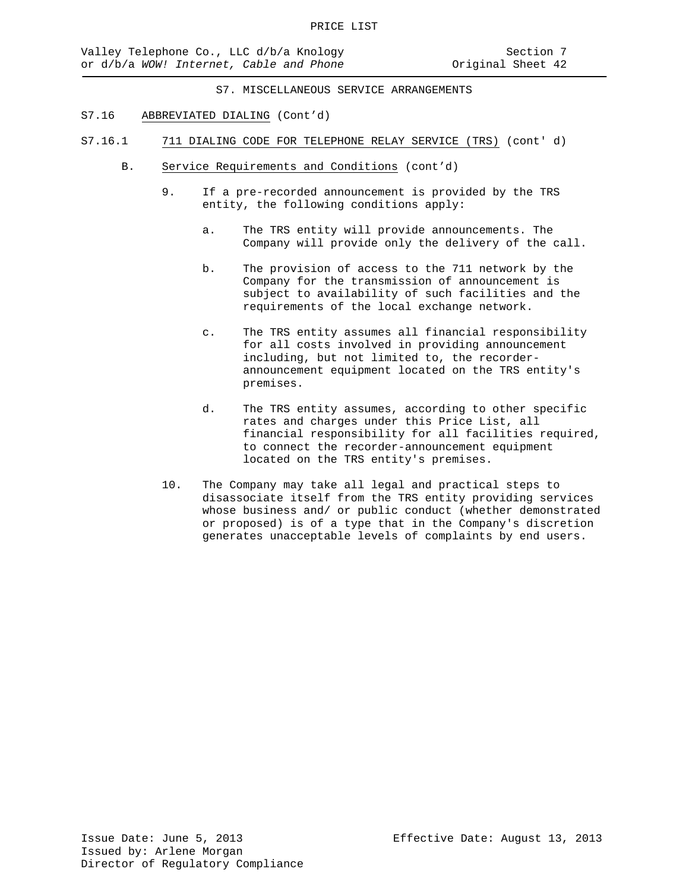- S7.16 ABBREVIATED DIALING (Cont'd)
- S7.16.1 711 DIALING CODE FOR TELEPHONE RELAY SERVICE (TRS) (cont' d)
	- B. Service Requirements and Conditions (cont'd)
		- 9. If a pre-recorded announcement is provided by the TRS entity, the following conditions apply:
			- a. The TRS entity will provide announcements. The Company will provide only the delivery of the call.
			- b. The provision of access to the 711 network by the Company for the transmission of announcement is subject to availability of such facilities and the requirements of the local exchange network.
			- c. The TRS entity assumes all financial responsibility for all costs involved in providing announcement including, but not limited to, the recorderannouncement equipment located on the TRS entity's premises.
			- d. The TRS entity assumes, according to other specific rates and charges under this Price List, all financial responsibility for all facilities required, to connect the recorder-announcement equipment located on the TRS entity's premises.
		- 10. The Company may take all legal and practical steps to disassociate itself from the TRS entity providing services whose business and/ or public conduct (whether demonstrated or proposed) is of a type that in the Company's discretion generates unacceptable levels of complaints by end users.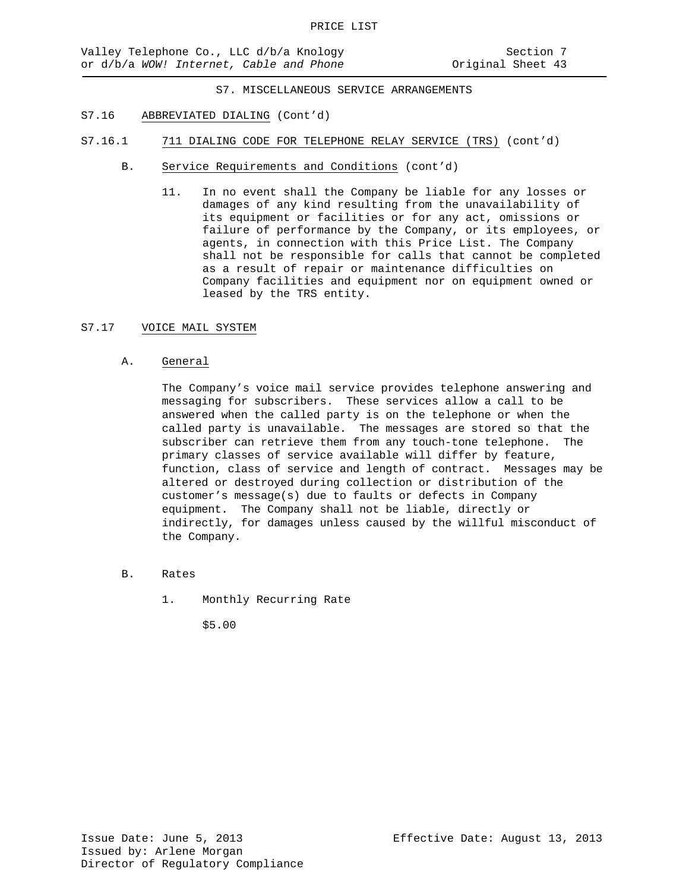- S7.16 ABBREVIATED DIALING (Cont'd)
- S7.16.1 711 DIALING CODE FOR TELEPHONE RELAY SERVICE (TRS) (cont'd)
	- B. Service Requirements and Conditions (cont'd)
		- 11. In no event shall the Company be liable for any losses or damages of any kind resulting from the unavailability of its equipment or facilities or for any act, omissions or failure of performance by the Company, or its employees, or agents, in connection with this Price List. The Company shall not be responsible for calls that cannot be completed as a result of repair or maintenance difficulties on Company facilities and equipment nor on equipment owned or leased by the TRS entity.

# S7.17 VOICE MAIL SYSTEM

#### A. General

The Company's voice mail service provides telephone answering and messaging for subscribers. These services allow a call to be answered when the called party is on the telephone or when the called party is unavailable. The messages are stored so that the subscriber can retrieve them from any touch-tone telephone. The primary classes of service available will differ by feature, function, class of service and length of contract. Messages may be altered or destroyed during collection or distribution of the customer's message(s) due to faults or defects in Company equipment. The Company shall not be liable, directly or indirectly, for damages unless caused by the willful misconduct of the Company.

- B. Rates
	- 1. Monthly Recurring Rate

\$5.00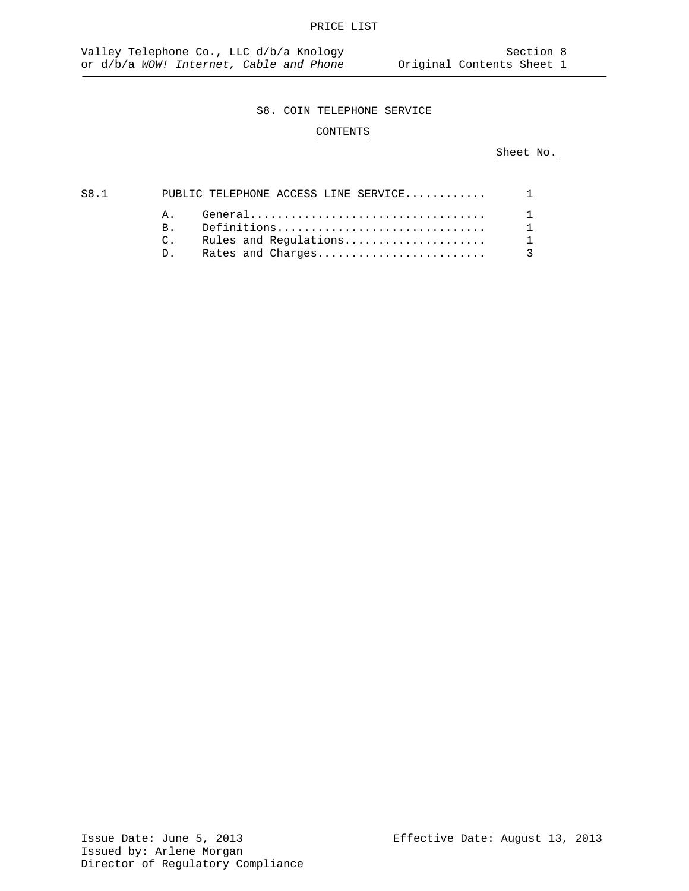# CONTENTS

# Sheet No.

| S8.1 |             | PUBLIC TELEPHONE ACCESS LINE SERVICE 1 |                |
|------|-------------|----------------------------------------|----------------|
|      |             |                                        | $\overline{1}$ |
|      |             | B. Definitions                         | $\overline{1}$ |
|      |             |                                        |                |
|      | $D_{\perp}$ |                                        |                |
|      |             |                                        |                |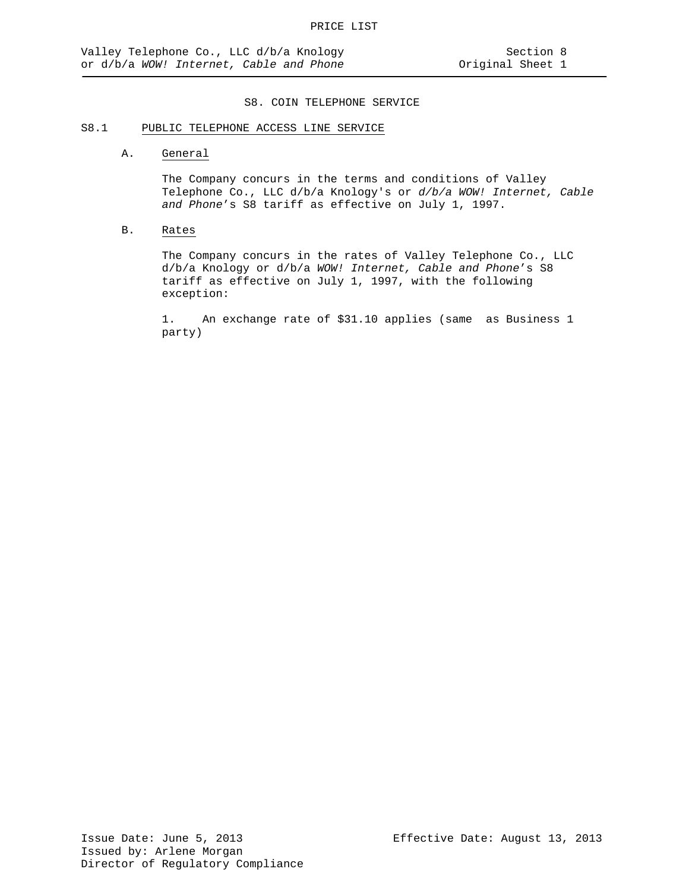# S8.1 PUBLIC TELEPHONE ACCESS LINE SERVICE

#### A. General

The Company concurs in the terms and conditions of Valley Telephone Co., LLC d/b/a Knology's or *d/b/a WOW! Internet, Cable and Phone*'s S8 tariff as effective on July 1, 1997.

# B. Rates

The Company concurs in the rates of Valley Telephone Co., LLC d/b/a Knology or d/b/a *WOW! Internet, Cable and Phone*'s S8 tariff as effective on July 1, 1997, with the following exception:

1. An exchange rate of \$31.10 applies (same as Business 1 party)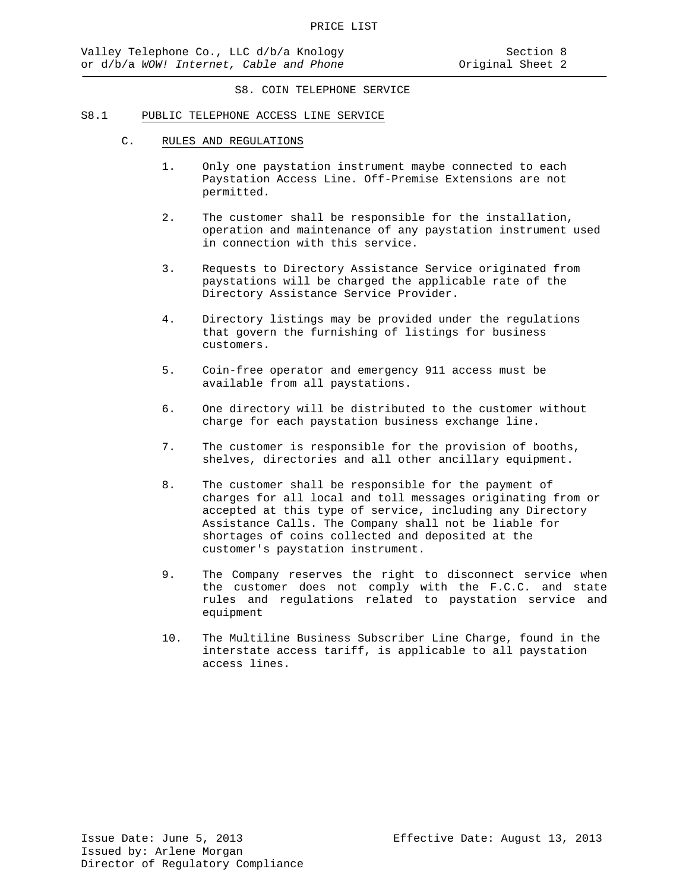#### S8.1 PUBLIC TELEPHONE ACCESS LINE SERVICE

- C. RULES AND REGULATIONS
	- 1. Only one paystation instrument maybe connected to each Paystation Access Line. Off-Premise Extensions are not permitted.
	- 2. The customer shall be responsible for the installation, operation and maintenance of any paystation instrument used in connection with this service.
	- 3. Requests to Directory Assistance Service originated from paystations will be charged the applicable rate of the Directory Assistance Service Provider.
	- 4. Directory listings may be provided under the regulations that govern the furnishing of listings for business customers.
	- 5. Coin-free operator and emergency 911 access must be available from all paystations.
	- 6. One directory will be distributed to the customer without charge for each paystation business exchange line.
	- 7. The customer is responsible for the provision of booths, shelves, directories and all other ancillary equipment.
	- 8. The customer shall be responsible for the payment of charges for all local and toll messages originating from or accepted at this type of service, including any Directory Assistance Calls. The Company shall not be liable for shortages of coins collected and deposited at the customer's paystation instrument.
	- 9. The Company reserves the right to disconnect service when the customer does not comply with the F.C.C. and state rules and regulations related to paystation service and equipment
	- 10. The Multiline Business Subscriber Line Charge, found in the interstate access tariff, is applicable to all paystation access lines.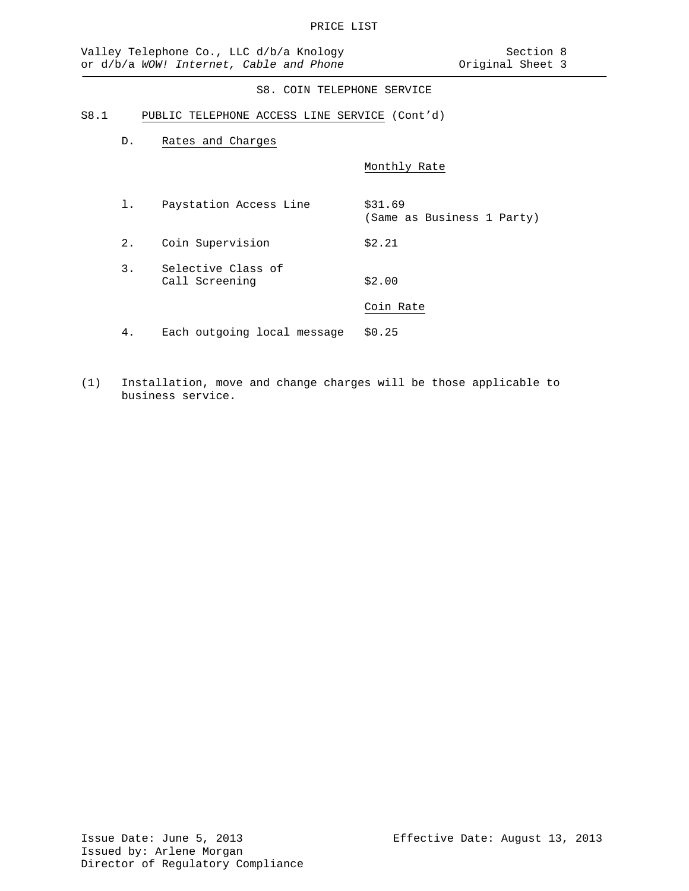#### S8.1 PUBLIC TELEPHONE ACCESS LINE SERVICE (Cont'd)

D. Rates and Charges

Monthly Rate

- 1. Paystation Access Line \$31.69 (Same as Business 1 Party) 2. Coin Supervision \$2.21 3. Selective Class of Call Screening \$2.00 Coin Rate 4. Each outgoing local message \$0.25
- (1) Installation, move and change charges will be those applicable to business service.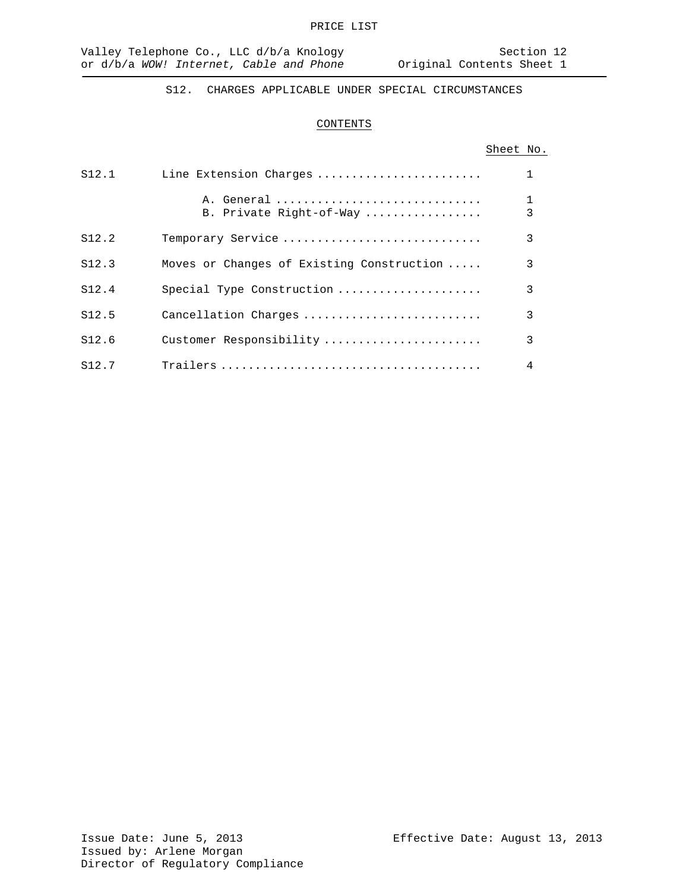S12. CHARGES APPLICABLE UNDER SPECIAL CIRCUMSTANCES

# CONTENTS

# Sheet No.

| S12.1 | Line Extension Charges                    |   |
|-------|-------------------------------------------|---|
|       | A. General<br>B. Private Right-of-Way     | 3 |
| S12.2 | Temporary Service                         | 3 |
| S12.3 | Moves or Changes of Existing Construction | 3 |
| S12.4 | Special Type Construction                 | 3 |
| S12.5 | Cancellation Charges                      | 3 |
| S12.6 | Customer Responsibility                   | 3 |
| S12.7 |                                           | 4 |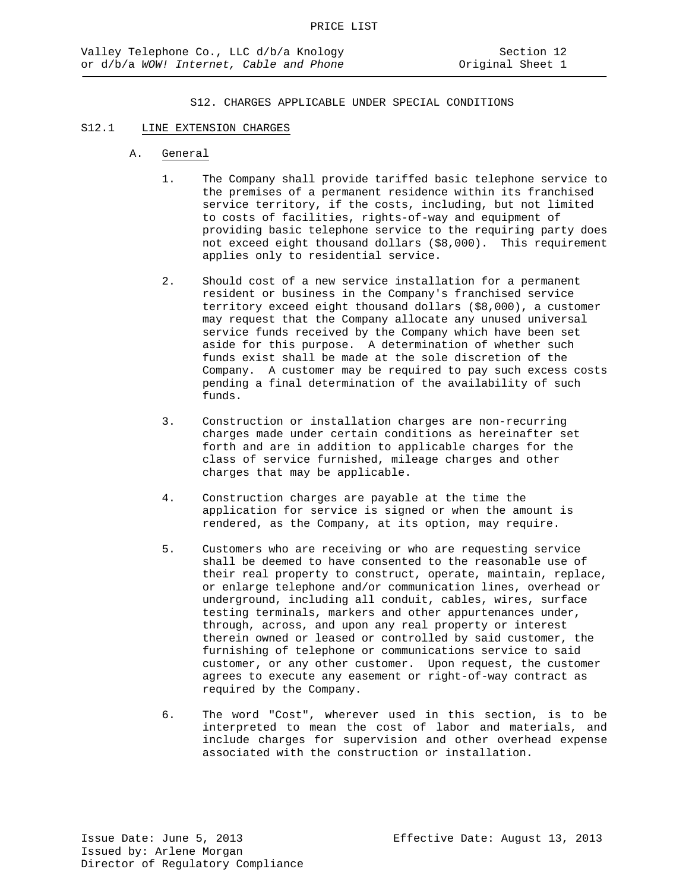#### S12.1 LINE EXTENSION CHARGES

- A. General
	- 1. The Company shall provide tariffed basic telephone service to the premises of a permanent residence within its franchised service territory, if the costs, including, but not limited to costs of facilities, rights-of-way and equipment of providing basic telephone service to the requiring party does not exceed eight thousand dollars (\$8,000). This requirement applies only to residential service.
	- 2. Should cost of a new service installation for a permanent resident or business in the Company's franchised service territory exceed eight thousand dollars (\$8,000), a customer may request that the Company allocate any unused universal service funds received by the Company which have been set aside for this purpose. A determination of whether such funds exist shall be made at the sole discretion of the Company. A customer may be required to pay such excess costs pending a final determination of the availability of such funds.
	- 3. Construction or installation charges are non-recurring charges made under certain conditions as hereinafter set forth and are in addition to applicable charges for the class of service furnished, mileage charges and other charges that may be applicable.
	- 4. Construction charges are payable at the time the application for service is signed or when the amount is rendered, as the Company, at its option, may require.
	- 5. Customers who are receiving or who are requesting service shall be deemed to have consented to the reasonable use of their real property to construct, operate, maintain, replace, or enlarge telephone and/or communication lines, overhead or underground, including all conduit, cables, wires, surface testing terminals, markers and other appurtenances under, through, across, and upon any real property or interest therein owned or leased or controlled by said customer, the furnishing of telephone or communications service to said customer, or any other customer. Upon request, the customer agrees to execute any easement or right-of-way contract as required by the Company.
	- 6. The word "Cost", wherever used in this section, is to be interpreted to mean the cost of labor and materials, and include charges for supervision and other overhead expense associated with the construction or installation.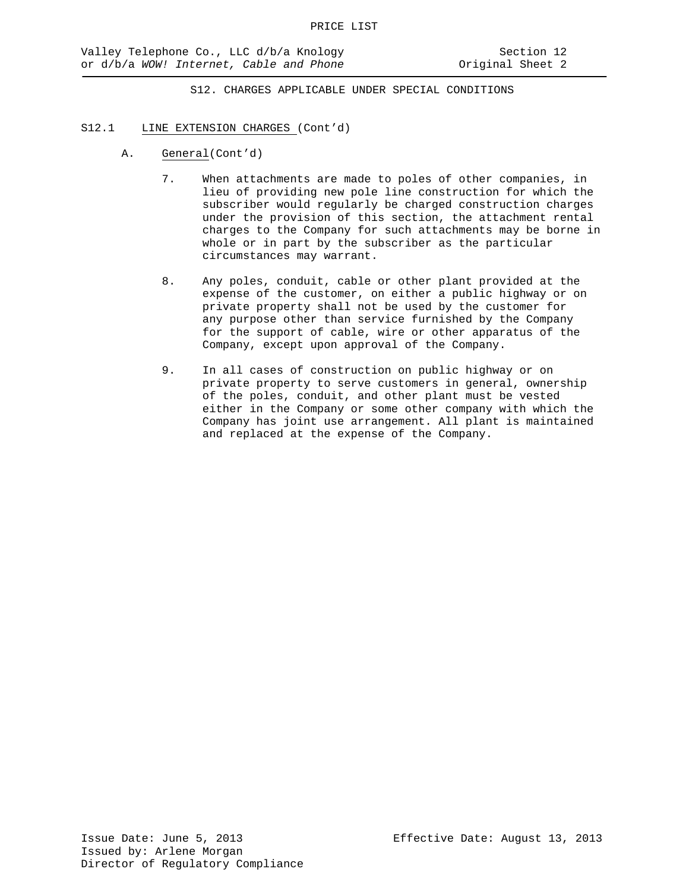# S12.1 LINE EXTENSION CHARGES (Cont'd)

- A. General(Cont'd)
	- 7. When attachments are made to poles of other companies, in lieu of providing new pole line construction for which the subscriber would regularly be charged construction charges under the provision of this section, the attachment rental charges to the Company for such attachments may be borne in whole or in part by the subscriber as the particular circumstances may warrant.
	- 8. Any poles, conduit, cable or other plant provided at the expense of the customer, on either a public highway or on private property shall not be used by the customer for any purpose other than service furnished by the Company for the support of cable, wire or other apparatus of the Company, except upon approval of the Company.
	- 9. In all cases of construction on public highway or on private property to serve customers in general, ownership of the poles, conduit, and other plant must be vested either in the Company or some other company with which the Company has joint use arrangement. All plant is maintained and replaced at the expense of the Company.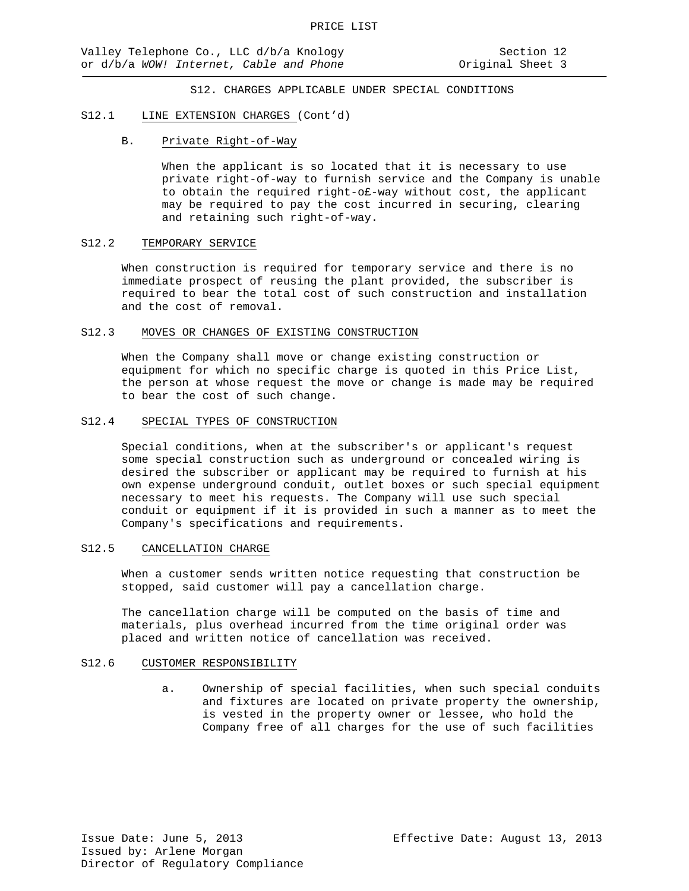#### S12.1 LINE EXTENSION CHARGES (Cont'd)

# B. Private Right-of-Way

When the applicant is so located that it is necessary to use private right-of-way to furnish service and the Company is unable to obtain the required right-o£-way without cost, the applicant may be required to pay the cost incurred in securing, clearing and retaining such right-of-way.

#### S12.2 TEMPORARY SERVICE

When construction is required for temporary service and there is no immediate prospect of reusing the plant provided, the subscriber is required to bear the total cost of such construction and installation and the cost of removal.

#### S12.3 MOVES OR CHANGES OF EXISTING CONSTRUCTION

When the Company shall move or change existing construction or equipment for which no specific charge is quoted in this Price List, the person at whose request the move or change is made may be required to bear the cost of such change.

#### S12.4 SPECIAL TYPES OF CONSTRUCTION

Special conditions, when at the subscriber's or applicant's request some special construction such as underground or concealed wiring is desired the subscriber or applicant may be required to furnish at his own expense underground conduit, outlet boxes or such special equipment necessary to meet his requests. The Company will use such special conduit or equipment if it is provided in such a manner as to meet the Company's specifications and requirements.

#### S12.5 CANCELLATION CHARGE

When a customer sends written notice requesting that construction be stopped, said customer will pay a cancellation charge.

The cancellation charge will be computed on the basis of time and materials, plus overhead incurred from the time original order was placed and written notice of cancellation was received.

#### S12.6 CUSTOMER RESPONSIBILITY

a. Ownership of special facilities, when such special conduits and fixtures are located on private property the ownership, is vested in the property owner or lessee, who hold the Company free of all charges for the use of such facilities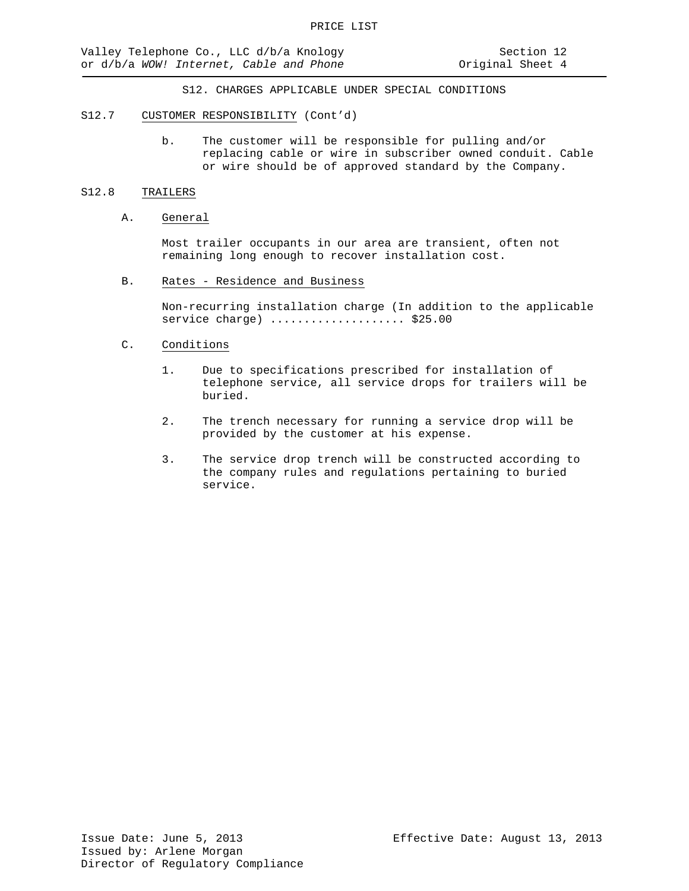#### S12.7 CUSTOMER RESPONSIBILITY (Cont'd)

b. The customer will be responsible for pulling and/or replacing cable or wire in subscriber owned conduit. Cable or wire should be of approved standard by the Company.

#### S12.8 TRAILERS

## A. General

Most trailer occupants in our area are transient, often not remaining long enough to recover installation cost.

B. Rates - Residence and Business

Non-recurring installation charge (In addition to the applicable service charge) ........................ \$25.00

# C. Conditions

- 1. Due to specifications prescribed for installation of telephone service, all service drops for trailers will be buried.
- 2. The trench necessary for running a service drop will be provided by the customer at his expense.
- 3. The service drop trench will be constructed according to the company rules and regulations pertaining to buried service.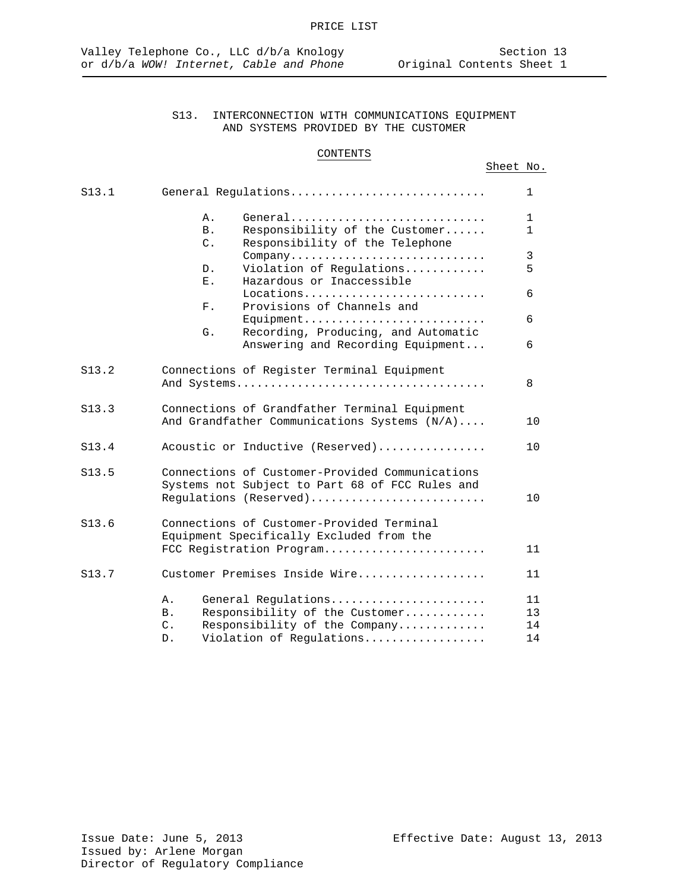# CONTENTS

# Sheet No.

|    |                                 | 1                                                                                                                                                                                                                                                                                                                                                                                                                                                                                                                                                                                                                                                                                                                                                                                                                                                                                                          |
|----|---------------------------------|------------------------------------------------------------------------------------------------------------------------------------------------------------------------------------------------------------------------------------------------------------------------------------------------------------------------------------------------------------------------------------------------------------------------------------------------------------------------------------------------------------------------------------------------------------------------------------------------------------------------------------------------------------------------------------------------------------------------------------------------------------------------------------------------------------------------------------------------------------------------------------------------------------|
| Α. |                                 | $\mathbf{1}$                                                                                                                                                                                                                                                                                                                                                                                                                                                                                                                                                                                                                                                                                                                                                                                                                                                                                               |
|    |                                 | 1.                                                                                                                                                                                                                                                                                                                                                                                                                                                                                                                                                                                                                                                                                                                                                                                                                                                                                                         |
| C. |                                 |                                                                                                                                                                                                                                                                                                                                                                                                                                                                                                                                                                                                                                                                                                                                                                                                                                                                                                            |
|    |                                 | 3                                                                                                                                                                                                                                                                                                                                                                                                                                                                                                                                                                                                                                                                                                                                                                                                                                                                                                          |
|    |                                 | 5                                                                                                                                                                                                                                                                                                                                                                                                                                                                                                                                                                                                                                                                                                                                                                                                                                                                                                          |
| Ε. |                                 |                                                                                                                                                                                                                                                                                                                                                                                                                                                                                                                                                                                                                                                                                                                                                                                                                                                                                                            |
|    |                                 | 6                                                                                                                                                                                                                                                                                                                                                                                                                                                                                                                                                                                                                                                                                                                                                                                                                                                                                                          |
|    |                                 |                                                                                                                                                                                                                                                                                                                                                                                                                                                                                                                                                                                                                                                                                                                                                                                                                                                                                                            |
|    |                                 | 6                                                                                                                                                                                                                                                                                                                                                                                                                                                                                                                                                                                                                                                                                                                                                                                                                                                                                                          |
|    |                                 |                                                                                                                                                                                                                                                                                                                                                                                                                                                                                                                                                                                                                                                                                                                                                                                                                                                                                                            |
|    |                                 | 6                                                                                                                                                                                                                                                                                                                                                                                                                                                                                                                                                                                                                                                                                                                                                                                                                                                                                                          |
|    |                                 |                                                                                                                                                                                                                                                                                                                                                                                                                                                                                                                                                                                                                                                                                                                                                                                                                                                                                                            |
|    |                                 | 8                                                                                                                                                                                                                                                                                                                                                                                                                                                                                                                                                                                                                                                                                                                                                                                                                                                                                                          |
|    |                                 |                                                                                                                                                                                                                                                                                                                                                                                                                                                                                                                                                                                                                                                                                                                                                                                                                                                                                                            |
|    |                                 | 10                                                                                                                                                                                                                                                                                                                                                                                                                                                                                                                                                                                                                                                                                                                                                                                                                                                                                                         |
|    |                                 | 10                                                                                                                                                                                                                                                                                                                                                                                                                                                                                                                                                                                                                                                                                                                                                                                                                                                                                                         |
|    |                                 |                                                                                                                                                                                                                                                                                                                                                                                                                                                                                                                                                                                                                                                                                                                                                                                                                                                                                                            |
|    |                                 |                                                                                                                                                                                                                                                                                                                                                                                                                                                                                                                                                                                                                                                                                                                                                                                                                                                                                                            |
|    |                                 |                                                                                                                                                                                                                                                                                                                                                                                                                                                                                                                                                                                                                                                                                                                                                                                                                                                                                                            |
|    |                                 | 10                                                                                                                                                                                                                                                                                                                                                                                                                                                                                                                                                                                                                                                                                                                                                                                                                                                                                                         |
|    |                                 |                                                                                                                                                                                                                                                                                                                                                                                                                                                                                                                                                                                                                                                                                                                                                                                                                                                                                                            |
|    |                                 |                                                                                                                                                                                                                                                                                                                                                                                                                                                                                                                                                                                                                                                                                                                                                                                                                                                                                                            |
|    |                                 | 11                                                                                                                                                                                                                                                                                                                                                                                                                                                                                                                                                                                                                                                                                                                                                                                                                                                                                                         |
|    |                                 |                                                                                                                                                                                                                                                                                                                                                                                                                                                                                                                                                                                                                                                                                                                                                                                                                                                                                                            |
|    |                                 | 11                                                                                                                                                                                                                                                                                                                                                                                                                                                                                                                                                                                                                                                                                                                                                                                                                                                                                                         |
|    |                                 | 11                                                                                                                                                                                                                                                                                                                                                                                                                                                                                                                                                                                                                                                                                                                                                                                                                                                                                                         |
|    |                                 | 13                                                                                                                                                                                                                                                                                                                                                                                                                                                                                                                                                                                                                                                                                                                                                                                                                                                                                                         |
|    |                                 | 14                                                                                                                                                                                                                                                                                                                                                                                                                                                                                                                                                                                                                                                                                                                                                                                                                                                                                                         |
|    |                                 | 14                                                                                                                                                                                                                                                                                                                                                                                                                                                                                                                                                                                                                                                                                                                                                                                                                                                                                                         |
|    | <b>B</b> .<br>D.<br>$F$ .<br>G. | General Regulations<br>General<br>Responsibility of the Customer<br>Responsibility of the Telephone<br>Company<br>Violation of Regulations<br>Hazardous or Inaccessible<br>Locations<br>Provisions of Channels and<br>Equipment<br>Recording, Producing, and Automatic<br>Answering and Recording Equipment<br>Connections of Register Terminal Equipment<br>Connections of Grandfather Terminal Equipment<br>And Grandfather Communications Systems (N/A)<br>Acoustic or Inductive (Reserved)<br>Connections of Customer-Provided Communications<br>Systems not Subject to Part 68 of FCC Rules and<br>Regulations (Reserved)<br>Connections of Customer-Provided Terminal<br>Equipment Specifically Excluded from the<br>FCC Registration Program<br>Customer Premises Inside Wire<br>General Regulations<br>Responsibility of the Customer<br>Responsibility of the Company<br>Violation of Regulations |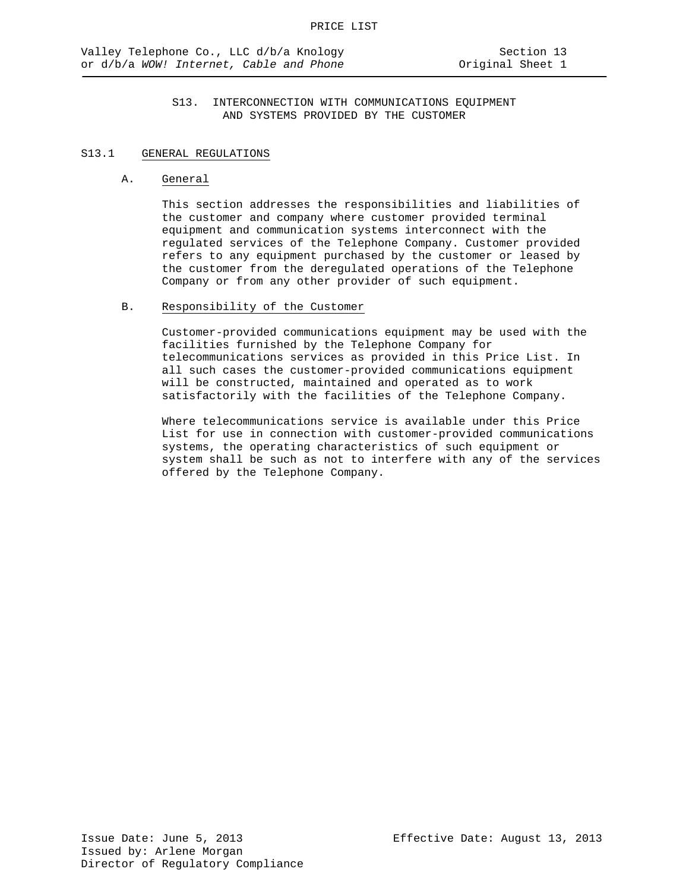# S13.1 GENERAL REGULATIONS

#### A. General

This section addresses the responsibilities and liabilities of the customer and company where customer provided terminal equipment and communication systems interconnect with the regulated services of the Telephone Company. Customer provided refers to any equipment purchased by the customer or leased by the customer from the deregulated operations of the Telephone Company or from any other provider of such equipment.

# B. Responsibility of the Customer

Customer-provided communications equipment may be used with the facilities furnished by the Telephone Company for telecommunications services as provided in this Price List. In all such cases the customer-provided communications equipment will be constructed, maintained and operated as to work satisfactorily with the facilities of the Telephone Company.

Where telecommunications service is available under this Price List for use in connection with customer-provided communications systems, the operating characteristics of such equipment or system shall be such as not to interfere with any of the services offered by the Telephone Company.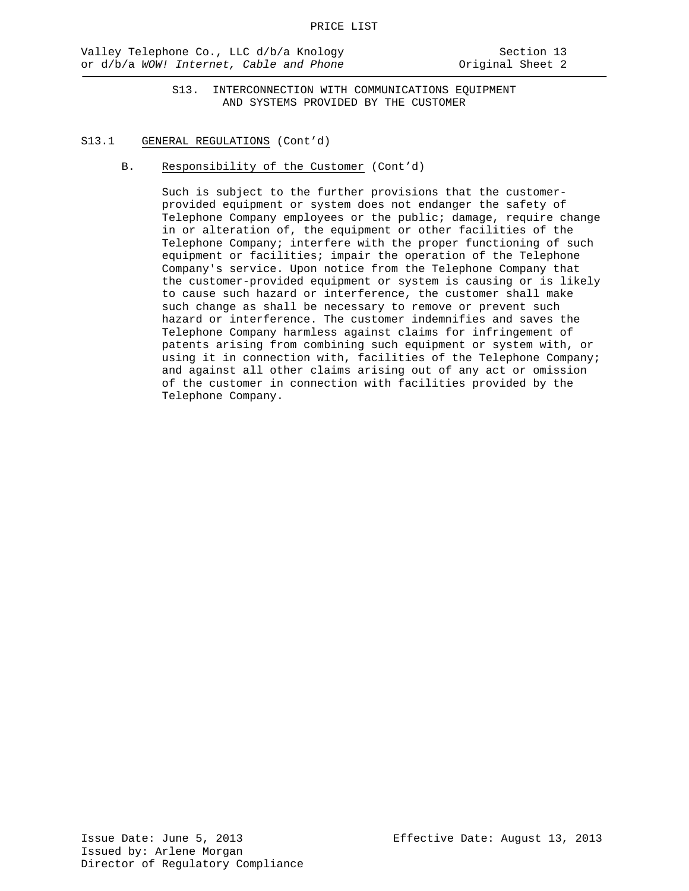#### S13.1 GENERAL REGULATIONS (Cont'd)

B. Responsibility of the Customer (Cont'd)

Such is subject to the further provisions that the customerprovided equipment or system does not endanger the safety of Telephone Company employees or the public; damage, require change in or alteration of, the equipment or other facilities of the Telephone Company; interfere with the proper functioning of such equipment or facilities; impair the operation of the Telephone Company's service. Upon notice from the Telephone Company that the customer-provided equipment or system is causing or is likely to cause such hazard or interference, the customer shall make such change as shall be necessary to remove or prevent such hazard or interference. The customer indemnifies and saves the Telephone Company harmless against claims for infringement of patents arising from combining such equipment or system with, or using it in connection with, facilities of the Telephone Company; and against all other claims arising out of any act or omission of the customer in connection with facilities provided by the Telephone Company.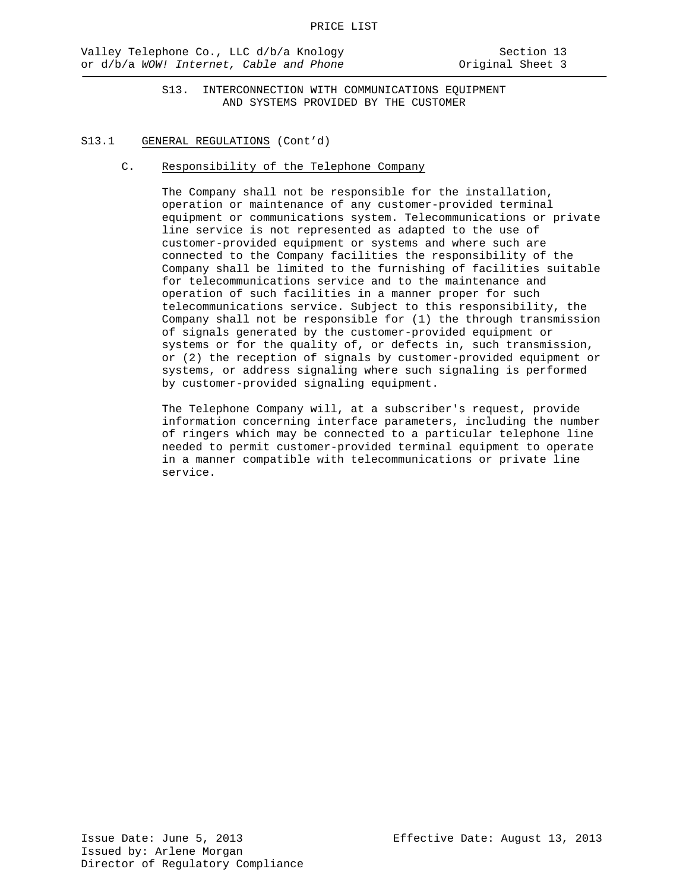#### S13.1 GENERAL REGULATIONS (Cont'd)

C. Responsibility of the Telephone Company

The Company shall not be responsible for the installation, operation or maintenance of any customer-provided terminal equipment or communications system. Telecommunications or private line service is not represented as adapted to the use of customer-provided equipment or systems and where such are connected to the Company facilities the responsibility of the Company shall be limited to the furnishing of facilities suitable for telecommunications service and to the maintenance and operation of such facilities in a manner proper for such telecommunications service. Subject to this responsibility, the Company shall not be responsible for (1) the through transmission of signals generated by the customer-provided equipment or systems or for the quality of, or defects in, such transmission, or (2) the reception of signals by customer-provided equipment or systems, or address signaling where such signaling is performed by customer-provided signaling equipment.

The Telephone Company will, at a subscriber's request, provide information concerning interface parameters, including the number of ringers which may be connected to a particular telephone line needed to permit customer-provided terminal equipment to operate in a manner compatible with telecommunications or private line service.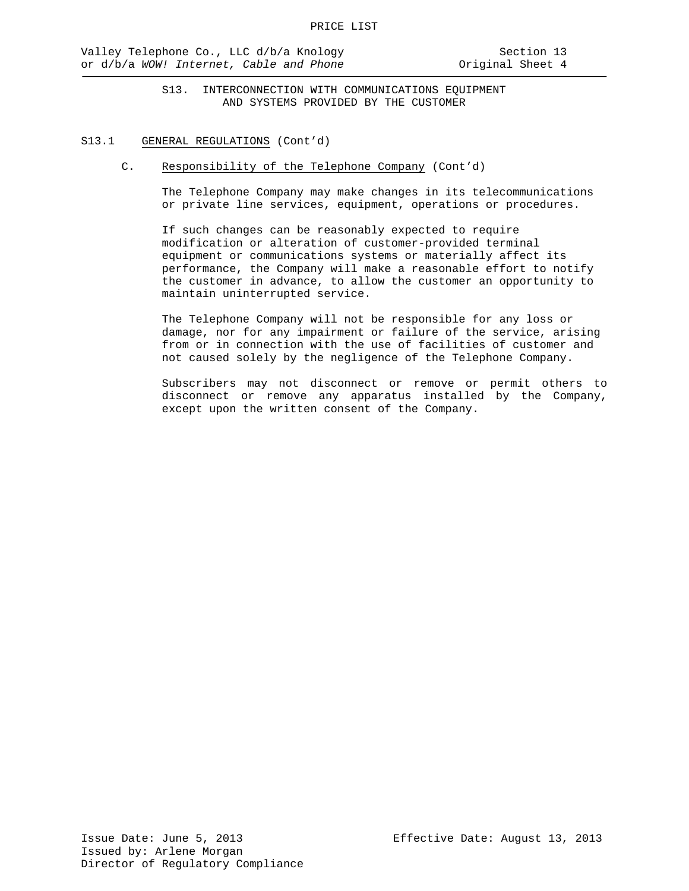#### S13.1 GENERAL REGULATIONS (Cont'd)

C. Responsibility of the Telephone Company (Cont'd)

The Telephone Company may make changes in its telecommunications or private line services, equipment, operations or procedures.

If such changes can be reasonably expected to require modification or alteration of customer-provided terminal equipment or communications systems or materially affect its performance, the Company will make a reasonable effort to notify the customer in advance, to allow the customer an opportunity to maintain uninterrupted service.

The Telephone Company will not be responsible for any loss or damage, nor for any impairment or failure of the service, arising from or in connection with the use of facilities of customer and not caused solely by the negligence of the Telephone Company.

Subscribers may not disconnect or remove or permit others to disconnect or remove any apparatus installed by the Company, except upon the written consent of the Company.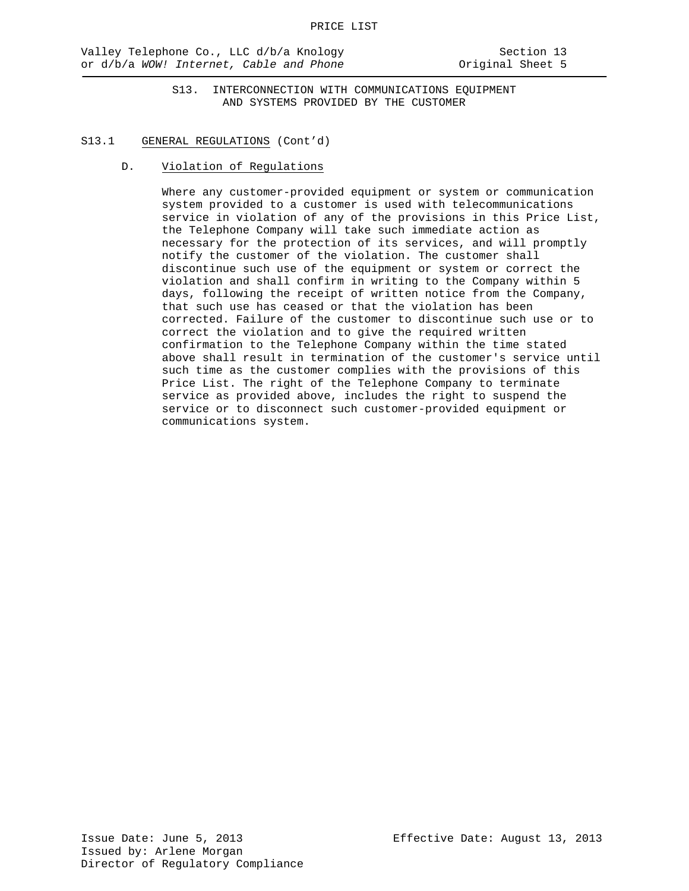#### S13.1 GENERAL REGULATIONS (Cont'd)

D. Violation of Regulations

Where any customer-provided equipment or system or communication system provided to a customer is used with telecommunications service in violation of any of the provisions in this Price List, the Telephone Company will take such immediate action as necessary for the protection of its services, and will promptly notify the customer of the violation. The customer shall discontinue such use of the equipment or system or correct the violation and shall confirm in writing to the Company within 5 days, following the receipt of written notice from the Company, that such use has ceased or that the violation has been corrected. Failure of the customer to discontinue such use or to correct the violation and to give the required written confirmation to the Telephone Company within the time stated above shall result in termination of the customer's service until such time as the customer complies with the provisions of this Price List. The right of the Telephone Company to terminate service as provided above, includes the right to suspend the service or to disconnect such customer-provided equipment or communications system.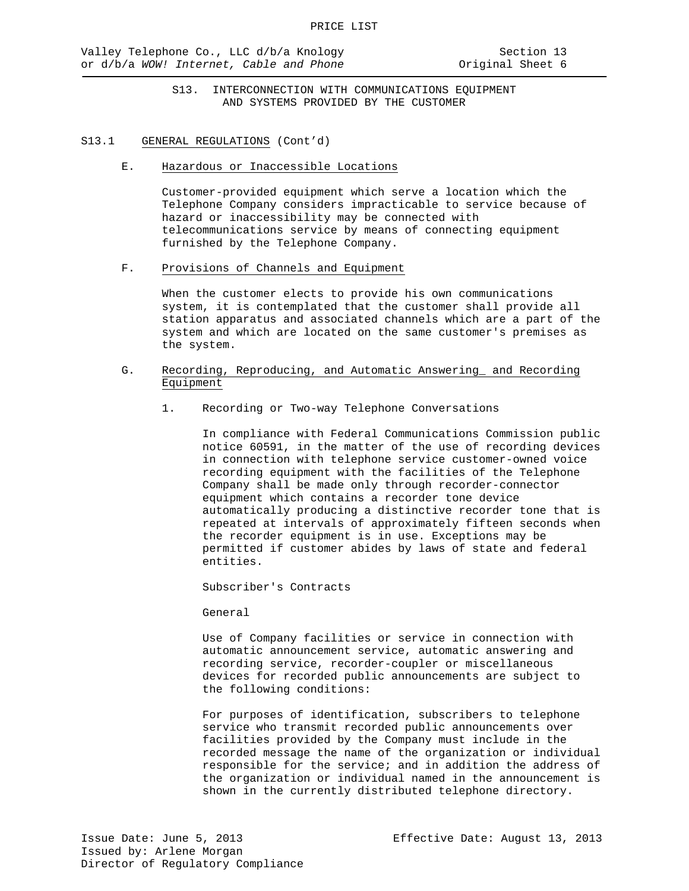#### S13.1 GENERAL REGULATIONS (Cont'd)

E. Hazardous or Inaccessible Locations

Customer-provided equipment which serve a location which the Telephone Company considers impracticable to service because of hazard or inaccessibility may be connected with telecommunications service by means of connecting equipment furnished by the Telephone Company.

F. Provisions of Channels and Equipment

When the customer elects to provide his own communications system, it is contemplated that the customer shall provide all station apparatus and associated channels which are a part of the system and which are located on the same customer's premises as the system.

- G. Recording, Reproducing, and Automatic Answering\_ and Recording Equipment
	- 1. Recording or Two-way Telephone Conversations

In compliance with Federal Communications Commission public notice 60591, in the matter of the use of recording devices in connection with telephone service customer-owned voice recording equipment with the facilities of the Telephone Company shall be made only through recorder-connector equipment which contains a recorder tone device automatically producing a distinctive recorder tone that is repeated at intervals of approximately fifteen seconds when the recorder equipment is in use. Exceptions may be permitted if customer abides by laws of state and federal entities.

Subscriber's Contracts

General

Use of Company facilities or service in connection with automatic announcement service, automatic answering and recording service, recorder-coupler or miscellaneous devices for recorded public announcements are subject to the following conditions:

For purposes of identification, subscribers to telephone service who transmit recorded public announcements over facilities provided by the Company must include in the recorded message the name of the organization or individual responsible for the service; and in addition the address of the organization or individual named in the announcement is shown in the currently distributed telephone directory.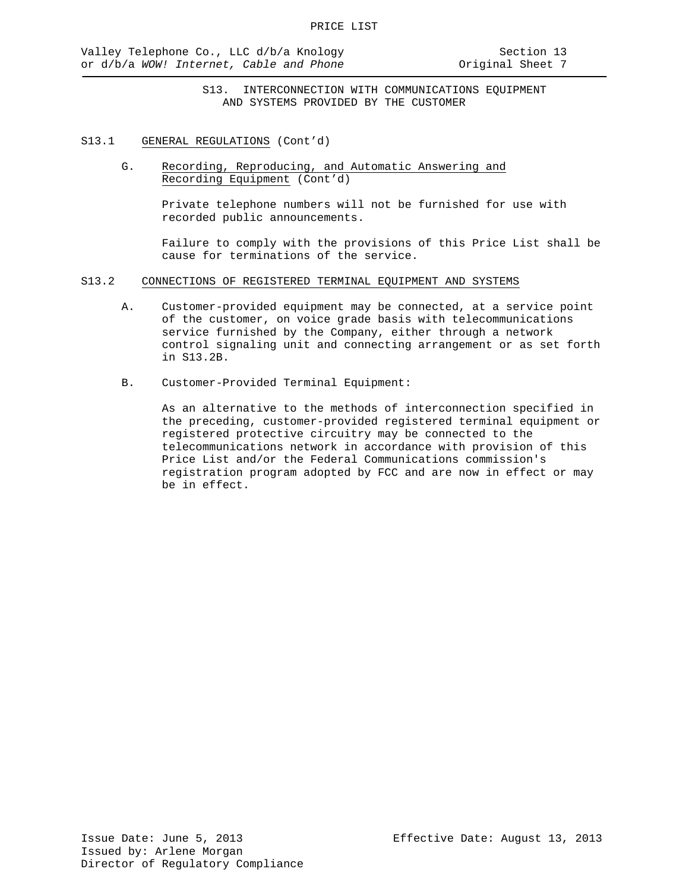- S13.1 GENERAL REGULATIONS (Cont'd)
	- G. Recording, Reproducing, and Automatic Answering and Recording Equipment (Cont'd)

Private telephone numbers will not be furnished for use with recorded public announcements.

Failure to comply with the provisions of this Price List shall be cause for terminations of the service.

- S13.2 CONNECTIONS OF REGISTERED TERMINAL EQUIPMENT AND SYSTEMS
	- A. Customer-provided equipment may be connected, at a service point of the customer, on voice grade basis with telecommunications service furnished by the Company, either through a network control signaling unit and connecting arrangement or as set forth in S13.2B.
	- B. Customer-Provided Terminal Equipment:

As an alternative to the methods of interconnection specified in the preceding, customer-provided registered terminal equipment or registered protective circuitry may be connected to the telecommunications network in accordance with provision of this Price List and/or the Federal Communications commission's registration program adopted by FCC and are now in effect or may be in effect.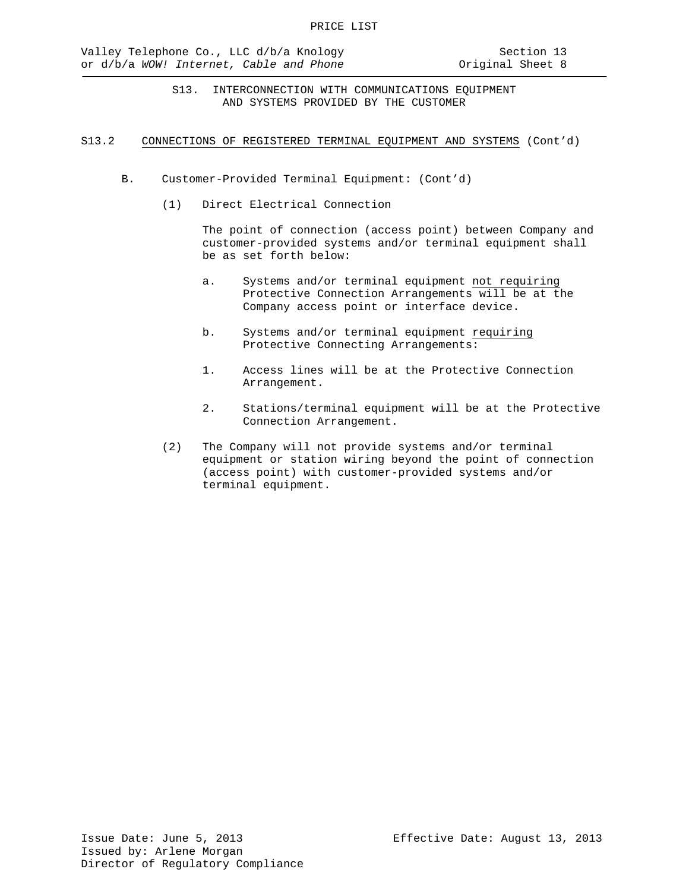#### S13.2 CONNECTIONS OF REGISTERED TERMINAL EQUIPMENT AND SYSTEMS (Cont'd)

- B. Customer-Provided Terminal Equipment: (Cont'd)
	- (1) Direct Electrical Connection

The point of connection (access point) between Company and customer-provided systems and/or terminal equipment shall be as set forth below:

- a. Systems and/or terminal equipment not requiring Protective Connection Arrangements will be at the Company access point or interface device.
- b. Systems and/or terminal equipment requiring Protective Connecting Arrangements:
- 1. Access lines will be at the Protective Connection Arrangement.
- 2. Stations/terminal equipment will be at the Protective Connection Arrangement.
- (2) The Company will not provide systems and/or terminal equipment or station wiring beyond the point of connection (access point) with customer-provided systems and/or terminal equipment.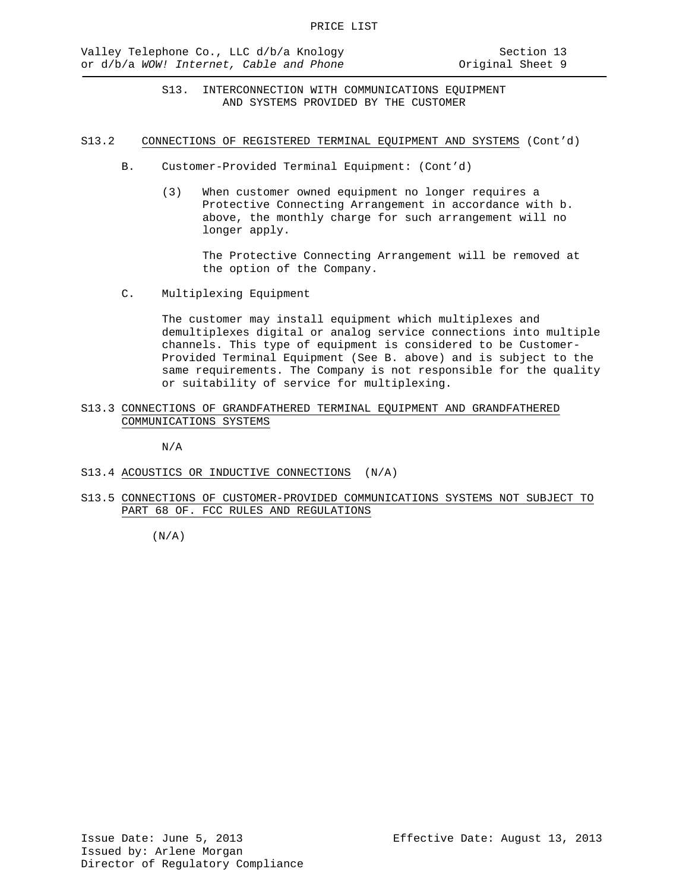#### S13.2 CONNECTIONS OF REGISTERED TERMINAL EQUIPMENT AND SYSTEMS (Cont'd)

- B. Customer-Provided Terminal Equipment: (Cont'd)
	- (3) When customer owned equipment no longer requires a Protective Connecting Arrangement in accordance with b. above, the monthly charge for such arrangement will no longer apply.

The Protective Connecting Arrangement will be removed at the option of the Company.

C. Multiplexing Equipment

The customer may install equipment which multiplexes and demultiplexes digital or analog service connections into multiple channels. This type of equipment is considered to be Customer-Provided Terminal Equipment (See B. above) and is subject to the same requirements. The Company is not responsible for the quality or suitability of service for multiplexing.

S13.3 CONNECTIONS OF GRANDFATHERED TERMINAL EQUIPMENT AND GRANDFATHERED COMMUNICATIONS SYSTEMS

N/A

- S13.4 ACOUSTICS OR INDUCTIVE CONNECTIONS (N/A)
- S13.5 CONNECTIONS OF CUSTOMER-PROVIDED COMMUNICATIONS SYSTEMS NOT SUBJECT TO PART 68 OF. FCC RULES AND REGULATIONS

 $(N/A)$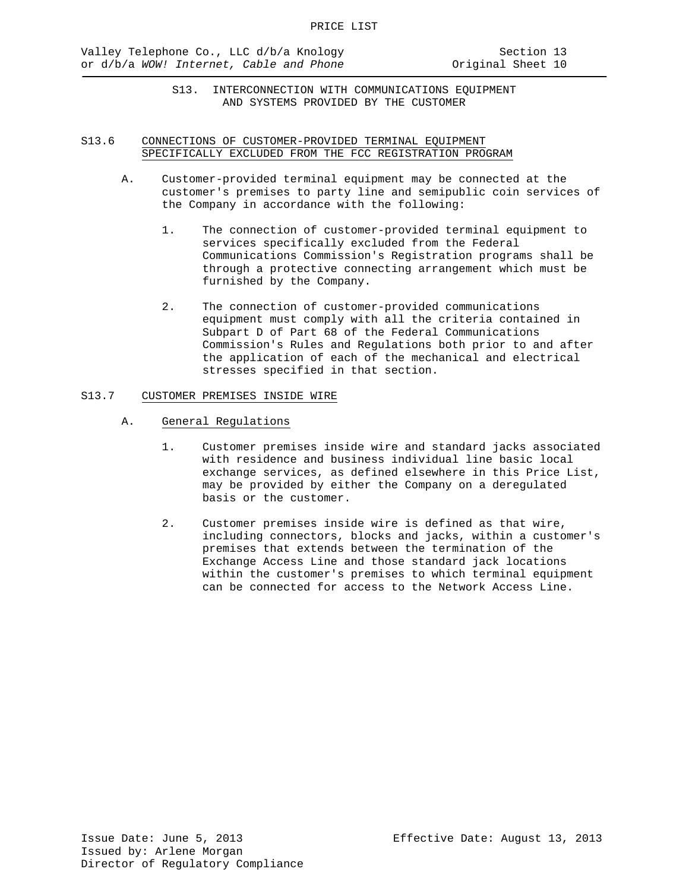# S13.6 CONNECTIONS OF CUSTOMER-PROVIDED TERMINAL EQUIPMENT SPECIFICALLY EXCLUDED FROM THE FCC REGISTRATION PROGRAM

- A. Customer-provided terminal equipment may be connected at the customer's premises to party line and semipublic coin services of the Company in accordance with the following:
	- 1. The connection of customer-provided terminal equipment to services specifically excluded from the Federal Communications Commission's Registration programs shall be through a protective connecting arrangement which must be furnished by the Company.
	- 2. The connection of customer-provided communications equipment must comply with all the criteria contained in Subpart D of Part 68 of the Federal Communications Commission's Rules and Regulations both prior to and after the application of each of the mechanical and electrical stresses specified in that section.

# S13.7 CUSTOMER PREMISES INSIDE WIRE

- A. General Regulations
	- 1. Customer premises inside wire and standard jacks associated with residence and business individual line basic local exchange services, as defined elsewhere in this Price List, may be provided by either the Company on a deregulated basis or the customer.
	- 2. Customer premises inside wire is defined as that wire, including connectors, blocks and jacks, within a customer's premises that extends between the termination of the Exchange Access Line and those standard jack locations within the customer's premises to which terminal equipment can be connected for access to the Network Access Line.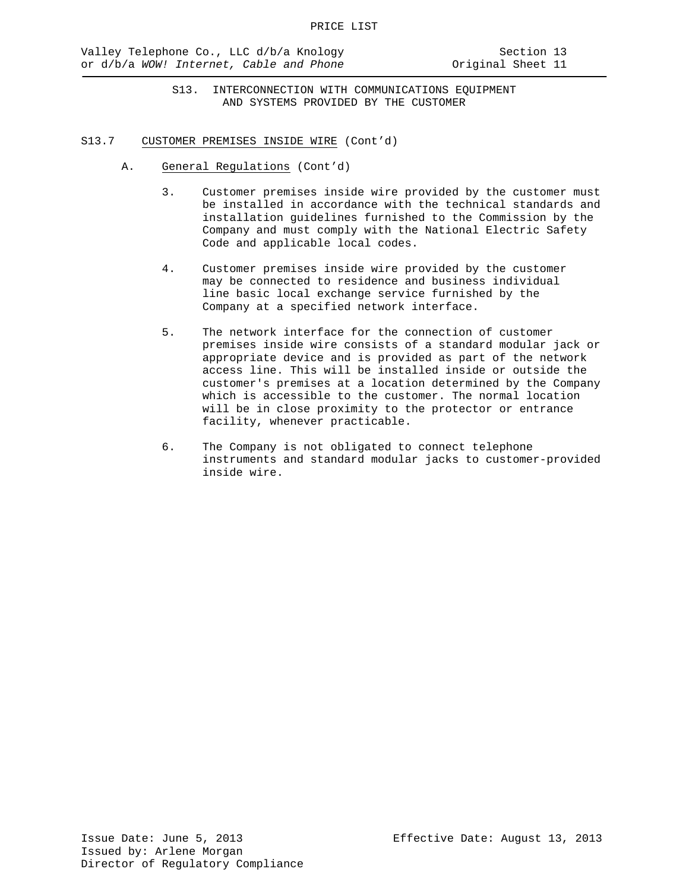- S13. INTERCONNECTION WITH COMMUNICATIONS EQUIPMENT AND SYSTEMS PROVIDED BY THE CUSTOMER
- S13.7 CUSTOMER PREMISES INSIDE WIRE (Cont'd)
	- A. General Regulations (Cont'd)
		- 3. Customer premises inside wire provided by the customer must be installed in accordance with the technical standards and installation guidelines furnished to the Commission by the Company and must comply with the National Electric Safety Code and applicable local codes.
		- 4. Customer premises inside wire provided by the customer may be connected to residence and business individual line basic local exchange service furnished by the Company at a specified network interface.
		- 5. The network interface for the connection of customer premises inside wire consists of a standard modular jack or appropriate device and is provided as part of the network access line. This will be installed inside or outside the customer's premises at a location determined by the Company which is accessible to the customer. The normal location will be in close proximity to the protector or entrance facility, whenever practicable.
		- 6. The Company is not obligated to connect telephone instruments and standard modular jacks to customer-provided inside wire.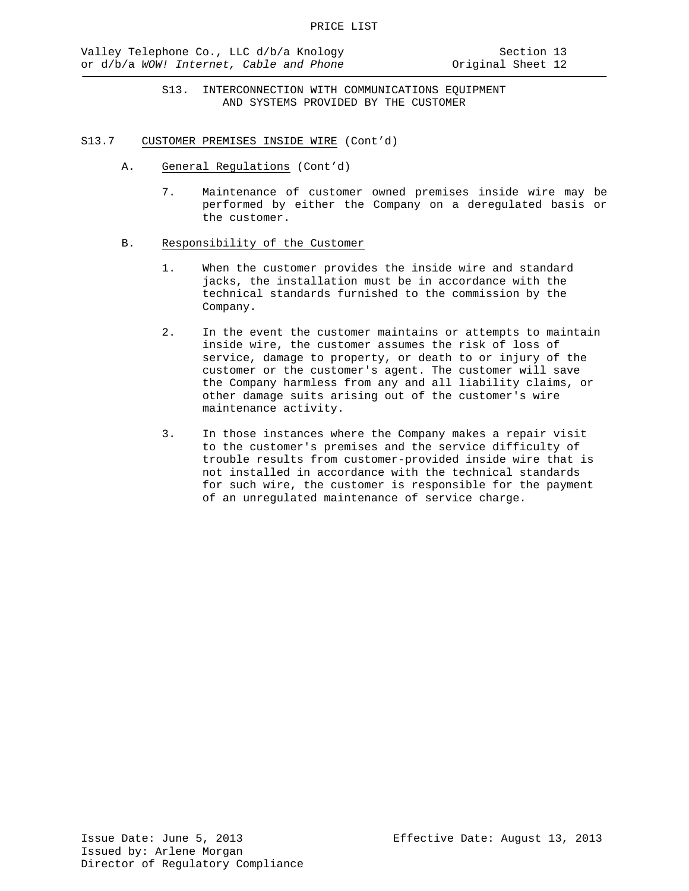- S13.7 CUSTOMER PREMISES INSIDE WIRE (Cont'd)
	- A. General Regulations (Cont'd)
		- 7. Maintenance of customer owned premises inside wire may be performed by either the Company on a deregulated basis or the customer.
	- B. Responsibility of the Customer
		- 1. When the customer provides the inside wire and standard jacks, the installation must be in accordance with the technical standards furnished to the commission by the Company.
		- 2. In the event the customer maintains or attempts to maintain inside wire, the customer assumes the risk of loss of service, damage to property, or death to or injury of the customer or the customer's agent. The customer will save the Company harmless from any and all liability claims, or other damage suits arising out of the customer's wire maintenance activity.
		- 3. In those instances where the Company makes a repair visit to the customer's premises and the service difficulty of trouble results from customer-provided inside wire that is not installed in accordance with the technical standards for such wire, the customer is responsible for the payment of an unregulated maintenance of service charge.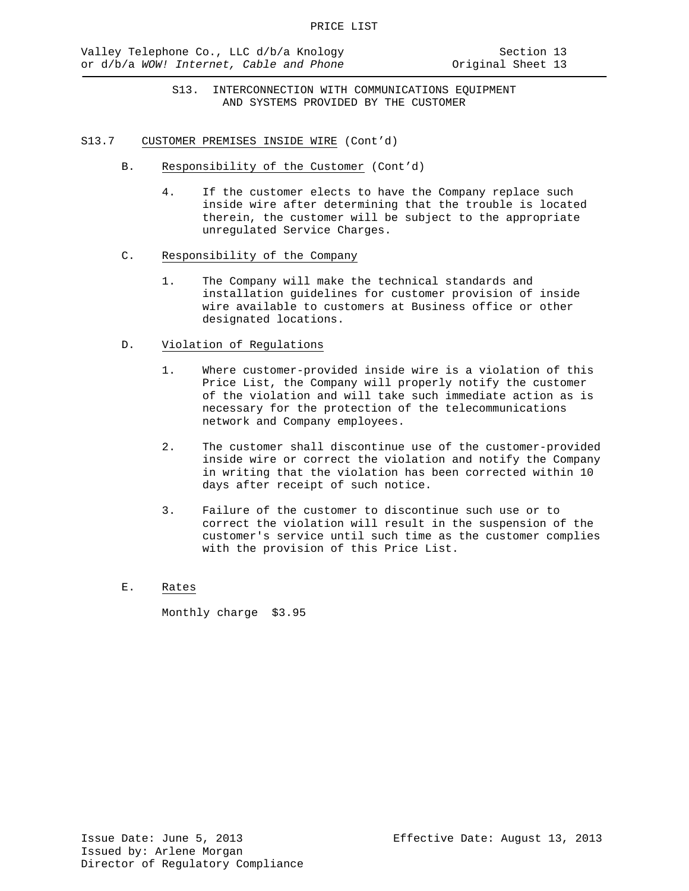- S13. INTERCONNECTION WITH COMMUNICATIONS EQUIPMENT AND SYSTEMS PROVIDED BY THE CUSTOMER
- S13.7 CUSTOMER PREMISES INSIDE WIRE (Cont'd)
	- B. Responsibility of the Customer (Cont'd)
		- 4. If the customer elects to have the Company replace such inside wire after determining that the trouble is located therein, the customer will be subject to the appropriate unregulated Service Charges.
	- C. Responsibility of the Company
		- 1. The Company will make the technical standards and installation guidelines for customer provision of inside wire available to customers at Business office or other designated locations.

# D. Violation of Regulations

- 1. Where customer-provided inside wire is a violation of this Price List, the Company will properly notify the customer of the violation and will take such immediate action as is necessary for the protection of the telecommunications network and Company employees.
- 2. The customer shall discontinue use of the customer-provided inside wire or correct the violation and notify the Company in writing that the violation has been corrected within 10 days after receipt of such notice.
- 3. Failure of the customer to discontinue such use or to correct the violation will result in the suspension of the customer's service until such time as the customer complies with the provision of this Price List.
- E. Rates

Monthly charge \$3.95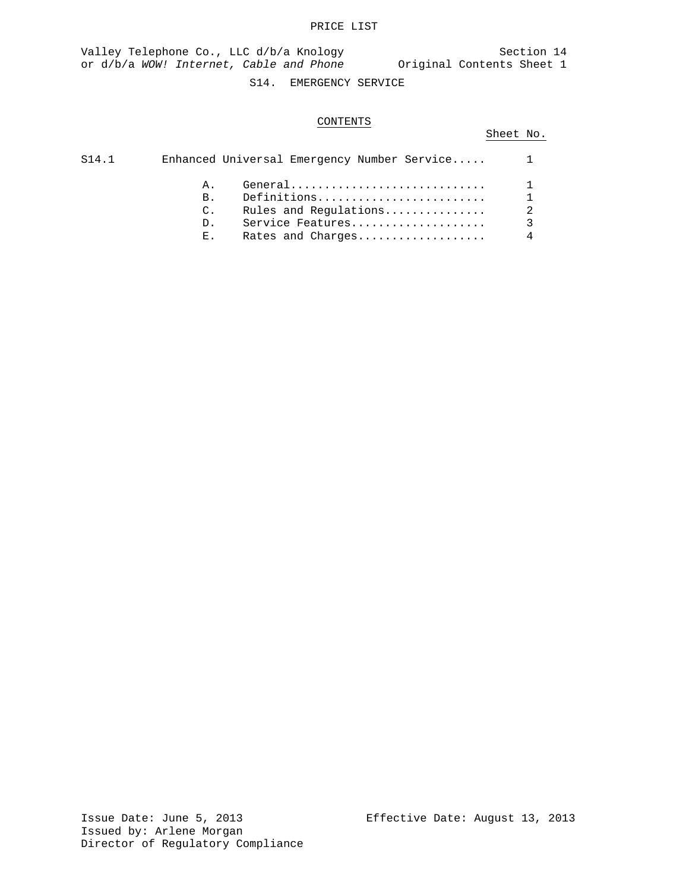## PRICE LIST

Valley Telephone Co., LLC d/b/a Knology Section 14 or d/b/a *WOW! Internet, Cable and Phone* Original Contents Sheet 1

# S14. EMERGENCY SERVICE

# CONTENTS

# Sheet No.

| S14.1 |                | Enhanced Universal Emergency Number Service |  |
|-------|----------------|---------------------------------------------|--|
|       | A.,            | $General$                                   |  |
|       | $B_{\perp}$    | Definitions                                 |  |
|       | $\mathbb{C}$ . | Rules and Regulations                       |  |
|       | $D_{\perp}$    | Service Features                            |  |
|       | $E_{\infty}$   | Rates and Charges                           |  |
|       |                |                                             |  |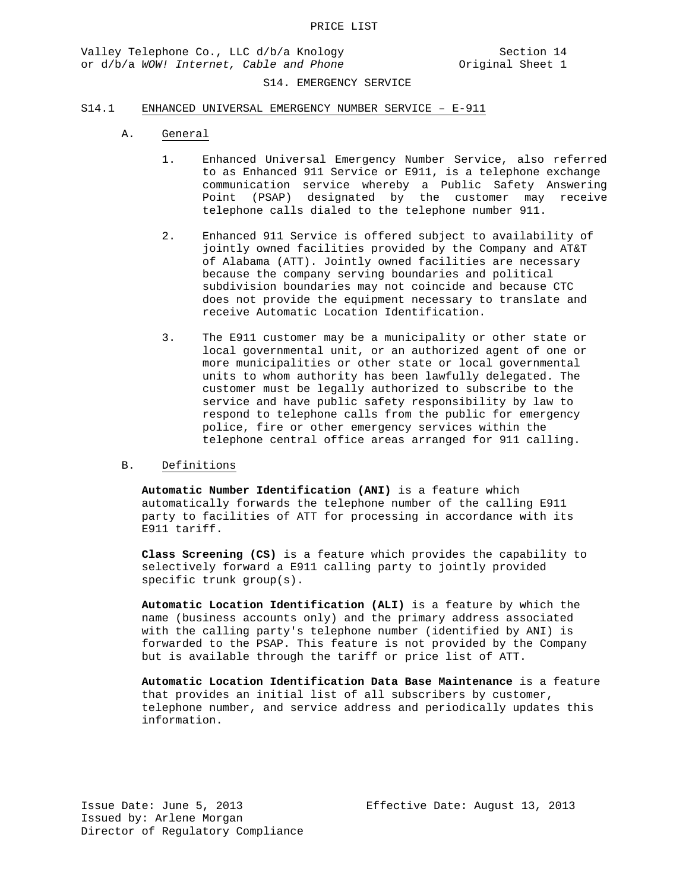### S14.1 ENHANCED UNIVERSAL EMERGENCY NUMBER SERVICE – E-911

- A. General
	- 1. Enhanced Universal Emergency Number Service, also referred to as Enhanced 911 Service or E911, is a telephone exchange communication service whereby a Public Safety Answering Point (PSAP) designated by the customer may receive telephone calls dialed to the telephone number 911.
	- 2. Enhanced 911 Service is offered subject to availability of jointly owned facilities provided by the Company and AT&T of Alabama (ATT). Jointly owned facilities are necessary because the company serving boundaries and political subdivision boundaries may not coincide and because CTC does not provide the equipment necessary to translate and receive Automatic Location Identification.
	- 3. The E911 customer may be a municipality or other state or local governmental unit, or an authorized agent of one or more municipalities or other state or local governmental units to whom authority has been lawfully delegated. The customer must be legally authorized to subscribe to the service and have public safety responsibility by law to respond to telephone calls from the public for emergency police, fire or other emergency services within the telephone central office areas arranged for 911 calling.

## B. Definitions

**Automatic Number Identification (ANI)** is a feature which automatically forwards the telephone number of the calling E911 party to facilities of ATT for processing in accordance with its E911 tariff.

**Class Screening (CS)** is a feature which provides the capability to selectively forward a E911 calling party to jointly provided specific trunk group(s).

**Automatic Location Identification (ALI)** is a feature by which the name (business accounts only) and the primary address associated with the calling party's telephone number (identified by ANI) is forwarded to the PSAP. This feature is not provided by the Company but is available through the tariff or price list of ATT.

**Automatic Location Identification Data Base Maintenance** is a feature that provides an initial list of all subscribers by customer, telephone number, and service address and periodically updates this information.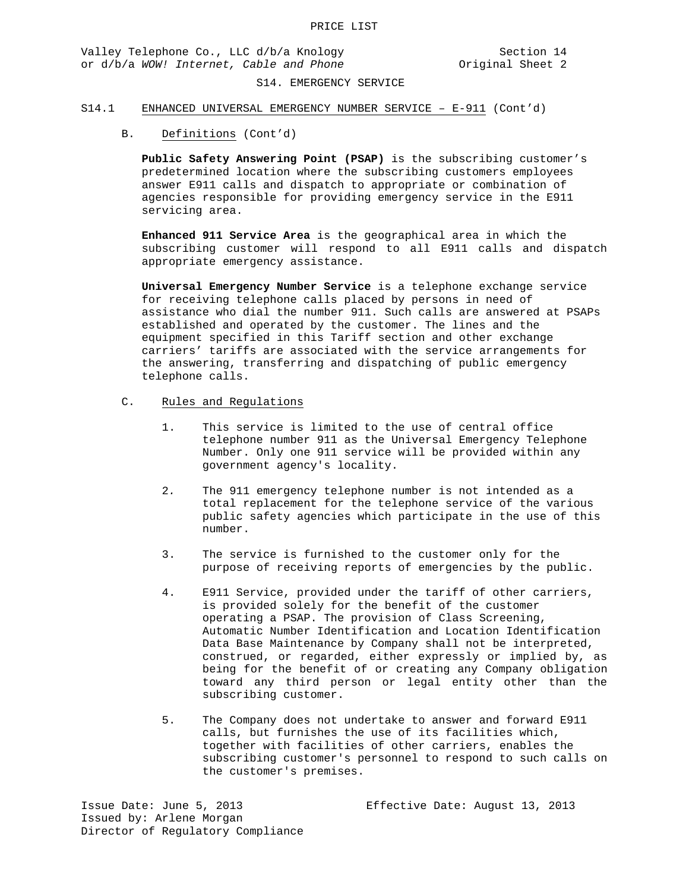Valley Telephone Co., LLC d/b/a Knology Section 14 or d/b/a *WOW!* Internet, Cable and Phone **Original** Sheet 2

## S14. EMERGENCY SERVICE

## S14.1 ENHANCED UNIVERSAL EMERGENCY NUMBER SERVICE – E-911 (Cont'd)

### B. Definitions (Cont'd)

**Public Safety Answering Point (PSAP)** is the subscribing customer's predetermined location where the subscribing customers employees answer E911 calls and dispatch to appropriate or combination of agencies responsible for providing emergency service in the E911 servicing area.

**Enhanced 911 Service Area** is the geographical area in which the subscribing customer will respond to all E911 calls and dispatch appropriate emergency assistance.

**Universal Emergency Number Service** is a telephone exchange service for receiving telephone calls placed by persons in need of assistance who dial the number 911. Such calls are answered at PSAPs established and operated by the customer. The lines and the equipment specified in this Tariff section and other exchange carriers' tariffs are associated with the service arrangements for the answering, transferring and dispatching of public emergency telephone calls.

## C. Rules and Regulations

- 1. This service is limited to the use of central office telephone number 911 as the Universal Emergency Telephone Number. Only one 911 service will be provided within any government agency's locality.
- 2*.* The 911 emergency telephone number is not intended as a total replacement for the telephone service of the various public safety agencies which participate in the use of this number.
- 3. The service is furnished to the customer only for the purpose of receiving reports of emergencies by the public.
- 4. E911 Service, provided under the tariff of other carriers, is provided solely for the benefit of the customer operating a PSAP. The provision of Class Screening, Automatic Number Identification and Location Identification Data Base Maintenance by Company shall not be interpreted, construed, or regarded, either expressly or implied by, as being for the benefit of or creating any Company obligation toward any third person or legal entity other than the subscribing customer.
- 5. The Company does not undertake to answer and forward E911 calls, but furnishes the use of its facilities which, together with facilities of other carriers, enables the subscribing customer's personnel to respond to such calls on the customer's premises.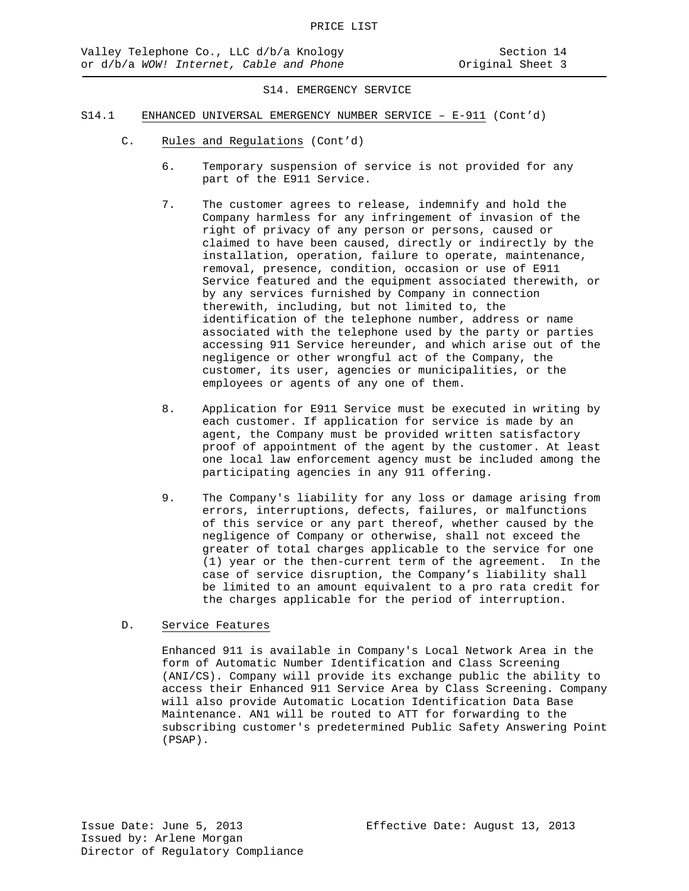- S14.1 ENHANCED UNIVERSAL EMERGENCY NUMBER SERVICE E-911 (Cont'd)
	- C. Rules and Regulations (Cont'd)
		- 6. Temporary suspension of service is not provided for any part of the E911 Service.
		- 7. The customer agrees to release, indemnify and hold the Company harmless for any infringement of invasion of the right of privacy of any person or persons, caused or claimed to have been caused, directly or indirectly by the installation, operation, failure to operate, maintenance, removal, presence, condition, occasion or use of E911 Service featured and the equipment associated therewith, or by any services furnished by Company in connection therewith, including, but not limited to, the identification of the telephone number, address or name associated with the telephone used by the party or parties accessing 911 Service hereunder, and which arise out of the negligence or other wrongful act of the Company, the customer, its user, agencies or municipalities, or the employees or agents of any one of them.
		- 8. Application for E911 Service must be executed in writing by each customer. If application for service is made by an agent, the Company must be provided written satisfactory proof of appointment of the agent by the customer. At least one local law enforcement agency must be included among the participating agencies in any 911 offering.
		- 9. The Company's liability for any loss or damage arising from errors, interruptions, defects, failures, or malfunctions of this service or any part thereof, whether caused by the negligence of Company or otherwise, shall not exceed the greater of total charges applicable to the service for one (1) year or the then-current term of the agreement. In the case of service disruption, the Company's liability shall be limited to an amount equivalent to a pro rata credit for the charges applicable for the period of interruption.

# D. Service Features

Enhanced 911 is available in Company's Local Network Area in the form of Automatic Number Identification and Class Screening (ANI/CS). Company will provide its exchange public the ability to access their Enhanced 911 Service Area by Class Screening. Company will also provide Automatic Location Identification Data Base Maintenance. AN1 will be routed to ATT for forwarding to the subscribing customer's predetermined Public Safety Answering Point (PSAP).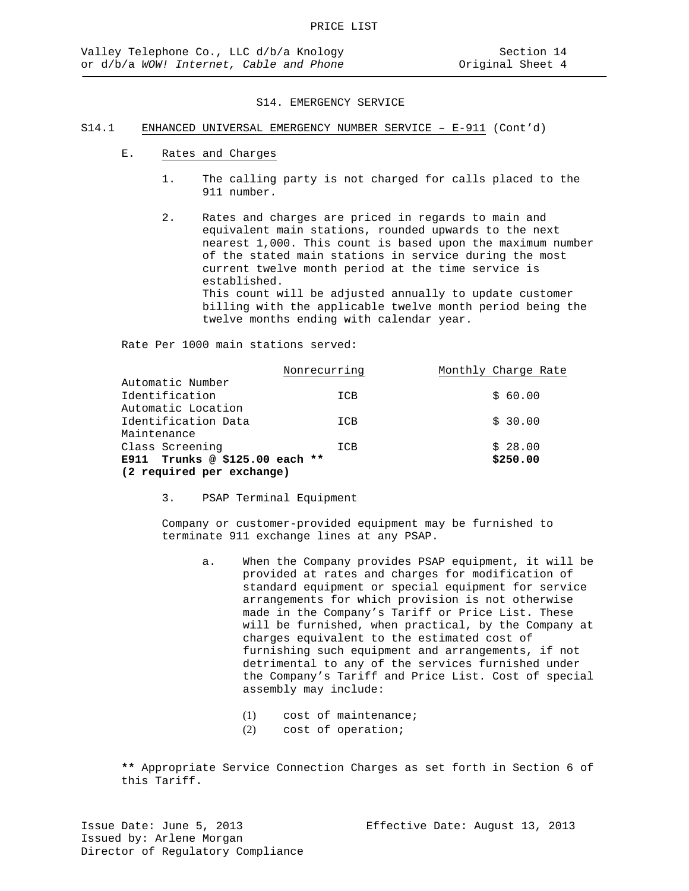## S14.1 ENHANCED UNIVERSAL EMERGENCY NUMBER SERVICE – E-911 (Cont'd)

- E. Rates and Charges
	- 1. The calling party is not charged for calls placed to the 911 number.
	- 2. Rates and charges are priced in regards to main and equivalent main stations, rounded upwards to the next nearest 1,000. This count is based upon the maximum number of the stated main stations in service during the most current twelve month period at the time service is established. This count will be adjusted annually to update customer billing with the applicable twelve month period being the twelve months ending with calendar year.

Rate Per 1000 main stations served:

|                                | Nonrecurring | Monthly Charge Rate |
|--------------------------------|--------------|---------------------|
| Automatic Number               |              |                     |
| Identification                 | ICB          | \$60.00             |
| Automatic Location             |              |                     |
| Identification Data            | ICB          | \$30.00             |
| Maintenance                    |              |                     |
| Class Screening                | ICB          | \$28.00             |
| E911 Trunks @ \$125.00 each ** |              | \$250.00            |
| (2 required per exchange)      |              |                     |

3. PSAP Terminal Equipment

Company or customer-provided equipment may be furnished to terminate 911 exchange lines at any PSAP.

- a. When the Company provides PSAP equipment, it will be provided at rates and charges for modification of standard equipment or special equipment for service arrangements for which provision is not otherwise made in the Company's Tariff or Price List. These will be furnished, when practical, by the Company at charges equivalent to the estimated cost of furnishing such equipment and arrangements, if not detrimental to any of the services furnished under the Company's Tariff and Price List. Cost of special assembly may include:
	- (1) cost of maintenance;
	- (2) cost of operation;

**\*\*** Appropriate Service Connection Charges as set forth in Section 6 of this Tariff.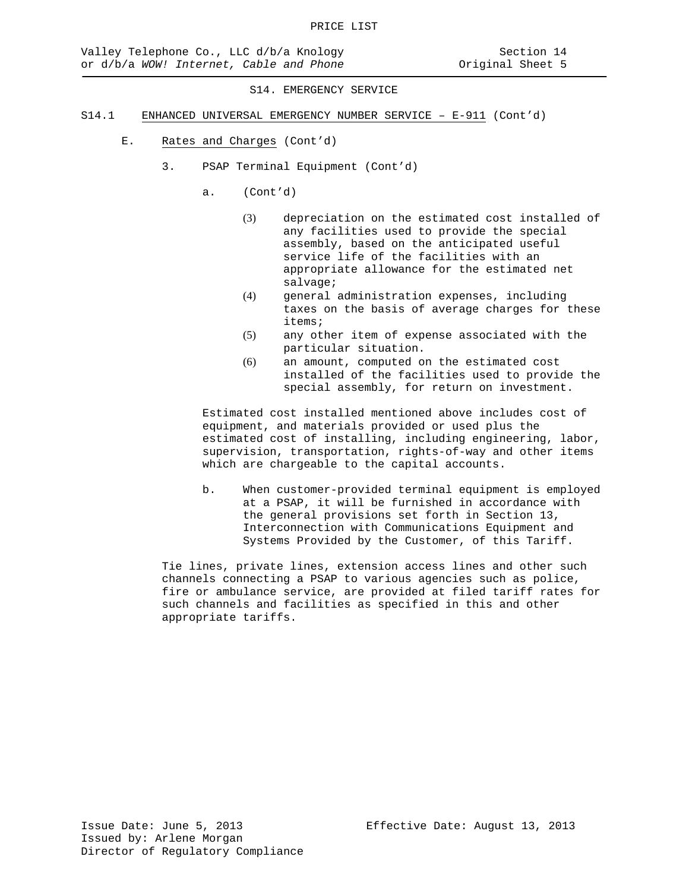- S14.1 ENHANCED UNIVERSAL EMERGENCY NUMBER SERVICE E-911 (Cont'd)
	- E. Rates and Charges (Cont'd)
		- 3. PSAP Terminal Equipment (Cont'd)
			- a. (Cont'd)
				- (3) depreciation on the estimated cost installed of any facilities used to provide the special assembly, based on the anticipated useful service life of the facilities with an appropriate allowance for the estimated net salvage;
				- (4) general administration expenses, including taxes on the basis of average charges for these items;
				- (5) any other item of expense associated with the particular situation.
				- (6) an amount, computed on the estimated cost installed of the facilities used to provide the special assembly, for return on investment.

Estimated cost installed mentioned above includes cost of equipment, and materials provided or used plus the estimated cost of installing, including engineering, labor, supervision, transportation, rights-of-way and other items which are chargeable to the capital accounts.

b. When customer-provided terminal equipment is employed at a PSAP, it will be furnished in accordance with the general provisions set forth in Section 13, Interconnection with Communications Equipment and Systems Provided by the Customer, of this Tariff.

Tie lines, private lines, extension access lines and other such channels connecting a PSAP to various agencies such as police, fire or ambulance service, are provided at filed tariff rates for such channels and facilities as specified in this and other appropriate tariffs.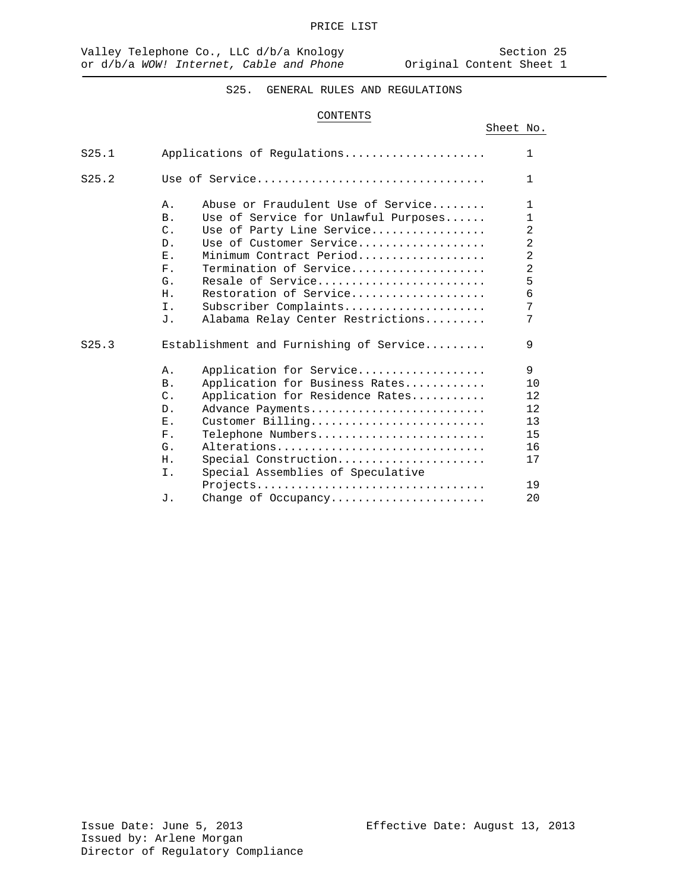Sheet No.

# S25. GENERAL RULES AND REGULATIONS

## CONTENTS

| S25.1 | $\mathbf{1}$<br>Applications of Requlations                                                                                                                                                                                                                                                                                                                                                                                                                                                                                                                    |                                         |
|-------|----------------------------------------------------------------------------------------------------------------------------------------------------------------------------------------------------------------------------------------------------------------------------------------------------------------------------------------------------------------------------------------------------------------------------------------------------------------------------------------------------------------------------------------------------------------|-----------------------------------------|
| S25.2 | $\mathbf{1}$<br>Use of Service                                                                                                                                                                                                                                                                                                                                                                                                                                                                                                                                 |                                         |
|       | Abuse or Fraudulent Use of Service<br>$\mathbf{1}$<br>Α.<br>Use of Service for Unlawful Purposes<br><b>B</b> .<br>$\mathbf{1}$<br>$\overline{2}$<br>$\mathcal{C}$ .<br>Use of Party Line Service<br>$\overline{2}$<br>Use of Customer Service<br>$D$ .<br>$\overline{2}$<br>$\mathbf{F}_{\rm{max}}$<br>Minimum Contract Period<br>$\overline{a}$<br>Termination of Service<br>$F_{\perp}$<br>5<br>Resale of Service<br>G.<br>Restoration of Service<br>6<br>H <sub>1</sub><br>7<br>Ι.<br>Subscriber Complaints<br>7<br>Alabama Relay Center Restrictions<br>J. |                                         |
| S25.3 | 9<br>Establishment and Furnishing of Service                                                                                                                                                                                                                                                                                                                                                                                                                                                                                                                   |                                         |
|       | 9<br>Application for Service<br>Α.<br>Application for Business Rates<br>B <sub>1</sub><br>Application for Residence Rates<br>$\mathcal{C}$ .<br>Advance Payments<br>$D$ .<br>Ε.<br>Customer Billing<br>$F$ .<br>Telephone Numbers<br>Alterations<br>G.<br>Special Construction<br>Η.<br>Special Assemblies of Speculative<br>Ι.                                                                                                                                                                                                                                | 10<br>12.<br>12<br>13<br>15<br>16<br>17 |
|       | Projects<br><b>J</b> .<br>Change of Occupancy                                                                                                                                                                                                                                                                                                                                                                                                                                                                                                                  | 19<br>20                                |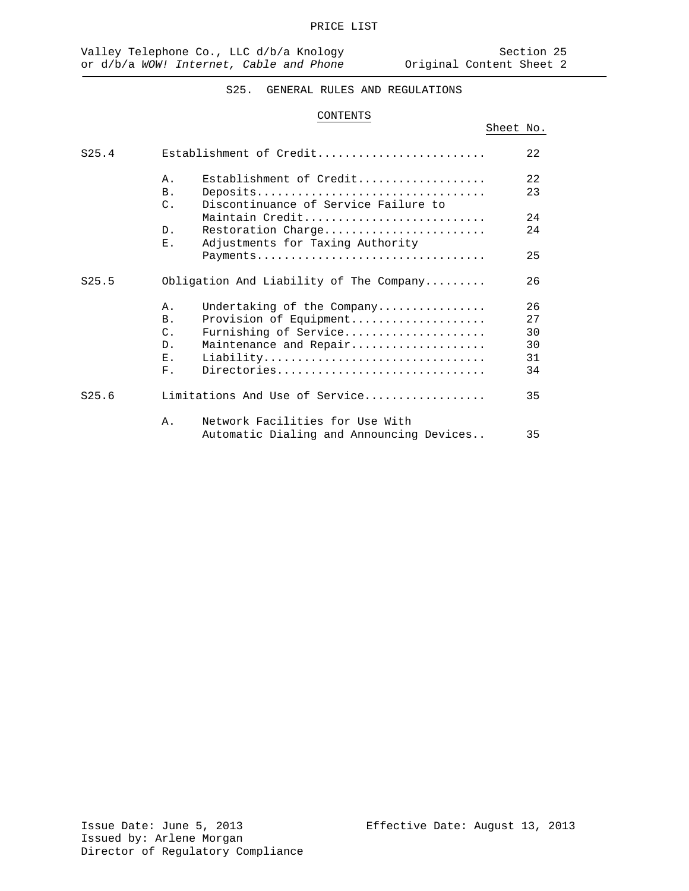Sheet No.

# S25. GENERAL RULES AND REGULATIONS

## CONTENTS

| S25.4             |                          | Establishment of Credit                  | 22       |
|-------------------|--------------------------|------------------------------------------|----------|
|                   | $\Delta$ .<br><b>B</b> . | Establishment of Credit<br>Deposits      | 22<br>23 |
|                   | $\mathcal{C}$ .          | Discontinuance of Service Failure to     |          |
|                   |                          | Maintain Credit                          | 24       |
|                   | D <sub>1</sub>           | Restoration Charge                       | 24       |
|                   | Ε.                       | Adjustments for Taxing Authority         |          |
|                   |                          | Payments                                 | 25       |
| S <sub>25.5</sub> |                          | Obligation And Liability of The Company  | 26       |
|                   | Α.                       | Undertaking of the Company               | 26       |
|                   | B <sub>1</sub>           | Provision of Equipment                   | 2.7      |
|                   | $\mathcal{C}$ .          | Furnishing of Service                    | 30       |
|                   | $D$ .                    | Maintenance and Repair                   | 30       |
|                   | $E$ .                    | Liability                                | 31       |
|                   | $F$ .                    | Directories                              | 34       |
| S25.6             |                          | Limitations And Use of Service           | 35       |
|                   | Α.                       | Network Facilities for Use With          |          |
|                   |                          | Automatic Dialing and Announcing Devices | 35       |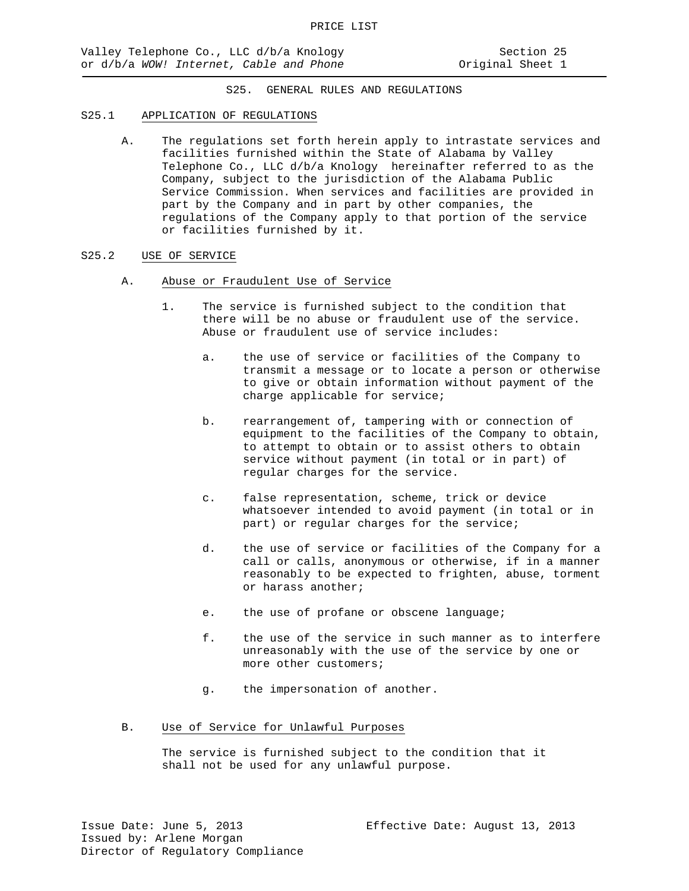## S25.1 APPLICATION OF REGULATIONS

- A. The regulations set forth herein apply to intrastate services and facilities furnished within the State of Alabama by Valley Telephone Co., LLC d/b/a Knology hereinafter referred to as the Company, subject to the jurisdiction of the Alabama Public Service Commission. When services and facilities are provided in part by the Company and in part by other companies, the regulations of the Company apply to that portion of the service or facilities furnished by it.
- S25.2 USE OF SERVICE
	- A. Abuse or Fraudulent Use of Service
		- 1. The service is furnished subject to the condition that there will be no abuse or fraudulent use of the service. Abuse or fraudulent use of service includes:
			- a. the use of service or facilities of the Company to transmit a message or to locate a person or otherwise to give or obtain information without payment of the charge applicable for service;
			- b. rearrangement of, tampering with or connection of equipment to the facilities of the Company to obtain, to attempt to obtain or to assist others to obtain service without payment (in total or in part) of regular charges for the service.
			- c. false representation, scheme, trick or device whatsoever intended to avoid payment (in total or in part) or regular charges for the service;
			- d. the use of service or facilities of the Company for a call or calls, anonymous or otherwise, if in a manner reasonably to be expected to frighten, abuse, torment or harass another;
			- e. the use of profane or obscene language;
			- f. the use of the service in such manner as to interfere unreasonably with the use of the service by one or more other customers;
			- g. the impersonation of another.
	- B. Use of Service for Unlawful Purposes

The service is furnished subject to the condition that it shall not be used for any unlawful purpose.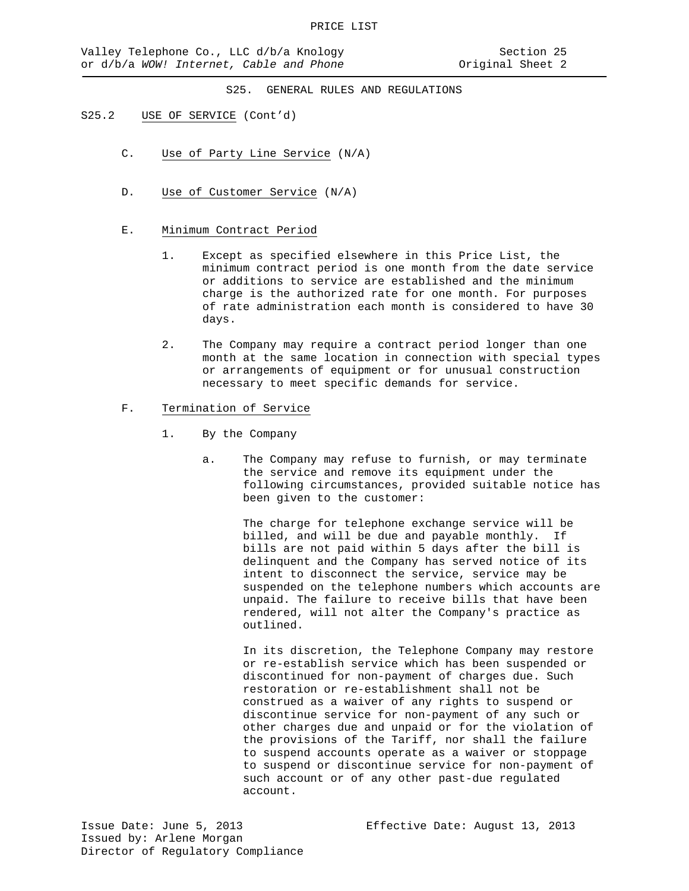## S25.2 USE OF SERVICE (Cont'd)

- C. Use of Party Line Service (N/A)
- D. Use of Customer Service (N/A)
- E. Minimum Contract Period
	- 1. Except as specified elsewhere in this Price List, the minimum contract period is one month from the date service or additions to service are established and the minimum charge is the authorized rate for one month. For purposes of rate administration each month is considered to have 30 days.
	- 2. The Company may require a contract period longer than one month at the same location in connection with special types or arrangements of equipment or for unusual construction necessary to meet specific demands for service.
- F. Termination of Service
	- 1. By the Company
		- a. The Company may refuse to furnish, or may terminate the service and remove its equipment under the following circumstances, provided suitable notice has been given to the customer:

The charge for telephone exchange service will be billed, and will be due and payable monthly. If bills are not paid within 5 days after the bill is delinquent and the Company has served notice of its intent to disconnect the service, service may be suspended on the telephone numbers which accounts are unpaid. The failure to receive bills that have been rendered, will not alter the Company's practice as outlined.

In its discretion, the Telephone Company may restore or re-establish service which has been suspended or discontinued for non-payment of charges due. Such restoration or re-establishment shall not be construed as a waiver of any rights to suspend or discontinue service for non-payment of any such or other charges due and unpaid or for the violation of the provisions of the Tariff, nor shall the failure to suspend accounts operate as a waiver or stoppage to suspend or discontinue service for non-payment of such account or of any other past-due regulated account.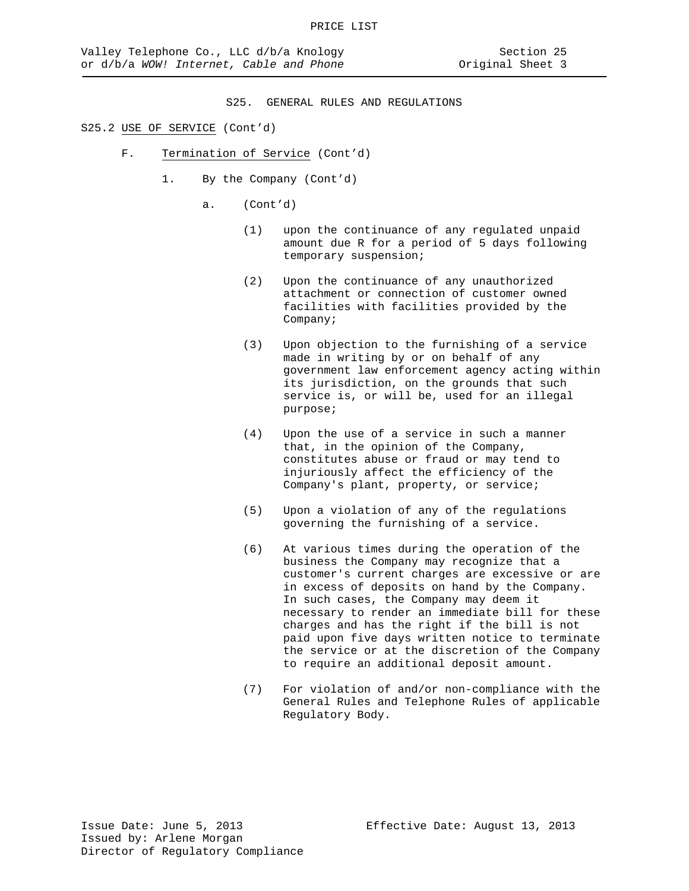- F. Termination of Service (Cont'd)
	- 1. By the Company (Cont'd)
		- a. (Cont'd)
			- (1) upon the continuance of any regulated unpaid amount due R for a period of 5 days following temporary suspension;
			- (2) Upon the continuance of any unauthorized attachment or connection of customer owned facilities with facilities provided by the Company;
			- (3) Upon objection to the furnishing of a service made in writing by or on behalf of any government law enforcement agency acting within its jurisdiction, on the grounds that such service is, or will be, used for an illegal purpose;
			- (4) Upon the use of a service in such a manner that, in the opinion of the Company, constitutes abuse or fraud or may tend to injuriously affect the efficiency of the Company's plant, property, or service;
			- (5) Upon a violation of any of the regulations governing the furnishing of a service.
			- (6) At various times during the operation of the business the Company may recognize that a customer's current charges are excessive or are in excess of deposits on hand by the Company. In such cases, the Company may deem it necessary to render an immediate bill for these charges and has the right if the bill is not paid upon five days written notice to terminate the service or at the discretion of the Company to require an additional deposit amount.
			- (7) For violation of and/or non-compliance with the General Rules and Telephone Rules of applicable Regulatory Body.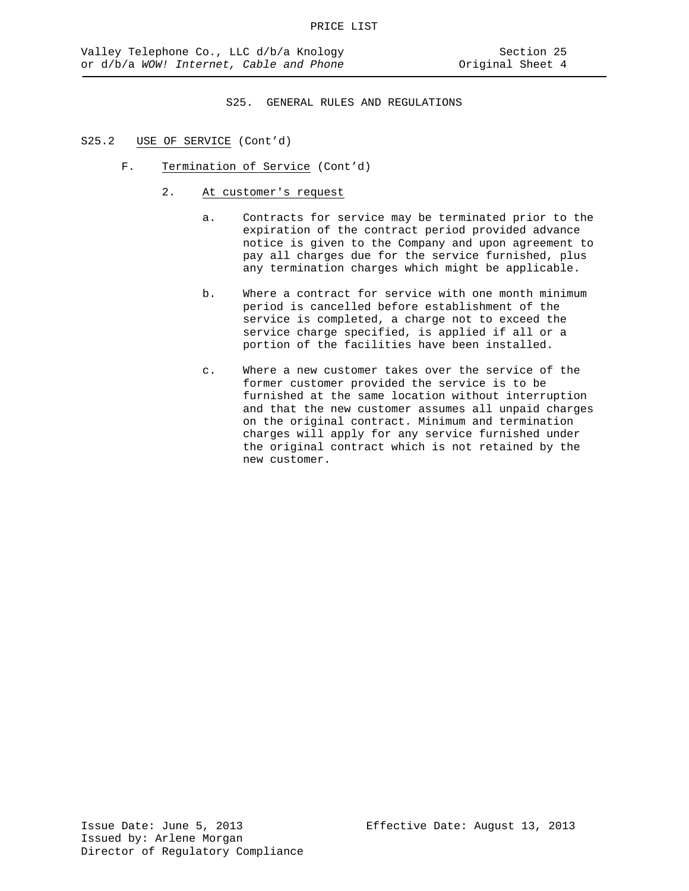- F. Termination of Service (Cont'd)
	- 2. At customer's request
		- a. Contracts for service may be terminated prior to the expiration of the contract period provided advance notice is given to the Company and upon agreement to pay all charges due for the service furnished, plus any termination charges which might be applicable.
		- b. Where a contract for service with one month minimum period is cancelled before establishment of the service is completed, a charge not to exceed the service charge specified, is applied if all or a portion of the facilities have been installed.
		- c. Where a new customer takes over the service of the former customer provided the service is to be furnished at the same location without interruption and that the new customer assumes all unpaid charges on the original contract. Minimum and termination charges will apply for any service furnished under the original contract which is not retained by the new customer.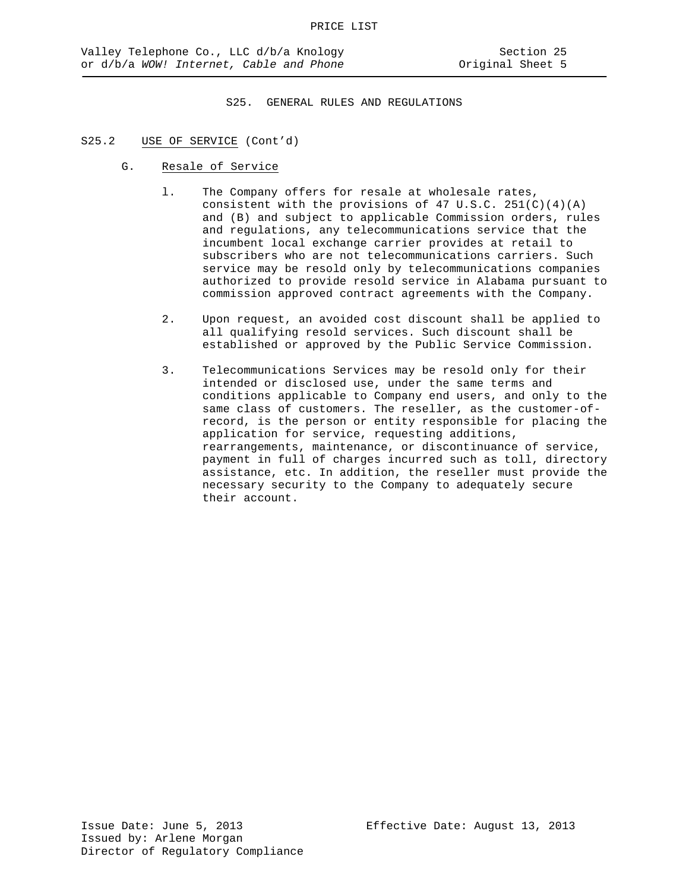- G. Resale of Service
	- l. The Company offers for resale at wholesale rates, consistent with the provisions of 47 U.S.C. 251(C)(4)(A) and (B) and subject to applicable Commission orders, rules and regulations, any telecommunications service that the incumbent local exchange carrier provides at retail to subscribers who are not telecommunications carriers. Such service may be resold only by telecommunications companies authorized to provide resold service in Alabama pursuant to commission approved contract agreements with the Company.
	- 2. Upon request, an avoided cost discount shall be applied to all qualifying resold services. Such discount shall be established or approved by the Public Service Commission.
	- 3. Telecommunications Services may be resold only for their intended or disclosed use, under the same terms and conditions applicable to Company end users, and only to the same class of customers. The reseller, as the customer-ofrecord, is the person or entity responsible for placing the application for service, requesting additions, rearrangements, maintenance, or discontinuance of service, payment in full of charges incurred such as toll, directory assistance, etc. In addition, the reseller must provide the necessary security to the Company to adequately secure their account.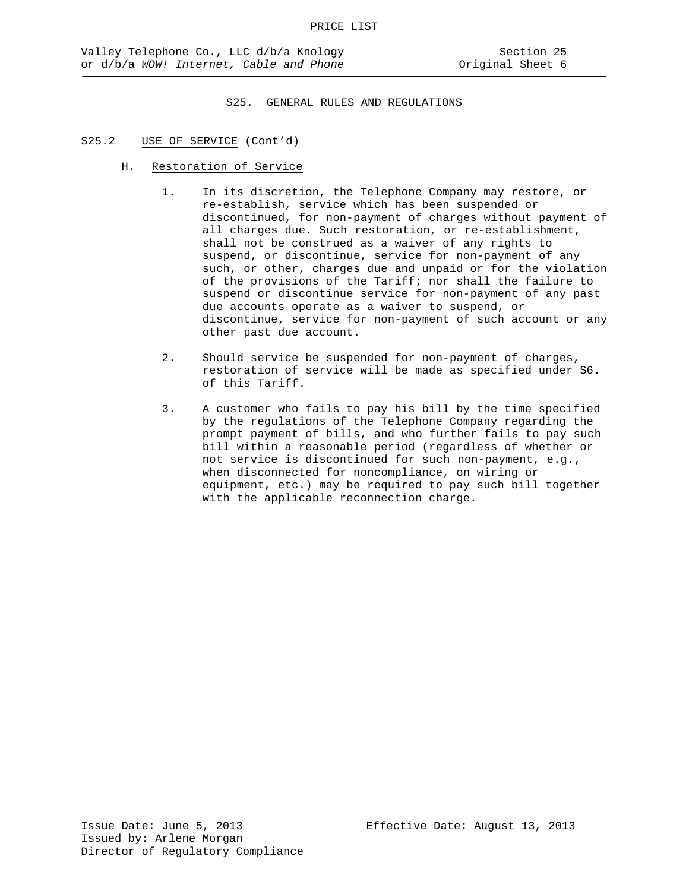- H. Restoration of Service
	- 1. In its discretion, the Telephone Company may restore, or re-establish, service which has been suspended or discontinued, for non-payment of charges without payment of all charges due. Such restoration, or re-establishment, shall not be construed as a waiver of any rights to suspend, or discontinue, service for non-payment of any such, or other, charges due and unpaid or for the violation of the provisions of the Tariff; nor shall the failure to suspend or discontinue service for non-payment of any past due accounts operate as a waiver to suspend, or discontinue, service for non-payment of such account or any other past due account.
	- 2. Should service be suspended for non-payment of charges, restoration of service will be made as specified under S6. of this Tariff.
	- 3. A customer who fails to pay his bill by the time specified by the regulations of the Telephone Company regarding the prompt payment of bills, and who further fails to pay such bill within a reasonable period (regardless of whether or not service is discontinued for such non-payment, e.g., when disconnected for noncompliance, on wiring or equipment, etc.) may be required to pay such bill together with the applicable reconnection charge.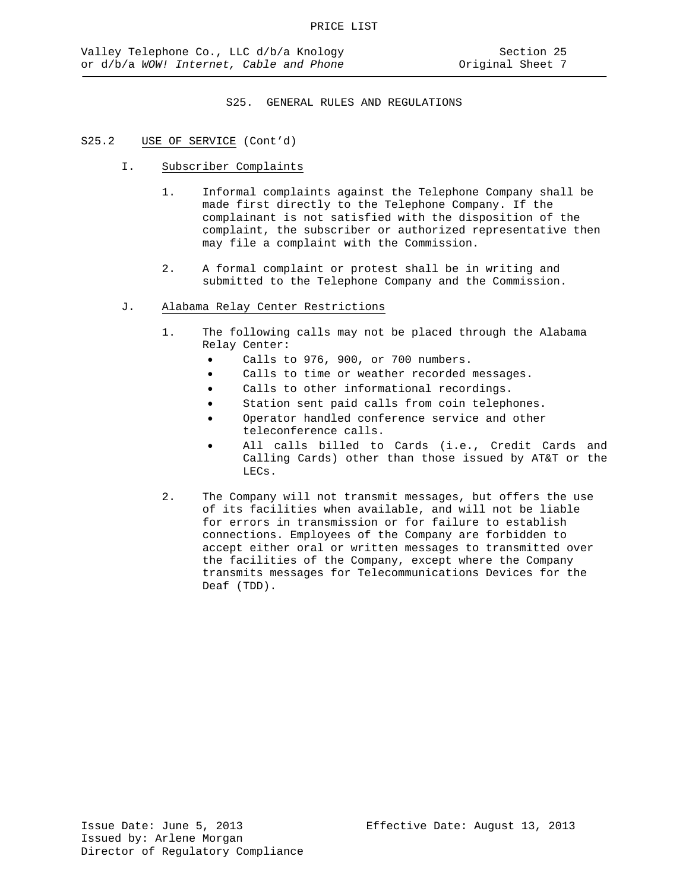- I. Subscriber Complaints
	- 1. Informal complaints against the Telephone Company shall be made first directly to the Telephone Company. If the complainant is not satisfied with the disposition of the complaint, the subscriber or authorized representative then may file a complaint with the Commission.
	- 2. A formal complaint or protest shall be in writing and submitted to the Telephone Company and the Commission.
- J. Alabama Relay Center Restrictions
	- 1. The following calls may not be placed through the Alabama Relay Center:
		- Calls to 976, 900, or 700 numbers.
		- Calls to time or weather recorded messages.
		- Calls to other informational recordings.
		- Station sent paid calls from coin telephones.
			- Operator handled conference service and other teleconference calls.
			- All calls billed to Cards (i.e., Credit Cards and Calling Cards) other than those issued by AT&T or the LECs.
	- 2. The Company will not transmit messages, but offers the use of its facilities when available, and will not be liable for errors in transmission or for failure to establish connections. Employees of the Company are forbidden to accept either oral or written messages to transmitted over the facilities of the Company, except where the Company transmits messages for Telecommunications Devices for the Deaf (TDD).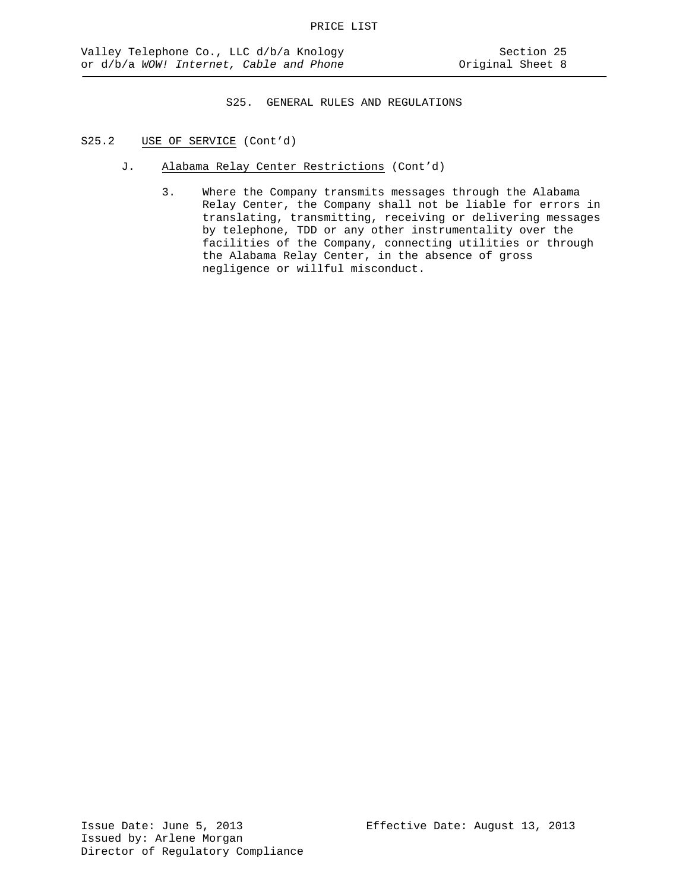- J. Alabama Relay Center Restrictions (Cont'd)
	- 3. Where the Company transmits messages through the Alabama Relay Center, the Company shall not be liable for errors in translating, transmitting, receiving or delivering messages by telephone, TDD or any other instrumentality over the facilities of the Company, connecting utilities or through the Alabama Relay Center, in the absence of gross negligence or willful misconduct.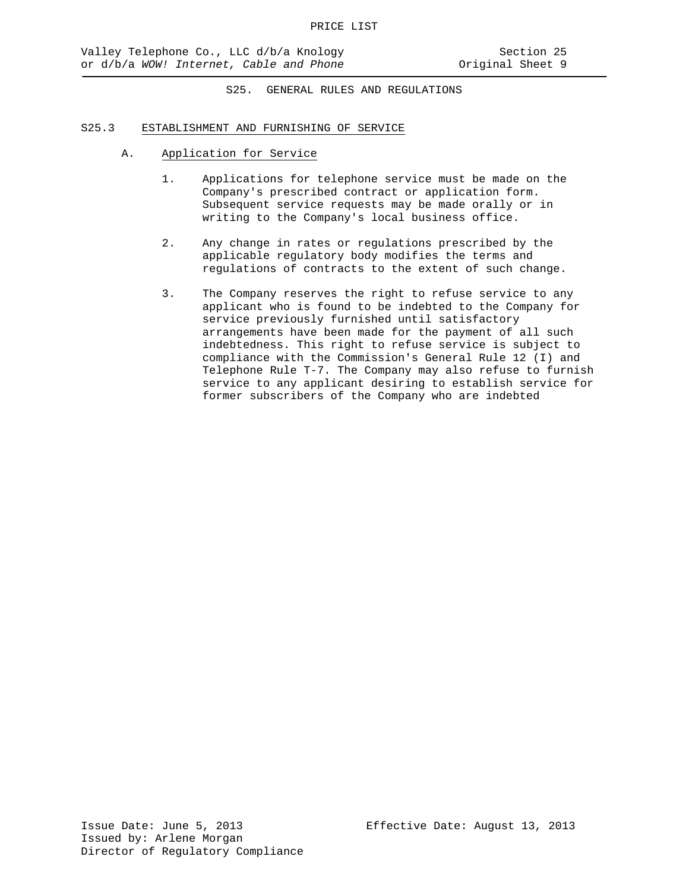- A. Application for Service
	- 1. Applications for telephone service must be made on the Company's prescribed contract or application form. Subsequent service requests may be made orally or in writing to the Company's local business office.
	- 2. Any change in rates or regulations prescribed by the applicable regulatory body modifies the terms and regulations of contracts to the extent of such change.
	- 3. The Company reserves the right to refuse service to any applicant who is found to be indebted to the Company for service previously furnished until satisfactory arrangements have been made for the payment of all such indebtedness. This right to refuse service is subject to compliance with the Commission's General Rule 12 (I) and Telephone Rule T-7. The Company may also refuse to furnish service to any applicant desiring to establish service for former subscribers of the Company who are indebted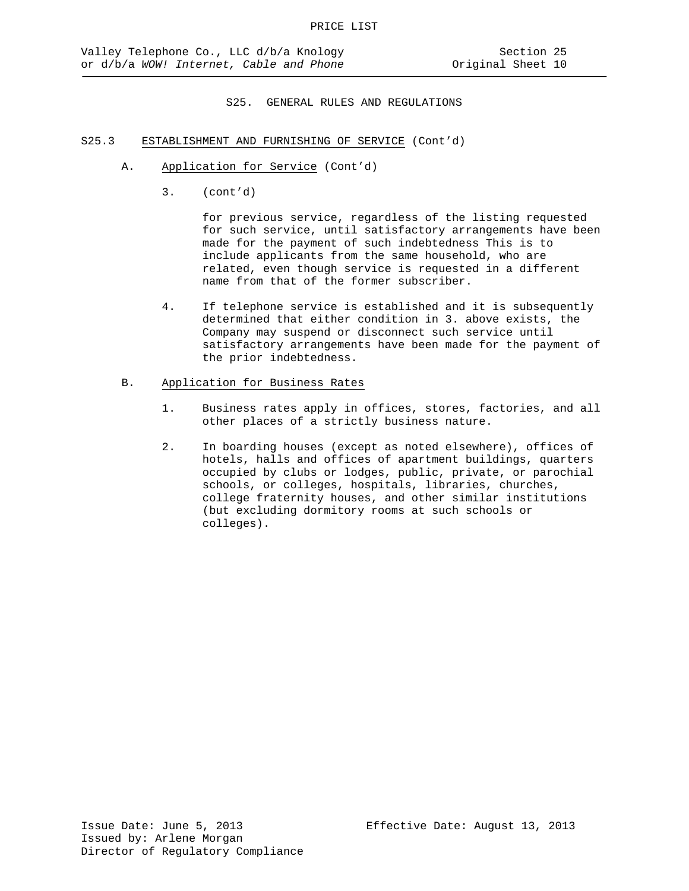- S25.3 ESTABLISHMENT AND FURNISHING OF SERVICE (Cont'd)
	- A. Application for Service (Cont'd)
		- 3. (cont'd)

for previous service, regardless of the listing requested for such service, until satisfactory arrangements have been made for the payment of such indebtedness This is to include applicants from the same household, who are related, even though service is requested in a different name from that of the former subscriber.

- 4. If telephone service is established and it is subsequently determined that either condition in 3. above exists, the Company may suspend or disconnect such service until satisfactory arrangements have been made for the payment of the prior indebtedness.
- B. Application for Business Rates
	- 1. Business rates apply in offices, stores, factories, and all other places of a strictly business nature.
	- 2. In boarding houses (except as noted elsewhere), offices of hotels, halls and offices of apartment buildings, quarters occupied by clubs or lodges, public, private, or parochial schools, or colleges, hospitals, libraries, churches, college fraternity houses, and other similar institutions (but excluding dormitory rooms at such schools or colleges).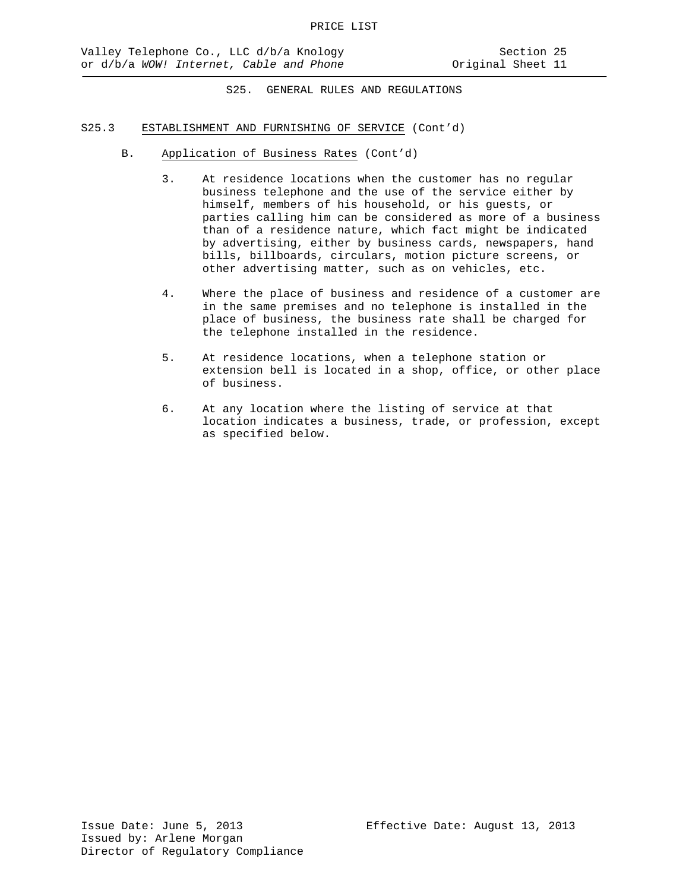- B. Application of Business Rates (Cont'd)
	- 3. At residence locations when the customer has no regular business telephone and the use of the service either by himself, members of his household, or his guests, or parties calling him can be considered as more of a business than of a residence nature, which fact might be indicated by advertising, either by business cards, newspapers, hand bills, billboards, circulars, motion picture screens, or other advertising matter, such as on vehicles, etc.
	- 4. Where the place of business and residence of a customer are in the same premises and no telephone is installed in the place of business, the business rate shall be charged for the telephone installed in the residence.
	- 5. At residence locations, when a telephone station or extension bell is located in a shop, office, or other place of business.
	- 6. At any location where the listing of service at that location indicates a business, trade, or profession, except as specified below.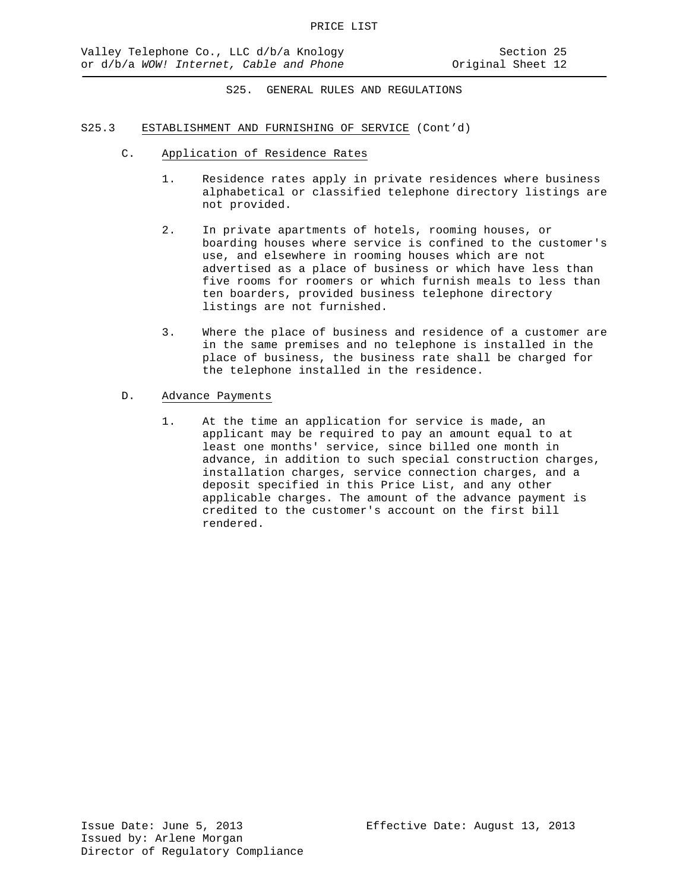- C. Application of Residence Rates
	- 1. Residence rates apply in private residences where business alphabetical or classified telephone directory listings are not provided.
	- 2. In private apartments of hotels, rooming houses, or boarding houses where service is confined to the customer's use, and elsewhere in rooming houses which are not advertised as a place of business or which have less than five rooms for roomers or which furnish meals to less than ten boarders, provided business telephone directory listings are not furnished.
	- 3. Where the place of business and residence of a customer are in the same premises and no telephone is installed in the place of business, the business rate shall be charged for the telephone installed in the residence.
- D. Advance Payments
	- 1. At the time an application for service is made, an applicant may be required to pay an amount equal to at least one months' service, since billed one month in advance, in addition to such special construction charges, installation charges, service connection charges, and a deposit specified in this Price List, and any other applicable charges. The amount of the advance payment is credited to the customer's account on the first bill rendered.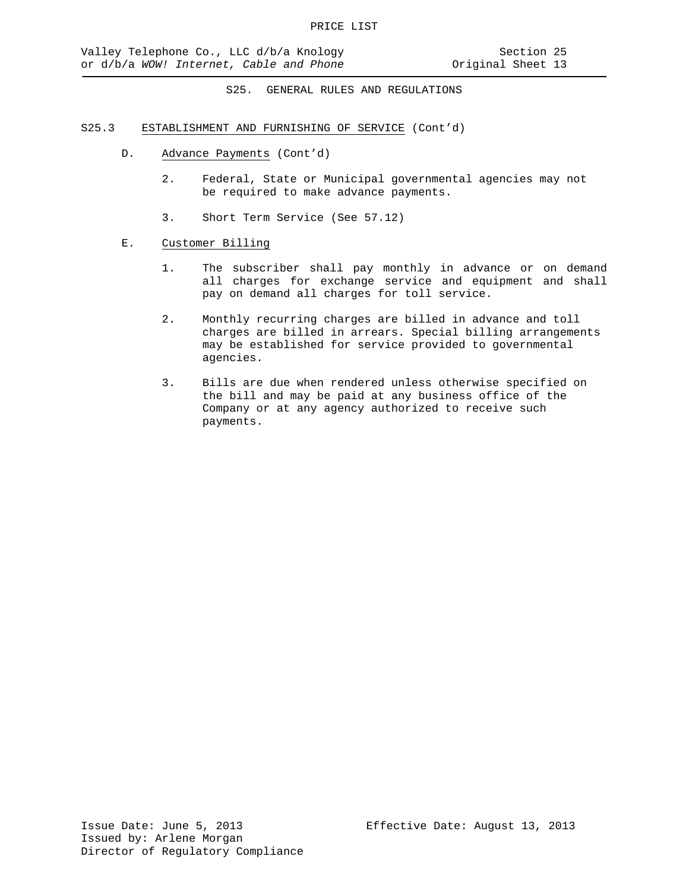## S25.3 ESTABLISHMENT AND FURNISHING OF SERVICE (Cont'd)

- D. Advance Payments (Cont'd)
	- 2. Federal, State or Municipal governmental agencies may not be required to make advance payments.
	- 3. Short Term Service (See 57.12)

## E. Customer Billing

- 1. The subscriber shall pay monthly in advance or on demand all charges for exchange service and equipment and shall pay on demand all charges for toll service.
- 2. Monthly recurring charges are billed in advance and toll charges are billed in arrears. Special billing arrangements may be established for service provided to governmental agencies.
- 3. Bills are due when rendered unless otherwise specified on the bill and may be paid at any business office of the Company or at any agency authorized to receive such payments.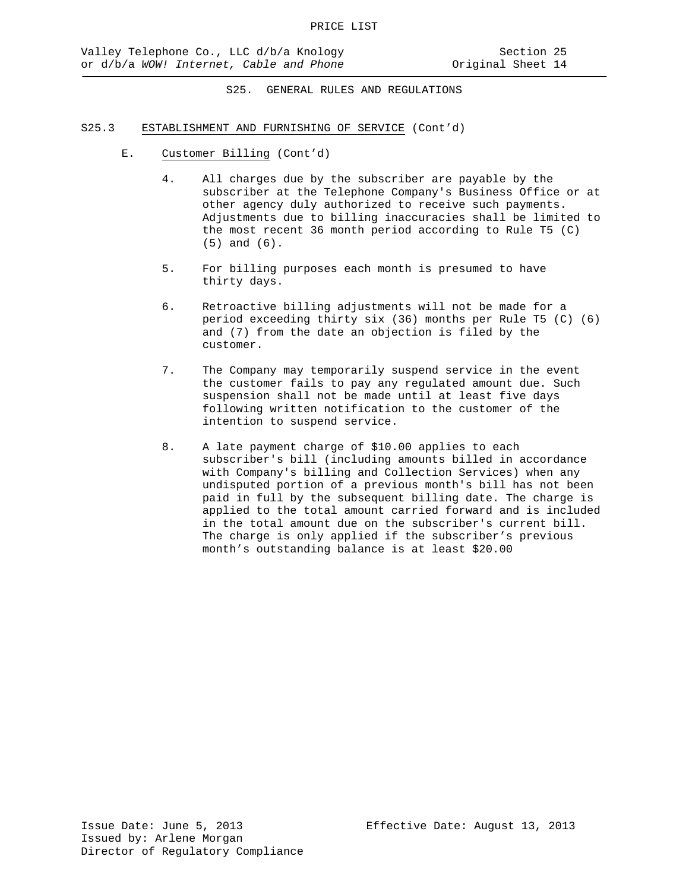- E. Customer Billing (Cont'd)
	- 4. All charges due by the subscriber are payable by the subscriber at the Telephone Company's Business Office or at other agency duly authorized to receive such payments. Adjustments due to billing inaccuracies shall be limited to the most recent 36 month period according to Rule T5 (C) (5) and (6).
	- 5. For billing purposes each month is presumed to have thirty days.
	- 6. Retroactive billing adjustments will not be made for a period exceeding thirty six (36) months per Rule T5 (C) (6) and (7) from the date an objection is filed by the customer.
	- 7. The Company may temporarily suspend service in the event the customer fails to pay any regulated amount due. Such suspension shall not be made until at least five days following written notification to the customer of the intention to suspend service.
	- 8. A late payment charge of \$10.00 applies to each subscriber's bill (including amounts billed in accordance with Company's billing and Collection Services) when any undisputed portion of a previous month's bill has not been paid in full by the subsequent billing date. The charge is applied to the total amount carried forward and is included in the total amount due on the subscriber's current bill. The charge is only applied if the subscriber's previous month's outstanding balance is at least \$20.00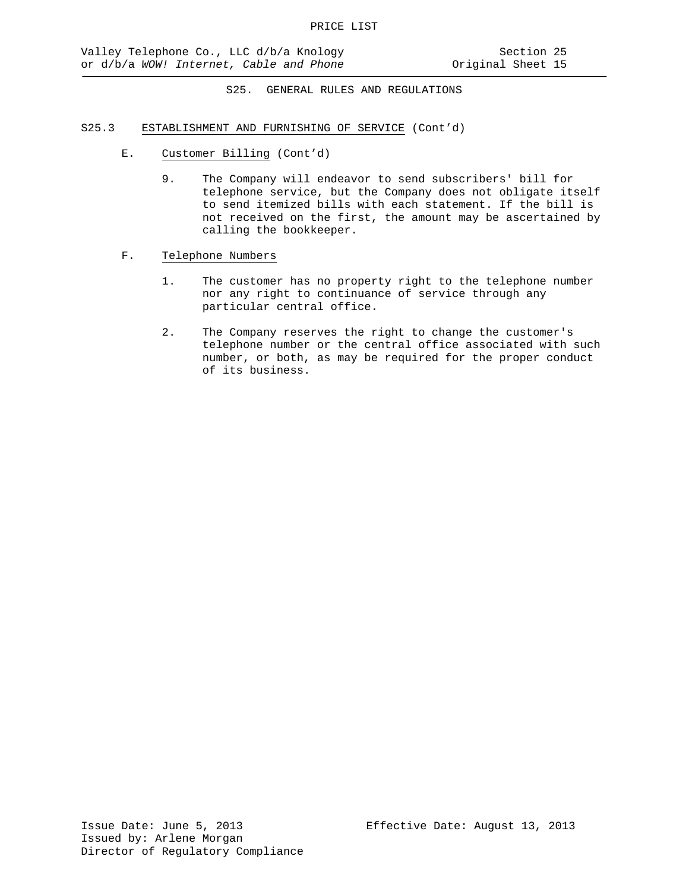- E. Customer Billing (Cont'd)
	- 9. The Company will endeavor to send subscribers' bill for telephone service, but the Company does not obligate itself to send itemized bills with each statement. If the bill is not received on the first, the amount may be ascertained by calling the bookkeeper.
- F. Telephone Numbers
	- 1. The customer has no property right to the telephone number nor any right to continuance of service through any particular central office.
	- 2. The Company reserves the right to change the customer's telephone number or the central office associated with such number, or both, as may be required for the proper conduct of its business.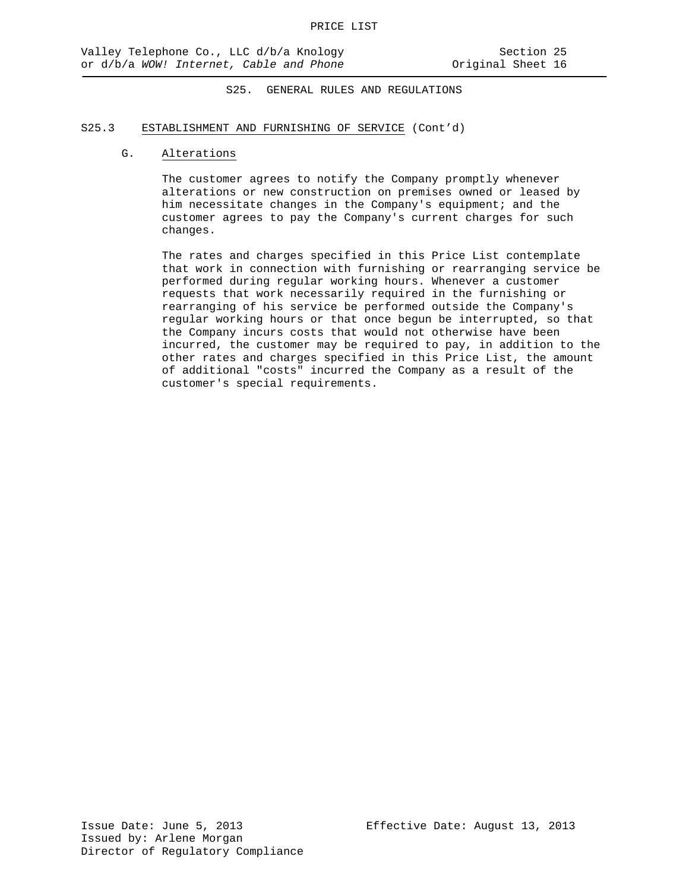## S25.3 ESTABLISHMENT AND FURNISHING OF SERVICE (Cont'd)

## G. Alterations

The customer agrees to notify the Company promptly whenever alterations or new construction on premises owned or leased by him necessitate changes in the Company's equipment; and the customer agrees to pay the Company's current charges for such changes.

The rates and charges specified in this Price List contemplate that work in connection with furnishing or rearranging service be performed during regular working hours. Whenever a customer requests that work necessarily required in the furnishing or rearranging of his service be performed outside the Company's regular working hours or that once begun be interrupted, so that the Company incurs costs that would not otherwise have been incurred, the customer may be required to pay, in addition to the other rates and charges specified in this Price List, the amount of additional "costs" incurred the Company as a result of the customer's special requirements.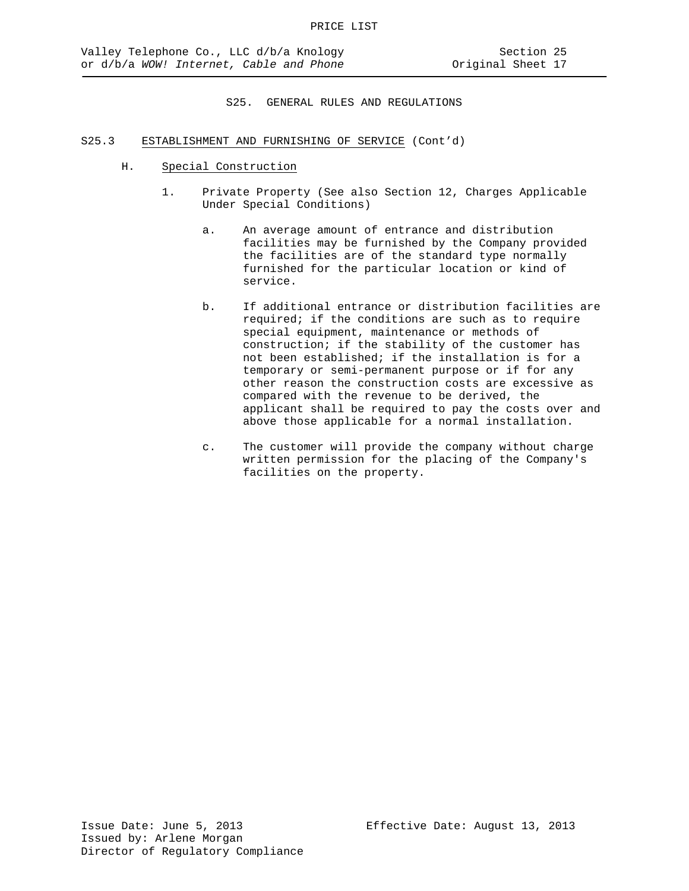- H. Special Construction
	- 1. Private Property (See also Section 12, Charges Applicable Under Special Conditions)
		- a. An average amount of entrance and distribution facilities may be furnished by the Company provided the facilities are of the standard type normally furnished for the particular location or kind of service.
		- b. If additional entrance or distribution facilities are required; if the conditions are such as to require special equipment, maintenance or methods of construction; if the stability of the customer has not been established; if the installation is for a temporary or semi-permanent purpose or if for any other reason the construction costs are excessive as compared with the revenue to be derived, the applicant shall be required to pay the costs over and above those applicable for a normal installation.
		- c. The customer will provide the company without charge written permission for the placing of the Company's facilities on the property.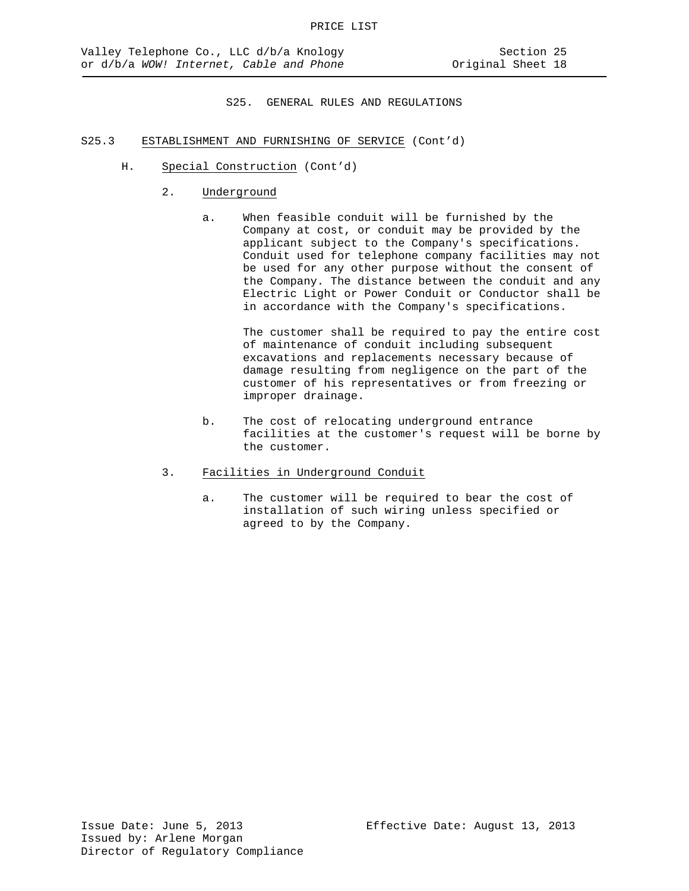## S25.3 ESTABLISHMENT AND FURNISHING OF SERVICE (Cont'd)

- H. Special Construction (Cont'd)
	- 2. Underground
		- a. When feasible conduit will be furnished by the Company at cost, or conduit may be provided by the applicant subject to the Company's specifications. Conduit used for telephone company facilities may not be used for any other purpose without the consent of the Company. The distance between the conduit and any Electric Light or Power Conduit or Conductor shall be in accordance with the Company's specifications.

The customer shall be required to pay the entire cost of maintenance of conduit including subsequent excavations and replacements necessary because of damage resulting from negligence on the part of the customer of his representatives or from freezing or improper drainage.

- b. The cost of relocating underground entrance facilities at the customer's request will be borne by the customer.
- 3. Facilities in Underground Conduit
	- a. The customer will be required to bear the cost of installation of such wiring unless specified or agreed to by the Company.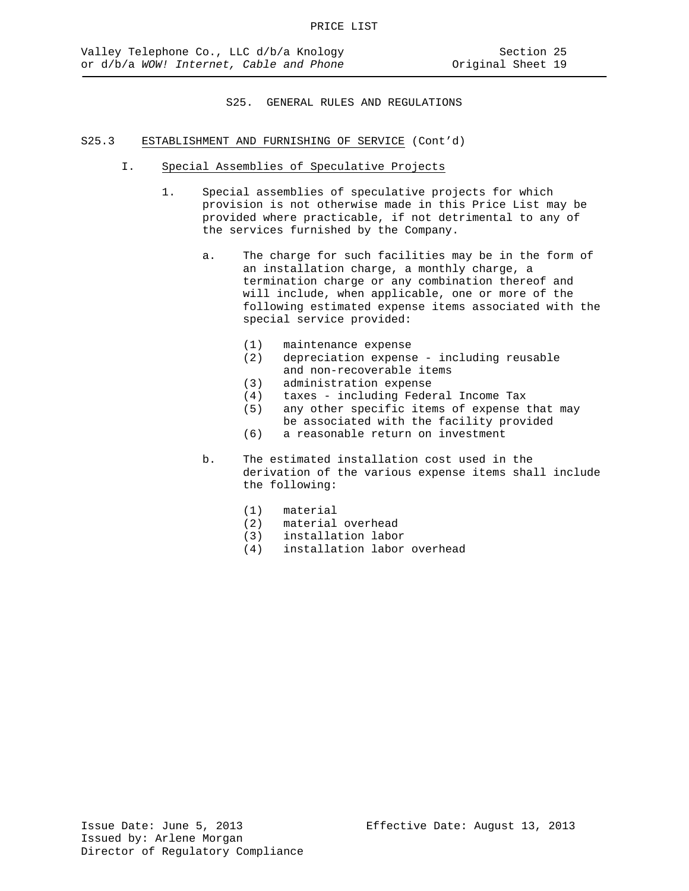- I. Special Assemblies of Speculative Projects
	- 1. Special assemblies of speculative projects for which provision is not otherwise made in this Price List may be provided where practicable, if not detrimental to any of the services furnished by the Company.
		- a. The charge for such facilities may be in the form of an installation charge, a monthly charge, a termination charge or any combination thereof and will include, when applicable, one or more of the following estimated expense items associated with the special service provided:
			- (1) maintenance expense<br>(2) depreciation expense
			- depreciation expense including reusable and non-recoverable items
			-
			- (3) administration expense<br>(4) taxes including Fede: taxes - including Federal Income Tax
			- (5) any other specific items of expense that may be associated with the facility provided
			- (6) a reasonable return on investment
		- b. The estimated installation cost used in the derivation of the various expense items shall include the following:
			- (1) material
			- (2) material overhead
			- (3) installation labor
			- installation labor overhead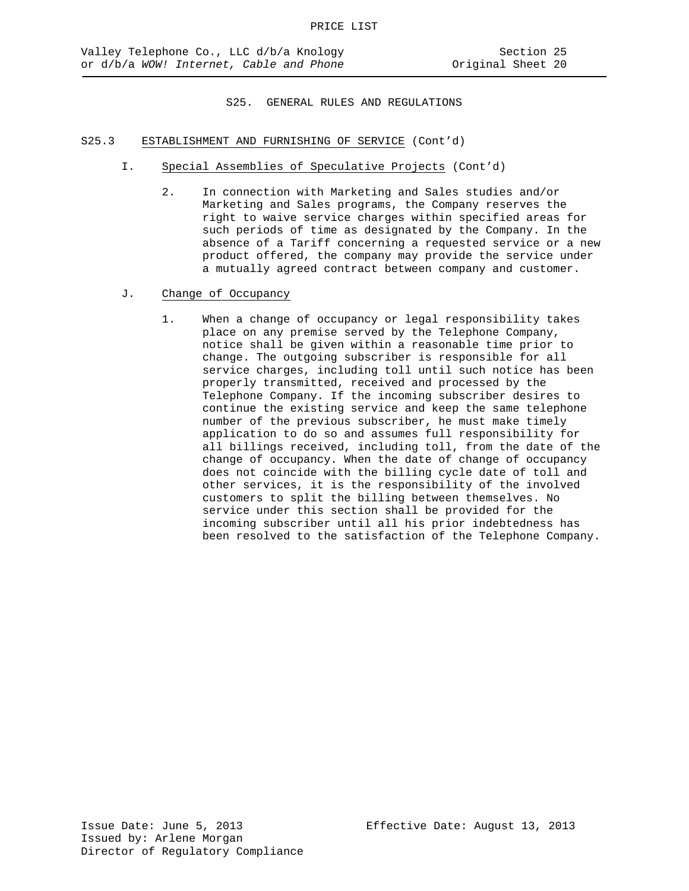- I. Special Assemblies of Speculative Projects (Cont'd)
	- 2. In connection with Marketing and Sales studies and/or Marketing and Sales programs, the Company reserves the right to waive service charges within specified areas for such periods of time as designated by the Company. In the absence of a Tariff concerning a requested service or a new product offered, the company may provide the service under a mutually agreed contract between company and customer.
- J. Change of Occupancy
	- 1. When a change of occupancy or legal responsibility takes place on any premise served by the Telephone Company, notice shall be given within a reasonable time prior to change. The outgoing subscriber is responsible for all service charges, including toll until such notice has been properly transmitted, received and processed by the Telephone Company. If the incoming subscriber desires to continue the existing service and keep the same telephone number of the previous subscriber, he must make timely application to do so and assumes full responsibility for all billings received, including toll, from the date of the change of occupancy. When the date of change of occupancy does not coincide with the billing cycle date of toll and other services, it is the responsibility of the involved customers to split the billing between themselves. No service under this section shall be provided for the incoming subscriber until all his prior indebtedness has been resolved to the satisfaction of the Telephone Company.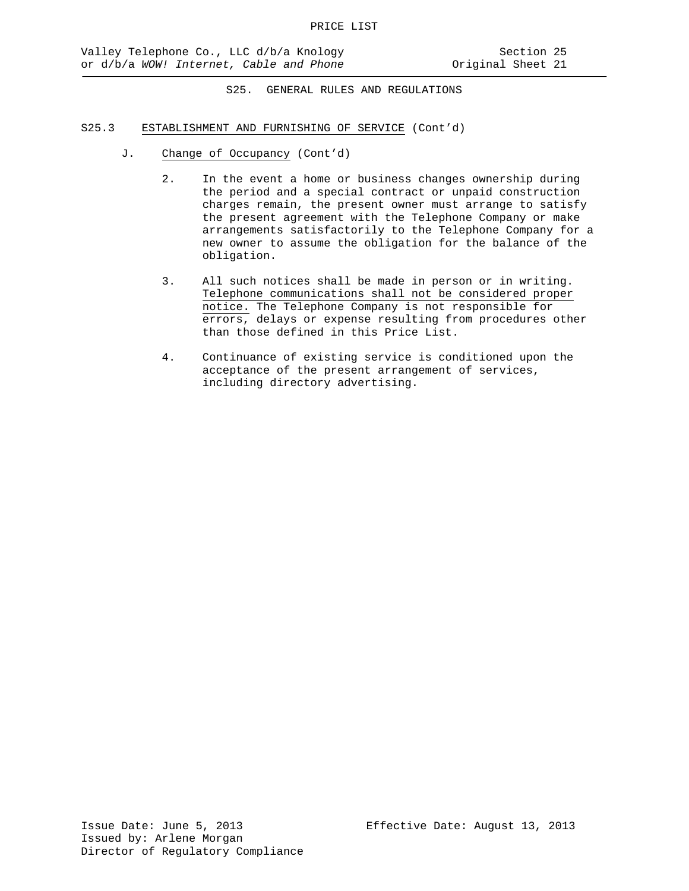- J. Change of Occupancy (Cont'd)
	- 2. In the event a home or business changes ownership during the period and a special contract or unpaid construction charges remain, the present owner must arrange to satisfy the present agreement with the Telephone Company or make arrangements satisfactorily to the Telephone Company for a new owner to assume the obligation for the balance of the obligation.
	- 3. All such notices shall be made in person or in writing. Telephone communications shall not be considered proper notice. The Telephone Company is not responsible for errors, delays or expense resulting from procedures other than those defined in this Price List.
	- 4. Continuance of existing service is conditioned upon the acceptance of the present arrangement of services, including directory advertising.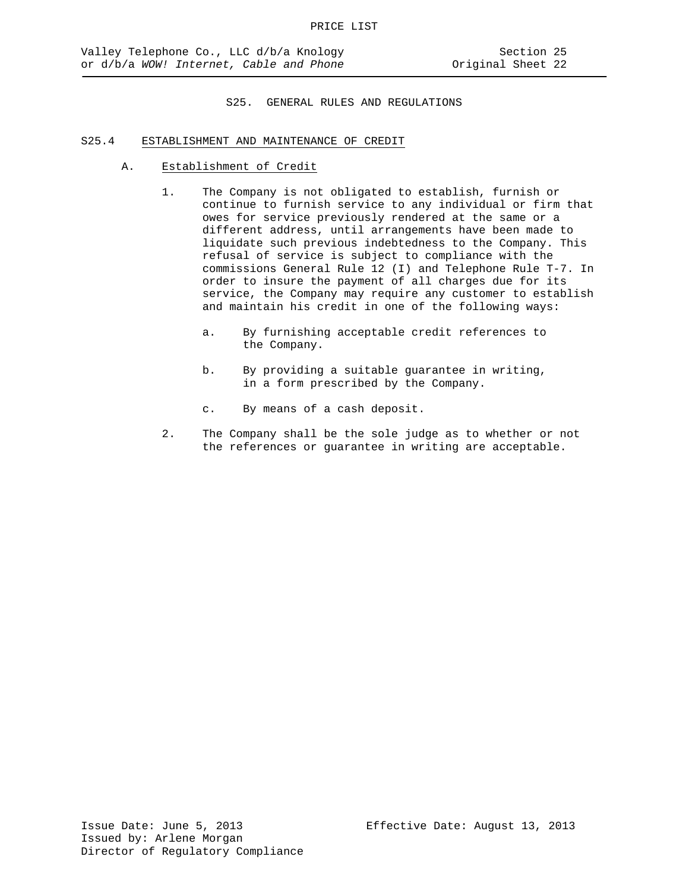## S25.4 ESTABLISHMENT AND MAINTENANCE OF CREDIT

- A. Establishment of Credit
	- 1. The Company is not obligated to establish, furnish or continue to furnish service to any individual or firm that owes for service previously rendered at the same or a different address, until arrangements have been made to liquidate such previous indebtedness to the Company. This refusal of service is subject to compliance with the commissions General Rule 12 (I) and Telephone Rule T-7. In order to insure the payment of all charges due for its service, the Company may require any customer to establish and maintain his credit in one of the following ways:
		- a. By furnishing acceptable credit references to the Company.
		- b. By providing a suitable guarantee in writing, in a form prescribed by the Company.
		- c. By means of a cash deposit.
	- 2. The Company shall be the sole judge as to whether or not the references or guarantee in writing are acceptable.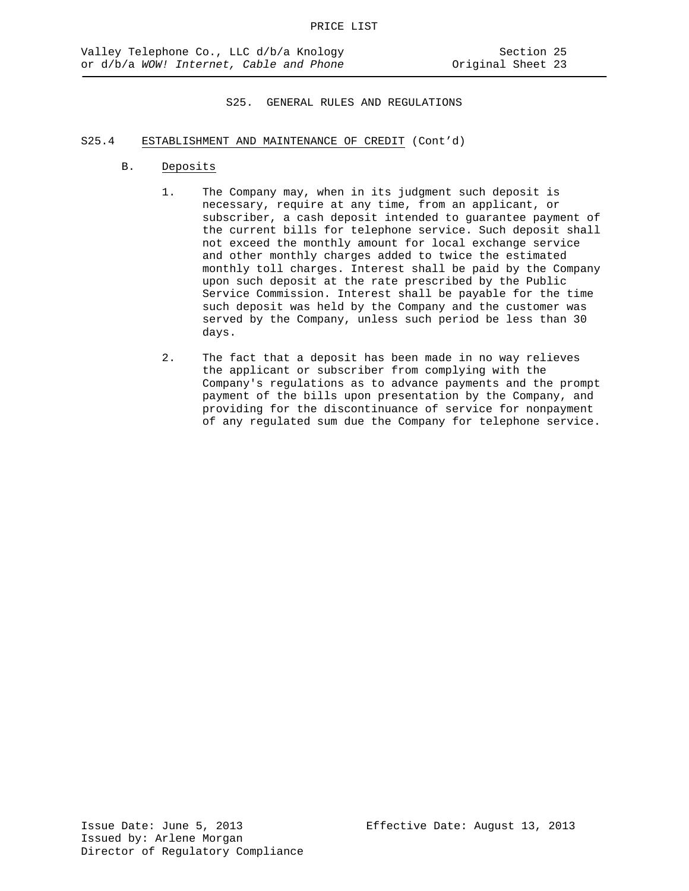## S25.4 ESTABLISHMENT AND MAINTENANCE OF CREDIT (Cont'd)

- B. Deposits
	- 1. The Company may, when in its judgment such deposit is necessary, require at any time, from an applicant, or subscriber, a cash deposit intended to guarantee payment of the current bills for telephone service. Such deposit shall not exceed the monthly amount for local exchange service and other monthly charges added to twice the estimated monthly toll charges. Interest shall be paid by the Company upon such deposit at the rate prescribed by the Public Service Commission. Interest shall be payable for the time such deposit was held by the Company and the customer was served by the Company, unless such period be less than 30 days.
	- 2. The fact that a deposit has been made in no way relieves the applicant or subscriber from complying with the Company's regulations as to advance payments and the prompt payment of the bills upon presentation by the Company, and providing for the discontinuance of service for nonpayment of any regulated sum due the Company for telephone service.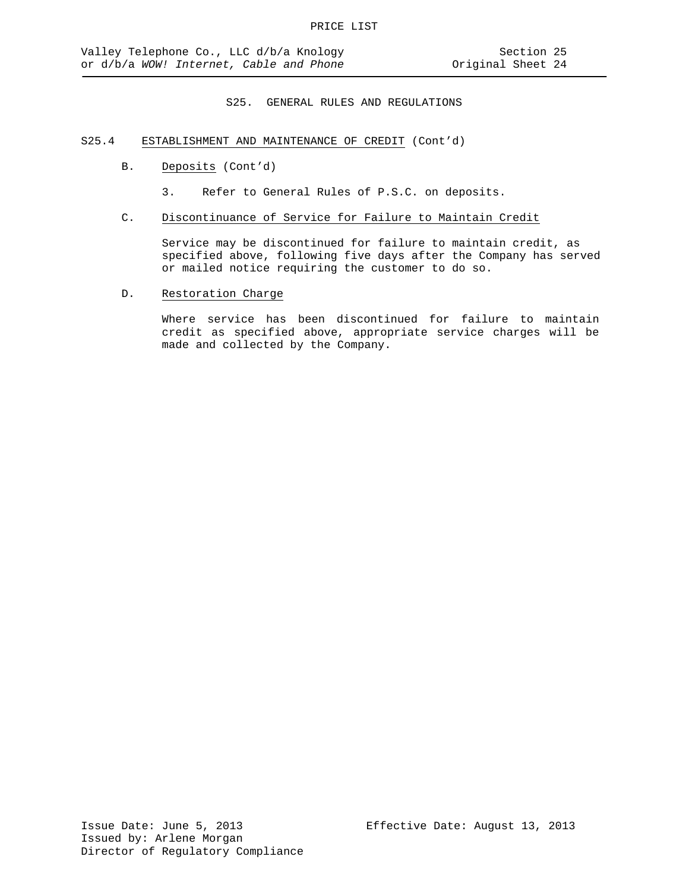## S25.4 ESTABLISHMENT AND MAINTENANCE OF CREDIT (Cont'd)

- B. Deposits (Cont'd)
	- 3. Refer to General Rules of P.S.C. on deposits.
- C. Discontinuance of Service for Failure to Maintain Credit

Service may be discontinued for failure to maintain credit, as specified above, following five days after the Company has served or mailed notice requiring the customer to do so.

D. Restoration Charge

Where service has been discontinued for failure to maintain credit as specified above, appropriate service charges will be made and collected by the Company.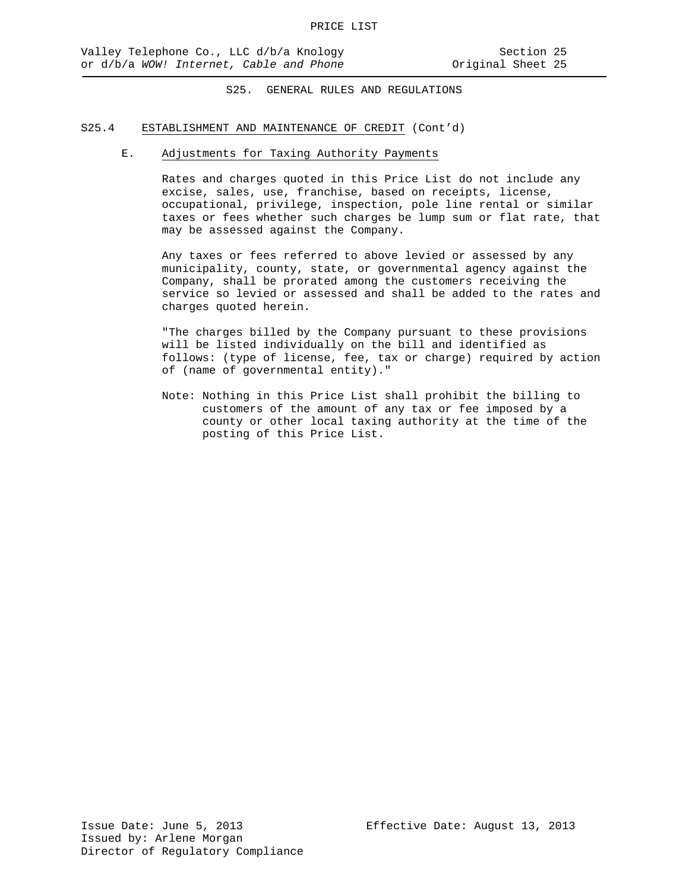# S25.4 ESTABLISHMENT AND MAINTENANCE OF CREDIT (Cont'd)

## E. Adjustments for Taxing Authority Payments

Rates and charges quoted in this Price List do not include any excise, sales, use, franchise, based on receipts, license, occupational, privilege, inspection, pole line rental or similar taxes or fees whether such charges be lump sum or flat rate, that may be assessed against the Company.

Any taxes or fees referred to above levied or assessed by any municipality, county, state, or governmental agency against the Company, shall be prorated among the customers receiving the service so levied or assessed and shall be added to the rates and charges quoted herein.

"The charges billed by the Company pursuant to these provisions will be listed individually on the bill and identified as follows: (type of license, fee, tax or charge) required by action of (name of governmental entity)."

Note: Nothing in this Price List shall prohibit the billing to customers of the amount of any tax or fee imposed by a county or other local taxing authority at the time of the posting of this Price List.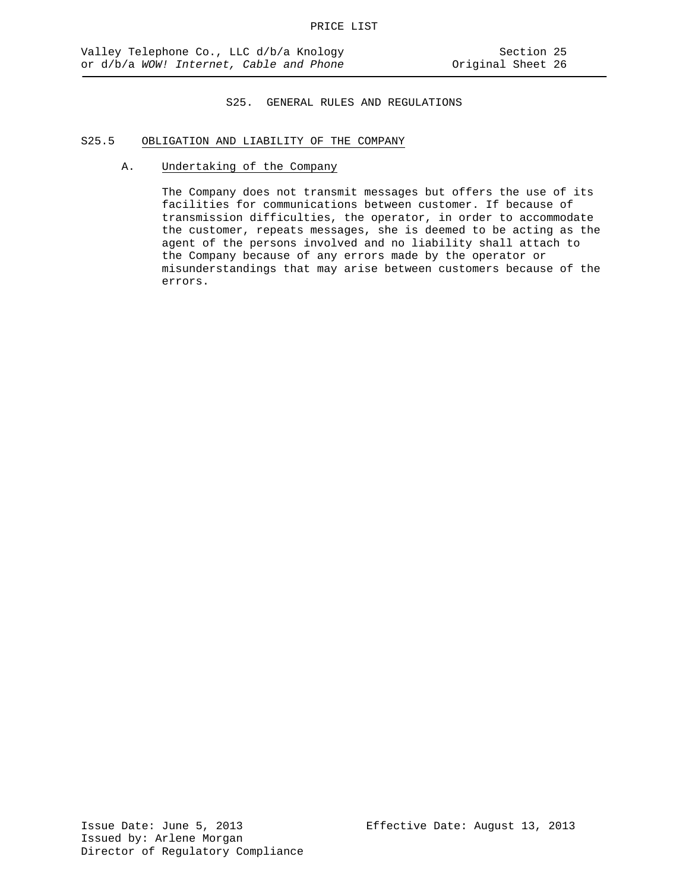## S25.5 OBLIGATION AND LIABILITY OF THE COMPANY

A. Undertaking of the Company

The Company does not transmit messages but offers the use of its facilities for communications between customer. If because of transmission difficulties, the operator, in order to accommodate the customer, repeats messages, she is deemed to be acting as the agent of the persons involved and no liability shall attach to the Company because of any errors made by the operator or misunderstandings that may arise between customers because of the errors.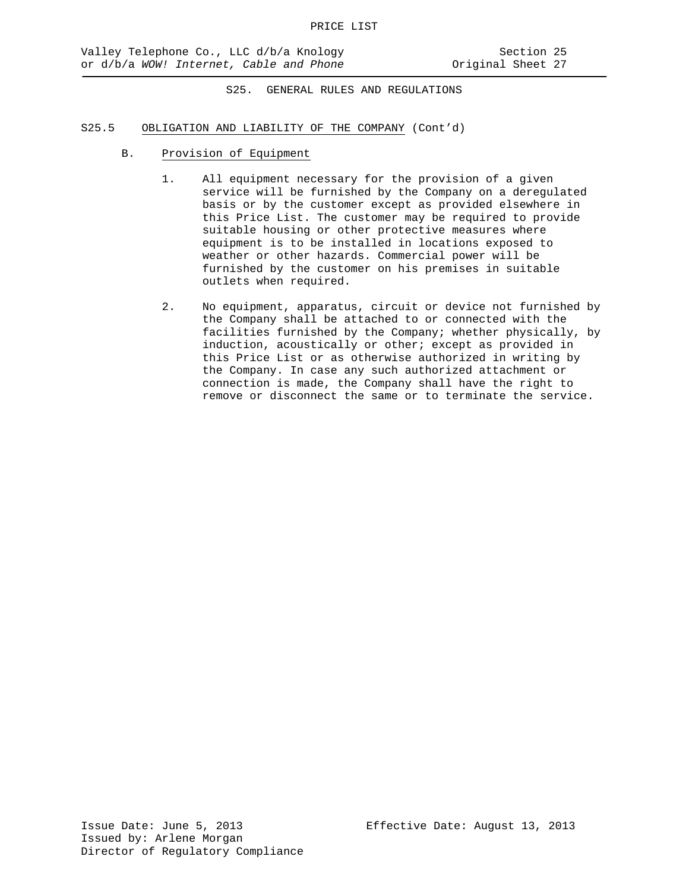## S25.5 OBLIGATION AND LIABILITY OF THE COMPANY (Cont'd)

- B. Provision of Equipment
	- 1. All equipment necessary for the provision of a given service will be furnished by the Company on a deregulated basis or by the customer except as provided elsewhere in this Price List. The customer may be required to provide suitable housing or other protective measures where equipment is to be installed in locations exposed to weather or other hazards. Commercial power will be furnished by the customer on his premises in suitable outlets when required.
	- 2. No equipment, apparatus, circuit or device not furnished by the Company shall be attached to or connected with the facilities furnished by the Company; whether physically, by induction, acoustically or other; except as provided in this Price List or as otherwise authorized in writing by the Company. In case any such authorized attachment or connection is made, the Company shall have the right to remove or disconnect the same or to terminate the service.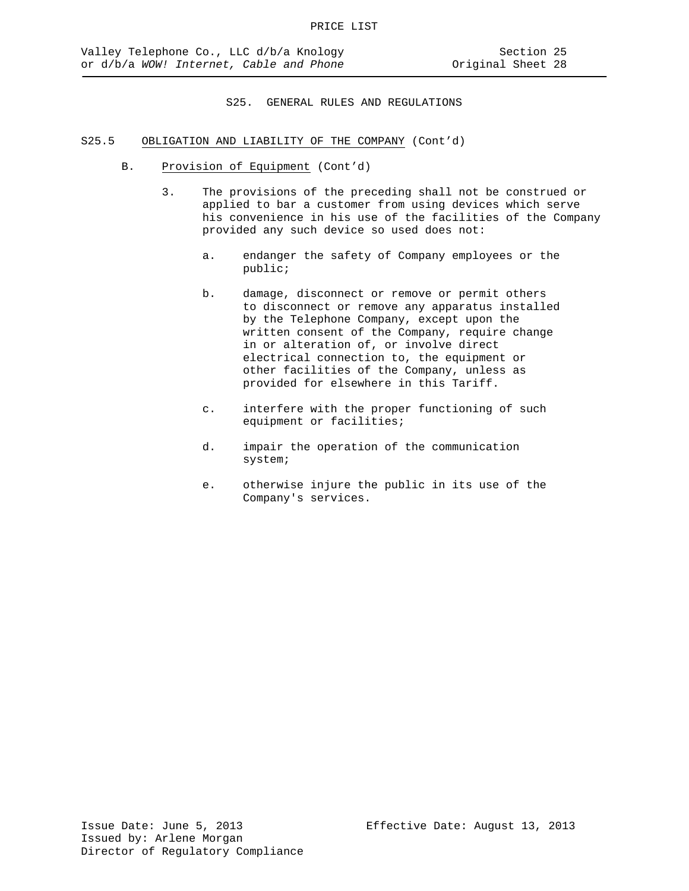## S25.5 OBLIGATION AND LIABILITY OF THE COMPANY (Cont'd)

- B. Provision of Equipment (Cont'd)
	- 3. The provisions of the preceding shall not be construed or applied to bar a customer from using devices which serve his convenience in his use of the facilities of the Company provided any such device so used does not:
		- a. endanger the safety of Company employees or the public;
		- b. damage, disconnect or remove or permit others to disconnect or remove any apparatus installed by the Telephone Company, except upon the written consent of the Company, require change in or alteration of, or involve direct electrical connection to, the equipment or other facilities of the Company, unless as provided for elsewhere in this Tariff.
		- c. interfere with the proper functioning of such equipment or facilities;
		- d. impair the operation of the communication system;
		- e. otherwise injure the public in its use of the Company's services.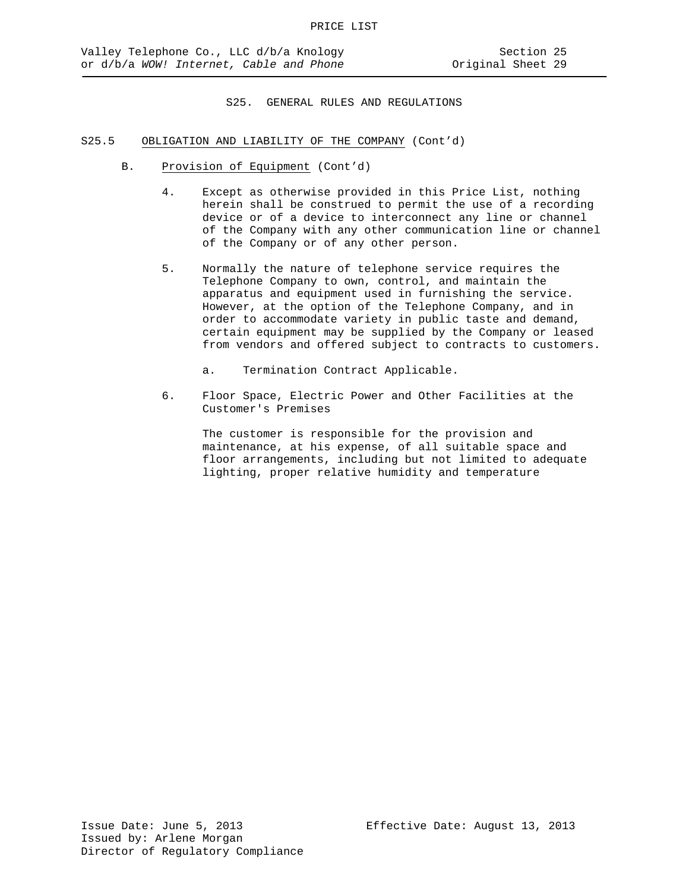## S25.5 OBLIGATION AND LIABILITY OF THE COMPANY (Cont'd)

- B. Provision of Equipment (Cont'd)
	- 4. Except as otherwise provided in this Price List, nothing herein shall be construed to permit the use of a recording device or of a device to interconnect any line or channel of the Company with any other communication line or channel of the Company or of any other person.
	- 5. Normally the nature of telephone service requires the Telephone Company to own, control, and maintain the apparatus and equipment used in furnishing the service. However, at the option of the Telephone Company, and in order to accommodate variety in public taste and demand, certain equipment may be supplied by the Company or leased from vendors and offered subject to contracts to customers.
		- a. Termination Contract Applicable.
	- 6. Floor Space, Electric Power and Other Facilities at the Customer's Premises

The customer is responsible for the provision and maintenance, at his expense, of all suitable space and floor arrangements, including but not limited to adequate lighting, proper relative humidity and temperature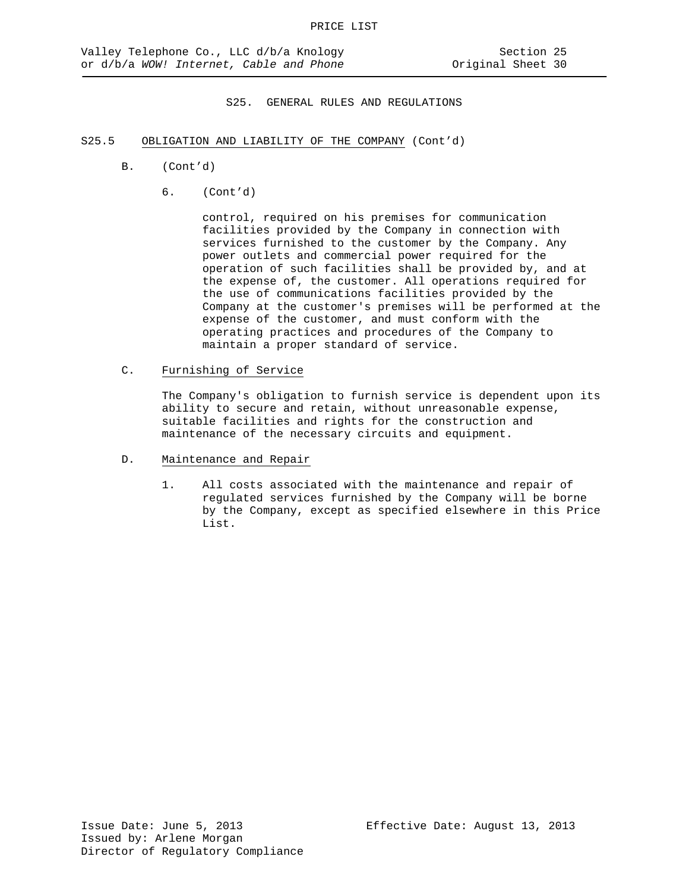- S25.5 OBLIGATION AND LIABILITY OF THE COMPANY (Cont'd)
	- B. (Cont'd)
		- 6. (Cont'd)

control, required on his premises for communication facilities provided by the Company in connection with services furnished to the customer by the Company. Any power outlets and commercial power required for the operation of such facilities shall be provided by, and at the expense of, the customer. All operations required for the use of communications facilities provided by the Company at the customer's premises will be performed at the expense of the customer, and must conform with the operating practices and procedures of the Company to maintain a proper standard of service.

C. Furnishing of Service

The Company's obligation to furnish service is dependent upon its ability to secure and retain, without unreasonable expense, suitable facilities and rights for the construction and maintenance of the necessary circuits and equipment.

- D. Maintenance and Repair
	- 1. All costs associated with the maintenance and repair of regulated services furnished by the Company will be borne by the Company, except as specified elsewhere in this Price List.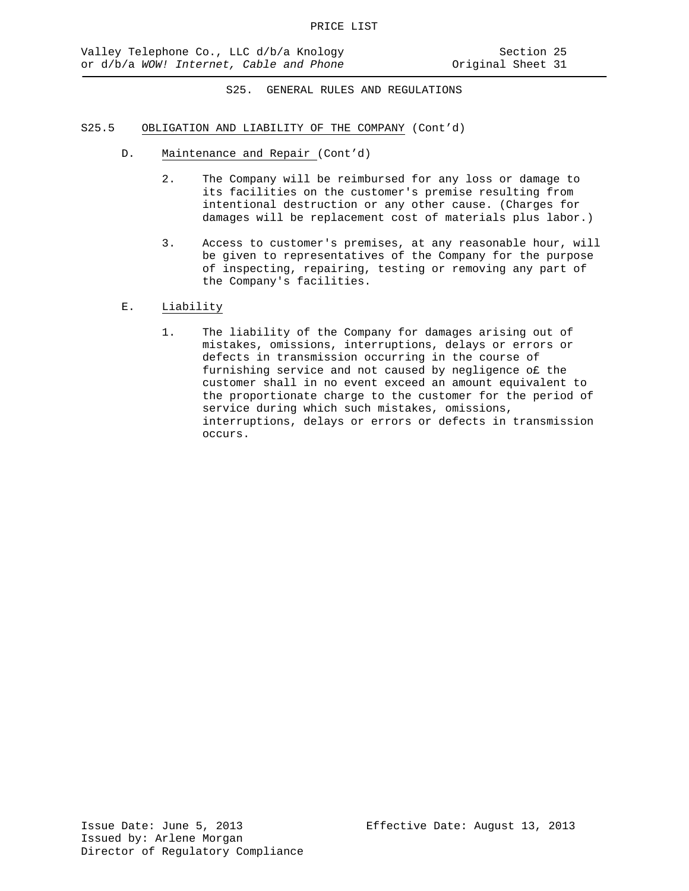## S25.5 OBLIGATION AND LIABILITY OF THE COMPANY (Cont'd)

- D. Maintenance and Repair (Cont'd)
	- 2. The Company will be reimbursed for any loss or damage to its facilities on the customer's premise resulting from intentional destruction or any other cause. (Charges for damages will be replacement cost of materials plus labor.)
	- 3. Access to customer's premises, at any reasonable hour, will be given to representatives of the Company for the purpose of inspecting, repairing, testing or removing any part of the Company's facilities.
- E. Liability
	- 1. The liability of the Company for damages arising out of mistakes, omissions, interruptions, delays or errors or defects in transmission occurring in the course of furnishing service and not caused by negligence o£ the customer shall in no event exceed an amount equivalent to the proportionate charge to the customer for the period of service during which such mistakes, omissions, interruptions, delays or errors or defects in transmission occurs.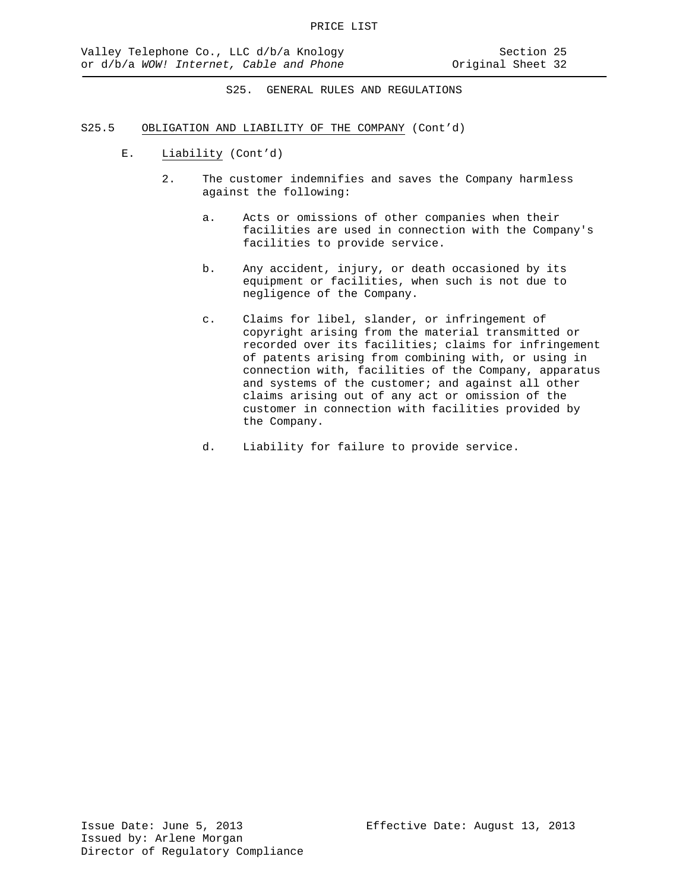- S25.5 OBLIGATION AND LIABILITY OF THE COMPANY (Cont'd)
	- E. Liability (Cont'd)
		- 2. The customer indemnifies and saves the Company harmless against the following:
			- a. Acts or omissions of other companies when their facilities are used in connection with the Company's facilities to provide service.
			- b. Any accident, injury, or death occasioned by its equipment or facilities, when such is not due to negligence of the Company.
			- c. Claims for libel, slander, or infringement of copyright arising from the material transmitted or recorded over its facilities; claims for infringement of patents arising from combining with, or using in connection with, facilities of the Company, apparatus and systems of the customer; and against all other claims arising out of any act or omission of the customer in connection with facilities provided by the Company.
			- d. Liability for failure to provide service.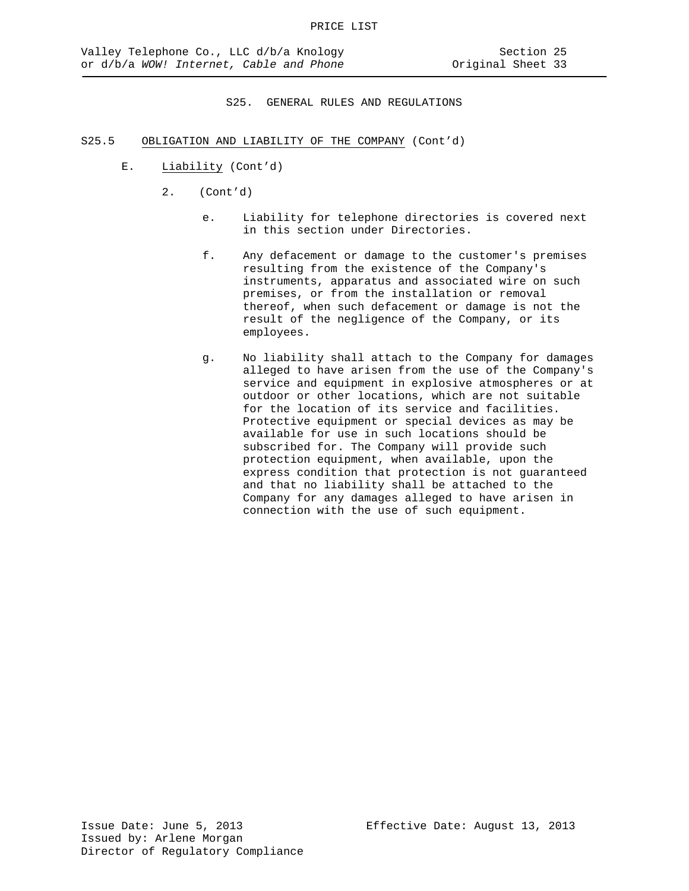### S25.5 OBLIGATION AND LIABILITY OF THE COMPANY (Cont'd)

- E. Liability (Cont'd)
	- 2. (Cont'd)
		- e. Liability for telephone directories is covered next in this section under Directories.
		- f. Any defacement or damage to the customer's premises resulting from the existence of the Company's instruments, apparatus and associated wire on such premises, or from the installation or removal thereof, when such defacement or damage is not the result of the negligence of the Company, or its employees.
		- g. No liability shall attach to the Company for damages alleged to have arisen from the use of the Company's service and equipment in explosive atmospheres or at outdoor or other locations, which are not suitable for the location of its service and facilities. Protective equipment or special devices as may be available for use in such locations should be subscribed for. The Company will provide such protection equipment, when available, upon the express condition that protection is not guaranteed and that no liability shall be attached to the Company for any damages alleged to have arisen in connection with the use of such equipment.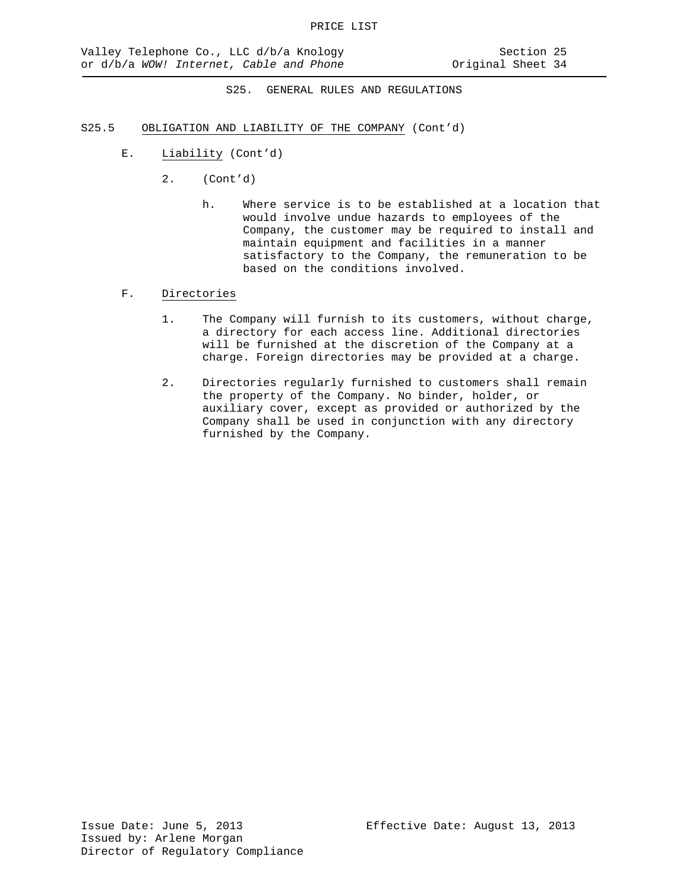- S25.5 OBLIGATION AND LIABILITY OF THE COMPANY (Cont'd)
	- E. Liability (Cont'd)
		- 2. (Cont'd)
			- h. Where service is to be established at a location that would involve undue hazards to employees of the Company, the customer may be required to install and maintain equipment and facilities in a manner satisfactory to the Company, the remuneration to be based on the conditions involved.

## F. Directories

- 1. The Company will furnish to its customers, without charge, a directory for each access line. Additional directories will be furnished at the discretion of the Company at a charge. Foreign directories may be provided at a charge.
- 2. Directories regularly furnished to customers shall remain the property of the Company. No binder, holder, or auxiliary cover, except as provided or authorized by the Company shall be used in conjunction with any directory furnished by the Company.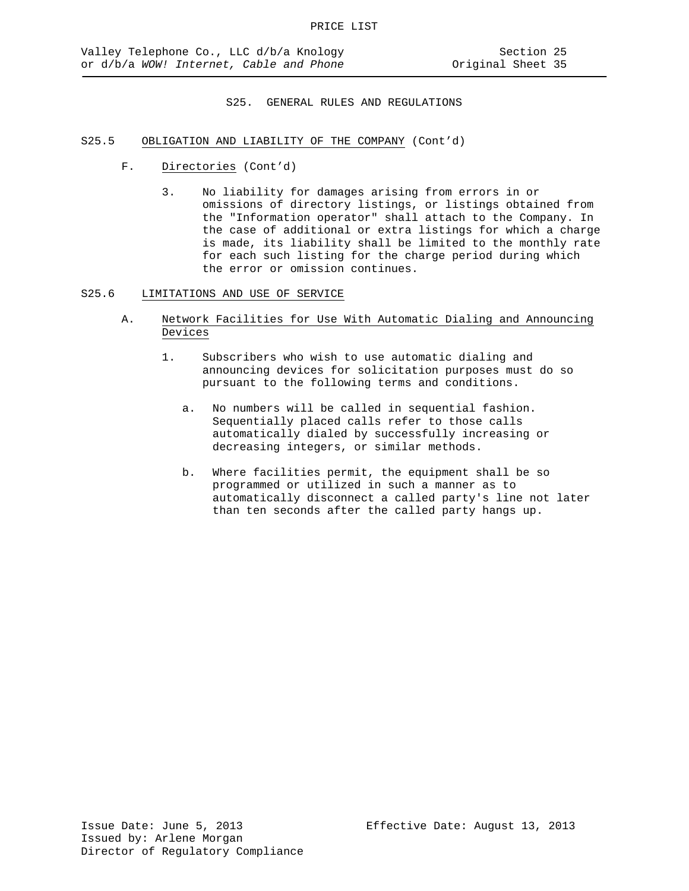- S25.5 OBLIGATION AND LIABILITY OF THE COMPANY (Cont'd)
	- F. Directories (Cont'd)
		- 3. No liability for damages arising from errors in or omissions of directory listings, or listings obtained from the "Information operator" shall attach to the Company. In the case of additional or extra listings for which a charge is made, its liability shall be limited to the monthly rate for each such listing for the charge period during which the error or omission continues.
- S25.6 LIMITATIONS AND USE OF SERVICE
	- A. Network Facilities for Use With Automatic Dialing and Announcing Devices
		- 1. Subscribers who wish to use automatic dialing and announcing devices for solicitation purposes must do so pursuant to the following terms and conditions.
			- a. No numbers will be called in sequential fashion. Sequentially placed calls refer to those calls automatically dialed by successfully increasing or decreasing integers, or similar methods.
			- b. Where facilities permit, the equipment shall be so programmed or utilized in such a manner as to automatically disconnect a called party's line not later than ten seconds after the called party hangs up.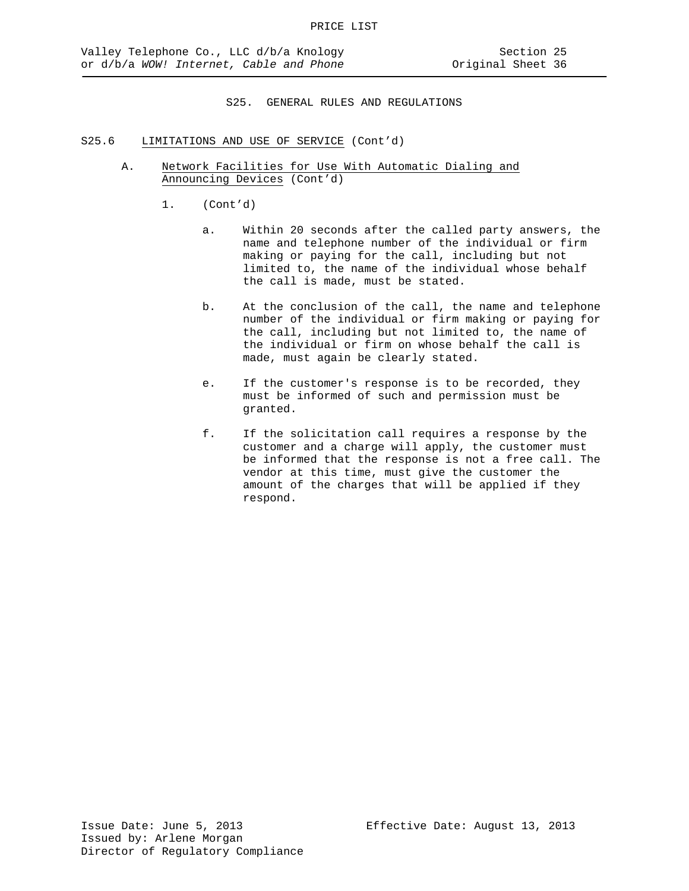- S25.6 LIMITATIONS AND USE OF SERVICE (Cont'd)
	- A. Network Facilities for Use With Automatic Dialing and Announcing Devices (Cont'd)
		- 1. (Cont'd)
			- a. Within 20 seconds after the called party answers, the name and telephone number of the individual or firm making or paying for the call, including but not limited to, the name of the individual whose behalf the call is made, must be stated.
			- b. At the conclusion of the call, the name and telephone number of the individual or firm making or paying for the call, including but not limited to, the name of the individual or firm on whose behalf the call is made, must again be clearly stated.
			- e. If the customer's response is to be recorded, they must be informed of such and permission must be granted.
			- f. If the solicitation call requires a response by the customer and a charge will apply, the customer must be informed that the response is not a free call. The vendor at this time, must give the customer the amount of the charges that will be applied if they respond.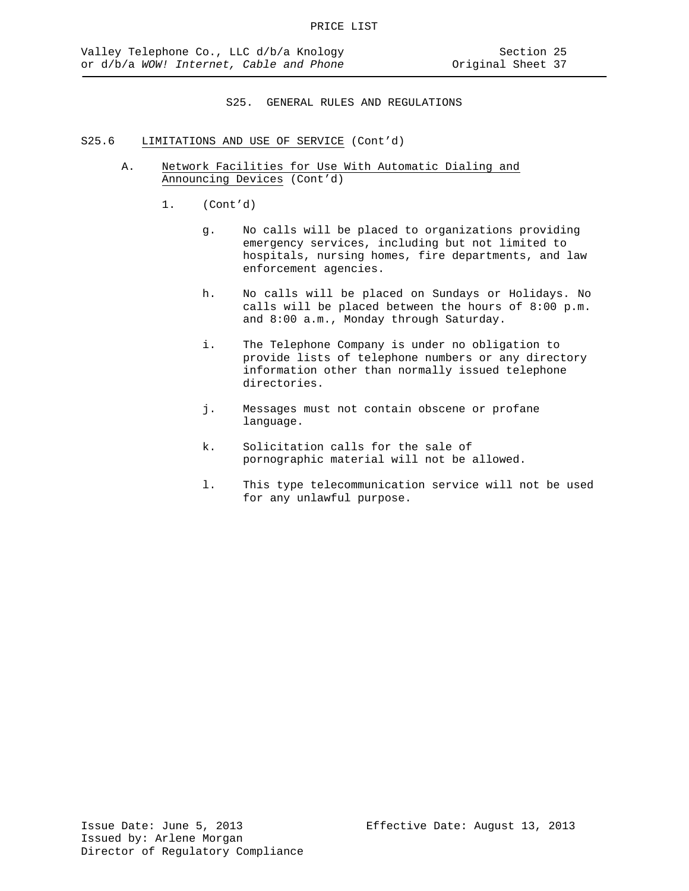- S25.6 LIMITATIONS AND USE OF SERVICE (Cont'd)
	- A. Network Facilities for Use With Automatic Dialing and Announcing Devices (Cont'd)
		- 1. (Cont'd)
			- g. No calls will be placed to organizations providing emergency services, including but not limited to hospitals, nursing homes, fire departments, and law enforcement agencies.
			- h. No calls will be placed on Sundays or Holidays. No calls will be placed between the hours of 8:00 p.m. and 8:00 a.m., Monday through Saturday.
			- i. The Telephone Company is under no obligation to provide lists of telephone numbers or any directory information other than normally issued telephone directories.
			- j. Messages must not contain obscene or profane language.
			- k. Solicitation calls for the sale of pornographic material will not be allowed.
			- l. This type telecommunication service will not be used for any unlawful purpose.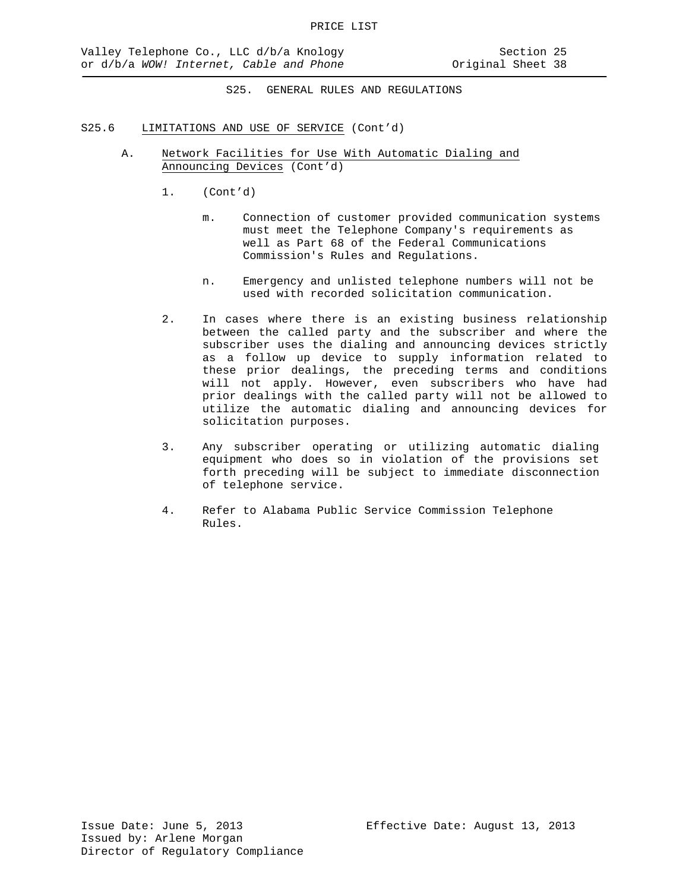- S25.6 LIMITATIONS AND USE OF SERVICE (Cont'd)
	- A. Network Facilities for Use With Automatic Dialing and Announcing Devices (Cont'd)
		- 1. (Cont'd)
			- m. Connection of customer provided communication systems must meet the Telephone Company's requirements as well as Part 68 of the Federal Communications Commission's Rules and Regulations.
			- n. Emergency and unlisted telephone numbers will not be used with recorded solicitation communication.
		- 2. In cases where there is an existing business relationship between the called party and the subscriber and where the subscriber uses the dialing and announcing devices strictly as a follow up device to supply information related to these prior dealings, the preceding terms and conditions will not apply. However, even subscribers who have had prior dealings with the called party will not be allowed to utilize the automatic dialing and announcing devices for solicitation purposes.
		- 3. Any subscriber operating or utilizing automatic dialing equipment who does so in violation of the provisions set forth preceding will be subject to immediate disconnection of telephone service.
		- 4. Refer to Alabama Public Service Commission Telephone Rules.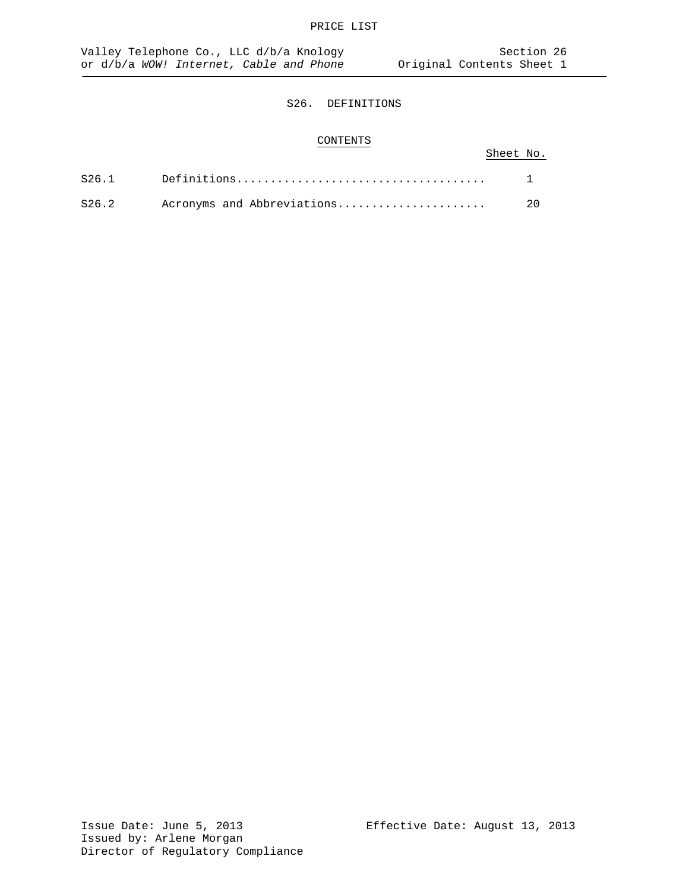# CONTENTS

# Sheet No.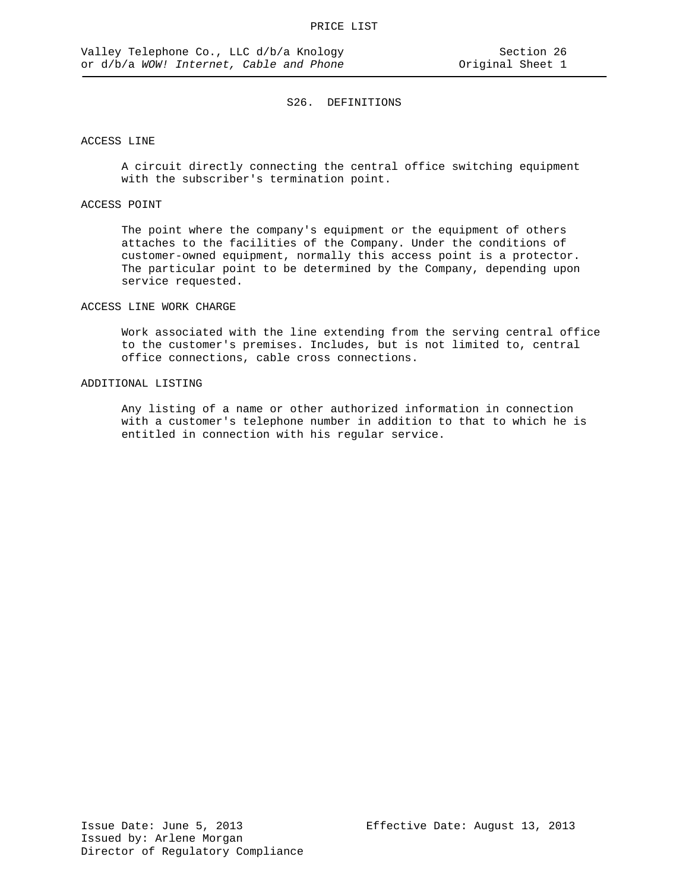## ACCESS LINE

A circuit directly connecting the central office switching equipment with the subscriber's termination point.

## ACCESS POINT

The point where the company's equipment or the equipment of others attaches to the facilities of the Company. Under the conditions of customer-owned equipment, normally this access point is a protector. The particular point to be determined by the Company, depending upon service requested.

#### ACCESS LINE WORK CHARGE

Work associated with the line extending from the serving central office to the customer's premises. Includes, but is not limited to, central office connections, cable cross connections.

## ADDITIONAL LISTING

Any listing of a name or other authorized information in connection with a customer's telephone number in addition to that to which he is entitled in connection with his regular service.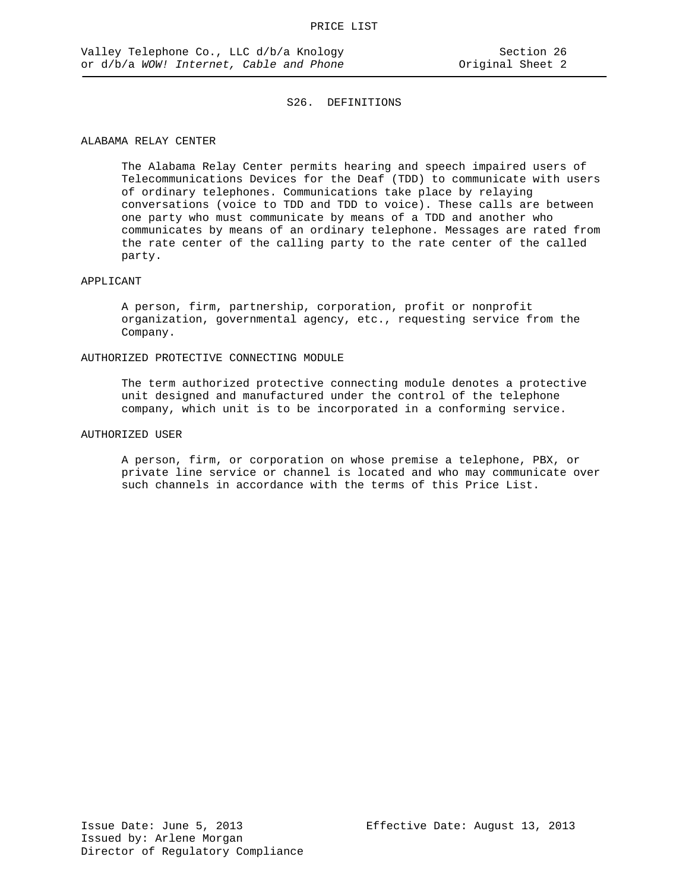## ALABAMA RELAY CENTER

The Alabama Relay Center permits hearing and speech impaired users of Telecommunications Devices for the Deaf (TDD) to communicate with users of ordinary telephones. Communications take place by relaying conversations (voice to TDD and TDD to voice). These calls are between one party who must communicate by means of a TDD and another who communicates by means of an ordinary telephone. Messages are rated from the rate center of the calling party to the rate center of the called party.

#### APPLICANT

A person, firm, partnership, corporation, profit or nonprofit organization, governmental agency, etc., requesting service from the Company.

#### AUTHORIZED PROTECTIVE CONNECTING MODULE

The term authorized protective connecting module denotes a protective unit designed and manufactured under the control of the telephone company, which unit is to be incorporated in a conforming service.

## AUTHORIZED USER

A person, firm, or corporation on whose premise a telephone, PBX, or private line service or channel is located and who may communicate over such channels in accordance with the terms of this Price List.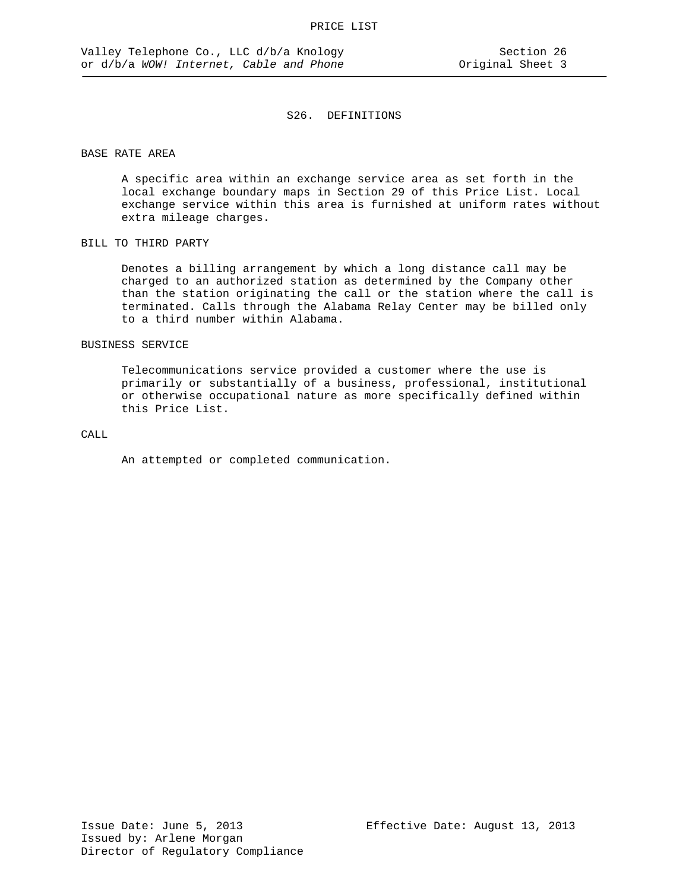### BASE RATE AREA

A specific area within an exchange service area as set forth in the local exchange boundary maps in Section 29 of this Price List. Local exchange service within this area is furnished at uniform rates without extra mileage charges.

### BILL TO THIRD PARTY

Denotes a billing arrangement by which a long distance call may be charged to an authorized station as determined by the Company other than the station originating the call or the station where the call is terminated. Calls through the Alabama Relay Center may be billed only to a third number within Alabama.

## BUSINESS SERVICE

Telecommunications service provided a customer where the use is primarily or substantially of a business, professional, institutional or otherwise occupational nature as more specifically defined within this Price List.

# CALL

An attempted or completed communication.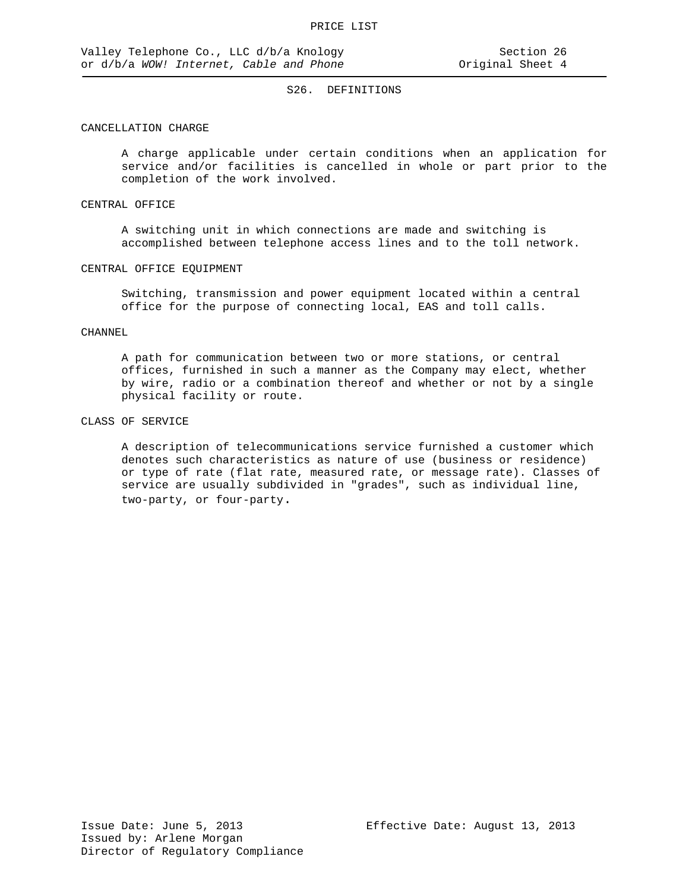## CANCELLATION CHARGE

A charge applicable under certain conditions when an application for service and/or facilities is cancelled in whole or part prior to the completion of the work involved.

#### CENTRAL OFFICE

A switching unit in which connections are made and switching is accomplished between telephone access lines and to the toll network.

#### CENTRAL OFFICE EQUIPMENT

Switching, transmission and power equipment located within a central office for the purpose of connecting local, EAS and toll calls.

### CHANNEL

A path for communication between two or more stations, or central offices, furnished in such a manner as the Company may elect, whether by wire, radio or a combination thereof and whether or not by a single physical facility or route.

### CLASS OF SERVICE

A description of telecommunications service furnished a customer which denotes such characteristics as nature of use (business or residence) or type of rate (flat rate, measured rate, or message rate). Classes of service are usually subdivided in "grades", such as individual line, two-party, or four-party.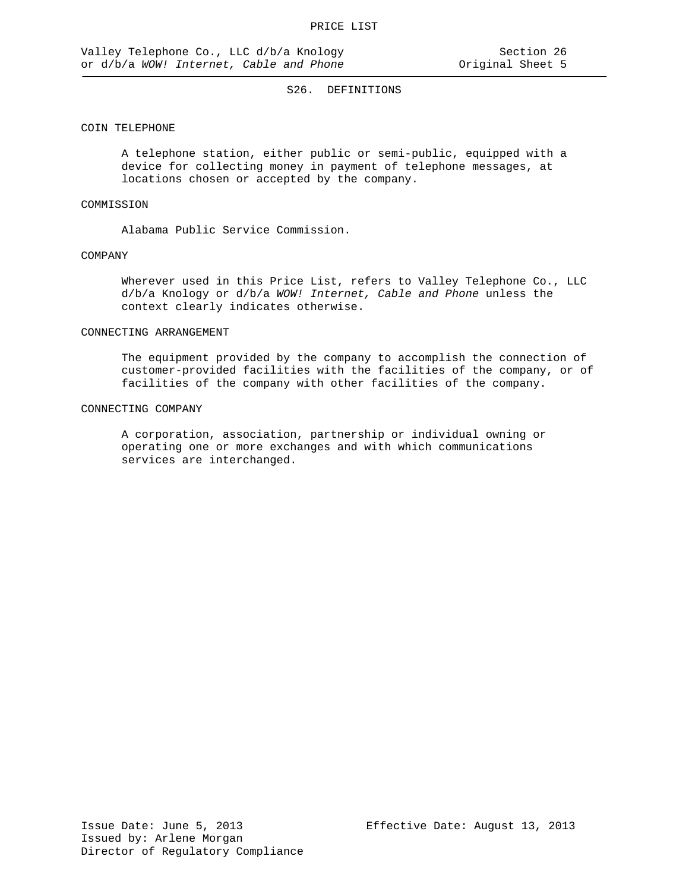### COIN TELEPHONE

A telephone station, either public or semi-public, equipped with a device for collecting money in payment of telephone messages, at locations chosen or accepted by the company.

## COMMISSION

Alabama Public Service Commission.

### COMPANY

Wherever used in this Price List, refers to Valley Telephone Co., LLC d/b/a Knology or d/b/a *WOW! Internet, Cable and Phone* unless the context clearly indicates otherwise.

## CONNECTING ARRANGEMENT

The equipment provided by the company to accomplish the connection of customer-provided facilities with the facilities of the company, or of facilities of the company with other facilities of the company.

#### CONNECTING COMPANY

A corporation, association, partnership or individual owning or operating one or more exchanges and with which communications services are interchanged.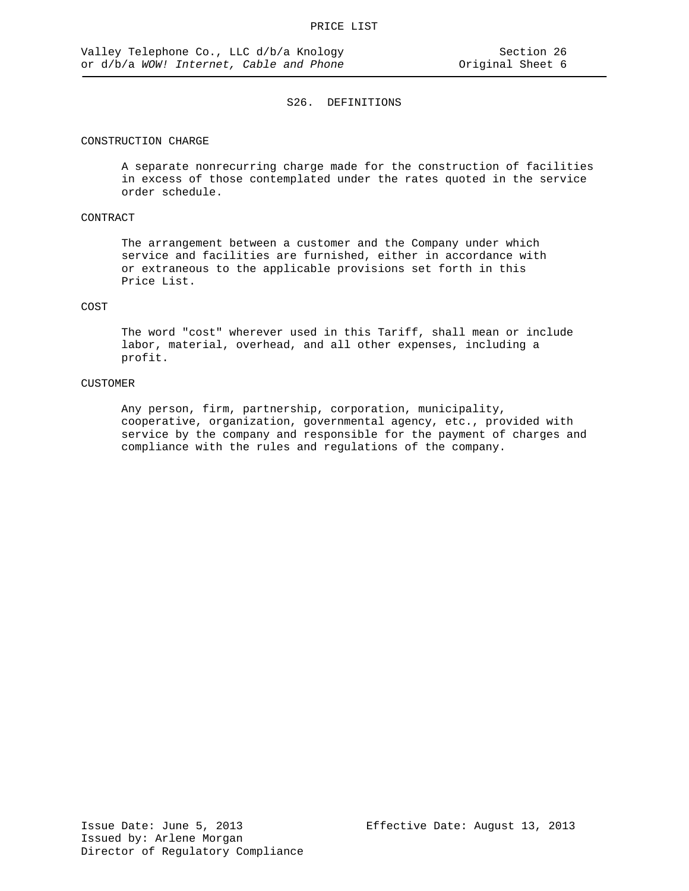## CONSTRUCTION CHARGE

A separate nonrecurring charge made for the construction of facilities in excess of those contemplated under the rates quoted in the service order schedule.

## CONTRACT

The arrangement between a customer and the Company under which service and facilities are furnished, either in accordance with or extraneous to the applicable provisions set forth in this Price List.

#### COST

The word "cost" wherever used in this Tariff, shall mean or include labor, material, overhead, and all other expenses, including a profit.

### CUSTOMER

Any person, firm, partnership, corporation, municipality, cooperative, organization, governmental agency, etc., provided with service by the company and responsible for the payment of charges and compliance with the rules and regulations of the company.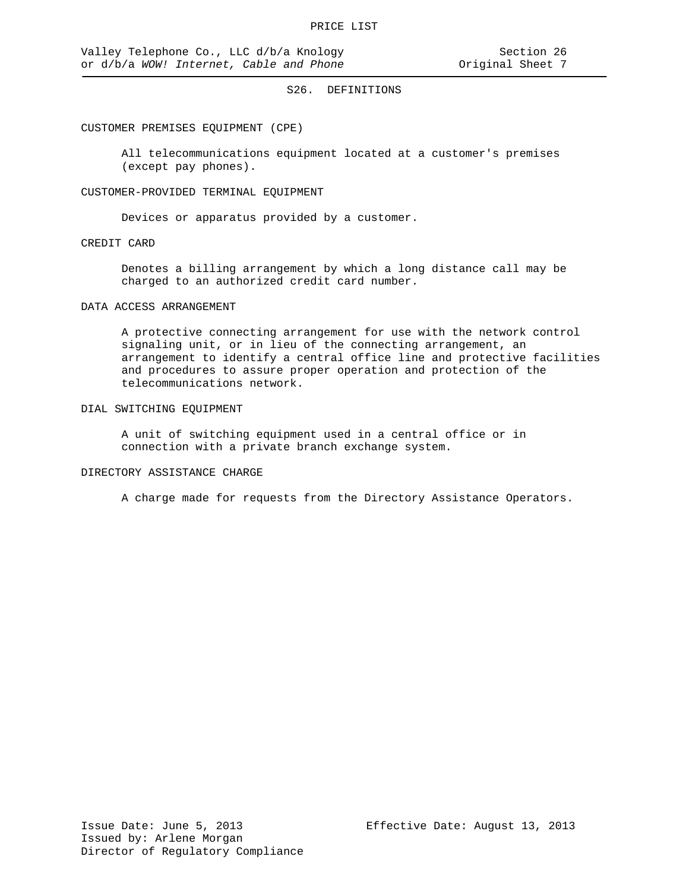#### CUSTOMER PREMISES EQUIPMENT (CPE)

All telecommunications equipment located at a customer's premises (except pay phones).

### CUSTOMER-PROVIDED TERMINAL EQUIPMENT

Devices or apparatus provided by a customer.

#### CREDIT CARD

Denotes a billing arrangement by which a long distance call may be charged to an authorized credit card number.

#### DATA ACCESS ARRANGEMENT

A protective connecting arrangement for use with the network control signaling unit, or in lieu of the connecting arrangement, an arrangement to identify a central office line and protective facilities and procedures to assure proper operation and protection of the telecommunications network.

### DIAL SWITCHING EQUIPMENT

A unit of switching equipment used in a central office or in connection with a private branch exchange system.

### DIRECTORY ASSISTANCE CHARGE

A charge made for requests from the Directory Assistance Operators.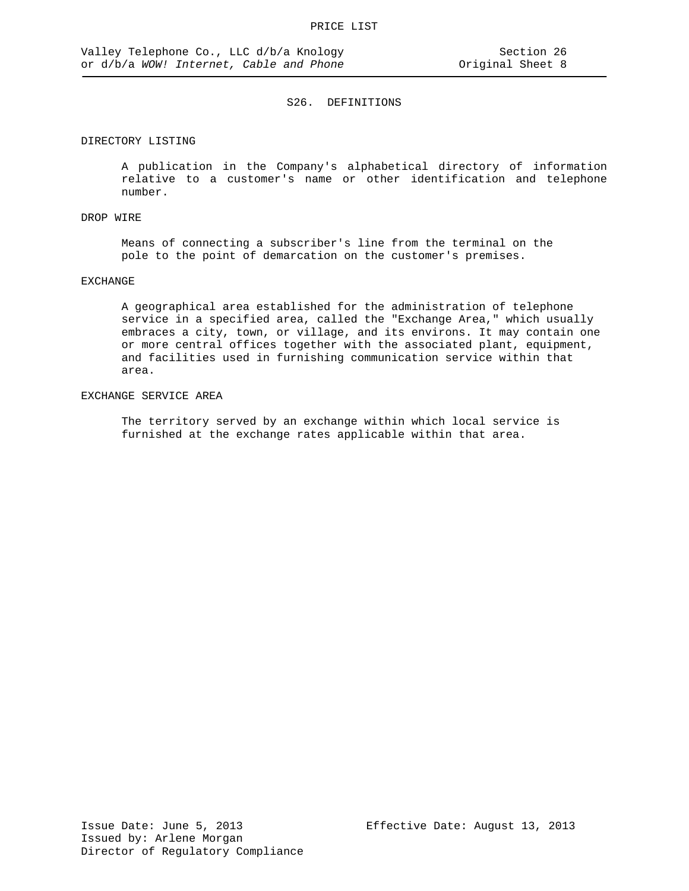## DIRECTORY LISTING

A publication in the Company's alphabetical directory of information relative to a customer's name or other identification and telephone number.

## DROP WIRE

Means of connecting a subscriber's line from the terminal on the pole to the point of demarcation on the customer's premises.

## EXCHANGE

A geographical area established for the administration of telephone service in a specified area, called the "Exchange Area," which usually embraces a city, town, or village, and its environs. It may contain one or more central offices together with the associated plant, equipment, and facilities used in furnishing communication service within that area.

## EXCHANGE SERVICE AREA

The territory served by an exchange within which local service is furnished at the exchange rates applicable within that area.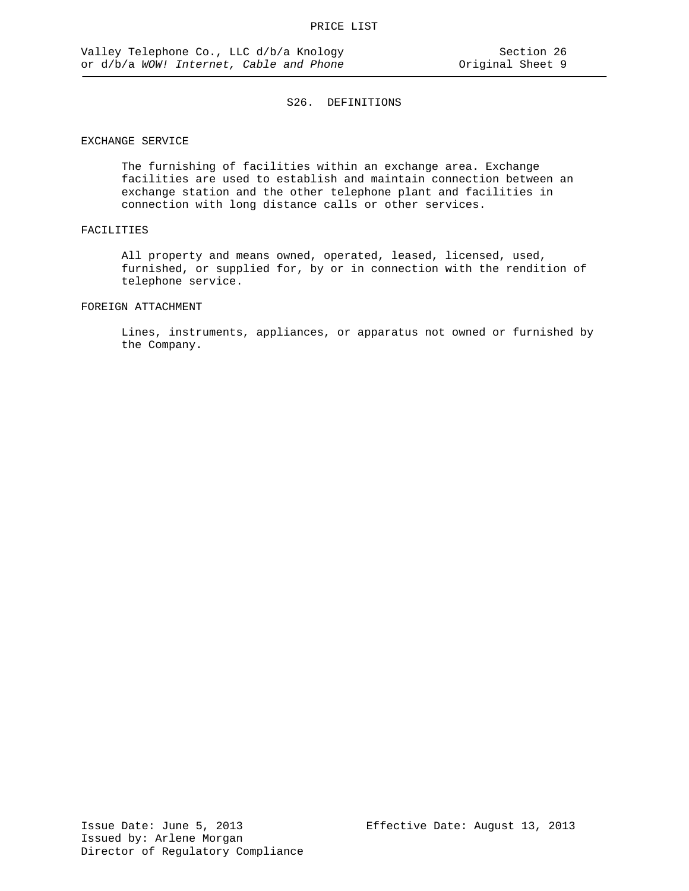## EXCHANGE SERVICE

The furnishing of facilities within an exchange area. Exchange facilities are used to establish and maintain connection between an exchange station and the other telephone plant and facilities in connection with long distance calls or other services.

## FACILITIES

All property and means owned, operated, leased, licensed, used, furnished, or supplied for, by or in connection with the rendition of telephone service.

### FOREIGN ATTACHMENT

Lines, instruments, appliances, or apparatus not owned or furnished by the Company.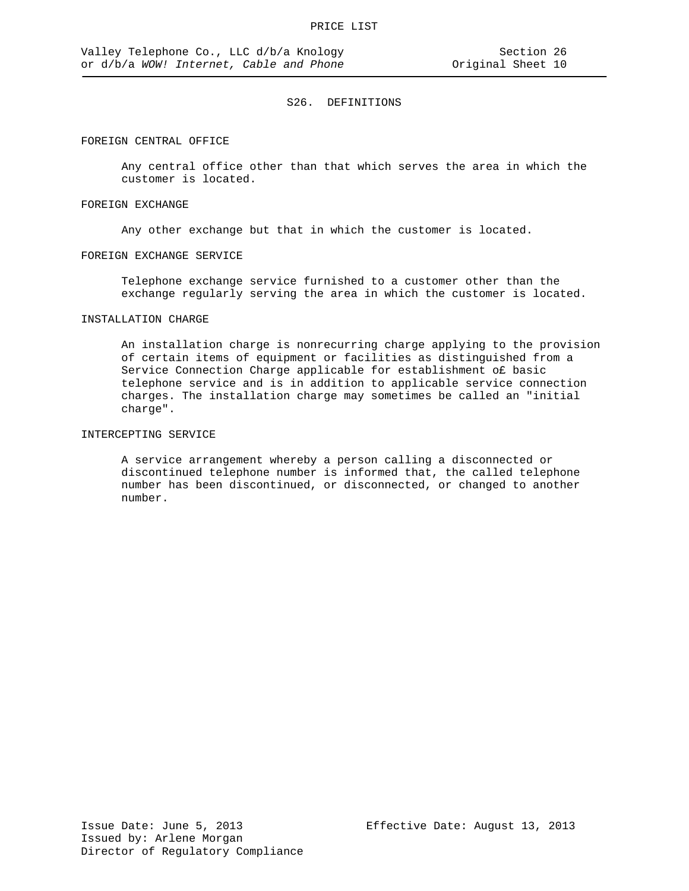#### FOREIGN CENTRAL OFFICE

Any central office other than that which serves the area in which the customer is located.

#### FOREIGN EXCHANGE

Any other exchange but that in which the customer is located.

#### FOREIGN EXCHANGE SERVICE

Telephone exchange service furnished to a customer other than the exchange regularly serving the area in which the customer is located.

## INSTALLATION CHARGE

An installation charge is nonrecurring charge applying to the provision of certain items of equipment or facilities as distinguished from a Service Connection Charge applicable for establishment o£ basic telephone service and is in addition to applicable service connection charges. The installation charge may sometimes be called an "initial charge".

# INTERCEPTING SERVICE

A service arrangement whereby a person calling a disconnected or discontinued telephone number is informed that, the called telephone number has been discontinued, or disconnected, or changed to another number.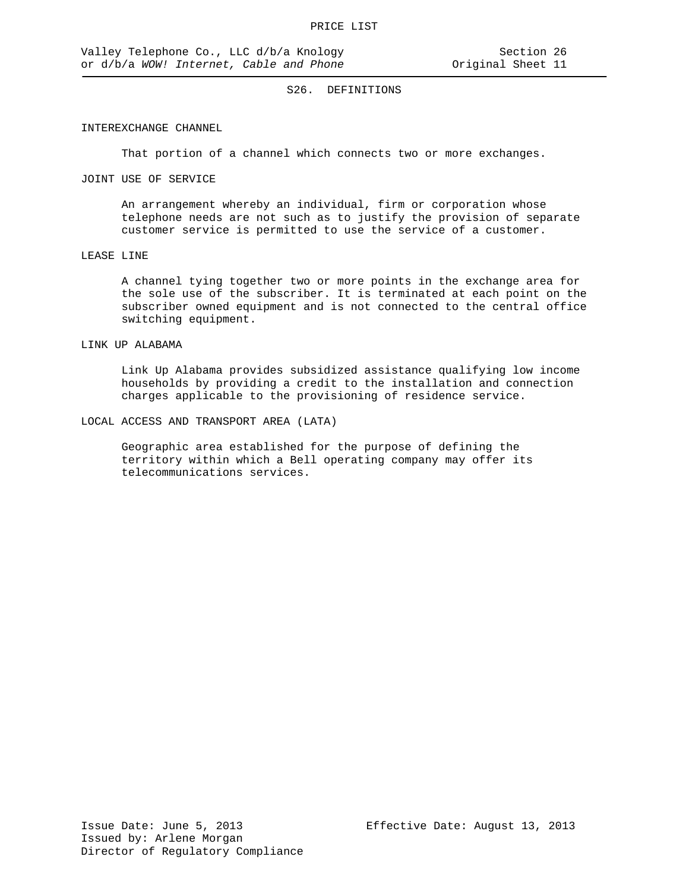### INTEREXCHANGE CHANNEL

That portion of a channel which connects two or more exchanges.

## JOINT USE OF SERVICE

An arrangement whereby an individual, firm or corporation whose telephone needs are not such as to justify the provision of separate customer service is permitted to use the service of a customer.

### LEASE LINE

A channel tying together two or more points in the exchange area for the sole use of the subscriber. It is terminated at each point on the subscriber owned equipment and is not connected to the central office switching equipment.

### LINK UP ALABAMA

Link Up Alabama provides subsidized assistance qualifying low income households by providing a credit to the installation and connection charges applicable to the provisioning of residence service.

## LOCAL ACCESS AND TRANSPORT AREA (LATA)

Geographic area established for the purpose of defining the territory within which a Bell operating company may offer its telecommunications services.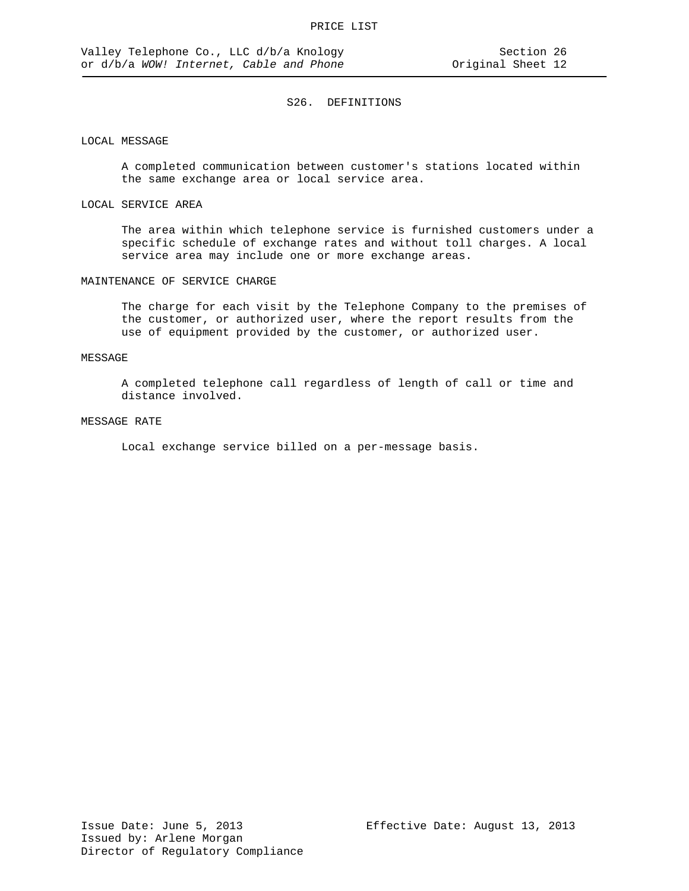## LOCAL MESSAGE

A completed communication between customer's stations located within the same exchange area or local service area.

### LOCAL SERVICE AREA

The area within which telephone service is furnished customers under a specific schedule of exchange rates and without toll charges. A local service area may include one or more exchange areas.

#### MAINTENANCE OF SERVICE CHARGE

The charge for each visit by the Telephone Company to the premises of the customer, or authorized user, where the report results from the use of equipment provided by the customer, or authorized user.

### MESSAGE

A completed telephone call regardless of length of call or time and distance involved.

### MESSAGE RATE

Local exchange service billed on a per-message basis.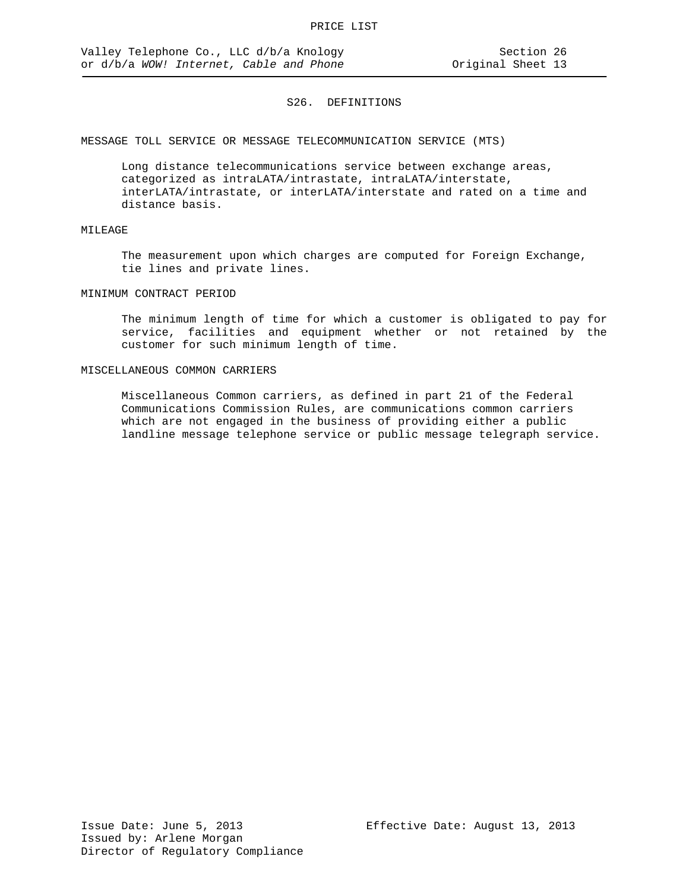MESSAGE TOLL SERVICE OR MESSAGE TELECOMMUNICATION SERVICE (MTS)

Long distance telecommunications service between exchange areas, categorized as intraLATA/intrastate, intraLATA/interstate, interLATA/intrastate, or interLATA/interstate and rated on a time and distance basis.

# MILEAGE

The measurement upon which charges are computed for Foreign Exchange, tie lines and private lines.

### MINIMUM CONTRACT PERIOD

The minimum length of time for which a customer is obligated to pay for service, facilities and equipment whether or not retained by the customer for such minimum length of time.

#### MISCELLANEOUS COMMON CARRIERS

Miscellaneous Common carriers, as defined in part 21 of the Federal Communications Commission Rules, are communications common carriers which are not engaged in the business of providing either a public landline message telephone service or public message telegraph service.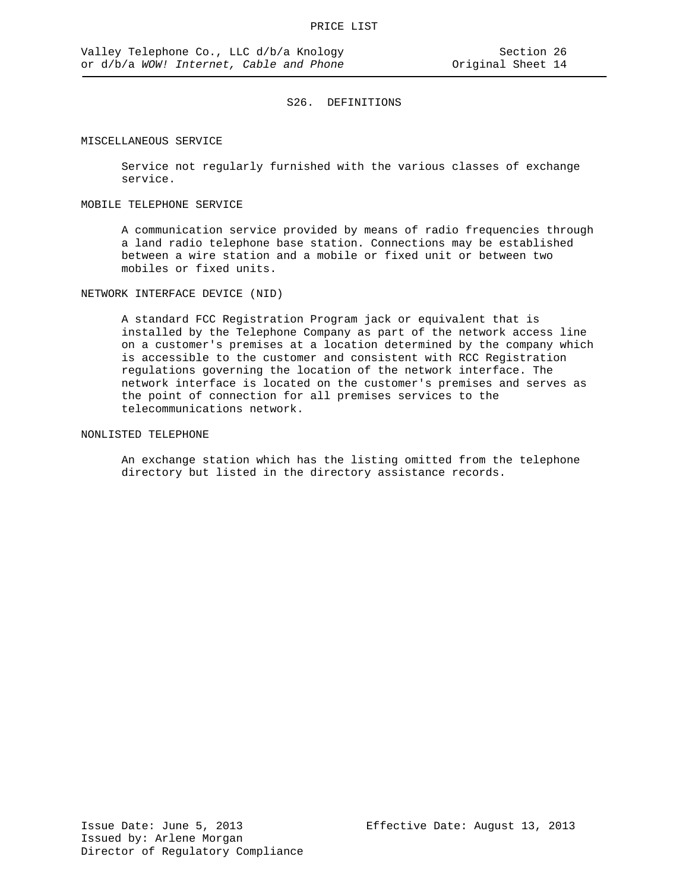#### MISCELLANEOUS SERVICE

Service not regularly furnished with the various classes of exchange service.

#### MOBILE TELEPHONE SERVICE

A communication service provided by means of radio frequencies through a land radio telephone base station. Connections may be established between a wire station and a mobile or fixed unit or between two mobiles or fixed units.

NETWORK INTERFACE DEVICE (NID)

A standard FCC Registration Program jack or equivalent that is installed by the Telephone Company as part of the network access line on a customer's premises at a location determined by the company which is accessible to the customer and consistent with RCC Registration regulations governing the location of the network interface. The network interface is located on the customer's premises and serves as the point of connection for all premises services to the telecommunications network.

## NONLISTED TELEPHONE

An exchange station which has the listing omitted from the telephone directory but listed in the directory assistance records.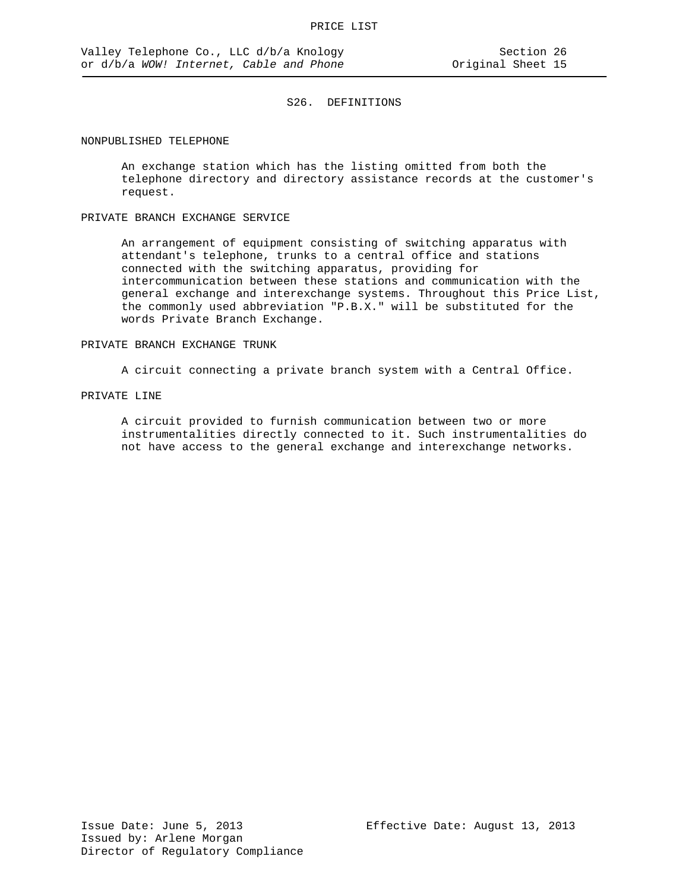#### NONPUBLISHED TELEPHONE

An exchange station which has the listing omitted from both the telephone directory and directory assistance records at the customer's request.

## PRIVATE BRANCH EXCHANGE SERVICE

An arrangement of equipment consisting of switching apparatus with attendant's telephone, trunks to a central office and stations connected with the switching apparatus, providing for intercommunication between these stations and communication with the general exchange and interexchange systems. Throughout this Price List, the commonly used abbreviation "P.B.X." will be substituted for the words Private Branch Exchange.

### PRIVATE BRANCH EXCHANGE TRUNK

A circuit connecting a private branch system with a Central Office.

## PRIVATE LINE

A circuit provided to furnish communication between two or more instrumentalities directly connected to it. Such instrumentalities do not have access to the general exchange and interexchange networks.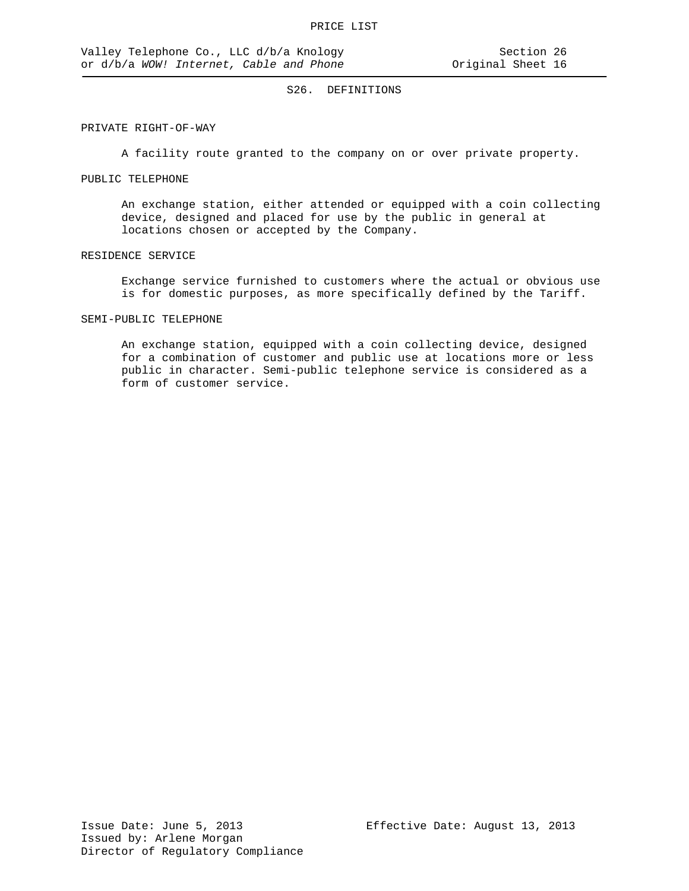### PRIVATE RIGHT-OF-WAY

A facility route granted to the company on or over private property.

## PUBLIC TELEPHONE

An exchange station, either attended or equipped with a coin collecting device, designed and placed for use by the public in general at locations chosen or accepted by the Company.

### RESIDENCE SERVICE

Exchange service furnished to customers where the actual or obvious use is for domestic purposes, as more specifically defined by the Tariff.

## SEMI-PUBLIC TELEPHONE

An exchange station, equipped with a coin collecting device, designed for a combination of customer and public use at locations more or less public in character. Semi-public telephone service is considered as a form of customer service.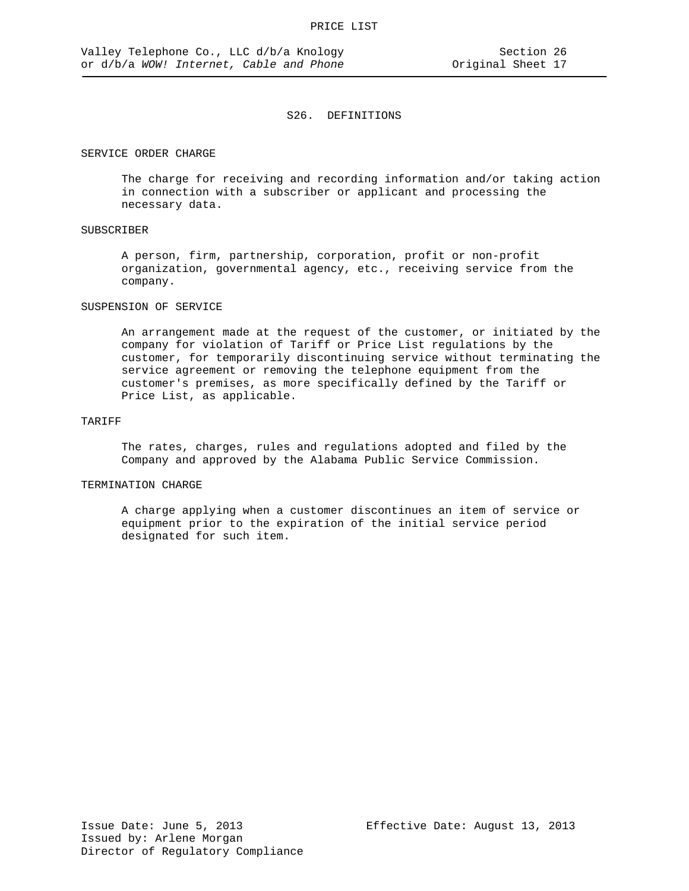#### SERVICE ORDER CHARGE

The charge for receiving and recording information and/or taking action in connection with a subscriber or applicant and processing the necessary data.

## SUBSCRIBER

A person, firm, partnership, corporation, profit or non-profit organization, governmental agency, etc., receiving service from the company.

## SUSPENSION OF SERVICE

An arrangement made at the request of the customer, or initiated by the company for violation of Tariff or Price List regulations by the customer, for temporarily discontinuing service without terminating the service agreement or removing the telephone equipment from the customer's premises, as more specifically defined by the Tariff or Price List, as applicable.

## TARIFF

The rates, charges, rules and regulations adopted and filed by the Company and approved by the Alabama Public Service Commission.

## TERMINATION CHARGE

A charge applying when a customer discontinues an item of service or equipment prior to the expiration of the initial service period designated for such item.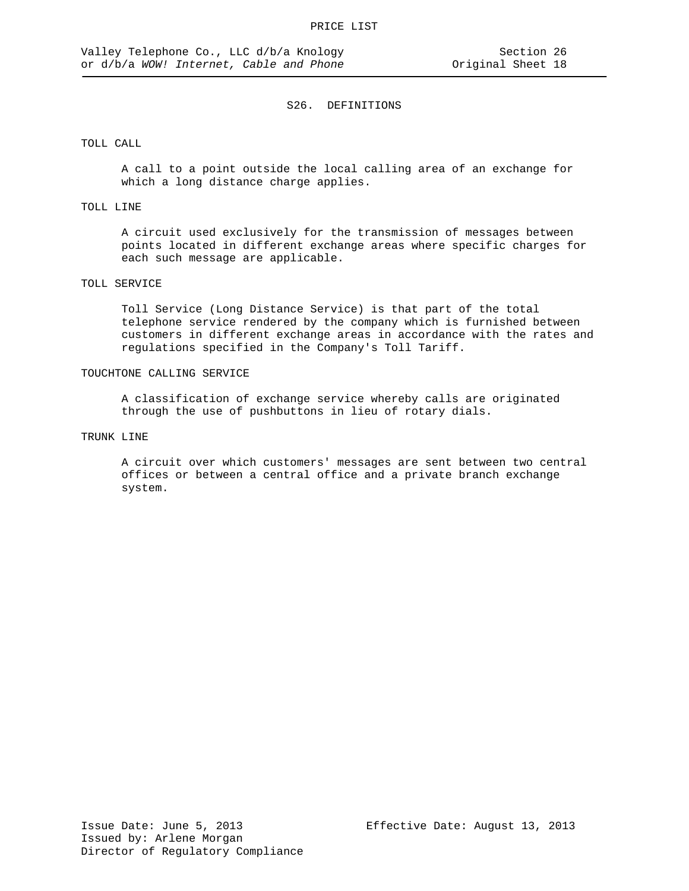### TOLL CALL

A call to a point outside the local calling area of an exchange for which a long distance charge applies.

## TOLL LINE

A circuit used exclusively for the transmission of messages between points located in different exchange areas where specific charges for each such message are applicable.

## TOLL SERVICE

Toll Service (Long Distance Service) is that part of the total telephone service rendered by the company which is furnished between customers in different exchange areas in accordance with the rates and regulations specified in the Company's Toll Tariff.

### TOUCHTONE CALLING SERVICE

A classification of exchange service whereby calls are originated through the use of pushbuttons in lieu of rotary dials.

### TRUNK LINE

A circuit over which customers' messages are sent between two central offices or between a central office and a private branch exchange system.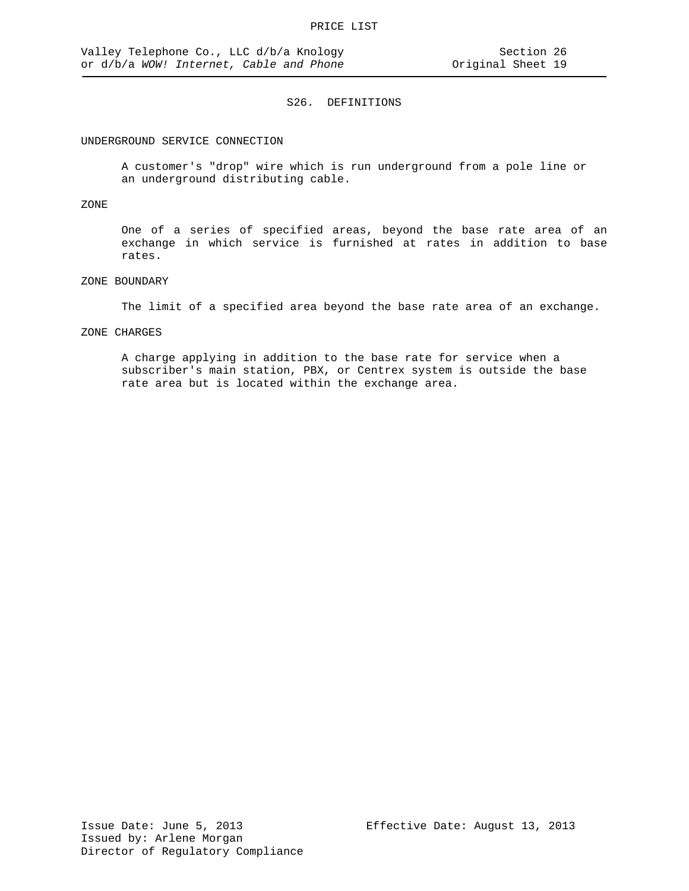#### UNDERGROUND SERVICE CONNECTION

A customer's "drop" wire which is run underground from a pole line or an underground distributing cable.

### ZONE

One of a series of specified areas, beyond the base rate area of an exchange in which service is furnished at rates in addition to base rates.

## ZONE BOUNDARY

The limit of a specified area beyond the base rate area of an exchange.

#### ZONE CHARGES

A charge applying in addition to the base rate for service when a subscriber's main station, PBX, or Centrex system is outside the base rate area but is located within the exchange area.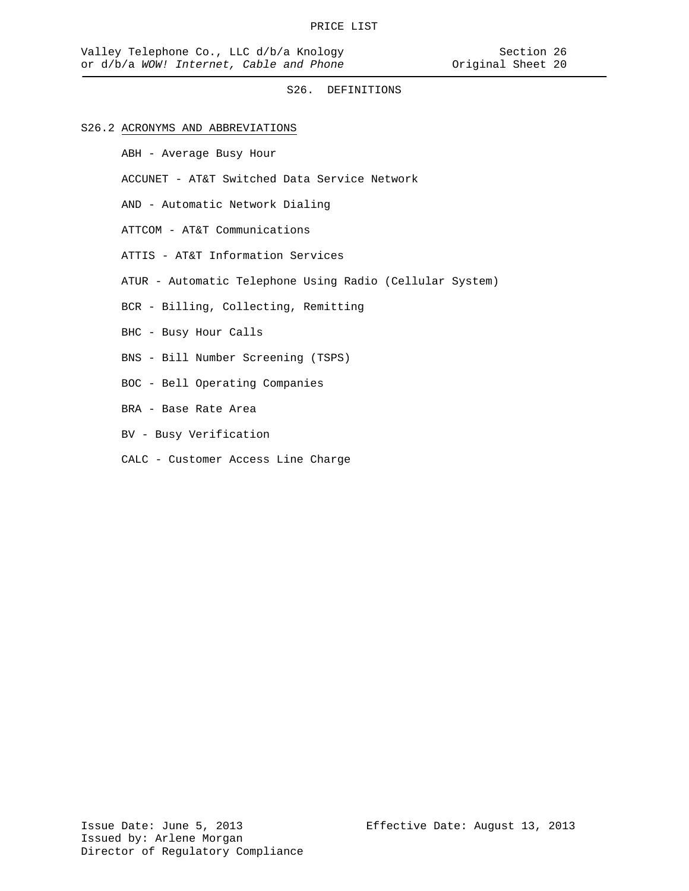## S26.2 ACRONYMS AND ABBREVIATIONS

ABH - Average Busy Hour

ACCUNET - AT&T Switched Data Service Network

AND - Automatic Network Dialing

ATTCOM - AT&T Communications

ATTIS - AT&T Information Services

ATUR - Automatic Telephone Using Radio (Cellular System)

BCR - Billing, Collecting, Remitting

- BHC Busy Hour Calls
- BNS Bill Number Screening (TSPS)
- BOC Bell Operating Companies
- BRA Base Rate Area
- BV Busy Verification
- CALC Customer Access Line Charge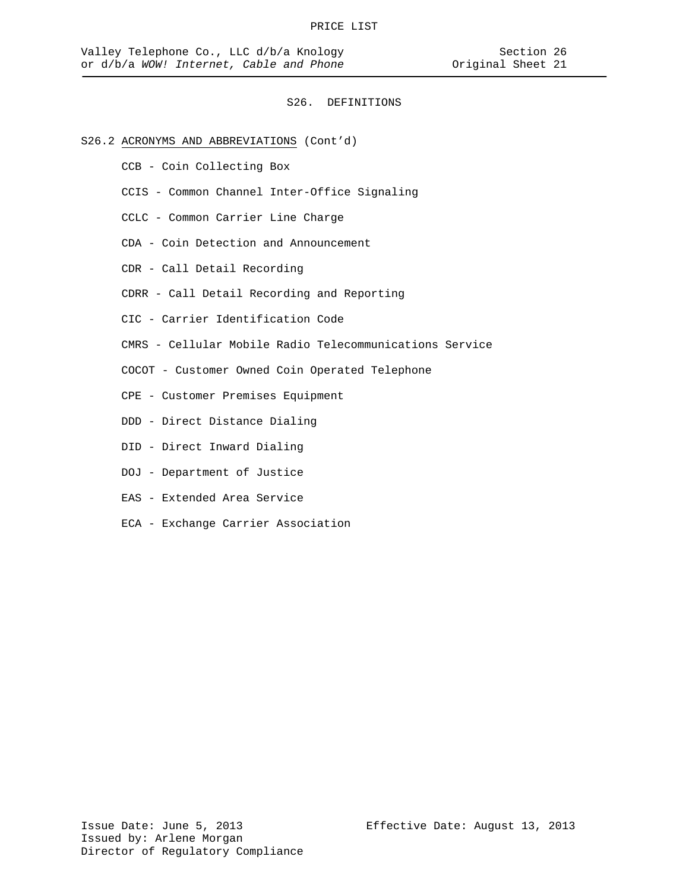## S26.2 ACRONYMS AND ABBREVIATIONS (Cont'd)

- CCB Coin Collecting Box
- CCIS Common Channel Inter-Office Signaling
- CCLC Common Carrier Line Charge
- CDA Coin Detection and Announcement
- CDR Call Detail Recording
- CDRR Call Detail Recording and Reporting
- CIC Carrier Identification Code
- CMRS Cellular Mobile Radio Telecommunications Service
- COCOT Customer Owned Coin Operated Telephone
- CPE Customer Premises Equipment
- DDD Direct Distance Dialing
- DID Direct Inward Dialing
- DOJ Department of Justice
- EAS Extended Area Service
- ECA Exchange Carrier Association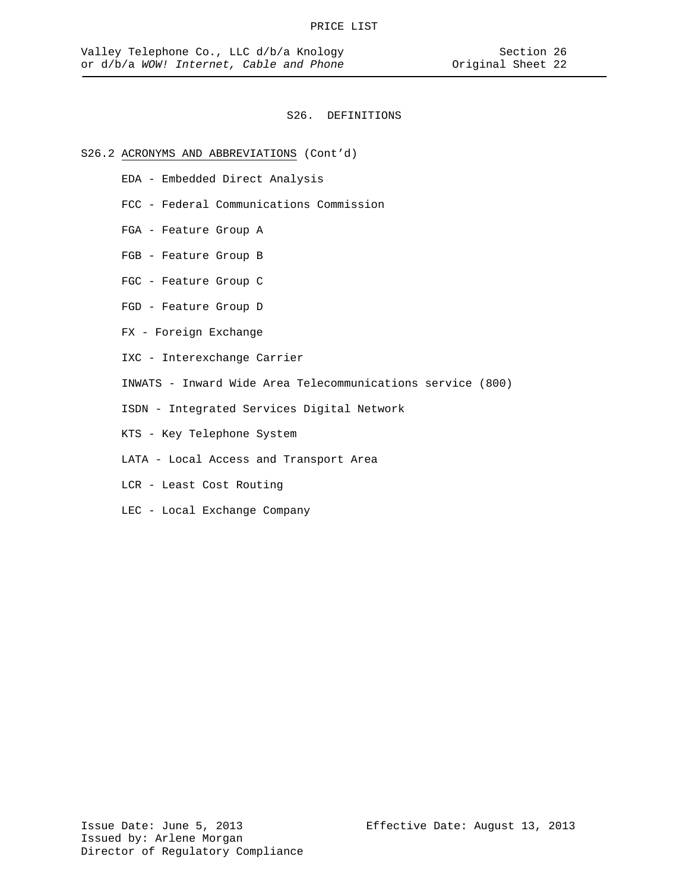## S26.2 ACRONYMS AND ABBREVIATIONS (Cont'd)

- EDA Embedded Direct Analysis
- FCC Federal Communications Commission
- FGA Feature Group A
- FGB Feature Group B
- FGC Feature Group C
- FGD Feature Group D
- FX Foreign Exchange
- IXC Interexchange Carrier
- INWATS Inward Wide Area Telecommunications service (800)
- ISDN Integrated Services Digital Network
- KTS Key Telephone System
- LATA Local Access and Transport Area
- LCR Least Cost Routing
- LEC Local Exchange Company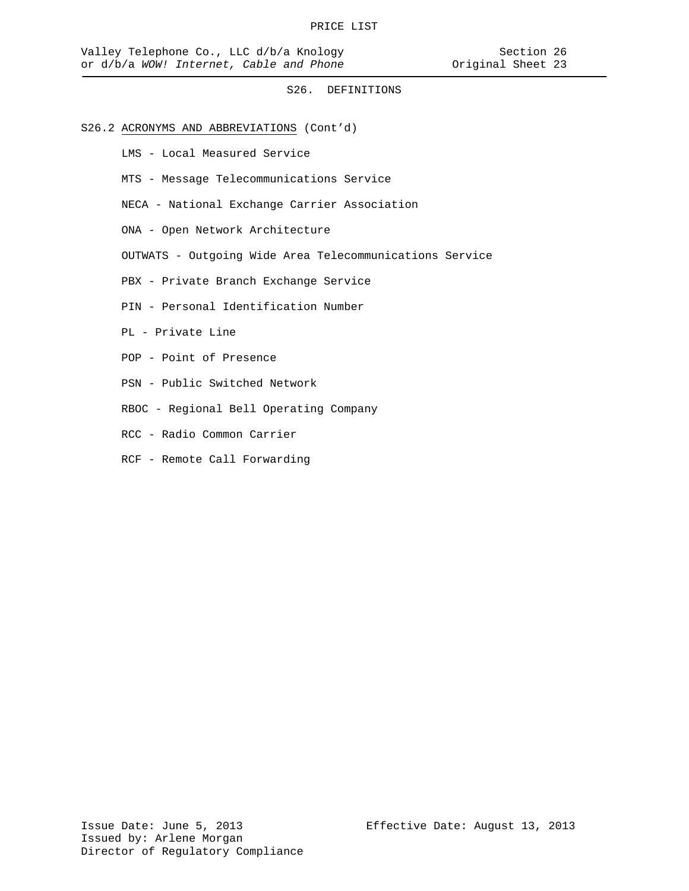## S26.2 ACRONYMS AND ABBREVIATIONS (Cont'd)

LMS - Local Measured Service

- MTS Message Telecommunications Service
- NECA National Exchange Carrier Association
- ONA Open Network Architecture
- OUTWATS Outgoing Wide Area Telecommunications Service
- PBX Private Branch Exchange Service
- PIN Personal Identification Number
- PL Private Line
- POP Point of Presence
- PSN Public Switched Network
- RBOC Regional Bell Operating Company
- RCC Radio Common Carrier
- RCF Remote Call Forwarding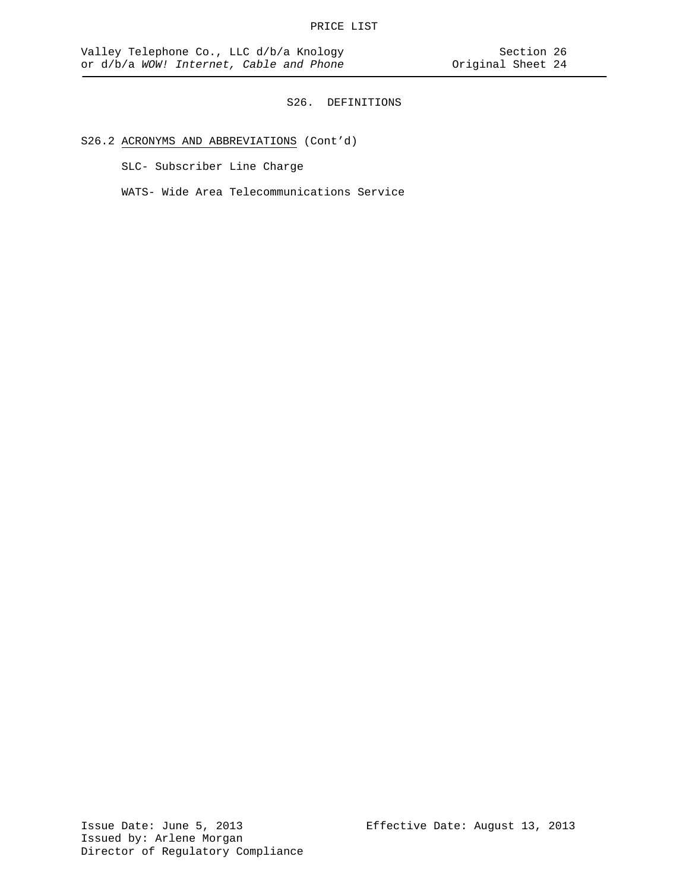# S26.2 ACRONYMS AND ABBREVIATIONS (Cont'd)

SLC- Subscriber Line Charge

WATS- Wide Area Telecommunications Service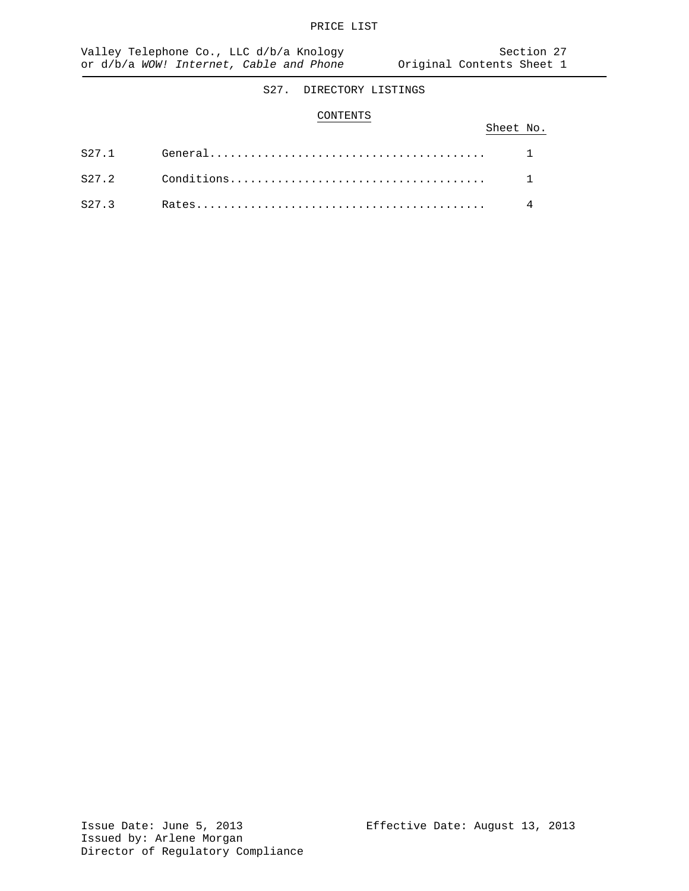# S27. DIRECTORY LISTINGS

### CONTENTS

|  | Sheet No. |  |
|--|-----------|--|
|  |           |  |
|  |           |  |
|  |           |  |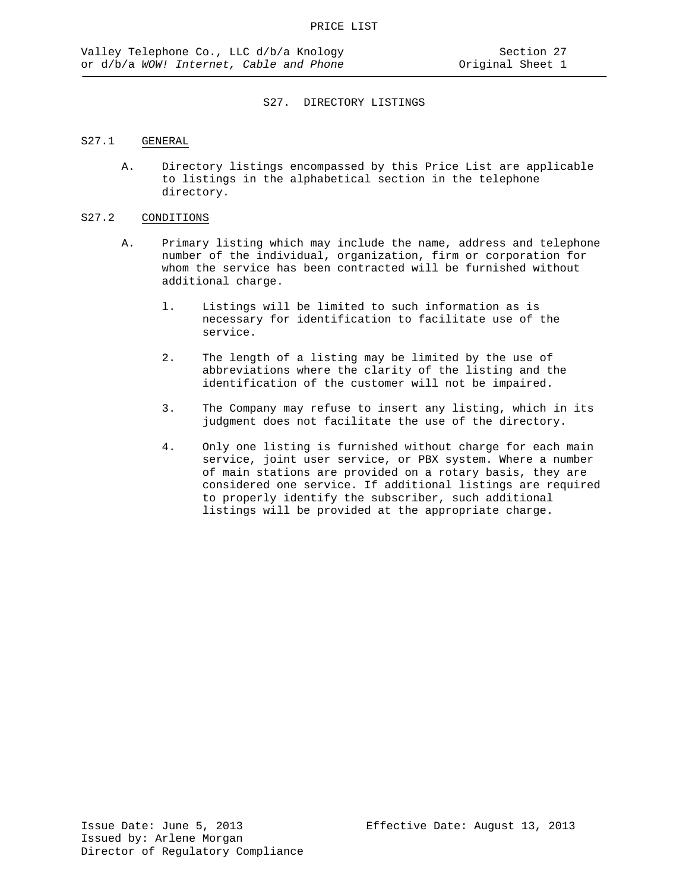## S27. DIRECTORY LISTINGS

## S27.1 GENERAL

A. Directory listings encompassed by this Price List are applicable to listings in the alphabetical section in the telephone directory.

## S27.2 CONDITIONS

- A. Primary listing which may include the name, address and telephone number of the individual, organization, firm or corporation for whom the service has been contracted will be furnished without additional charge.
	- l. Listings will be limited to such information as is necessary for identification to facilitate use of the service.
	- 2. The length of a listing may be limited by the use of abbreviations where the clarity of the listing and the identification of the customer will not be impaired.
	- 3. The Company may refuse to insert any listing, which in its judgment does not facilitate the use of the directory.
	- 4. Only one listing is furnished without charge for each main service, joint user service, or PBX system. Where a number of main stations are provided on a rotary basis, they are considered one service. If additional listings are required to properly identify the subscriber, such additional listings will be provided at the appropriate charge.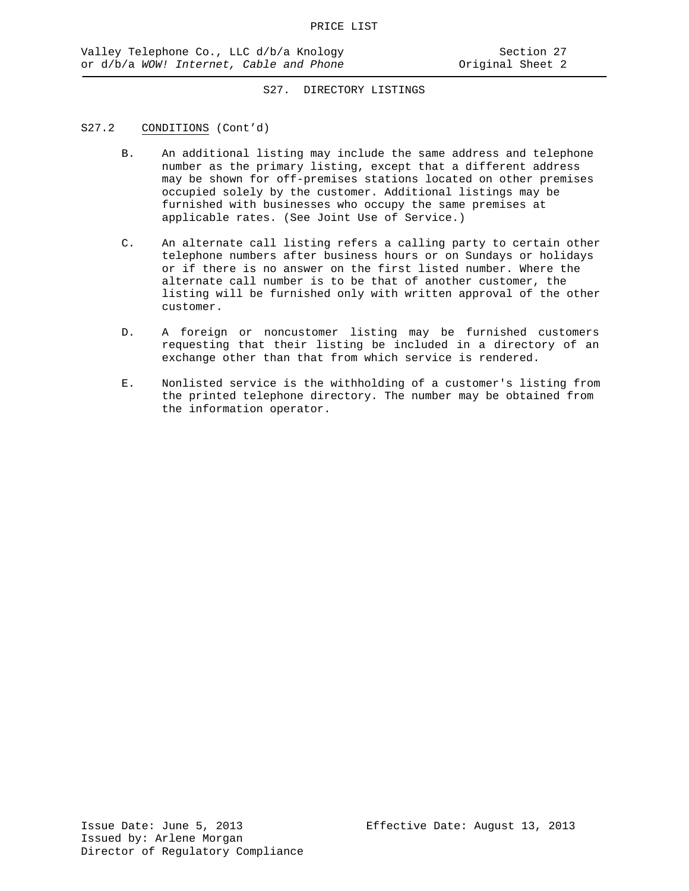# S27. DIRECTORY LISTINGS

# S27.2 CONDITIONS (Cont'd)

- B. An additional listing may include the same address and telephone number as the primary listing, except that a different address may be shown for off-premises stations located on other premises occupied solely by the customer. Additional listings may be furnished with businesses who occupy the same premises at applicable rates. (See Joint Use of Service.)
- C. An alternate call listing refers a calling party to certain other telephone numbers after business hours or on Sundays or holidays or if there is no answer on the first listed number. Where the alternate call number is to be that of another customer, the listing will be furnished only with written approval of the other customer.
- D. A foreign or noncustomer listing may be furnished customers requesting that their listing be included in a directory of an exchange other than that from which service is rendered.
- E. Nonlisted service is the withholding of a customer's listing from the printed telephone directory. The number may be obtained from the information operator.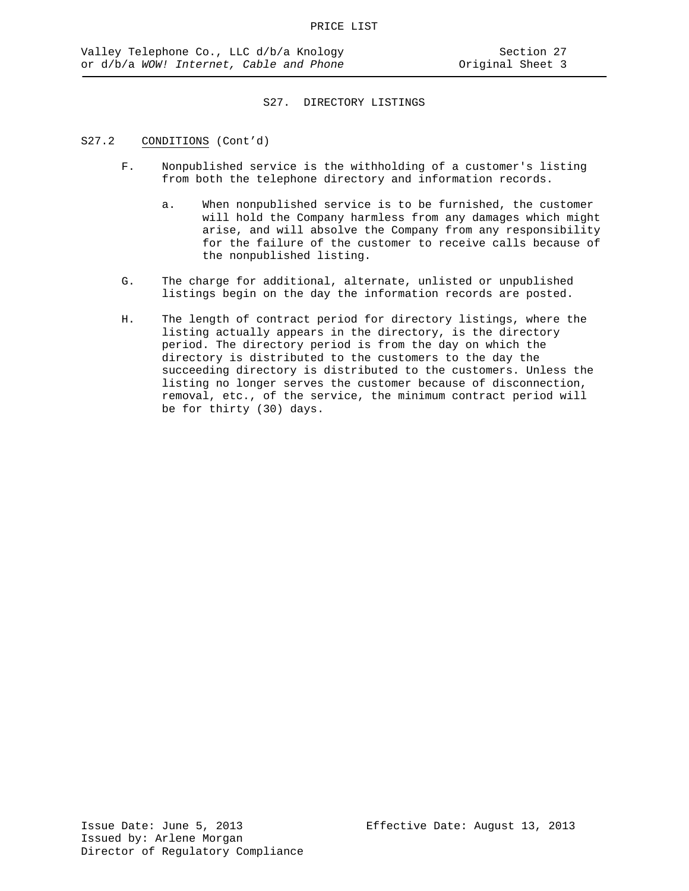#### S27. DIRECTORY LISTINGS

#### S27.2 CONDITIONS (Cont'd)

- F. Nonpublished service is the withholding of a customer's listing from both the telephone directory and information records.
	- a. When nonpublished service is to be furnished, the customer will hold the Company harmless from any damages which might arise, and will absolve the Company from any responsibility for the failure of the customer to receive calls because of the nonpublished listing.
- G. The charge for additional, alternate, unlisted or unpublished listings begin on the day the information records are posted.
- H. The length of contract period for directory listings, where the listing actually appears in the directory, is the directory period. The directory period is from the day on which the directory is distributed to the customers to the day the succeeding directory is distributed to the customers. Unless the listing no longer serves the customer because of disconnection, removal, etc., of the service, the minimum contract period will be for thirty (30) days.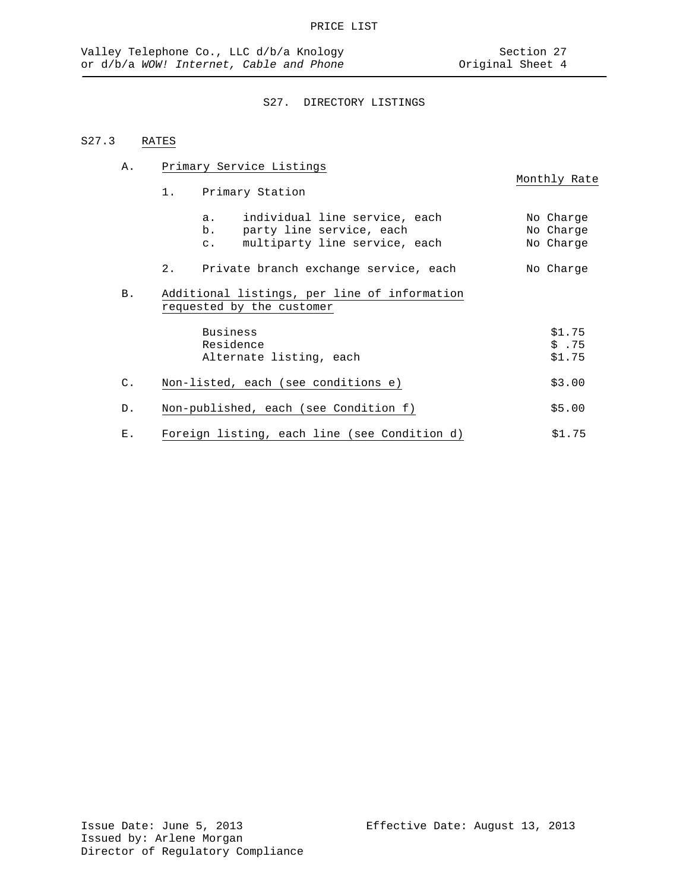A. Primary Service Listings

# S27. DIRECTORY LISTINGS

# S27.3 RATES

Monthly Rate 1. Primary Station a. individual line service, each No Charge b. party line service, each<br>c. multiparty line service, each multiparty line service, each No Charge 2. Private branch exchange service, each No Charge B. Additional listings, per line of information requested by the customer Business \$1.75<br>Residence \$1.75 Residence \$ .75 Alternate listing, each C. Non-listed, each (see conditions e)  $$3.00$ D. Non-published, each (see Condition f)  $$5.00$ E. Foreign listing, each line (see Condition d) \$1.75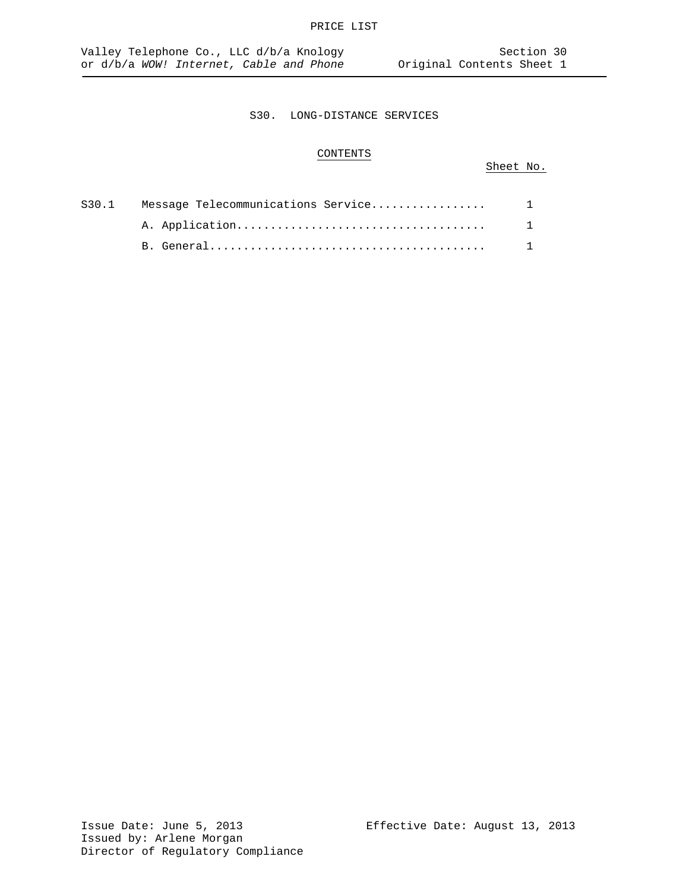# CONTENTS

# Sheet No.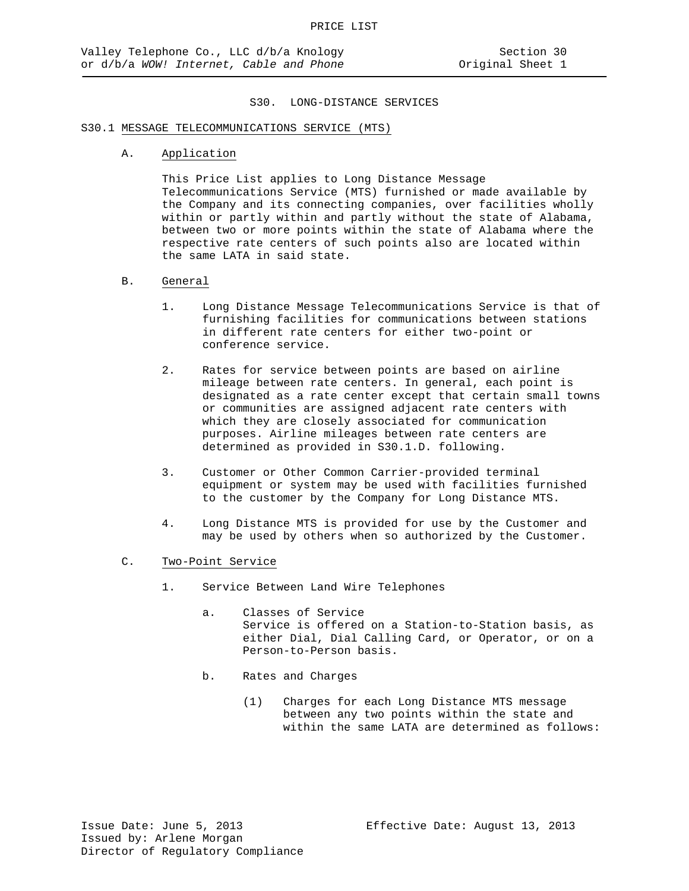# S30.1 MESSAGE TELECOMMUNICATIONS SERVICE (MTS)

A. Application

This Price List applies to Long Distance Message Telecommunications Service (MTS) furnished or made available by the Company and its connecting companies, over facilities wholly within or partly within and partly without the state of Alabama, between two or more points within the state of Alabama where the respective rate centers of such points also are located within the same LATA in said state.

#### B. General

- 1. Long Distance Message Telecommunications Service is that of furnishing facilities for communications between stations in different rate centers for either two-point or conference service.
- 2. Rates for service between points are based on airline mileage between rate centers. In general, each point is designated as a rate center except that certain small towns or communities are assigned adjacent rate centers with which they are closely associated for communication purposes. Airline mileages between rate centers are determined as provided in S30.1.D. following.
- 3. Customer or Other Common Carrier-provided terminal equipment or system may be used with facilities furnished to the customer by the Company for Long Distance MTS.
- 4. Long Distance MTS is provided for use by the Customer and may be used by others when so authorized by the Customer.
- C. Two-Point Service
	- 1. Service Between Land Wire Telephones
		- a. Classes of Service Service is offered on a Station-to-Station basis, as either Dial, Dial Calling Card, or Operator, or on a Person-to-Person basis.
		- b. Rates and Charges
			- (1) Charges for each Long Distance MTS message between any two points within the state and within the same LATA are determined as follows: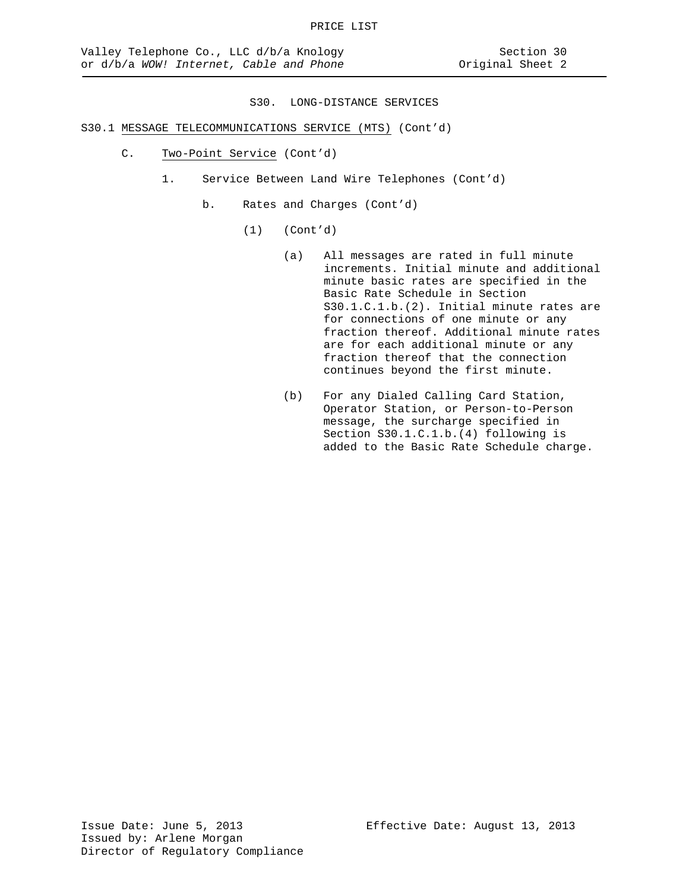- C. Two-Point Service (Cont'd)
	- 1. Service Between Land Wire Telephones (Cont'd)
		- b. Rates and Charges (Cont'd)
			- (1) (Cont'd)
				- (a) All messages are rated in full minute increments. Initial minute and additional minute basic rates are specified in the Basic Rate Schedule in Section S30.1.C.1.b.(2). Initial minute rates are for connections of one minute or any fraction thereof. Additional minute rates are for each additional minute or any fraction thereof that the connection continues beyond the first minute.
				- (b) For any Dialed Calling Card Station, Operator Station, or Person-to-Person message, the surcharge specified in Section S30.1.C.1.b.(4) following is added to the Basic Rate Schedule charge.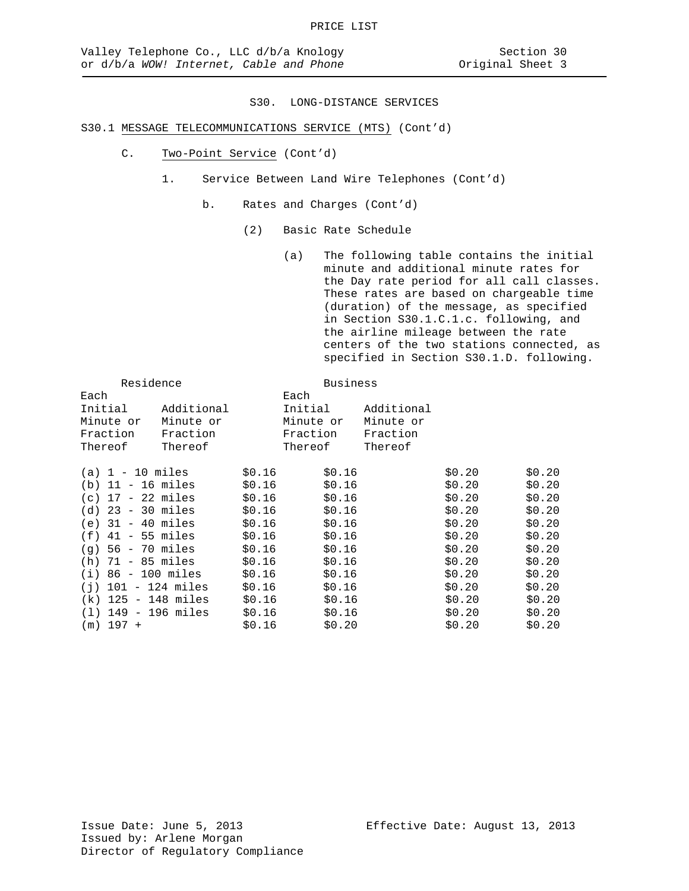# S30.1 MESSAGE TELECOMMUNICATIONS SERVICE (MTS) (Cont'd)

- C. Two-Point Service (Cont'd)
	- 1. Service Between Land Wire Telephones (Cont'd)
		- b. Rates and Charges (Cont'd)
			- (2) Basic Rate Schedule

(a) The following table contains the initial minute and additional minute rates for the Day rate period for all call classes. These rates are based on chargeable time (duration) of the message, as specified in Section S30.1.C.1.c. following, and the airline mileage between the rate centers of the two stations connected, as specified in Section S30.1.D. following.

|             | Residence            |                       |        | <b>Business</b> |            |        |        |
|-------------|----------------------|-----------------------|--------|-----------------|------------|--------|--------|
| Each        |                      |                       |        | Each            |            |        |        |
| Initial     |                      | Additional            |        | Initial         | Additional |        |        |
| Minute or   |                      | Minute or             |        | Minute or       | Minute or  |        |        |
| Fraction    |                      | Fraction              |        | Fraction        | Fraction   |        |        |
| Thereof     |                      | Thereof               |        | Thereof         | Thereof    |        |        |
|             | $(a) 1 - 10$ miles   |                       | \$0.16 | \$0.16          |            | \$0.20 | \$0.20 |
|             | $(b)$ 11 - 16 miles  |                       | \$0.16 | \$0.16          |            | \$0.20 | \$0.20 |
|             | $(c)$ 17 - 22 miles  |                       | \$0.16 | \$0.16          |            | \$0.20 | \$0.20 |
|             | $(d)$ 23 - 30 miles  |                       | \$0.16 | \$0.16          |            | \$0.20 | \$0.20 |
|             | $(e)$ 31 - 40 miles  |                       | \$0.16 | \$0.16          |            | \$0.20 | \$0.20 |
|             | $(f)$ 41 - 55 miles  |                       | \$0.16 | \$0.16          |            | \$0.20 | \$0.20 |
|             | $(q)$ 56 - 70 miles  |                       | \$0.16 | \$0.16          |            | \$0.20 | \$0.20 |
|             | $(h)$ 71 - 85 miles  |                       | \$0.16 | \$0.16          |            | \$0.20 | \$0.20 |
|             | $(i) 86 - 100$ miles |                       | \$0.16 | \$0.16          |            | \$0.20 | \$0.20 |
|             |                      | $(i)$ 101 - 124 miles | \$0.16 | \$0.16          |            | \$0.20 | \$0.20 |
|             |                      | (k) 125 - 148 miles   | \$0.16 | \$0.16          |            | \$0.20 | \$0.20 |
|             |                      | (1) 149 - 196 miles   | \$0.16 | \$0.16          |            | \$0.20 | \$0.20 |
| $(m)$ 197 + |                      |                       | \$0.16 | \$0.20          |            | \$0.20 | \$0.20 |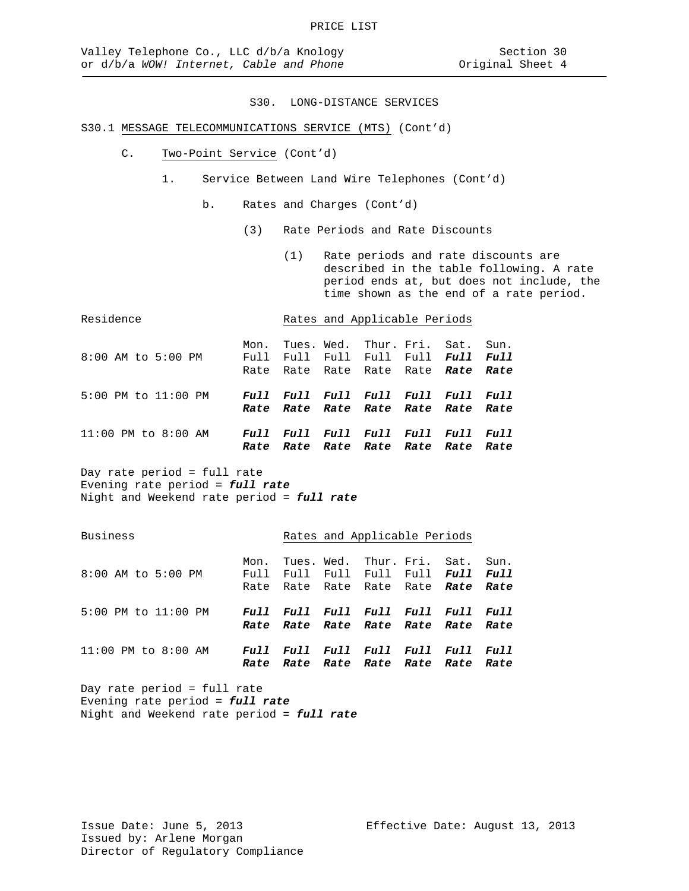# S30.1 MESSAGE TELECOMMUNICATIONS SERVICE (MTS) (Cont'd)

- C. Two-Point Service (Cont'd)
	- 1. Service Between Land Wire Telephones (Cont'd)
		- b. Rates and Charges (Cont'd)
			- (3) Rate Periods and Rate Discounts
				- (1) Rate periods and rate discounts are described in the table following. A rate period ends at, but does not include, the time shown as the end of a rate period.

| Residence           |              | Rates and Applicable Periods                                             |                            |             |                     |  |
|---------------------|--------------|--------------------------------------------------------------------------|----------------------------|-------------|---------------------|--|
| 8:00 AM to 5:00 PM  | Mon.         | Full Full Full Full Full Full Full<br>Rate Rate Rate Rate Rate Rate Rate | Tues. Wed. Thur. Fri. Sat. |             | Sun.                |  |
| 5:00 PM to 11:00 PM |              | Full Full Full Full Full Full<br>Rate Rate Rate Rate Rate Rate Rate      |                            |             | <i>Full</i>         |  |
| 11:00 PM to 8:00 AM | Full<br>Rate | Full Full Full Full                                                      | Rate Rate Rate Rate Rate   | <i>Full</i> | <i>Full</i><br>Rate |  |

Day rate period = full rate Evening rate period = *full rate* Night and Weekend rate period = *full rate*

Business **Rates** and Applicable Periods

| 8:00 AM to 5:00 PM      | Mon.                               | Tues. Wed. Thur. Fri. Sat. Sun.<br>Full Full Full Full Full Full Full<br>Rate Rate Rate Rate Rate Rate Rate |  |  |
|-------------------------|------------------------------------|-------------------------------------------------------------------------------------------------------------|--|--|
| 5:00 PM to 11:00 PM     | Full Full Full Full Full Full Full | Rate Rate Rate Rate Rate Rate Rate                                                                          |  |  |
| $11:00$ PM to $8:00$ AM | Rate                               | Full Full Full Full Full Full Full<br>Rate Rate Rate Rate Rate Rate                                         |  |  |

Day rate period = full rate Evening rate period = *full rate* Night and Weekend rate period = *full rate*

Issue Date: June 5, 2013 Effective Date: August 13, 2013 Issued by: Arlene Morgan Director of Regulatory Compliance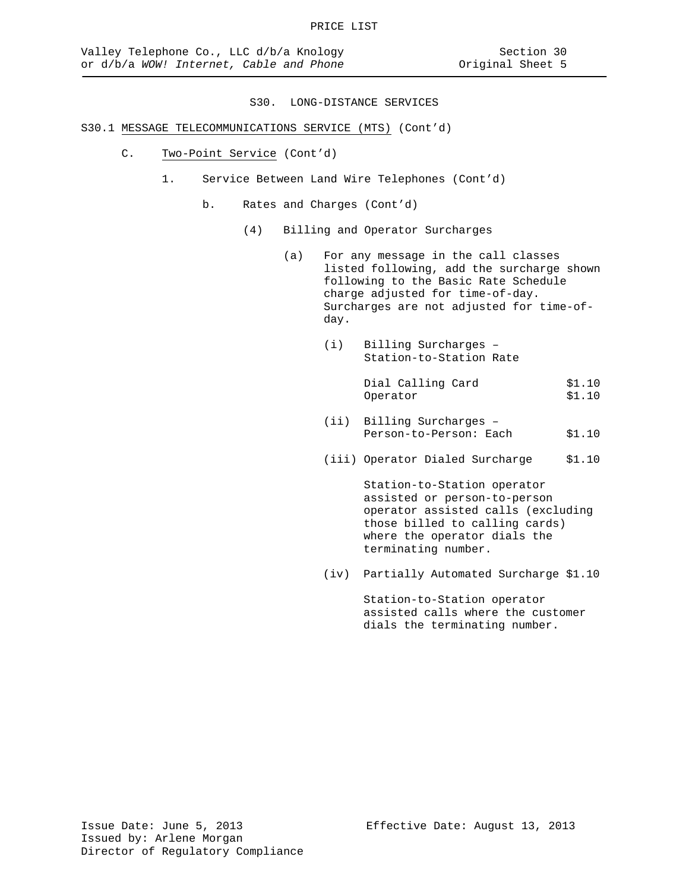# S30.1 MESSAGE TELECOMMUNICATIONS SERVICE (MTS) (Cont'd)

- C. Two-Point Service (Cont'd)
	- 1. Service Between Land Wire Telephones (Cont'd)
		- b. Rates and Charges (Cont'd)
			- (4) Billing and Operator Surcharges
				- (a) For any message in the call classes listed following, add the surcharge shown following to the Basic Rate Schedule charge adjusted for time-of-day. Surcharges are not adjusted for time-ofday.
					- (i) Billing Surcharges Station-to-Station Rate

Dial Calling Card \$1.10<br>Operator \$1.10 Operator

- (ii) Billing Surcharges Person-to-Person: Each \$1.10
- (iii) Operator Dialed Surcharge \$1.10

Station-to-Station operator assisted or person-to-person operator assisted calls (excluding those billed to calling cards) where the operator dials the terminating number.

(iv) Partially Automated Surcharge \$1.10

Station-to-Station operator assisted calls where the customer dials the terminating number.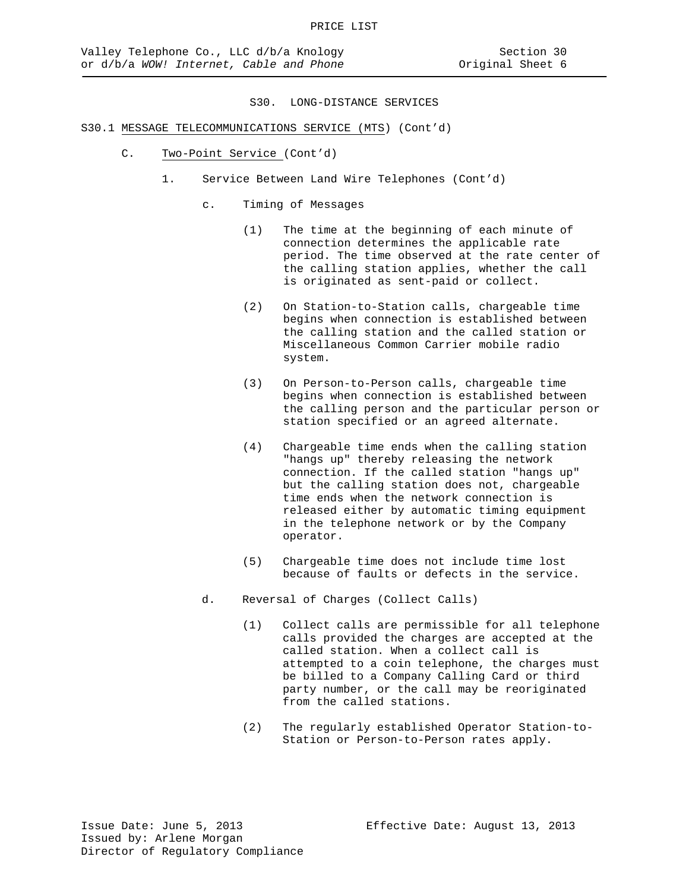- C. Two-Point Service (Cont'd)
	- 1. Service Between Land Wire Telephones (Cont'd)
		- c. Timing of Messages
			- (1) The time at the beginning of each minute of connection determines the applicable rate period. The time observed at the rate center of the calling station applies, whether the call is originated as sent-paid or collect.
			- (2) On Station-to-Station calls, chargeable time begins when connection is established between the calling station and the called station or Miscellaneous Common Carrier mobile radio system.
			- (3) On Person-to-Person calls, chargeable time begins when connection is established between the calling person and the particular person or station specified or an agreed alternate.
			- (4) Chargeable time ends when the calling station "hangs up" thereby releasing the network connection. If the called station "hangs up" but the calling station does not, chargeable time ends when the network connection is released either by automatic timing equipment in the telephone network or by the Company operator.
			- (5) Chargeable time does not include time lost because of faults or defects in the service.
		- d. Reversal of Charges (Collect Calls)
			- (1) Collect calls are permissible for all telephone calls provided the charges are accepted at the called station. When a collect call is attempted to a coin telephone, the charges must be billed to a Company Calling Card or third party number, or the call may be reoriginated from the called stations.
			- (2) The regularly established Operator Station-to-Station or Person-to-Person rates apply.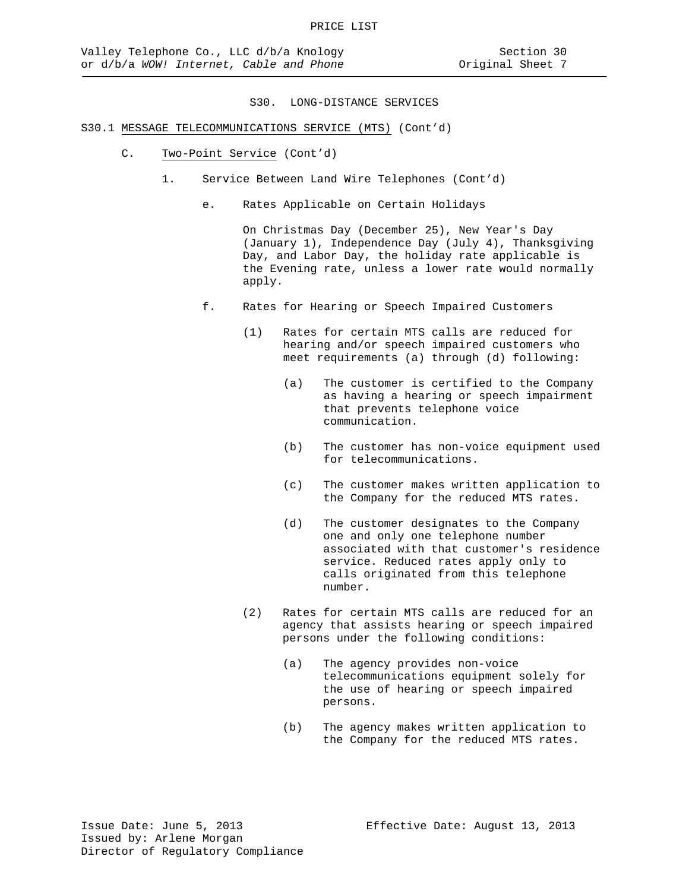# S30.1 MESSAGE TELECOMMUNICATIONS SERVICE (MTS) (Cont'd)

- C. Two-Point Service (Cont'd)
	- 1. Service Between Land Wire Telephones (Cont'd)
		- e. Rates Applicable on Certain Holidays

On Christmas Day (December 25), New Year's Day (January 1), Independence Day (July 4), Thanksgiving Day, and Labor Day, the holiday rate applicable is the Evening rate, unless a lower rate would normally apply.

- f. Rates for Hearing or Speech Impaired Customers
	- (1) Rates for certain MTS calls are reduced for hearing and/or speech impaired customers who meet requirements (a) through (d) following:
		- (a) The customer is certified to the Company as having a hearing or speech impairment that prevents telephone voice communication.
		- (b) The customer has non-voice equipment used for telecommunications.
		- (c) The customer makes written application to the Company for the reduced MTS rates.
		- (d) The customer designates to the Company one and only one telephone number associated with that customer's residence service. Reduced rates apply only to calls originated from this telephone number.
	- (2) Rates for certain MTS calls are reduced for an agency that assists hearing or speech impaired persons under the following conditions:
		- (a) The agency provides non-voice telecommunications equipment solely for the use of hearing or speech impaired persons.
		- (b) The agency makes written application to the Company for the reduced MTS rates.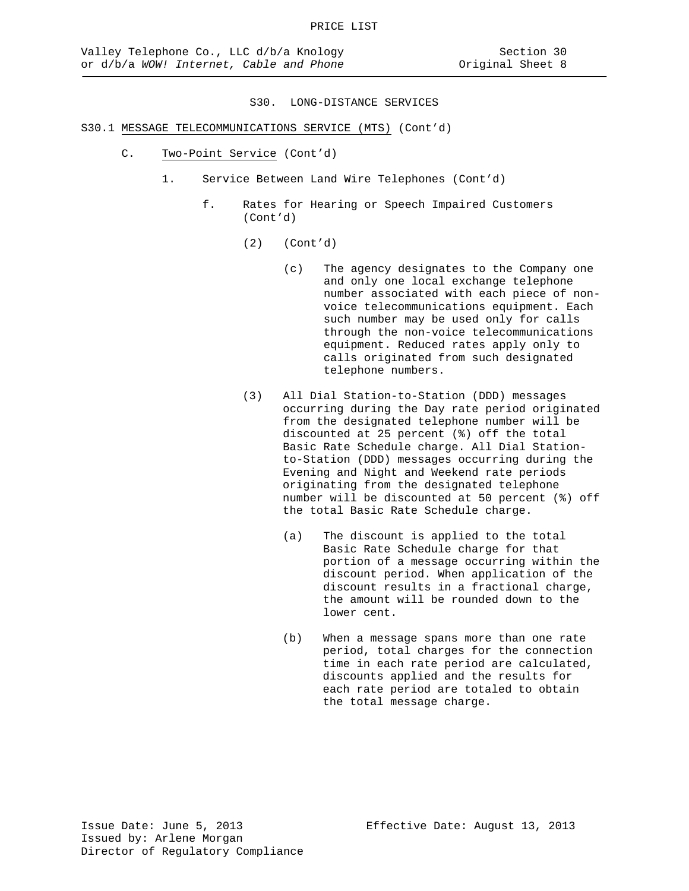- C. Two-Point Service (Cont'd)
	- 1. Service Between Land Wire Telephones (Cont'd)
		- f. Rates for Hearing or Speech Impaired Customers (Cont'd)
			- (2) (Cont'd)
				- (c) The agency designates to the Company one and only one local exchange telephone number associated with each piece of nonvoice telecommunications equipment. Each such number may be used only for calls through the non-voice telecommunications equipment. Reduced rates apply only to calls originated from such designated telephone numbers.
			- (3) All Dial Station-to-Station (DDD) messages occurring during the Day rate period originated from the designated telephone number will be discounted at 25 percent (%) off the total Basic Rate Schedule charge. All Dial Stationto-Station (DDD) messages occurring during the Evening and Night and Weekend rate periods originating from the designated telephone number will be discounted at 50 percent (%) off the total Basic Rate Schedule charge.
				- (a) The discount is applied to the total Basic Rate Schedule charge for that portion of a message occurring within the discount period. When application of the discount results in a fractional charge, the amount will be rounded down to the lower cent.
				- (b) When a message spans more than one rate period, total charges for the connection time in each rate period are calculated, discounts applied and the results for each rate period are totaled to obtain the total message charge.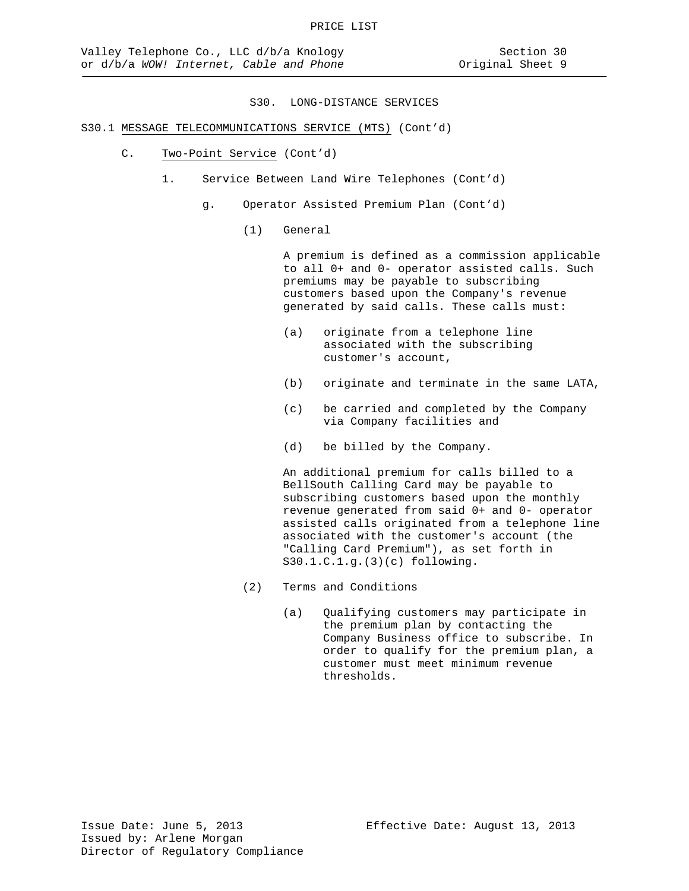# S30.1 MESSAGE TELECOMMUNICATIONS SERVICE (MTS) (Cont'd)

- C. Two-Point Service (Cont'd)
	- 1. Service Between Land Wire Telephones (Cont'd)
		- g. Operator Assisted Premium Plan (Cont'd)
			- (1) General

A premium is defined as a commission applicable to all 0+ and 0- operator assisted calls. Such premiums may be payable to subscribing customers based upon the Company's revenue generated by said calls. These calls must:

- (a) originate from a telephone line associated with the subscribing customer's account,
- (b) originate and terminate in the same LATA,
- (c) be carried and completed by the Company via Company facilities and
- (d) be billed by the Company.

An additional premium for calls billed to a BellSouth Calling Card may be payable to subscribing customers based upon the monthly revenue generated from said 0+ and 0- operator assisted calls originated from a telephone line associated with the customer's account (the "Calling Card Premium"), as set forth in S30.1.C.1.g.(3)(c) following.

- (2) Terms and Conditions
	- (a) Qualifying customers may participate in the premium plan by contacting the Company Business office to subscribe. In order to qualify for the premium plan, a customer must meet minimum revenue thresholds.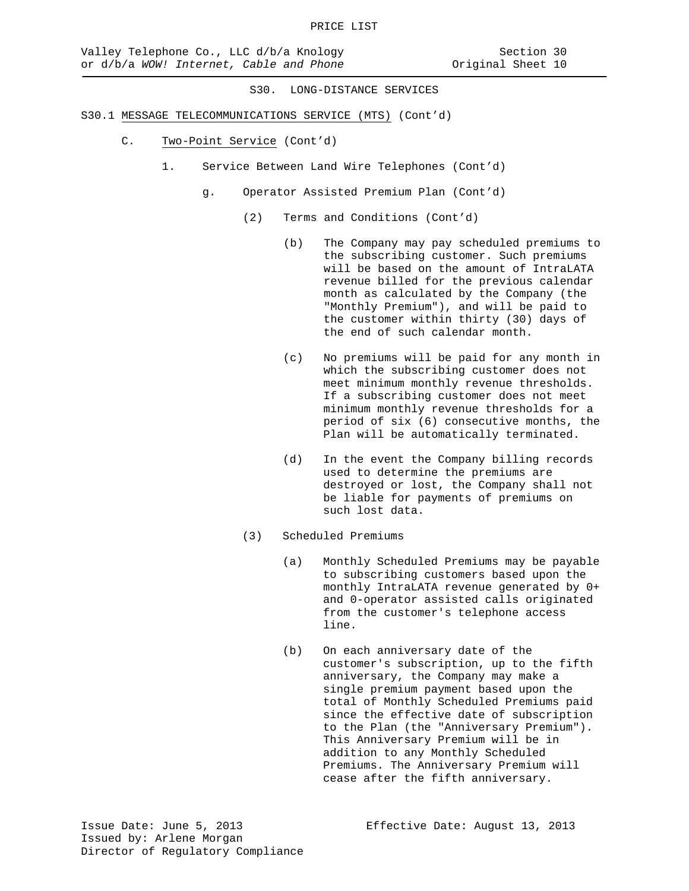- S30.1 MESSAGE TELECOMMUNICATIONS SERVICE (MTS) (Cont'd)
	- C. Two-Point Service (Cont'd)
		- 1. Service Between Land Wire Telephones (Cont'd)
			- g. Operator Assisted Premium Plan (Cont'd)
				- (2) Terms and Conditions (Cont'd)
					- (b) The Company may pay scheduled premiums to the subscribing customer. Such premiums will be based on the amount of IntraLATA revenue billed for the previous calendar month as calculated by the Company (the "Monthly Premium"), and will be paid to the customer within thirty (30) days of the end of such calendar month.
					- (c) No premiums will be paid for any month in which the subscribing customer does not meet minimum monthly revenue thresholds. If a subscribing customer does not meet minimum monthly revenue thresholds for a period of six (6) consecutive months, the Plan will be automatically terminated.
					- (d) In the event the Company billing records used to determine the premiums are destroyed or lost, the Company shall not be liable for payments of premiums on such lost data.
				- (3) Scheduled Premiums
					- (a) Monthly Scheduled Premiums may be payable to subscribing customers based upon the monthly IntraLATA revenue generated by 0+ and 0-operator assisted calls originated from the customer's telephone access line.
					- (b) On each anniversary date of the customer's subscription, up to the fifth anniversary, the Company may make a single premium payment based upon the total of Monthly Scheduled Premiums paid since the effective date of subscription to the Plan (the "Anniversary Premium"). This Anniversary Premium will be in addition to any Monthly Scheduled Premiums. The Anniversary Premium will cease after the fifth anniversary.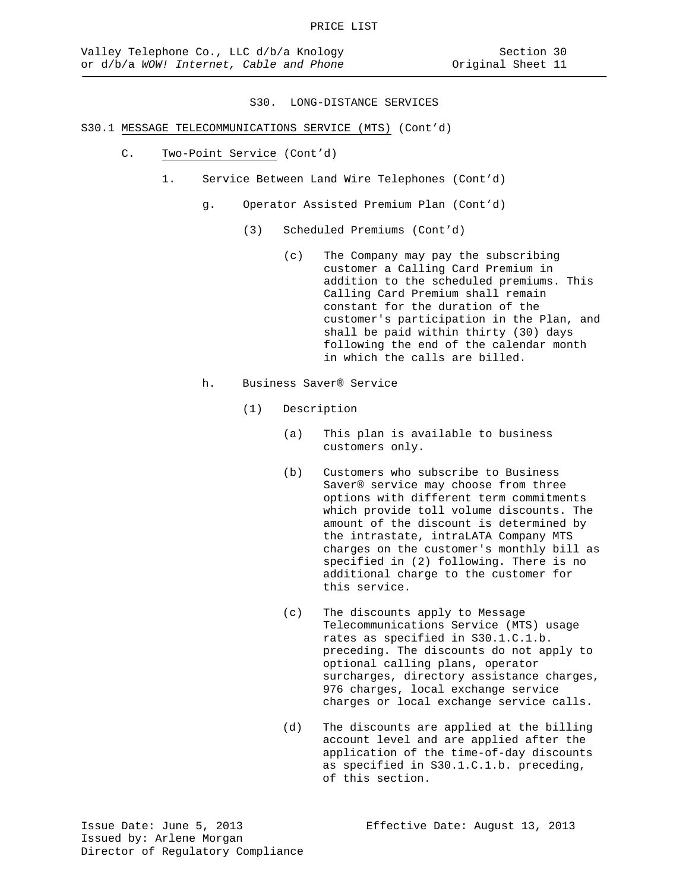- C. Two-Point Service (Cont'd)
	- 1. Service Between Land Wire Telephones (Cont'd)
		- g. Operator Assisted Premium Plan (Cont'd)
			- (3) Scheduled Premiums (Cont'd)
				- (c) The Company may pay the subscribing customer a Calling Card Premium in addition to the scheduled premiums. This Calling Card Premium shall remain constant for the duration of the customer's participation in the Plan, and shall be paid within thirty (30) days following the end of the calendar month in which the calls are billed.
		- h. Business Saver® Service
			- (1) Description
				- (a) This plan is available to business customers only.
				- (b) Customers who subscribe to Business Saver® service may choose from three options with different term commitments which provide toll volume discounts. The amount of the discount is determined by the intrastate, intraLATA Company MTS charges on the customer's monthly bill as specified in (2) following. There is no additional charge to the customer for this service.
				- (c) The discounts apply to Message Telecommunications Service (MTS) usage rates as specified in S30.1.C.1.b. preceding. The discounts do not apply to optional calling plans, operator surcharges, directory assistance charges, 976 charges, local exchange service charges or local exchange service calls.
				- (d) The discounts are applied at the billing account level and are applied after the application of the time-of-day discounts as specified in S30.1.C.1.b. preceding, of this section.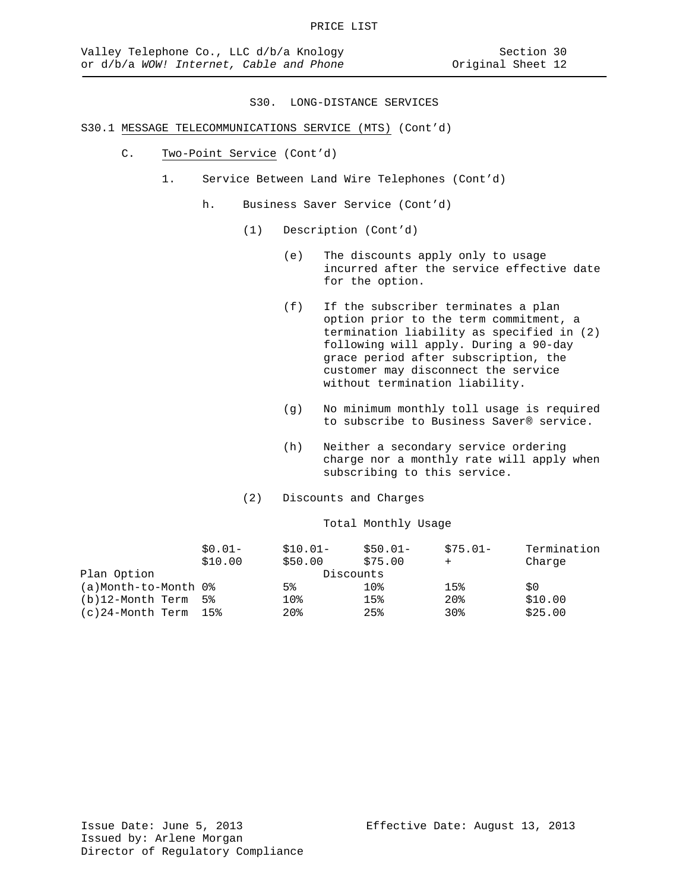# S30.1 MESSAGE TELECOMMUNICATIONS SERVICE (MTS) (Cont'd)

- C. Two-Point Service (Cont'd)
	- 1. Service Between Land Wire Telephones (Cont'd)
		- h. Business Saver Service (Cont'd)
			- (1) Description (Cont'd)
				- (e) The discounts apply only to usage incurred after the service effective date for the option.
				- (f) If the subscriber terminates a plan option prior to the term commitment, a termination liability as specified in (2) following will apply. During a 90-day grace period after subscription, the customer may disconnect the service without termination liability.
				- (g) No minimum monthly toll usage is required to subscribe to Business Saver® service.
				- (h) Neither a secondary service ordering charge nor a monthly rate will apply when subscribing to this service.
			- (2) Discounts and Charges

#### Total Monthly Usage

|                        | $$0.01-$ | $$10.01-$       | $$50.01-$       | $$75.01-$       | Termination |
|------------------------|----------|-----------------|-----------------|-----------------|-------------|
|                        | \$10.00  | \$50.00         | \$75.00         |                 | Charge      |
| Plan Option            |          | Discounts       |                 |                 |             |
| (a)Month-to-Month 0%   |          | 5%              | 10 <sub>8</sub> | 15%             | \$0         |
| $(b)12$ -Month Term 5% |          | 10 <sub>8</sub> | 15%             | 20 <sub>8</sub> | \$10.00     |
| (c)24-Month Term       | 15%      | 20 <sub>8</sub> | 25%             | 30 <sub>8</sub> | \$25.00     |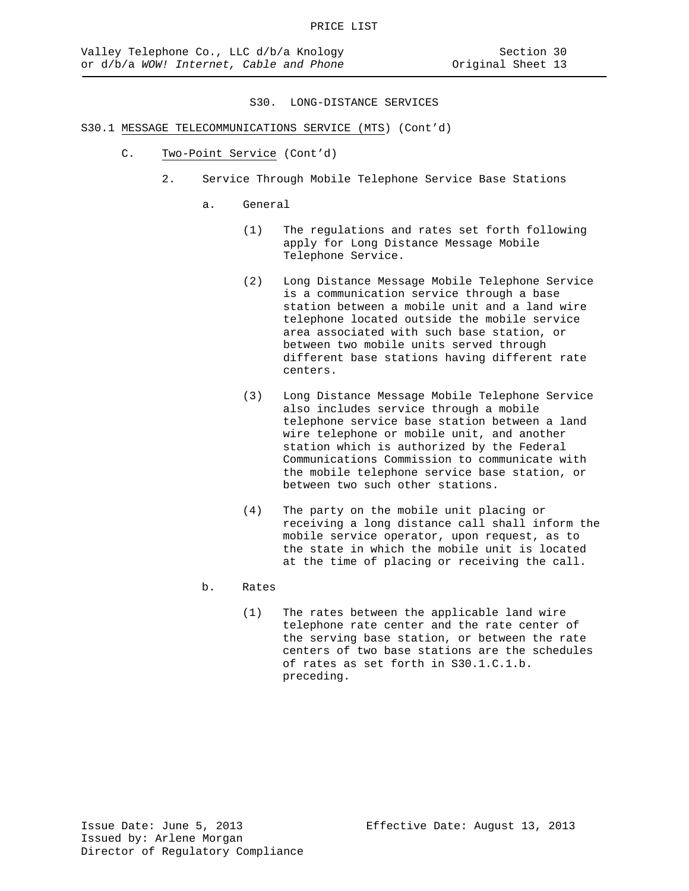- S30.1 MESSAGE TELECOMMUNICATIONS SERVICE (MTS) (Cont'd)
	- C. Two-Point Service (Cont'd)
		- 2. Service Through Mobile Telephone Service Base Stations
			- a. General
				- (1) The regulations and rates set forth following apply for Long Distance Message Mobile Telephone Service.
				- (2) Long Distance Message Mobile Telephone Service is a communication service through a base station between a mobile unit and a land wire telephone located outside the mobile service area associated with such base station, or between two mobile units served through different base stations having different rate centers.
				- (3) Long Distance Message Mobile Telephone Service also includes service through a mobile telephone service base station between a land wire telephone or mobile unit, and another station which is authorized by the Federal Communications Commission to communicate with the mobile telephone service base station, or between two such other stations.
				- (4) The party on the mobile unit placing or receiving a long distance call shall inform the mobile service operator, upon request, as to the state in which the mobile unit is located at the time of placing or receiving the call.
			- b. Rates
				- (1) The rates between the applicable land wire telephone rate center and the rate center of the serving base station, or between the rate centers of two base stations are the schedules of rates as set forth in S30.1.C.1.b. preceding.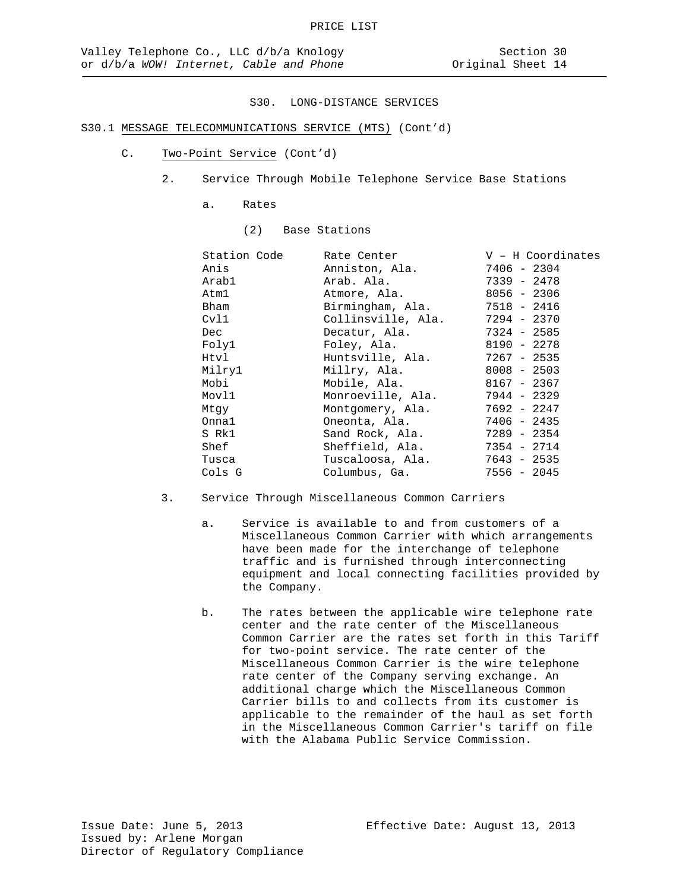- C. Two-Point Service (Cont'd)
	- 2. Service Through Mobile Telephone Service Base Stations
		- a. Rates
			- (2) Base Stations

| Station Code | Rate Center       | $V - H$ Coordinates                                                                                                                                                                     |
|--------------|-------------------|-----------------------------------------------------------------------------------------------------------------------------------------------------------------------------------------|
|              | Anniston, Ala.    | 7406 - 2304                                                                                                                                                                             |
|              |                   | 7339 - 2478                                                                                                                                                                             |
|              |                   | 8056 - 2306                                                                                                                                                                             |
|              |                   |                                                                                                                                                                                         |
|              |                   |                                                                                                                                                                                         |
|              | Decatur, Ala.     | 7324 - 2585                                                                                                                                                                             |
|              | Foley, Ala.       | 8190 - 2278                                                                                                                                                                             |
|              | Huntsville, Ala.  | 7267 - 2535                                                                                                                                                                             |
|              |                   | $8008 - 2503$                                                                                                                                                                           |
|              |                   | 8167 - 2367                                                                                                                                                                             |
|              | Monroeville, Ala. | 7944 - 2329                                                                                                                                                                             |
|              |                   | 7692 - 2247                                                                                                                                                                             |
|              | Oneonta, Ala.     | $7406 - 2435$                                                                                                                                                                           |
|              | Sand Rock, Ala.   | 7289 - 2354                                                                                                                                                                             |
|              |                   | 7354 - 2714                                                                                                                                                                             |
|              |                   | 7643 - 2535                                                                                                                                                                             |
|              | Columbus, Ga.     | $7556 - 2045$                                                                                                                                                                           |
|              |                   | Arab. Ala.<br>Atmore, Ala.<br>Birmingham, Ala. 7518 - 2416<br>Collinsville, Ala. 7294 - 2370<br>Millry, Ala.<br>Mobile, Ala.<br>Montgomery, Ala.<br>Sheffield, Ala.<br>Tuscaloosa, Ala. |

- 3. Service Through Miscellaneous Common Carriers
	- a. Service is available to and from customers of a Miscellaneous Common Carrier with which arrangements have been made for the interchange of telephone traffic and is furnished through interconnecting equipment and local connecting facilities provided by the Company.
	- b. The rates between the applicable wire telephone rate center and the rate center of the Miscellaneous Common Carrier are the rates set forth in this Tariff for two-point service. The rate center of the Miscellaneous Common Carrier is the wire telephone rate center of the Company serving exchange. An additional charge which the Miscellaneous Common Carrier bills to and collects from its customer is applicable to the remainder of the haul as set forth in the Miscellaneous Common Carrier's tariff on file with the Alabama Public Service Commission.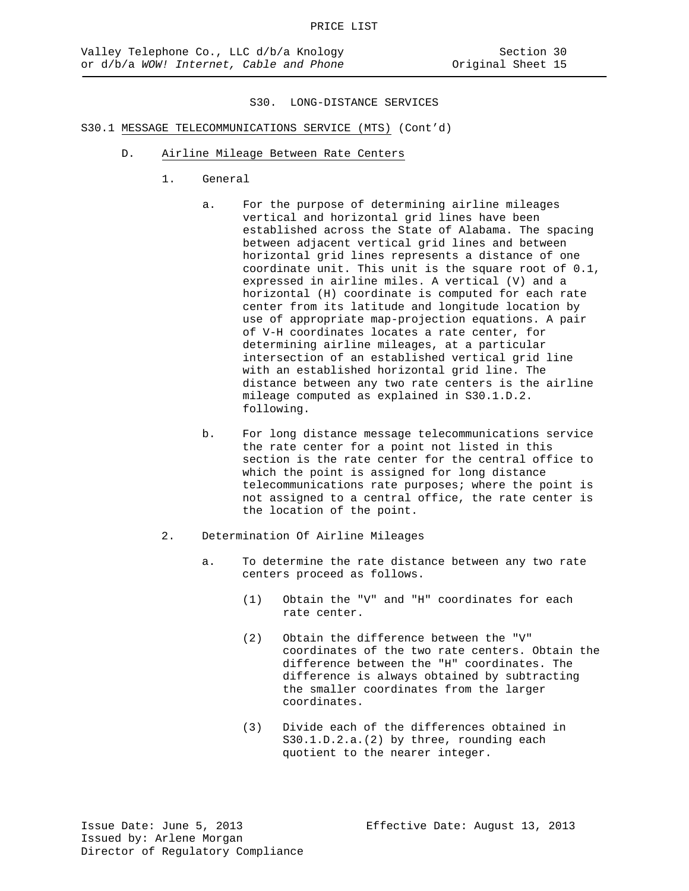- D. Airline Mileage Between Rate Centers
	- 1. General
		- a. For the purpose of determining airline mileages vertical and horizontal grid lines have been established across the State of Alabama. The spacing between adjacent vertical grid lines and between horizontal grid lines represents a distance of one coordinate unit. This unit is the square root of 0.1, expressed in airline miles. A vertical (V) and a horizontal (H) coordinate is computed for each rate center from its latitude and longitude location by use of appropriate map-projection equations. A pair of V-H coordinates locates a rate center, for determining airline mileages, at a particular intersection of an established vertical grid line with an established horizontal grid line. The distance between any two rate centers is the airline mileage computed as explained in S30.1.D.2. following.
		- b. For long distance message telecommunications service the rate center for a point not listed in this section is the rate center for the central office to which the point is assigned for long distance telecommunications rate purposes; where the point is not assigned to a central office, the rate center is the location of the point.
	- 2. Determination Of Airline Mileages
		- a. To determine the rate distance between any two rate centers proceed as follows.
			- (1) Obtain the "V" and "H" coordinates for each rate center.
			- (2) Obtain the difference between the "V" coordinates of the two rate centers. Obtain the difference between the "H" coordinates. The difference is always obtained by subtracting the smaller coordinates from the larger coordinates.
			- (3) Divide each of the differences obtained in S30.1.D.2.a.(2) by three, rounding each quotient to the nearer integer.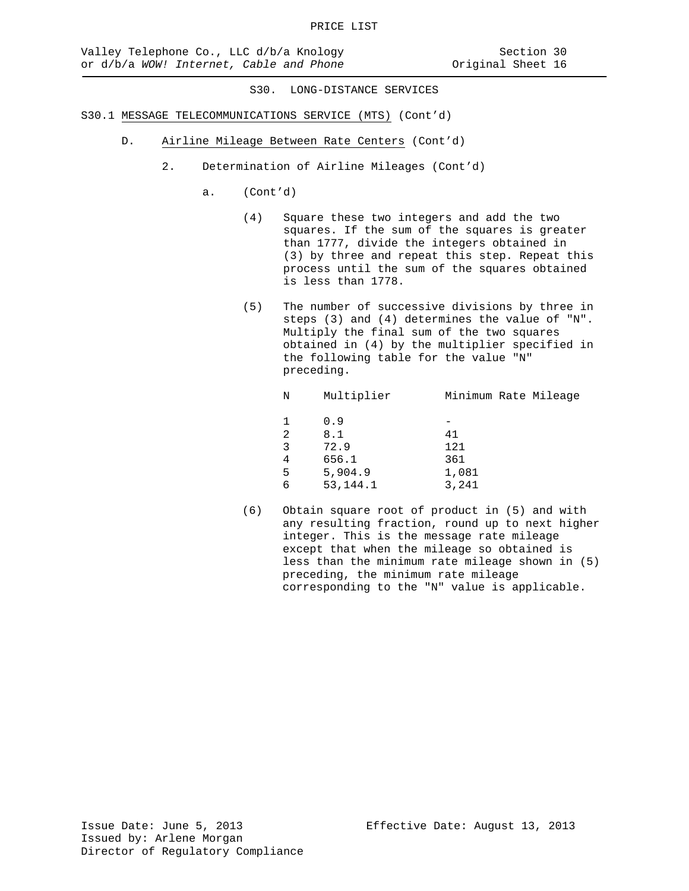- S30.1 MESSAGE TELECOMMUNICATIONS SERVICE (MTS) (Cont'd)
	- D. Airline Mileage Between Rate Centers (Cont'd)
		- 2. Determination of Airline Mileages (Cont'd)
			- a. (Cont'd)
				- (4) Square these two integers and add the two squares. If the sum of the squares is greater than 1777, divide the integers obtained in (3) by three and repeat this step. Repeat this process until the sum of the squares obtained is less than 1778.
				- (5) The number of successive divisions by three in steps (3) and (4) determines the value of "N". Multiply the final sum of the two squares obtained in (4) by the multiplier specified in the following table for the value "N" preceding.

| Ν  | Multiplier | Minimum Rate Mileage |
|----|------------|----------------------|
| 1. | 0.9        |                      |
| 2  | 8.1        | 41                   |
| 3  | 72.9       | 121                  |
| 4  | 656.1      | 361                  |
| 5  | 5,904.9    | 1,081                |
| 6  | 53, 144. 1 | 3,241                |
|    |            |                      |

(6) Obtain square root of product in (5) and with any resulting fraction, round up to next higher integer. This is the message rate mileage except that when the mileage so obtained is less than the minimum rate mileage shown in (5) preceding, the minimum rate mileage corresponding to the "N" value is applicable.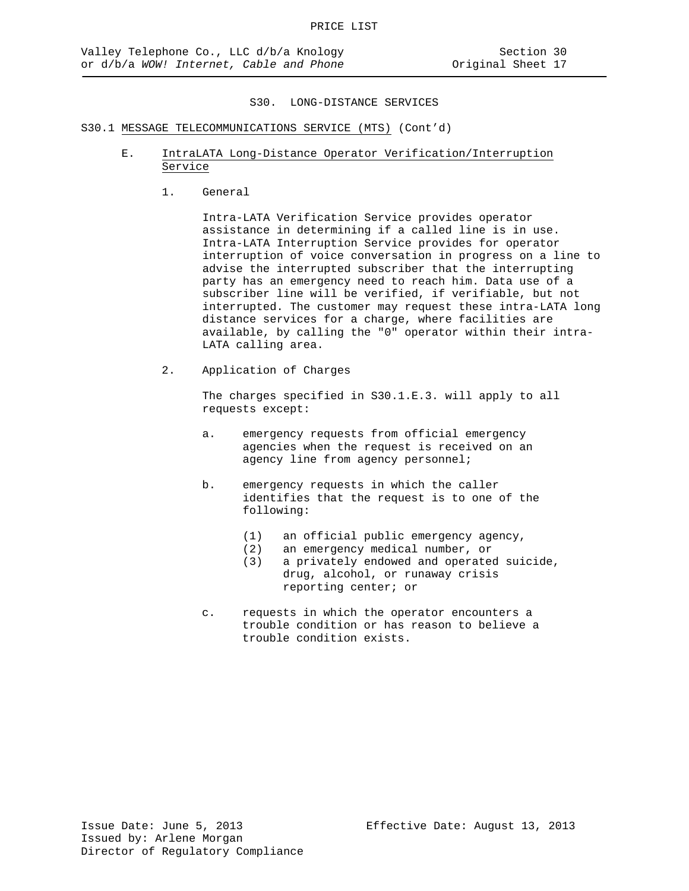# S30.1 MESSAGE TELECOMMUNICATIONS SERVICE (MTS) (Cont'd)

- E. IntraLATA Long-Distance Operator Verification/Interruption Service
	- 1. General

Intra-LATA Verification Service provides operator assistance in determining if a called line is in use. Intra-LATA Interruption Service provides for operator interruption of voice conversation in progress on a line to advise the interrupted subscriber that the interrupting party has an emergency need to reach him. Data use of a subscriber line will be verified, if verifiable, but not interrupted. The customer may request these intra-LATA long distance services for a charge, where facilities are available, by calling the "0" operator within their intra-LATA calling area.

2. Application of Charges

The charges specified in S30.1.E.3. will apply to all requests except:

- a. emergency requests from official emergency agencies when the request is received on an agency line from agency personnel;
- b. emergency requests in which the caller identifies that the request is to one of the following:
	- (1) an official public emergency agency,
	- (2) an emergency medical number, or<br>(3) a privately endowed and operate
	- a privately endowed and operated suicide, drug, alcohol, or runaway crisis reporting center; or
- c. requests in which the operator encounters a trouble condition or has reason to believe a trouble condition exists.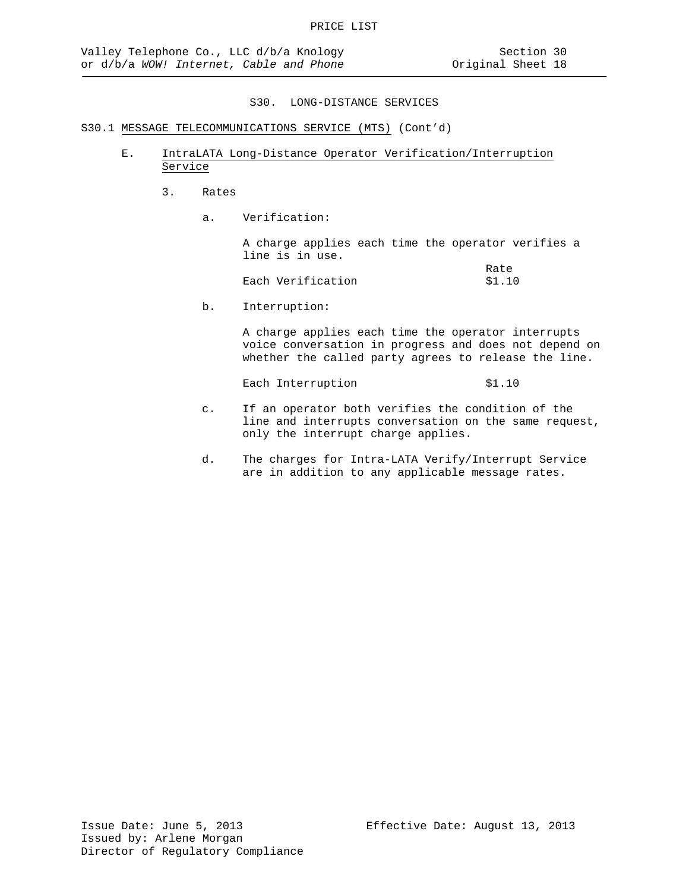# S30.1 MESSAGE TELECOMMUNICATIONS SERVICE (MTS) (Cont'd)

- E. IntraLATA Long-Distance Operator Verification/Interruption Service
	- 3. Rates
		- a. Verification:

A charge applies each time the operator verifies a line is in use.

|                   | Rate   |
|-------------------|--------|
| Each Verification | \$1.10 |

b. Interruption:

A charge applies each time the operator interrupts voice conversation in progress and does not depend on whether the called party agrees to release the line.

Each Interruption \$1.10

- c. If an operator both verifies the condition of the line and interrupts conversation on the same request, only the interrupt charge applies.
- d. The charges for Intra-LATA Verify/Interrupt Service are in addition to any applicable message rates.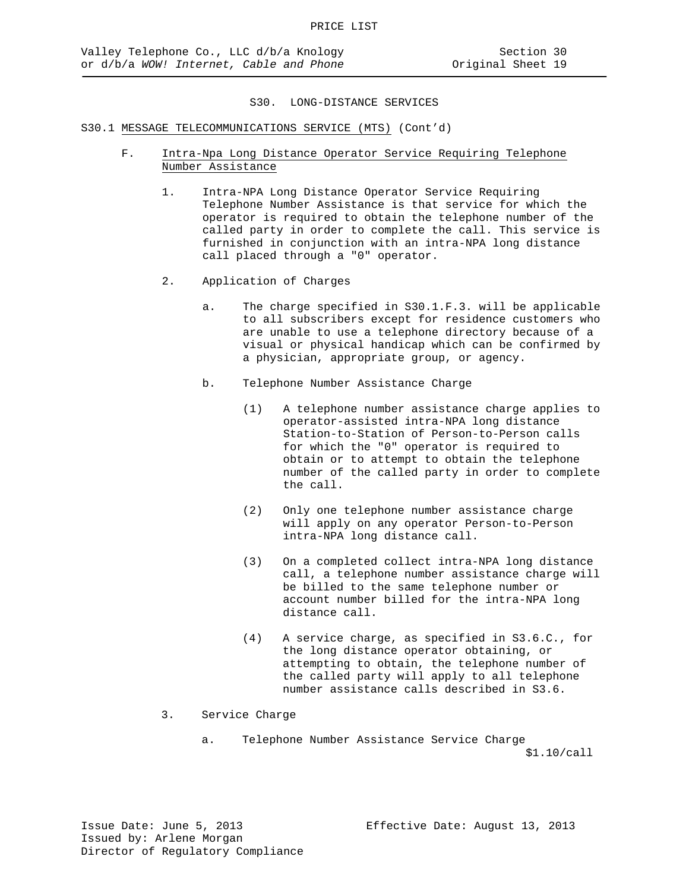- F. Intra-Npa Long Distance Operator Service Requiring Telephone Number Assistance
	- 1. Intra-NPA Long Distance Operator Service Requiring Telephone Number Assistance is that service for which the operator is required to obtain the telephone number of the called party in order to complete the call. This service is furnished in conjunction with an intra-NPA long distance call placed through a "0" operator.
	- 2. Application of Charges
		- a. The charge specified in S30.1.F.3. will be applicable to all subscribers except for residence customers who are unable to use a telephone directory because of a visual or physical handicap which can be confirmed by a physician, appropriate group, or agency.
		- b. Telephone Number Assistance Charge
			- (1) A telephone number assistance charge applies to operator-assisted intra-NPA long distance Station-to-Station of Person-to-Person calls for which the "0" operator is required to obtain or to attempt to obtain the telephone number of the called party in order to complete the call.
			- (2) Only one telephone number assistance charge will apply on any operator Person-to-Person intra-NPA long distance call.
			- (3) On a completed collect intra-NPA long distance call, a telephone number assistance charge will be billed to the same telephone number or account number billed for the intra-NPA long distance call.
			- (4) A service charge, as specified in S3.6.C., for the long distance operator obtaining, or attempting to obtain, the telephone number of the called party will apply to all telephone number assistance calls described in S3.6.
	- 3. Service Charge
		- a. Telephone Number Assistance Service Charge \$1.10/call